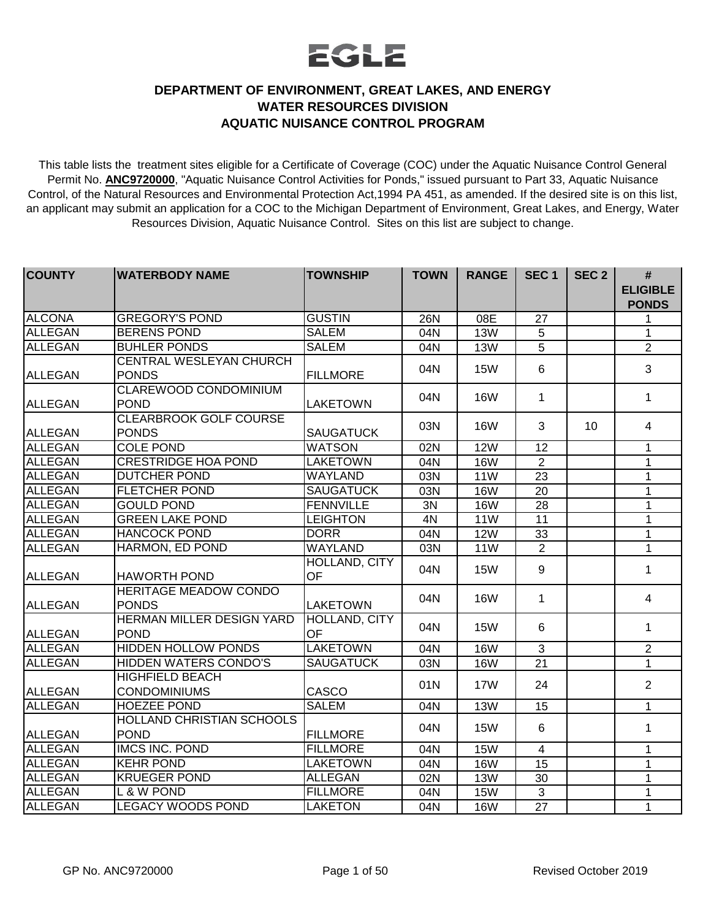## EGLE

## **DEPARTMENT OF ENVIRONMENT, GREAT LAKES, AND ENERGY WATER RESOURCES DIVISION AQUATIC NUISANCE CONTROL PROGRAM**

This table lists the treatment sites eligible for a Certificate of Coverage (COC) under the Aquatic Nuisance Control General Permit No. **ANC9720000**, "Aquatic Nuisance Control Activities for Ponds," issued pursuant to Part 33, Aquatic Nuisance Control, of the Natural Resources and Environmental Protection Act,1994 PA 451, as amended. If the desired site is on this list, an applicant may submit an application for a COC to the Michigan Department of Environment, Great Lakes, and Energy, Water Resources Division, Aquatic Nuisance Control. Sites on this list are subject to change.

| <b>COUNTY</b>  | <b>WATERBODY NAME</b>            | <b>TOWNSHIP</b>  | <b>TOWN</b> | <b>RANGE</b> | SEC <sub>1</sub> | SEC <sub>2</sub> | #<br><b>ELIGIBLE</b> |
|----------------|----------------------------------|------------------|-------------|--------------|------------------|------------------|----------------------|
|                |                                  |                  |             |              |                  |                  | <b>PONDS</b>         |
| <b>ALCONA</b>  | <b>GREGORY'S POND</b>            | <b>GUSTIN</b>    | <b>26N</b>  | 08E          | 27               |                  | 1                    |
| ALLEGAN        | <b>BERENS POND</b>               | <b>SALEM</b>     | 04N         | <b>13W</b>   | 5                |                  | 1                    |
| <b>ALLEGAN</b> | <b>BUHLER PONDS</b>              | <b>SALEM</b>     | 04N         | <b>13W</b>   | 5                |                  | $\overline{2}$       |
|                | CENTRAL WESLEYAN CHURCH          |                  |             | <b>15W</b>   | $6\phantom{1}$   |                  | 3                    |
| ALLEGAN        | <b>PONDS</b>                     | <b>FILLMORE</b>  | 04N         |              |                  |                  |                      |
|                | <b>CLAREWOOD CONDOMINIUM</b>     |                  | 04N         | <b>16W</b>   | 1                |                  | 1                    |
| ALLEGAN        | <b>POND</b>                      | LAKETOWN         |             |              |                  |                  |                      |
|                | <b>CLEARBROOK GOLF COURSE</b>    |                  | 03N         | <b>16W</b>   | 3                | 10 <sup>1</sup>  | $\overline{4}$       |
| <b>ALLEGAN</b> | <b>PONDS</b>                     | <b>SAUGATUCK</b> |             |              |                  |                  |                      |
| <b>ALLEGAN</b> | <b>COLE POND</b>                 | <b>WATSON</b>    | 02N         | <b>12W</b>   | 12               |                  | $\mathbf 1$          |
| <b>ALLEGAN</b> | <b>CRESTRIDGE HOA POND</b>       | <b>LAKETOWN</b>  | 04N         | <b>16W</b>   | $\overline{2}$   |                  | 1                    |
| <b>ALLEGAN</b> | <b>DUTCHER POND</b>              | <b>WAYLAND</b>   | 03N         | <b>11W</b>   | $\overline{23}$  |                  | $\mathbf 1$          |
| <b>ALLEGAN</b> | <b>FLETCHER POND</b>             | <b>SAUGATUCK</b> | 03N         | <b>16W</b>   | 20               |                  | $\mathbf{1}$         |
| <b>ALLEGAN</b> | <b>GOULD POND</b>                | <b>FENNVILLE</b> | 3N          | <b>16W</b>   | $\overline{28}$  |                  | $\mathbf 1$          |
| <b>ALLEGAN</b> | <b>GREEN LAKE POND</b>           | <b>LEIGHTON</b>  | 4N          | 11W          | $\overline{11}$  |                  | $\mathbf{1}$         |
| <b>ALLEGAN</b> | <b>HANCOCK POND</b>              | <b>DORR</b>      | 04N         | <b>12W</b>   | 33               |                  | $\mathbf 1$          |
| <b>ALLEGAN</b> | HARMON, ED POND                  | <b>WAYLAND</b>   | 03N         | <b>11W</b>   | $\overline{2}$   |                  | $\mathbf{1}$         |
|                |                                  | HOLLAND, CITY    |             |              | 9                |                  |                      |
| ALLEGAN        | <b>HAWORTH POND</b>              | <b>OF</b>        | 04N         | <b>15W</b>   |                  |                  | 1                    |
|                | <b>HERITAGE MEADOW CONDO</b>     |                  |             |              |                  |                  |                      |
| <b>ALLEGAN</b> | <b>PONDS</b>                     | <b>LAKETOWN</b>  | 04N         | <b>16W</b>   | 1                |                  | $\overline{4}$       |
|                | <b>HERMAN MILLER DESIGN YARD</b> | HOLLAND, CITY    | 04N         | <b>15W</b>   | 6                |                  | 1                    |
| ALLEGAN        | <b>POND</b>                      | OF               |             |              |                  |                  |                      |
| <b>ALLEGAN</b> | <b>HIDDEN HOLLOW PONDS</b>       | <b>LAKETOWN</b>  | 04N         | <b>16W</b>   | 3                |                  | 2                    |
| <b>ALLEGAN</b> | <b>HIDDEN WATERS CONDO'S</b>     | <b>SAUGATUCK</b> | 03N         | <b>16W</b>   | 21               |                  | 1                    |
|                | <b>HIGHFIELD BEACH</b>           |                  | 01N         | <b>17W</b>   | 24               |                  | $\overline{2}$       |
| ALLEGAN        | <b>CONDOMINIUMS</b>              | CASCO            |             |              |                  |                  |                      |
| <b>ALLEGAN</b> | <b>HOEZEE POND</b>               | <b>SALEM</b>     | 04N         | <b>13W</b>   | 15               |                  | 1                    |
|                | <b>HOLLAND CHRISTIAN SCHOOLS</b> |                  |             |              | 6                |                  |                      |
| <b>ALLEGAN</b> | <b>POND</b>                      | <b>FILLMORE</b>  | 04N         | <b>15W</b>   |                  |                  | 1                    |
| <b>ALLEGAN</b> | <b>IMCS INC. POND</b>            | <b>FILLMORE</b>  | 04N         | <b>15W</b>   | $\overline{4}$   |                  | $\mathbf 1$          |
| ALLEGAN        | <b>KEHR POND</b>                 | <b>LAKETOWN</b>  | 04N         | <b>16W</b>   | 15               |                  | $\mathbf 1$          |
| <b>ALLEGAN</b> | <b>KRUEGER POND</b>              | <b>ALLEGAN</b>   | 02N         | <b>13W</b>   | 30               |                  | 1                    |
| <b>ALLEGAN</b> | L & W POND                       | <b>FILLMORE</b>  | 04N         | <b>15W</b>   | 3                |                  | $\mathbf 1$          |
| <b>ALLEGAN</b> | <b>LEGACY WOODS POND</b>         | <b>LAKETON</b>   | 04N         | <b>16W</b>   | 27               |                  | $\mathbf{1}$         |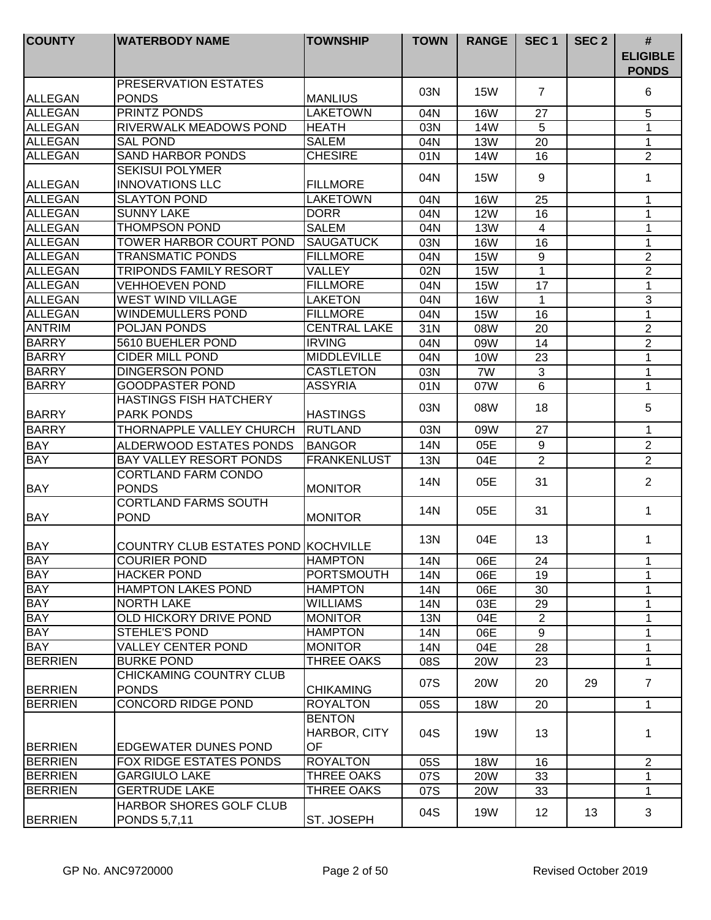| <b>COUNTY</b>  | <b>WATERBODY NAME</b>                                | <b>TOWNSHIP</b>               | <b>TOWN</b> | <b>RANGE</b> | SEC <sub>1</sub> | SEC <sub>2</sub> | #<br><b>ELIGIBLE</b> |
|----------------|------------------------------------------------------|-------------------------------|-------------|--------------|------------------|------------------|----------------------|
|                |                                                      |                               |             |              |                  |                  | <b>PONDS</b>         |
| <b>ALLEGAN</b> | <b>PRESERVATION ESTATES</b><br><b>PONDS</b>          | <b>MANLIUS</b>                | 03N         | <b>15W</b>   | $\overline{7}$   |                  | 6                    |
| <b>ALLEGAN</b> | <b>PRINTZ PONDS</b>                                  | <b>LAKETOWN</b>               | 04N         | <b>16W</b>   | 27               |                  | 5                    |
| <b>ALLEGAN</b> | <b>RIVERWALK MEADOWS POND</b>                        | <b>HEATH</b>                  | 03N         | 14W          | 5                |                  | 1                    |
| <b>ALLEGAN</b> | <b>SAL POND</b>                                      | <b>SALEM</b>                  | 04N         | <b>13W</b>   | 20               |                  | 1                    |
| ALLEGAN        | <b>SAND HARBOR PONDS</b>                             | <b>CHESIRE</b>                | 01N         | 14W          | 16               |                  | $\overline{2}$       |
| <b>ALLEGAN</b> | <b>SEKISUI POLYMER</b><br><b>INNOVATIONS LLC</b>     | <b>FILLMORE</b>               | 04N         | <b>15W</b>   | 9                |                  | 1                    |
| <b>ALLEGAN</b> | <b>SLAYTON POND</b>                                  | <b>LAKETOWN</b>               | 04N         | <b>16W</b>   | 25               |                  | $\mathbf 1$          |
| <b>ALLEGAN</b> | <b>SUNNY LAKE</b>                                    | <b>DORR</b>                   | 04N         | <b>12W</b>   | 16               |                  | 1                    |
| <b>ALLEGAN</b> | <b>THOMPSON POND</b>                                 | <b>SALEM</b>                  | 04N         | <b>13W</b>   | $\overline{4}$   |                  | 1                    |
| <b>ALLEGAN</b> | <b>TOWER HARBOR COURT POND</b>                       | <b>SAUGATUCK</b>              | 03N         | <b>16W</b>   | 16               |                  | 1                    |
| <b>ALLEGAN</b> | <b>TRANSMATIC PONDS</b>                              | <b>FILLMORE</b>               | 04N         | <b>15W</b>   | 9                |                  | $\overline{2}$       |
| <b>ALLEGAN</b> | <b>TRIPONDS FAMILY RESORT</b>                        | <b>VALLEY</b>                 | 02N         | <b>15W</b>   | 1                |                  | $\overline{2}$       |
| <b>ALLEGAN</b> | <b>VEHHOEVEN POND</b>                                | <b>FILLMORE</b>               |             | <b>15W</b>   | 17               |                  | $\mathbf{1}$         |
| <b>ALLEGAN</b> |                                                      | <b>LAKETON</b>                | 04N         |              |                  |                  | $\mathbf{3}$         |
| <b>ALLEGAN</b> | <b>WEST WIND VILLAGE</b><br><b>WINDEMULLERS POND</b> | <b>FILLMORE</b>               | 04N         | <b>16W</b>   | 1                |                  |                      |
|                | POLJAN PONDS                                         | <b>CENTRAL LAKE</b>           | 04N         | <b>15W</b>   | 16               |                  | $\mathbf 1$          |
| <b>ANTRIM</b>  | 5610 BUEHLER POND                                    | <b>IRVING</b>                 | 31N         | 08W          | 20               |                  | $\overline{2}$       |
| <b>BARRY</b>   |                                                      |                               | 04N         | 09W          | 14               |                  | $\overline{2}$       |
| <b>BARRY</b>   | <b>CIDER MILL POND</b>                               | <b>MIDDLEVILLE</b>            | 04N         | <b>10W</b>   | 23               |                  | 1                    |
| <b>BARRY</b>   | <b>DINGERSON POND</b>                                | <b>CASTLETON</b>              | 03N         | 7W           | 3                |                  | 1                    |
| BARRY          | <b>GOODPASTER POND</b>                               | <b>ASSYRIA</b>                | 01N         | 07W          | 6                |                  | $\mathbf 1$          |
| <b>BARRY</b>   | <b>HASTINGS FISH HATCHERY</b><br><b>PARK PONDS</b>   | <b>HASTINGS</b>               | 03N         | 08W          | 18               |                  | 5                    |
| <b>BARRY</b>   | THORNAPPLE VALLEY CHURCH                             | RUTLAND                       | 03N         | 09W          | 27               |                  | $\mathbf 1$          |
| <b>BAY</b>     | ALDERWOOD ESTATES PONDS                              | <b>BANGOR</b>                 | <b>14N</b>  | 05E          | 9                |                  | $\overline{2}$       |
| <b>BAY</b>     | <b>BAY VALLEY RESORT PONDS</b>                       | <b>FRANKENLUST</b>            | <b>13N</b>  | 04E          | $\overline{2}$   |                  | $\overline{2}$       |
| <b>BAY</b>     | <b>CORTLAND FARM CONDO</b><br><b>PONDS</b>           | <b>MONITOR</b>                | 14N         | 05E          | 31               |                  | $\overline{2}$       |
| <b>BAY</b>     | <b>CORTLAND FARMS SOUTH</b><br><b>POND</b>           | <b>MONITOR</b>                | 14N         | 05E          | 31               |                  | 1                    |
| BAY            | COUNTRY CLUB ESTATES POND KOCHVILLE                  |                               | 13N         | 04E          | 13               |                  | 1                    |
| <b>BAY</b>     | <b>COURIER POND</b>                                  | <b>HAMPTON</b>                | 14N         | 06E          | 24               |                  | 1                    |
| <b>BAY</b>     | <b>HACKER POND</b>                                   | <b>PORTSMOUTH</b>             | 14N         | 06E          | 19               |                  | $\mathbf{1}$         |
| <b>BAY</b>     | <b>HAMPTON LAKES POND</b>                            | <b>HAMPTON</b>                | 14N         | 06E          | 30               |                  | $\mathbf 1$          |
| <b>BAY</b>     | <b>NORTH LAKE</b>                                    | <b>WILLIAMS</b>               | 14N         | 03E          | 29               |                  | 1                    |
| <b>BAY</b>     | OLD HICKORY DRIVE POND                               | <b>MONITOR</b>                | <b>13N</b>  | 04E          | $\overline{2}$   |                  | $\mathbf{1}$         |
| <b>BAY</b>     | <b>STEHLE'S POND</b>                                 | <b>HAMPTON</b>                | 14N         | 06E          | 9                |                  | 1                    |
| <b>BAY</b>     | <b>VALLEY CENTER POND</b>                            | <b>MONITOR</b>                | 14N         | 04E          | 28               |                  | 1                    |
| <b>BERRIEN</b> | <b>BURKE POND</b>                                    | THREE OAKS                    | 08S         | <b>20W</b>   | 23               |                  | $\mathbf{1}$         |
|                | <b>CHICKAMING COUNTRY CLUB</b>                       |                               |             |              |                  |                  |                      |
| <b>BERRIEN</b> | <b>PONDS</b>                                         | <b>CHIKAMING</b>              | 07S         | 20W          | 20               | 29               | $\overline{7}$       |
| <b>BERRIEN</b> | CONCORD RIDGE POND                                   | <b>ROYALTON</b>               | 05S         | <b>18W</b>   | 20               |                  | $\mathbf{1}$         |
|                |                                                      | <b>BENTON</b><br>HARBOR, CITY | 04S         | <b>19W</b>   | 13               |                  | 1                    |
| <b>BERRIEN</b> | <b>EDGEWATER DUNES POND</b>                          | OF                            |             |              |                  |                  |                      |
| <b>BERRIEN</b> | <b>FOX RIDGE ESTATES PONDS</b>                       | <b>ROYALTON</b>               | 05S         | <b>18W</b>   | 16               |                  | $\overline{2}$       |
| <b>BERRIEN</b> | <b>GARGIULO LAKE</b>                                 | THREE OAKS                    | 07S         | <b>20W</b>   | 33               |                  | 1                    |
| <b>BERRIEN</b> | <b>GERTRUDE LAKE</b>                                 | <b>THREE OAKS</b>             | 07S         | <b>20W</b>   | 33               |                  | $\mathbf{1}$         |
| <b>BERRIEN</b> | HARBOR SHORES GOLF CLUB<br><b>PONDS 5,7,11</b>       | ST. JOSEPH                    | 04S         | <b>19W</b>   | 12               | 13               | 3                    |
|                |                                                      |                               |             |              |                  |                  |                      |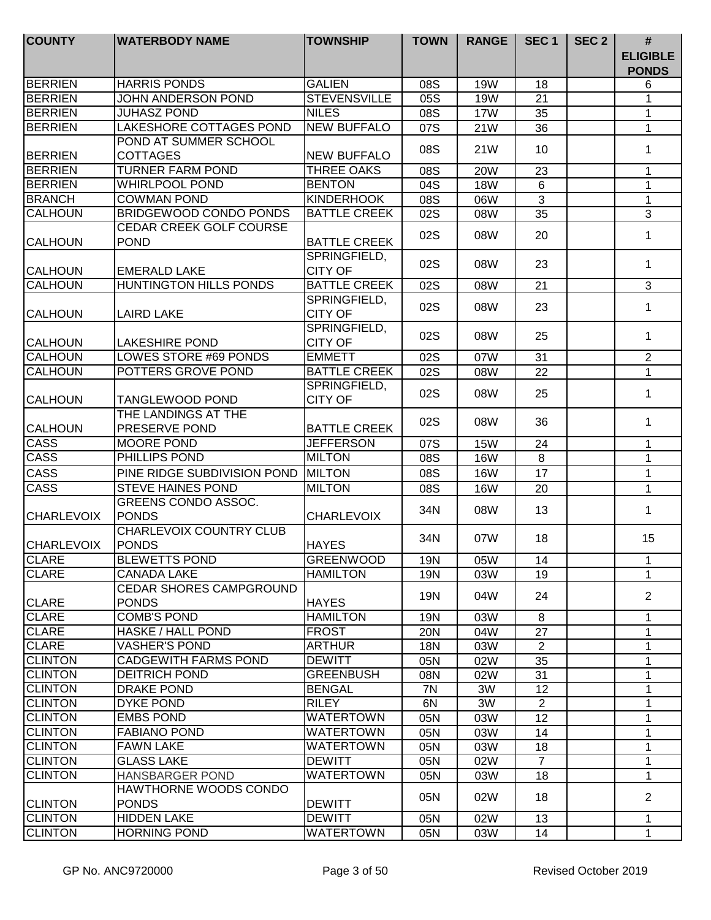| 6<br><b>STEVENSVILLE</b><br><b>BERRIEN</b><br>JOHN ANDERSON POND<br>05S<br><b>19W</b><br>21<br>1<br><b>BERRIEN</b><br><b>JUHASZ POND</b><br><b>NILES</b><br>08S<br><b>17W</b><br>35<br>1<br><b>LAKESHORE COTTAGES POND</b><br><b>NEW BUFFALO</b><br><b>BERRIEN</b><br>07S<br>21W<br>36<br>1<br>POND AT SUMMER SCHOOL<br>08S<br>21W<br>10<br>1<br><b>COTTAGES</b><br><b>NEW BUFFALO</b><br>BERRIEN<br><b>BERRIEN</b><br><b>TURNER FARM POND</b><br><b>THREE OAKS</b><br>08S<br><b>20W</b><br>23<br>$\mathbf 1$<br><b>BERRIEN</b><br><b>WHIRLPOOL POND</b><br><b>BENTON</b><br>04S<br>$6\phantom{1}$<br>$\mathbf{1}$<br><b>18W</b><br><b>BRANCH</b><br><b>COWMAN POND</b><br><b>KINDERHOOK</b><br>$\mathfrak{S}$<br>$\mathbf{1}$<br>08S<br>06W<br><b>BRIDGEWOOD CONDO PONDS</b><br><b>BATTLE CREEK</b><br><b>CALHOUN</b><br>35<br>3<br>02S<br>08W<br><b>CEDAR CREEK GOLF COURSE</b><br>02S<br>08W<br>20<br>1<br><b>POND</b><br><b>BATTLE CREEK</b><br><b>CALHOUN</b><br>SPRINGFIELD,<br>02S<br>08W<br>23<br>$\mathbf 1$<br><b>CITY OF</b><br><b>CALHOUN</b><br><b>EMERALD LAKE</b><br>HUNTINGTON HILLS PONDS<br><b>BATTLE CREEK</b><br><b>CALHOUN</b><br>02S<br>$\mathbf{3}$<br>08W<br>21<br>SPRINGFIELD,<br>02S<br>23<br>1<br>08W<br><b>CITY OF</b><br><b>CALHOUN</b><br>LAIRD LAKE<br>SPRINGFIELD,<br>02S<br>08W<br>25<br>1<br><b>CITY OF</b><br><b>CALHOUN</b><br><b>LAKESHIRE POND</b><br><b>LOWES STORE #69 PONDS</b><br><b>CALHOUN</b><br><b>EMMETT</b><br>31<br>$\overline{2}$<br>02S<br>07W<br><b>CALHOUN</b><br>POTTERS GROVE POND<br><b>BATTLE CREEK</b><br>02S<br>08W<br>22<br>1<br>SPRINGFIELD,<br>02S<br>08W<br>25<br>1<br><b>CITY OF</b><br>TANGLEWOOD POND<br>THE LANDINGS AT THE<br>02S<br>08W<br>36<br>1<br><b>CALHOUN</b><br>PRESERVE POND<br><b>BATTLE CREEK</b><br><b>CASS</b><br><b>JEFFERSON</b><br>$\mathbf{1}$<br><b>MOORE POND</b><br>07S<br><b>15W</b><br>24<br><b>CASS</b><br>PHILLIPS POND<br><b>MILTON</b><br>08S<br><b>16W</b><br>8<br>$\mathbf 1$<br><b>CASS</b><br>PINE RIDGE SUBDIVISION POND<br><b>MILTON</b><br>08S<br><b>16W</b><br>17<br>1<br><b>CASS</b><br><b>MILTON</b><br><b>STEVE HAINES POND</b><br>$\mathbf{1}$<br>08S<br><b>16W</b><br>20<br>GREENS CONDO ASSOC.<br>34N<br>08W<br>13<br>1<br><b>PONDS</b><br><b>ICHARLEVOIX</b><br><b>CHARLEVOIX</b><br><b>CHARLEVOIX COUNTRY CLUB</b><br>07W<br>18<br>15<br>34N<br><b>PONDS</b><br><b>HAYES</b><br><b>BLEWETTS POND</b><br><b>GREENWOOD</b><br>19N<br>05W<br>14<br>1<br><b>CANADA LAKE</b><br><b>HAMILTON</b><br><b>19N</b><br>19<br>1<br>03W<br><b>CEDAR SHORES CAMPGROUND</b><br>$\overline{2}$<br>19N<br>04W<br>24<br><b>PONDS</b><br><b>HAYES</b><br><b>CLARE</b><br><b>COMB'S POND</b><br><b>HAMILTON</b><br>$\mathbf{1}$<br>8<br>19N<br>03W<br><b>CLARE</b><br><b>HASKE / HALL POND</b><br><b>FROST</b><br>1<br>20N<br>04W<br>27<br><b>VASHER'S POND</b><br><b>ARTHUR</b><br><b>18N</b><br>03W<br>$\overline{2}$<br>1<br><b>CLINTON</b><br><b>CADGEWITH FARMS POND</b><br><b>DEWITT</b><br>35<br>$\mathbf{1}$<br>05N<br>02W<br><b>CLINTON</b><br><b>DEITRICH POND</b><br><b>GREENBUSH</b><br>02W<br>31<br>1<br>08N<br><b>DRAKE POND</b><br><b>BENGAL</b><br>12<br>7N<br>3W<br>1<br><b>RILEY</b><br>3W<br>DYKE POND<br>6N<br>$\overline{2}$<br>1<br><b>WATERTOWN</b><br><b>EMBS POND</b><br>12<br>05N<br>03W<br>1<br><b>FABIANO POND</b><br><b>WATERTOWN</b><br>05N<br>03W<br>14<br>1<br><b>FAWN LAKE</b><br><b>WATERTOWN</b><br>05N<br>03W<br>18<br>1<br><b>GLASS LAKE</b><br><b>DEWITT</b><br>02W<br>05N<br>$\overline{7}$<br>1<br><b>WATERTOWN</b><br><b>HANSBARGER POND</b><br>05N<br>03W<br>18<br>1<br>HAWTHORNE WOODS CONDO<br>02W<br>2<br>05N<br>18<br><b>CLINTON</b><br><b>PONDS</b><br><b>DEWITT</b><br><b>CLINTON</b><br><b>HIDDEN LAKE</b><br><b>DEWITT</b><br>02W<br>05N<br>13<br>1<br><b>CLINTON</b><br><b>HORNING POND</b><br><b>WATERTOWN</b><br>05N<br>14<br>$\mathbf{1}$<br>03W | <b>COUNTY</b>     | <b>WATERBODY NAME</b> | <b>TOWNSHIP</b> | <b>TOWN</b> | <b>RANGE</b> | SEC <sub>1</sub> | SEC <sub>2</sub> | $\#$<br><b>ELIGIBLE</b><br><b>PONDS</b> |
|---------------------------------------------------------------------------------------------------------------------------------------------------------------------------------------------------------------------------------------------------------------------------------------------------------------------------------------------------------------------------------------------------------------------------------------------------------------------------------------------------------------------------------------------------------------------------------------------------------------------------------------------------------------------------------------------------------------------------------------------------------------------------------------------------------------------------------------------------------------------------------------------------------------------------------------------------------------------------------------------------------------------------------------------------------------------------------------------------------------------------------------------------------------------------------------------------------------------------------------------------------------------------------------------------------------------------------------------------------------------------------------------------------------------------------------------------------------------------------------------------------------------------------------------------------------------------------------------------------------------------------------------------------------------------------------------------------------------------------------------------------------------------------------------------------------------------------------------------------------------------------------------------------------------------------------------------------------------------------------------------------------------------------------------------------------------------------------------------------------------------------------------------------------------------------------------------------------------------------------------------------------------------------------------------------------------------------------------------------------------------------------------------------------------------------------------------------------------------------------------------------------------------------------------------------------------------------------------------------------------------------------------------------------------------------------------------------------------------------------------------------------------------------------------------------------------------------------------------------------------------------------------------------------------------------------------------------------------------------------------------------------------------------------------------------------------------------------------------------------------------------------------------------------------------------------------------------------------------------------------------------------------------------------------------------------------------------------------------------------------------------------------------------------------------------------------------------------------------------------------------------------------------------------------------------------------------------------------------------------------------------------------------------------------------------------------------------------------------------------------------------------------------------------------------------------------------------------------------------------------------------------------------|-------------------|-----------------------|-----------------|-------------|--------------|------------------|------------------|-----------------------------------------|
|                                                                                                                                                                                                                                                                                                                                                                                                                                                                                                                                                                                                                                                                                                                                                                                                                                                                                                                                                                                                                                                                                                                                                                                                                                                                                                                                                                                                                                                                                                                                                                                                                                                                                                                                                                                                                                                                                                                                                                                                                                                                                                                                                                                                                                                                                                                                                                                                                                                                                                                                                                                                                                                                                                                                                                                                                                                                                                                                                                                                                                                                                                                                                                                                                                                                                                                                                                                                                                                                                                                                                                                                                                                                                                                                                                                                                                                                                                   | <b>BERRIEN</b>    | <b>HARRIS PONDS</b>   | <b>GALIEN</b>   | 08S         | 19W          | 18               |                  |                                         |
|                                                                                                                                                                                                                                                                                                                                                                                                                                                                                                                                                                                                                                                                                                                                                                                                                                                                                                                                                                                                                                                                                                                                                                                                                                                                                                                                                                                                                                                                                                                                                                                                                                                                                                                                                                                                                                                                                                                                                                                                                                                                                                                                                                                                                                                                                                                                                                                                                                                                                                                                                                                                                                                                                                                                                                                                                                                                                                                                                                                                                                                                                                                                                                                                                                                                                                                                                                                                                                                                                                                                                                                                                                                                                                                                                                                                                                                                                                   |                   |                       |                 |             |              |                  |                  |                                         |
|                                                                                                                                                                                                                                                                                                                                                                                                                                                                                                                                                                                                                                                                                                                                                                                                                                                                                                                                                                                                                                                                                                                                                                                                                                                                                                                                                                                                                                                                                                                                                                                                                                                                                                                                                                                                                                                                                                                                                                                                                                                                                                                                                                                                                                                                                                                                                                                                                                                                                                                                                                                                                                                                                                                                                                                                                                                                                                                                                                                                                                                                                                                                                                                                                                                                                                                                                                                                                                                                                                                                                                                                                                                                                                                                                                                                                                                                                                   |                   |                       |                 |             |              |                  |                  |                                         |
|                                                                                                                                                                                                                                                                                                                                                                                                                                                                                                                                                                                                                                                                                                                                                                                                                                                                                                                                                                                                                                                                                                                                                                                                                                                                                                                                                                                                                                                                                                                                                                                                                                                                                                                                                                                                                                                                                                                                                                                                                                                                                                                                                                                                                                                                                                                                                                                                                                                                                                                                                                                                                                                                                                                                                                                                                                                                                                                                                                                                                                                                                                                                                                                                                                                                                                                                                                                                                                                                                                                                                                                                                                                                                                                                                                                                                                                                                                   |                   |                       |                 |             |              |                  |                  |                                         |
|                                                                                                                                                                                                                                                                                                                                                                                                                                                                                                                                                                                                                                                                                                                                                                                                                                                                                                                                                                                                                                                                                                                                                                                                                                                                                                                                                                                                                                                                                                                                                                                                                                                                                                                                                                                                                                                                                                                                                                                                                                                                                                                                                                                                                                                                                                                                                                                                                                                                                                                                                                                                                                                                                                                                                                                                                                                                                                                                                                                                                                                                                                                                                                                                                                                                                                                                                                                                                                                                                                                                                                                                                                                                                                                                                                                                                                                                                                   |                   |                       |                 |             |              |                  |                  |                                         |
|                                                                                                                                                                                                                                                                                                                                                                                                                                                                                                                                                                                                                                                                                                                                                                                                                                                                                                                                                                                                                                                                                                                                                                                                                                                                                                                                                                                                                                                                                                                                                                                                                                                                                                                                                                                                                                                                                                                                                                                                                                                                                                                                                                                                                                                                                                                                                                                                                                                                                                                                                                                                                                                                                                                                                                                                                                                                                                                                                                                                                                                                                                                                                                                                                                                                                                                                                                                                                                                                                                                                                                                                                                                                                                                                                                                                                                                                                                   |                   |                       |                 |             |              |                  |                  |                                         |
|                                                                                                                                                                                                                                                                                                                                                                                                                                                                                                                                                                                                                                                                                                                                                                                                                                                                                                                                                                                                                                                                                                                                                                                                                                                                                                                                                                                                                                                                                                                                                                                                                                                                                                                                                                                                                                                                                                                                                                                                                                                                                                                                                                                                                                                                                                                                                                                                                                                                                                                                                                                                                                                                                                                                                                                                                                                                                                                                                                                                                                                                                                                                                                                                                                                                                                                                                                                                                                                                                                                                                                                                                                                                                                                                                                                                                                                                                                   |                   |                       |                 |             |              |                  |                  |                                         |
|                                                                                                                                                                                                                                                                                                                                                                                                                                                                                                                                                                                                                                                                                                                                                                                                                                                                                                                                                                                                                                                                                                                                                                                                                                                                                                                                                                                                                                                                                                                                                                                                                                                                                                                                                                                                                                                                                                                                                                                                                                                                                                                                                                                                                                                                                                                                                                                                                                                                                                                                                                                                                                                                                                                                                                                                                                                                                                                                                                                                                                                                                                                                                                                                                                                                                                                                                                                                                                                                                                                                                                                                                                                                                                                                                                                                                                                                                                   |                   |                       |                 |             |              |                  |                  |                                         |
|                                                                                                                                                                                                                                                                                                                                                                                                                                                                                                                                                                                                                                                                                                                                                                                                                                                                                                                                                                                                                                                                                                                                                                                                                                                                                                                                                                                                                                                                                                                                                                                                                                                                                                                                                                                                                                                                                                                                                                                                                                                                                                                                                                                                                                                                                                                                                                                                                                                                                                                                                                                                                                                                                                                                                                                                                                                                                                                                                                                                                                                                                                                                                                                                                                                                                                                                                                                                                                                                                                                                                                                                                                                                                                                                                                                                                                                                                                   |                   |                       |                 |             |              |                  |                  |                                         |
|                                                                                                                                                                                                                                                                                                                                                                                                                                                                                                                                                                                                                                                                                                                                                                                                                                                                                                                                                                                                                                                                                                                                                                                                                                                                                                                                                                                                                                                                                                                                                                                                                                                                                                                                                                                                                                                                                                                                                                                                                                                                                                                                                                                                                                                                                                                                                                                                                                                                                                                                                                                                                                                                                                                                                                                                                                                                                                                                                                                                                                                                                                                                                                                                                                                                                                                                                                                                                                                                                                                                                                                                                                                                                                                                                                                                                                                                                                   |                   |                       |                 |             |              |                  |                  |                                         |
|                                                                                                                                                                                                                                                                                                                                                                                                                                                                                                                                                                                                                                                                                                                                                                                                                                                                                                                                                                                                                                                                                                                                                                                                                                                                                                                                                                                                                                                                                                                                                                                                                                                                                                                                                                                                                                                                                                                                                                                                                                                                                                                                                                                                                                                                                                                                                                                                                                                                                                                                                                                                                                                                                                                                                                                                                                                                                                                                                                                                                                                                                                                                                                                                                                                                                                                                                                                                                                                                                                                                                                                                                                                                                                                                                                                                                                                                                                   |                   |                       |                 |             |              |                  |                  |                                         |
|                                                                                                                                                                                                                                                                                                                                                                                                                                                                                                                                                                                                                                                                                                                                                                                                                                                                                                                                                                                                                                                                                                                                                                                                                                                                                                                                                                                                                                                                                                                                                                                                                                                                                                                                                                                                                                                                                                                                                                                                                                                                                                                                                                                                                                                                                                                                                                                                                                                                                                                                                                                                                                                                                                                                                                                                                                                                                                                                                                                                                                                                                                                                                                                                                                                                                                                                                                                                                                                                                                                                                                                                                                                                                                                                                                                                                                                                                                   |                   |                       |                 |             |              |                  |                  |                                         |
|                                                                                                                                                                                                                                                                                                                                                                                                                                                                                                                                                                                                                                                                                                                                                                                                                                                                                                                                                                                                                                                                                                                                                                                                                                                                                                                                                                                                                                                                                                                                                                                                                                                                                                                                                                                                                                                                                                                                                                                                                                                                                                                                                                                                                                                                                                                                                                                                                                                                                                                                                                                                                                                                                                                                                                                                                                                                                                                                                                                                                                                                                                                                                                                                                                                                                                                                                                                                                                                                                                                                                                                                                                                                                                                                                                                                                                                                                                   |                   |                       |                 |             |              |                  |                  |                                         |
|                                                                                                                                                                                                                                                                                                                                                                                                                                                                                                                                                                                                                                                                                                                                                                                                                                                                                                                                                                                                                                                                                                                                                                                                                                                                                                                                                                                                                                                                                                                                                                                                                                                                                                                                                                                                                                                                                                                                                                                                                                                                                                                                                                                                                                                                                                                                                                                                                                                                                                                                                                                                                                                                                                                                                                                                                                                                                                                                                                                                                                                                                                                                                                                                                                                                                                                                                                                                                                                                                                                                                                                                                                                                                                                                                                                                                                                                                                   |                   |                       |                 |             |              |                  |                  |                                         |
|                                                                                                                                                                                                                                                                                                                                                                                                                                                                                                                                                                                                                                                                                                                                                                                                                                                                                                                                                                                                                                                                                                                                                                                                                                                                                                                                                                                                                                                                                                                                                                                                                                                                                                                                                                                                                                                                                                                                                                                                                                                                                                                                                                                                                                                                                                                                                                                                                                                                                                                                                                                                                                                                                                                                                                                                                                                                                                                                                                                                                                                                                                                                                                                                                                                                                                                                                                                                                                                                                                                                                                                                                                                                                                                                                                                                                                                                                                   |                   |                       |                 |             |              |                  |                  |                                         |
|                                                                                                                                                                                                                                                                                                                                                                                                                                                                                                                                                                                                                                                                                                                                                                                                                                                                                                                                                                                                                                                                                                                                                                                                                                                                                                                                                                                                                                                                                                                                                                                                                                                                                                                                                                                                                                                                                                                                                                                                                                                                                                                                                                                                                                                                                                                                                                                                                                                                                                                                                                                                                                                                                                                                                                                                                                                                                                                                                                                                                                                                                                                                                                                                                                                                                                                                                                                                                                                                                                                                                                                                                                                                                                                                                                                                                                                                                                   |                   |                       |                 |             |              |                  |                  |                                         |
|                                                                                                                                                                                                                                                                                                                                                                                                                                                                                                                                                                                                                                                                                                                                                                                                                                                                                                                                                                                                                                                                                                                                                                                                                                                                                                                                                                                                                                                                                                                                                                                                                                                                                                                                                                                                                                                                                                                                                                                                                                                                                                                                                                                                                                                                                                                                                                                                                                                                                                                                                                                                                                                                                                                                                                                                                                                                                                                                                                                                                                                                                                                                                                                                                                                                                                                                                                                                                                                                                                                                                                                                                                                                                                                                                                                                                                                                                                   |                   |                       |                 |             |              |                  |                  |                                         |
|                                                                                                                                                                                                                                                                                                                                                                                                                                                                                                                                                                                                                                                                                                                                                                                                                                                                                                                                                                                                                                                                                                                                                                                                                                                                                                                                                                                                                                                                                                                                                                                                                                                                                                                                                                                                                                                                                                                                                                                                                                                                                                                                                                                                                                                                                                                                                                                                                                                                                                                                                                                                                                                                                                                                                                                                                                                                                                                                                                                                                                                                                                                                                                                                                                                                                                                                                                                                                                                                                                                                                                                                                                                                                                                                                                                                                                                                                                   |                   |                       |                 |             |              |                  |                  |                                         |
|                                                                                                                                                                                                                                                                                                                                                                                                                                                                                                                                                                                                                                                                                                                                                                                                                                                                                                                                                                                                                                                                                                                                                                                                                                                                                                                                                                                                                                                                                                                                                                                                                                                                                                                                                                                                                                                                                                                                                                                                                                                                                                                                                                                                                                                                                                                                                                                                                                                                                                                                                                                                                                                                                                                                                                                                                                                                                                                                                                                                                                                                                                                                                                                                                                                                                                                                                                                                                                                                                                                                                                                                                                                                                                                                                                                                                                                                                                   |                   |                       |                 |             |              |                  |                  |                                         |
|                                                                                                                                                                                                                                                                                                                                                                                                                                                                                                                                                                                                                                                                                                                                                                                                                                                                                                                                                                                                                                                                                                                                                                                                                                                                                                                                                                                                                                                                                                                                                                                                                                                                                                                                                                                                                                                                                                                                                                                                                                                                                                                                                                                                                                                                                                                                                                                                                                                                                                                                                                                                                                                                                                                                                                                                                                                                                                                                                                                                                                                                                                                                                                                                                                                                                                                                                                                                                                                                                                                                                                                                                                                                                                                                                                                                                                                                                                   |                   |                       |                 |             |              |                  |                  |                                         |
|                                                                                                                                                                                                                                                                                                                                                                                                                                                                                                                                                                                                                                                                                                                                                                                                                                                                                                                                                                                                                                                                                                                                                                                                                                                                                                                                                                                                                                                                                                                                                                                                                                                                                                                                                                                                                                                                                                                                                                                                                                                                                                                                                                                                                                                                                                                                                                                                                                                                                                                                                                                                                                                                                                                                                                                                                                                                                                                                                                                                                                                                                                                                                                                                                                                                                                                                                                                                                                                                                                                                                                                                                                                                                                                                                                                                                                                                                                   |                   |                       |                 |             |              |                  |                  |                                         |
|                                                                                                                                                                                                                                                                                                                                                                                                                                                                                                                                                                                                                                                                                                                                                                                                                                                                                                                                                                                                                                                                                                                                                                                                                                                                                                                                                                                                                                                                                                                                                                                                                                                                                                                                                                                                                                                                                                                                                                                                                                                                                                                                                                                                                                                                                                                                                                                                                                                                                                                                                                                                                                                                                                                                                                                                                                                                                                                                                                                                                                                                                                                                                                                                                                                                                                                                                                                                                                                                                                                                                                                                                                                                                                                                                                                                                                                                                                   | <b>CALHOUN</b>    |                       |                 |             |              |                  |                  |                                         |
|                                                                                                                                                                                                                                                                                                                                                                                                                                                                                                                                                                                                                                                                                                                                                                                                                                                                                                                                                                                                                                                                                                                                                                                                                                                                                                                                                                                                                                                                                                                                                                                                                                                                                                                                                                                                                                                                                                                                                                                                                                                                                                                                                                                                                                                                                                                                                                                                                                                                                                                                                                                                                                                                                                                                                                                                                                                                                                                                                                                                                                                                                                                                                                                                                                                                                                                                                                                                                                                                                                                                                                                                                                                                                                                                                                                                                                                                                                   |                   |                       |                 |             |              |                  |                  |                                         |
|                                                                                                                                                                                                                                                                                                                                                                                                                                                                                                                                                                                                                                                                                                                                                                                                                                                                                                                                                                                                                                                                                                                                                                                                                                                                                                                                                                                                                                                                                                                                                                                                                                                                                                                                                                                                                                                                                                                                                                                                                                                                                                                                                                                                                                                                                                                                                                                                                                                                                                                                                                                                                                                                                                                                                                                                                                                                                                                                                                                                                                                                                                                                                                                                                                                                                                                                                                                                                                                                                                                                                                                                                                                                                                                                                                                                                                                                                                   |                   |                       |                 |             |              |                  |                  |                                         |
|                                                                                                                                                                                                                                                                                                                                                                                                                                                                                                                                                                                                                                                                                                                                                                                                                                                                                                                                                                                                                                                                                                                                                                                                                                                                                                                                                                                                                                                                                                                                                                                                                                                                                                                                                                                                                                                                                                                                                                                                                                                                                                                                                                                                                                                                                                                                                                                                                                                                                                                                                                                                                                                                                                                                                                                                                                                                                                                                                                                                                                                                                                                                                                                                                                                                                                                                                                                                                                                                                                                                                                                                                                                                                                                                                                                                                                                                                                   |                   |                       |                 |             |              |                  |                  |                                         |
|                                                                                                                                                                                                                                                                                                                                                                                                                                                                                                                                                                                                                                                                                                                                                                                                                                                                                                                                                                                                                                                                                                                                                                                                                                                                                                                                                                                                                                                                                                                                                                                                                                                                                                                                                                                                                                                                                                                                                                                                                                                                                                                                                                                                                                                                                                                                                                                                                                                                                                                                                                                                                                                                                                                                                                                                                                                                                                                                                                                                                                                                                                                                                                                                                                                                                                                                                                                                                                                                                                                                                                                                                                                                                                                                                                                                                                                                                                   |                   |                       |                 |             |              |                  |                  |                                         |
|                                                                                                                                                                                                                                                                                                                                                                                                                                                                                                                                                                                                                                                                                                                                                                                                                                                                                                                                                                                                                                                                                                                                                                                                                                                                                                                                                                                                                                                                                                                                                                                                                                                                                                                                                                                                                                                                                                                                                                                                                                                                                                                                                                                                                                                                                                                                                                                                                                                                                                                                                                                                                                                                                                                                                                                                                                                                                                                                                                                                                                                                                                                                                                                                                                                                                                                                                                                                                                                                                                                                                                                                                                                                                                                                                                                                                                                                                                   |                   |                       |                 |             |              |                  |                  |                                         |
|                                                                                                                                                                                                                                                                                                                                                                                                                                                                                                                                                                                                                                                                                                                                                                                                                                                                                                                                                                                                                                                                                                                                                                                                                                                                                                                                                                                                                                                                                                                                                                                                                                                                                                                                                                                                                                                                                                                                                                                                                                                                                                                                                                                                                                                                                                                                                                                                                                                                                                                                                                                                                                                                                                                                                                                                                                                                                                                                                                                                                                                                                                                                                                                                                                                                                                                                                                                                                                                                                                                                                                                                                                                                                                                                                                                                                                                                                                   |                   |                       |                 |             |              |                  |                  |                                         |
|                                                                                                                                                                                                                                                                                                                                                                                                                                                                                                                                                                                                                                                                                                                                                                                                                                                                                                                                                                                                                                                                                                                                                                                                                                                                                                                                                                                                                                                                                                                                                                                                                                                                                                                                                                                                                                                                                                                                                                                                                                                                                                                                                                                                                                                                                                                                                                                                                                                                                                                                                                                                                                                                                                                                                                                                                                                                                                                                                                                                                                                                                                                                                                                                                                                                                                                                                                                                                                                                                                                                                                                                                                                                                                                                                                                                                                                                                                   |                   |                       |                 |             |              |                  |                  |                                         |
|                                                                                                                                                                                                                                                                                                                                                                                                                                                                                                                                                                                                                                                                                                                                                                                                                                                                                                                                                                                                                                                                                                                                                                                                                                                                                                                                                                                                                                                                                                                                                                                                                                                                                                                                                                                                                                                                                                                                                                                                                                                                                                                                                                                                                                                                                                                                                                                                                                                                                                                                                                                                                                                                                                                                                                                                                                                                                                                                                                                                                                                                                                                                                                                                                                                                                                                                                                                                                                                                                                                                                                                                                                                                                                                                                                                                                                                                                                   |                   |                       |                 |             |              |                  |                  |                                         |
|                                                                                                                                                                                                                                                                                                                                                                                                                                                                                                                                                                                                                                                                                                                                                                                                                                                                                                                                                                                                                                                                                                                                                                                                                                                                                                                                                                                                                                                                                                                                                                                                                                                                                                                                                                                                                                                                                                                                                                                                                                                                                                                                                                                                                                                                                                                                                                                                                                                                                                                                                                                                                                                                                                                                                                                                                                                                                                                                                                                                                                                                                                                                                                                                                                                                                                                                                                                                                                                                                                                                                                                                                                                                                                                                                                                                                                                                                                   | <b>CHARLEVOIX</b> |                       |                 |             |              |                  |                  |                                         |
|                                                                                                                                                                                                                                                                                                                                                                                                                                                                                                                                                                                                                                                                                                                                                                                                                                                                                                                                                                                                                                                                                                                                                                                                                                                                                                                                                                                                                                                                                                                                                                                                                                                                                                                                                                                                                                                                                                                                                                                                                                                                                                                                                                                                                                                                                                                                                                                                                                                                                                                                                                                                                                                                                                                                                                                                                                                                                                                                                                                                                                                                                                                                                                                                                                                                                                                                                                                                                                                                                                                                                                                                                                                                                                                                                                                                                                                                                                   | <b>CLARE</b>      |                       |                 |             |              |                  |                  |                                         |
|                                                                                                                                                                                                                                                                                                                                                                                                                                                                                                                                                                                                                                                                                                                                                                                                                                                                                                                                                                                                                                                                                                                                                                                                                                                                                                                                                                                                                                                                                                                                                                                                                                                                                                                                                                                                                                                                                                                                                                                                                                                                                                                                                                                                                                                                                                                                                                                                                                                                                                                                                                                                                                                                                                                                                                                                                                                                                                                                                                                                                                                                                                                                                                                                                                                                                                                                                                                                                                                                                                                                                                                                                                                                                                                                                                                                                                                                                                   | <b>CLARE</b>      |                       |                 |             |              |                  |                  |                                         |
|                                                                                                                                                                                                                                                                                                                                                                                                                                                                                                                                                                                                                                                                                                                                                                                                                                                                                                                                                                                                                                                                                                                                                                                                                                                                                                                                                                                                                                                                                                                                                                                                                                                                                                                                                                                                                                                                                                                                                                                                                                                                                                                                                                                                                                                                                                                                                                                                                                                                                                                                                                                                                                                                                                                                                                                                                                                                                                                                                                                                                                                                                                                                                                                                                                                                                                                                                                                                                                                                                                                                                                                                                                                                                                                                                                                                                                                                                                   |                   |                       |                 |             |              |                  |                  |                                         |
|                                                                                                                                                                                                                                                                                                                                                                                                                                                                                                                                                                                                                                                                                                                                                                                                                                                                                                                                                                                                                                                                                                                                                                                                                                                                                                                                                                                                                                                                                                                                                                                                                                                                                                                                                                                                                                                                                                                                                                                                                                                                                                                                                                                                                                                                                                                                                                                                                                                                                                                                                                                                                                                                                                                                                                                                                                                                                                                                                                                                                                                                                                                                                                                                                                                                                                                                                                                                                                                                                                                                                                                                                                                                                                                                                                                                                                                                                                   | <b>CLARE</b>      |                       |                 |             |              |                  |                  |                                         |
|                                                                                                                                                                                                                                                                                                                                                                                                                                                                                                                                                                                                                                                                                                                                                                                                                                                                                                                                                                                                                                                                                                                                                                                                                                                                                                                                                                                                                                                                                                                                                                                                                                                                                                                                                                                                                                                                                                                                                                                                                                                                                                                                                                                                                                                                                                                                                                                                                                                                                                                                                                                                                                                                                                                                                                                                                                                                                                                                                                                                                                                                                                                                                                                                                                                                                                                                                                                                                                                                                                                                                                                                                                                                                                                                                                                                                                                                                                   |                   |                       |                 |             |              |                  |                  |                                         |
|                                                                                                                                                                                                                                                                                                                                                                                                                                                                                                                                                                                                                                                                                                                                                                                                                                                                                                                                                                                                                                                                                                                                                                                                                                                                                                                                                                                                                                                                                                                                                                                                                                                                                                                                                                                                                                                                                                                                                                                                                                                                                                                                                                                                                                                                                                                                                                                                                                                                                                                                                                                                                                                                                                                                                                                                                                                                                                                                                                                                                                                                                                                                                                                                                                                                                                                                                                                                                                                                                                                                                                                                                                                                                                                                                                                                                                                                                                   |                   |                       |                 |             |              |                  |                  |                                         |
|                                                                                                                                                                                                                                                                                                                                                                                                                                                                                                                                                                                                                                                                                                                                                                                                                                                                                                                                                                                                                                                                                                                                                                                                                                                                                                                                                                                                                                                                                                                                                                                                                                                                                                                                                                                                                                                                                                                                                                                                                                                                                                                                                                                                                                                                                                                                                                                                                                                                                                                                                                                                                                                                                                                                                                                                                                                                                                                                                                                                                                                                                                                                                                                                                                                                                                                                                                                                                                                                                                                                                                                                                                                                                                                                                                                                                                                                                                   | <b>CLARE</b>      |                       |                 |             |              |                  |                  |                                         |
|                                                                                                                                                                                                                                                                                                                                                                                                                                                                                                                                                                                                                                                                                                                                                                                                                                                                                                                                                                                                                                                                                                                                                                                                                                                                                                                                                                                                                                                                                                                                                                                                                                                                                                                                                                                                                                                                                                                                                                                                                                                                                                                                                                                                                                                                                                                                                                                                                                                                                                                                                                                                                                                                                                                                                                                                                                                                                                                                                                                                                                                                                                                                                                                                                                                                                                                                                                                                                                                                                                                                                                                                                                                                                                                                                                                                                                                                                                   |                   |                       |                 |             |              |                  |                  |                                         |
|                                                                                                                                                                                                                                                                                                                                                                                                                                                                                                                                                                                                                                                                                                                                                                                                                                                                                                                                                                                                                                                                                                                                                                                                                                                                                                                                                                                                                                                                                                                                                                                                                                                                                                                                                                                                                                                                                                                                                                                                                                                                                                                                                                                                                                                                                                                                                                                                                                                                                                                                                                                                                                                                                                                                                                                                                                                                                                                                                                                                                                                                                                                                                                                                                                                                                                                                                                                                                                                                                                                                                                                                                                                                                                                                                                                                                                                                                                   |                   |                       |                 |             |              |                  |                  |                                         |
|                                                                                                                                                                                                                                                                                                                                                                                                                                                                                                                                                                                                                                                                                                                                                                                                                                                                                                                                                                                                                                                                                                                                                                                                                                                                                                                                                                                                                                                                                                                                                                                                                                                                                                                                                                                                                                                                                                                                                                                                                                                                                                                                                                                                                                                                                                                                                                                                                                                                                                                                                                                                                                                                                                                                                                                                                                                                                                                                                                                                                                                                                                                                                                                                                                                                                                                                                                                                                                                                                                                                                                                                                                                                                                                                                                                                                                                                                                   | <b>CLINTON</b>    |                       |                 |             |              |                  |                  |                                         |
|                                                                                                                                                                                                                                                                                                                                                                                                                                                                                                                                                                                                                                                                                                                                                                                                                                                                                                                                                                                                                                                                                                                                                                                                                                                                                                                                                                                                                                                                                                                                                                                                                                                                                                                                                                                                                                                                                                                                                                                                                                                                                                                                                                                                                                                                                                                                                                                                                                                                                                                                                                                                                                                                                                                                                                                                                                                                                                                                                                                                                                                                                                                                                                                                                                                                                                                                                                                                                                                                                                                                                                                                                                                                                                                                                                                                                                                                                                   | <b>CLINTON</b>    |                       |                 |             |              |                  |                  |                                         |
|                                                                                                                                                                                                                                                                                                                                                                                                                                                                                                                                                                                                                                                                                                                                                                                                                                                                                                                                                                                                                                                                                                                                                                                                                                                                                                                                                                                                                                                                                                                                                                                                                                                                                                                                                                                                                                                                                                                                                                                                                                                                                                                                                                                                                                                                                                                                                                                                                                                                                                                                                                                                                                                                                                                                                                                                                                                                                                                                                                                                                                                                                                                                                                                                                                                                                                                                                                                                                                                                                                                                                                                                                                                                                                                                                                                                                                                                                                   | <b>CLINTON</b>    |                       |                 |             |              |                  |                  |                                         |
|                                                                                                                                                                                                                                                                                                                                                                                                                                                                                                                                                                                                                                                                                                                                                                                                                                                                                                                                                                                                                                                                                                                                                                                                                                                                                                                                                                                                                                                                                                                                                                                                                                                                                                                                                                                                                                                                                                                                                                                                                                                                                                                                                                                                                                                                                                                                                                                                                                                                                                                                                                                                                                                                                                                                                                                                                                                                                                                                                                                                                                                                                                                                                                                                                                                                                                                                                                                                                                                                                                                                                                                                                                                                                                                                                                                                                                                                                                   | <b>CLINTON</b>    |                       |                 |             |              |                  |                  |                                         |
|                                                                                                                                                                                                                                                                                                                                                                                                                                                                                                                                                                                                                                                                                                                                                                                                                                                                                                                                                                                                                                                                                                                                                                                                                                                                                                                                                                                                                                                                                                                                                                                                                                                                                                                                                                                                                                                                                                                                                                                                                                                                                                                                                                                                                                                                                                                                                                                                                                                                                                                                                                                                                                                                                                                                                                                                                                                                                                                                                                                                                                                                                                                                                                                                                                                                                                                                                                                                                                                                                                                                                                                                                                                                                                                                                                                                                                                                                                   | <b>CLINTON</b>    |                       |                 |             |              |                  |                  |                                         |
|                                                                                                                                                                                                                                                                                                                                                                                                                                                                                                                                                                                                                                                                                                                                                                                                                                                                                                                                                                                                                                                                                                                                                                                                                                                                                                                                                                                                                                                                                                                                                                                                                                                                                                                                                                                                                                                                                                                                                                                                                                                                                                                                                                                                                                                                                                                                                                                                                                                                                                                                                                                                                                                                                                                                                                                                                                                                                                                                                                                                                                                                                                                                                                                                                                                                                                                                                                                                                                                                                                                                                                                                                                                                                                                                                                                                                                                                                                   | <b>CLINTON</b>    |                       |                 |             |              |                  |                  |                                         |
|                                                                                                                                                                                                                                                                                                                                                                                                                                                                                                                                                                                                                                                                                                                                                                                                                                                                                                                                                                                                                                                                                                                                                                                                                                                                                                                                                                                                                                                                                                                                                                                                                                                                                                                                                                                                                                                                                                                                                                                                                                                                                                                                                                                                                                                                                                                                                                                                                                                                                                                                                                                                                                                                                                                                                                                                                                                                                                                                                                                                                                                                                                                                                                                                                                                                                                                                                                                                                                                                                                                                                                                                                                                                                                                                                                                                                                                                                                   | <b>CLINTON</b>    |                       |                 |             |              |                  |                  |                                         |
|                                                                                                                                                                                                                                                                                                                                                                                                                                                                                                                                                                                                                                                                                                                                                                                                                                                                                                                                                                                                                                                                                                                                                                                                                                                                                                                                                                                                                                                                                                                                                                                                                                                                                                                                                                                                                                                                                                                                                                                                                                                                                                                                                                                                                                                                                                                                                                                                                                                                                                                                                                                                                                                                                                                                                                                                                                                                                                                                                                                                                                                                                                                                                                                                                                                                                                                                                                                                                                                                                                                                                                                                                                                                                                                                                                                                                                                                                                   |                   |                       |                 |             |              |                  |                  |                                         |
|                                                                                                                                                                                                                                                                                                                                                                                                                                                                                                                                                                                                                                                                                                                                                                                                                                                                                                                                                                                                                                                                                                                                                                                                                                                                                                                                                                                                                                                                                                                                                                                                                                                                                                                                                                                                                                                                                                                                                                                                                                                                                                                                                                                                                                                                                                                                                                                                                                                                                                                                                                                                                                                                                                                                                                                                                                                                                                                                                                                                                                                                                                                                                                                                                                                                                                                                                                                                                                                                                                                                                                                                                                                                                                                                                                                                                                                                                                   |                   |                       |                 |             |              |                  |                  |                                         |
|                                                                                                                                                                                                                                                                                                                                                                                                                                                                                                                                                                                                                                                                                                                                                                                                                                                                                                                                                                                                                                                                                                                                                                                                                                                                                                                                                                                                                                                                                                                                                                                                                                                                                                                                                                                                                                                                                                                                                                                                                                                                                                                                                                                                                                                                                                                                                                                                                                                                                                                                                                                                                                                                                                                                                                                                                                                                                                                                                                                                                                                                                                                                                                                                                                                                                                                                                                                                                                                                                                                                                                                                                                                                                                                                                                                                                                                                                                   |                   |                       |                 |             |              |                  |                  |                                         |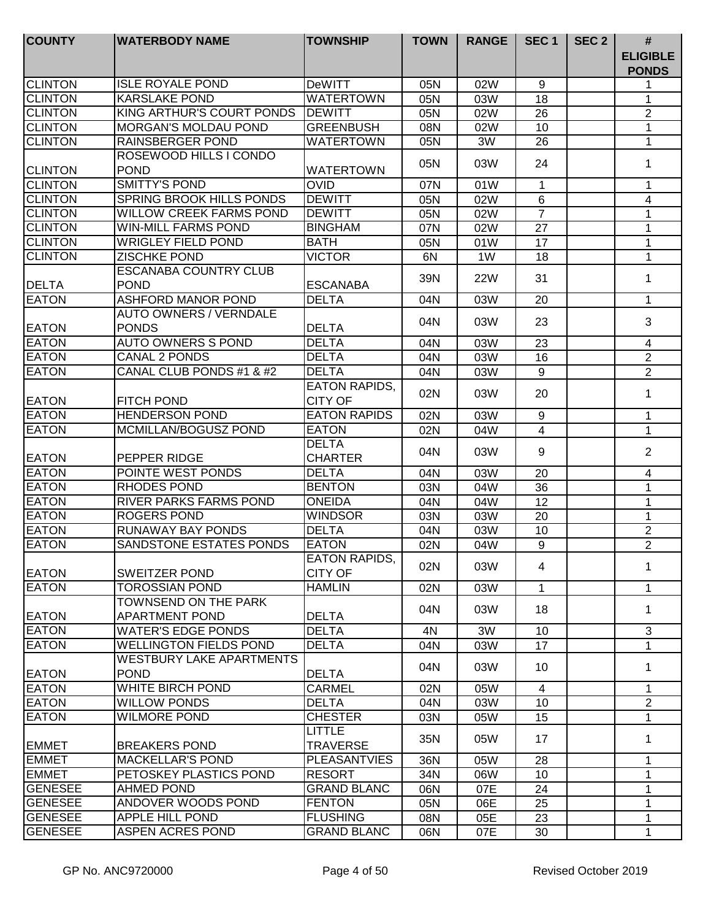| <b>COUNTY</b>                | <b>WATERBODY NAME</b>                                | <b>TOWNSHIP</b>                        | <b>TOWN</b> | <b>RANGE</b> | SEC <sub>1</sub> | SEC <sub>2</sub> | $\#$                            |
|------------------------------|------------------------------------------------------|----------------------------------------|-------------|--------------|------------------|------------------|---------------------------------|
|                              |                                                      |                                        |             |              |                  |                  | <b>ELIGIBLE</b><br><b>PONDS</b> |
| <b>CLINTON</b>               | <b>ISLE ROYALE POND</b>                              | <b>DeWITT</b>                          | 05N         | 02W          | 9                |                  | 1                               |
| <b>CLINTON</b>               | <b>KARSLAKE POND</b>                                 | <b>WATERTOWN</b>                       | 05N         | 03W          | 18               |                  | 1                               |
| <b>CLINTON</b>               | KING ARTHUR'S COURT PONDS                            | <b>DEWITT</b>                          | 05N         | 02W          | 26               |                  | 2                               |
| <b>CLINTON</b>               | <b>MORGAN'S MOLDAU POND</b>                          | <b>GREENBUSH</b>                       | 08N         | 02W          | 10               |                  | 1                               |
| <b>CLINTON</b>               | <b>RAINSBERGER POND</b>                              | <b>WATERTOWN</b>                       | 05N         | 3W           | 26               |                  | 1                               |
| <b>CLINTON</b>               | ROSEWOOD HILLS I CONDO<br><b>POND</b>                | <b>WATERTOWN</b>                       | 05N         | 03W          | 24               |                  | 1                               |
| <b>CLINTON</b>               | <b>SMITTY'S POND</b>                                 | <b>OVID</b>                            | 07N         | 01W          | $\mathbf{1}$     |                  | 1                               |
| <b>CLINTON</b>               | SPRING BROOK HILLS PONDS                             | <b>DEWITT</b>                          | 05N         | 02W          | 6                |                  | 4                               |
| <b>CLINTON</b>               | <b>WILLOW CREEK FARMS POND</b>                       | <b>DEWITT</b>                          | 05N         | 02W          | $\overline{7}$   |                  | 1                               |
| <b>CLINTON</b>               | <b>WIN-MILL FARMS POND</b>                           | <b>BINGHAM</b>                         | 07N         | 02W          | 27               |                  | 1                               |
| <b>CLINTON</b>               | <b>WRIGLEY FIELD POND</b>                            | <b>BATH</b>                            | 05N         | 01W          | 17               |                  | $\mathbf{1}$                    |
| <b>CLINTON</b>               | <b>ZISCHKE POND</b>                                  | <b>VICTOR</b>                          | 6N          | 1W           | 18               |                  | 1                               |
| <b>DELTA</b>                 | <b>ESCANABA COUNTRY CLUB</b><br><b>POND</b>          | <b>ESCANABA</b>                        | 39N         | 22W          | 31               |                  | 1                               |
| <b>EATON</b>                 | ASHFORD MANOR POND                                   | <b>DELTA</b>                           | 04N         | 03W          | 20               |                  | $\mathbf{1}$                    |
| <b>EATON</b>                 | <b>AUTO OWNERS / VERNDALE</b><br><b>PONDS</b>        | <b>DELTA</b>                           | 04N         | 03W          | 23               |                  | 3                               |
| <b>EATON</b>                 | <b>AUTO OWNERS S POND</b>                            | <b>DELTA</b>                           | 04N         | 03W          | 23               |                  | $\overline{4}$                  |
| <b>EATON</b>                 | <b>CANAL 2 PONDS</b>                                 | <b>DELTA</b>                           | 04N         | 03W          | 16               |                  | $\overline{2}$                  |
| <b>EATON</b>                 | CANAL CLUB PONDS #1 & #2                             | <b>DELTA</b>                           | 04N         | 03W          | 9                |                  | $\overline{2}$                  |
| <b>EATON</b>                 | <b>FITCH POND</b>                                    | <b>EATON RAPIDS,</b><br><b>CITY OF</b> | 02N         | 03W          | 20               |                  | 1                               |
| <b>EATON</b>                 | <b>HENDERSON POND</b>                                | <b>EATON RAPIDS</b>                    |             | 03W          | 9                |                  | $\mathbf{1}$                    |
| <b>EATON</b>                 | MCMILLAN/BOGUSZ POND                                 | <b>EATON</b>                           | 02N         |              |                  |                  | $\mathbf{1}$                    |
|                              |                                                      | <b>DELTA</b><br><b>CHARTER</b>         | 02N<br>04N  | 04W<br>03W   | 4<br>9           |                  | $\overline{2}$                  |
| <b>EATON</b><br><b>EATON</b> | PEPPER RIDGE<br>POINTE WEST PONDS                    | <b>DELTA</b>                           |             |              |                  |                  |                                 |
| <b>EATON</b>                 | <b>RHODES POND</b>                                   | <b>BENTON</b>                          | 04N         | 03W          | 20               |                  | 4                               |
| <b>EATON</b>                 | RIVER PARKS FARMS POND                               | <b>ONEIDA</b>                          | 03N         | 04W          | 36               |                  | 1                               |
| <b>EATON</b>                 | <b>ROGERS POND</b>                                   | <b>WINDSOR</b>                         | 04N         | 04W          | 12               |                  | 1                               |
| <b>EATON</b>                 | RUNAWAY BAY PONDS                                    | <b>DELTA</b>                           | 03N         | 03W          | 20               |                  | 1                               |
| <b>EATON</b>                 | SANDSTONE ESTATES PONDS                              | <b>EATON</b>                           | 04N         | 03W          | 10               |                  | $\overline{2}$                  |
|                              |                                                      | EATON RAPIDS,                          | 02N         | 04W          | 9                |                  | $\overline{2}$                  |
| <b>EATON</b>                 | SWEITZER POND                                        | <b>CITY OF</b>                         | 02N         | 03W          | 4                |                  | 1                               |
| <b>EATON</b>                 | <b>TOROSSIAN POND</b>                                | <b>HAMLIN</b>                          | 02N         | 03W          | 1                |                  | 1                               |
| <b>EATON</b>                 | <b>TOWNSEND ON THE PARK</b><br><b>APARTMENT POND</b> | <b>DELTA</b>                           | 04N         | 03W          | 18               |                  | 1                               |
| <b>EATON</b>                 | <b>WATER'S EDGE PONDS</b>                            | <b>DELTA</b>                           | 4N          | 3W           | 10 <sup>1</sup>  |                  | 3                               |
| <b>EATON</b>                 | <b>WELLINGTON FIELDS POND</b>                        | <b>DELTA</b>                           | 04N         | 03W          | 17               |                  | $\mathbf{1}$                    |
| <b>EATON</b>                 | <b>WESTBURY LAKE APARTMENTS</b><br><b>POND</b>       | <b>DELTA</b>                           | 04N         | 03W          | 10               |                  | 1                               |
| <b>EATON</b>                 | <b>WHITE BIRCH POND</b>                              | <b>CARMEL</b>                          | 02N         | 05W          | $\overline{4}$   |                  | 1                               |
| <b>EATON</b>                 | <b>WILLOW PONDS</b>                                  | <b>DELTA</b>                           | 04N         | 03W          | 10               |                  | $\overline{2}$                  |
| <b>EATON</b>                 | <b>WILMORE POND</b>                                  | <b>CHESTER</b>                         | 03N         | 05W          | 15               |                  | 1                               |
| <b>EMMET</b>                 | <b>BREAKERS POND</b>                                 | <b>LITTLE</b><br><b>TRAVERSE</b>       | 35N         | 05W          | 17               |                  | 1                               |
| <b>EMMET</b>                 | <b>MACKELLAR'S POND</b>                              | <b>PLEASANTVIES</b>                    | 36N         | 05W          | 28               |                  | 1                               |
| <b>EMMET</b>                 | PETOSKEY PLASTICS POND                               | <b>RESORT</b>                          | 34N         | 06W          | 10               |                  | 1                               |
| <b>GENESEE</b>               | <b>AHMED POND</b>                                    | <b>GRAND BLANC</b>                     | 06N         | 07E          | 24               |                  | 1                               |
| <b>GENESEE</b>               | ANDOVER WOODS POND                                   | <b>FENTON</b>                          | 05N         | 06E          | 25               |                  | 1                               |
| <b>GENESEE</b>               | APPLE HILL POND                                      | <b>FLUSHING</b>                        | 08N         | 05E          | 23               |                  | 1                               |
| <b>GENESEE</b>               | ASPEN ACRES POND                                     | <b>GRAND BLANC</b>                     | 06N         | 07E          | 30               |                  | 1                               |
|                              |                                                      |                                        |             |              |                  |                  |                                 |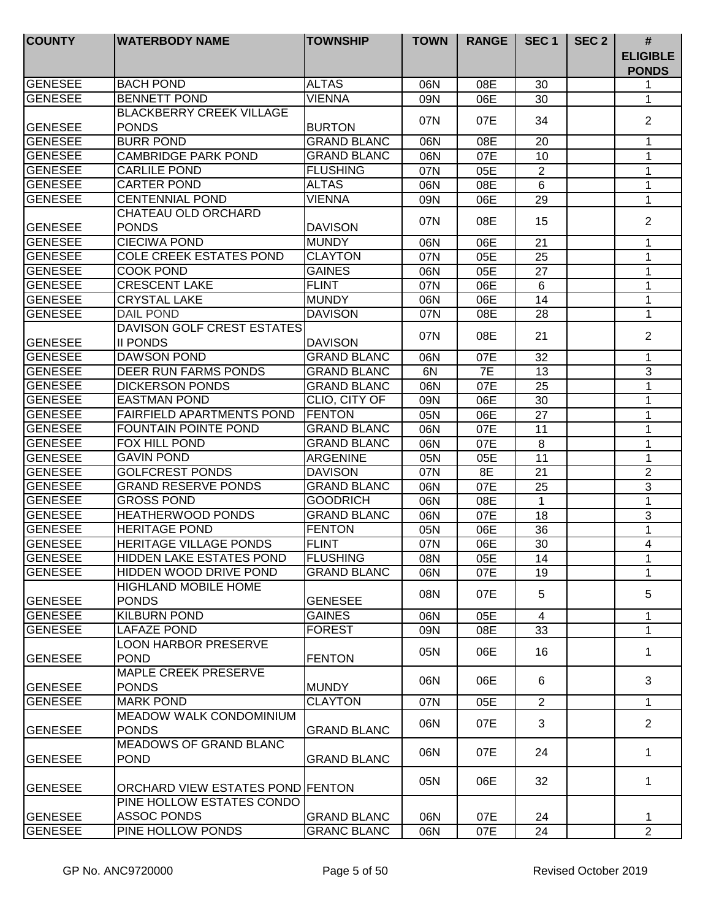| <b>COUNTY</b>  | <b>WATERBODY NAME</b>                           | <b>TOWNSHIP</b>    | <b>TOWN</b> | <b>RANGE</b> | SEC <sub>1</sub> | SEC <sub>2</sub> | #<br><b>ELIGIBLE</b><br><b>PONDS</b> |
|----------------|-------------------------------------------------|--------------------|-------------|--------------|------------------|------------------|--------------------------------------|
| GENESEE        | <b>BACH POND</b>                                | <b>ALTAS</b>       | 06N         | 08E          | 30               |                  | 1                                    |
| <b>GENESEE</b> | <b>BENNETT POND</b>                             | <b>VIENNA</b>      | 09N         | 06E          | 30               |                  | 1                                    |
|                | <b>BLACKBERRY CREEK VILLAGE</b>                 |                    |             |              |                  |                  | 2                                    |
| <b>GENESEE</b> | <b>PONDS</b>                                    | <b>BURTON</b>      | 07N         | 07E          | 34               |                  |                                      |
| <b>GENESEE</b> | <b>BURR POND</b>                                | <b>GRAND BLANC</b> | 06N         | 08E          | 20               |                  | 1                                    |
| <b>GENESEE</b> | <b>CAMBRIDGE PARK POND</b>                      | <b>GRAND BLANC</b> | 06N         | 07E          | 10               |                  | 1                                    |
| <b>GENESEE</b> | <b>CARLILE POND</b>                             | <b>FLUSHING</b>    | 07N         | 05E          | $\overline{2}$   |                  | 1                                    |
| <b>GENESEE</b> | <b>CARTER POND</b>                              | <b>ALTAS</b>       | 06N         | 08E          | 6                |                  | 1                                    |
| <b>GENESEE</b> | <b>CENTENNIAL POND</b>                          | <b>VIENNA</b>      | 09N         | 06E          | 29               |                  | 1                                    |
|                | CHATEAU OLD ORCHARD                             |                    |             |              |                  |                  |                                      |
| <b>GENESEE</b> | <b>PONDS</b>                                    | <b>DAVISON</b>     | 07N         | 08E          | 15               |                  | $\overline{2}$                       |
| <b>GENESEE</b> | <b>CIECIWA POND</b>                             | <b>MUNDY</b>       | 06N         | 06E          | 21               |                  | 1                                    |
| <b>GENESEE</b> | <b>COLE CREEK ESTATES POND</b>                  | <b>CLAYTON</b>     | 07N         | 05E          | 25               |                  | 1                                    |
| <b>GENESEE</b> | COOK POND                                       | <b>GAINES</b>      | 06N         | 05E          | 27               |                  | 1                                    |
| <b>GENESEE</b> | <b>CRESCENT LAKE</b>                            | <b>FLINT</b>       | 07N         | 06E          | 6                |                  | 1                                    |
| <b>GENESEE</b> | <b>CRYSTAL LAKE</b>                             | <b>MUNDY</b>       | 06N         | 06E          | 14               |                  | 1                                    |
| <b>GENESEE</b> | <b>DAIL POND</b>                                | <b>DAVISON</b>     | 07N         | 08E          | 28               |                  | 1                                    |
|                | DAVISON GOLF CREST ESTATES                      |                    |             |              |                  |                  |                                      |
| <b>GENESEE</b> | <b>II PONDS</b>                                 | <b>DAVISON</b>     | 07N         | 08E          | 21               |                  | 2                                    |
| <b>GENESEE</b> | <b>DAWSON POND</b>                              | <b>GRAND BLANC</b> | 06N         | 07E          | 32               |                  | 1                                    |
| <b>GENESEE</b> | DEER RUN FARMS PONDS                            | <b>GRAND BLANC</b> | 6N          | 7E           | 13               |                  | 3                                    |
| <b>GENESEE</b> | <b>DICKERSON PONDS</b>                          | <b>GRAND BLANC</b> | 06N         | 07E          | 25               |                  | 1                                    |
| <b>GENESEE</b> | <b>EASTMAN POND</b>                             | CLIO, CITY OF      | 09N         | 06E          | 30               |                  | 1                                    |
| <b>GENESEE</b> | <b>FAIRFIELD APARTMENTS POND</b>                | <b>FENTON</b>      | 05N         | 06E          | 27               |                  | $\mathbf{1}$                         |
| <b>GENESEE</b> | <b>FOUNTAIN POINTE POND</b>                     | <b>GRAND BLANC</b> | 06N         | 07E          | 11               |                  | $\mathbf{1}$                         |
| <b>GENESEE</b> | <b>FOX HILL POND</b>                            | <b>GRAND BLANC</b> | 06N         | 07E          | 8                |                  | 1                                    |
| <b>GENESEE</b> | <b>GAVIN POND</b>                               | <b>ARGENINE</b>    | 05N         | 05E          | 11               |                  | 1                                    |
| <b>GENESEE</b> | <b>GOLFCREST PONDS</b>                          | <b>DAVISON</b>     | 07N         | 8E           | 21               |                  | $\overline{c}$                       |
| <b>GENESEE</b> | <b>GRAND RESERVE PONDS</b>                      | <b>GRAND BLANC</b> | 06N         | 07E          | 25               |                  | 3                                    |
| <b>GENESEE</b> | <b>GROSS POND</b>                               | <b>GOODRICH</b>    | 06N         | 08E          | 1                |                  | 1                                    |
| <b>GENESEE</b> | HEATHERWOOD PONDS                               | <b>GRAND BLANC</b> | 06N         | 07E          | 18               |                  | 3                                    |
| <b>GENESEE</b> | <b>HERITAGE POND</b>                            | <b>FENTON</b>      | 05N         | 06E          | 36               |                  | 1                                    |
| <b>GENESEE</b> | <b>HERITAGE VILLAGE PONDS</b>                   | <b>FLINT</b>       | 07N         | 06E          | 30               |                  | 4                                    |
| <b>GENESEE</b> | <b>HIDDEN LAKE ESTATES POND</b>                 | <b>FLUSHING</b>    | 08N         | 05E          | 14               |                  |                                      |
| <b>GENESEE</b> | HIDDEN WOOD DRIVE POND                          | <b>GRAND BLANC</b> | 06N         | 07E          | 19               |                  | 1<br>1                               |
|                | <b>HIGHLAND MOBILE HOME</b>                     |                    |             |              |                  |                  |                                      |
| <b>GENESEE</b> | <b>PONDS</b>                                    | <b>GENESEE</b>     | 08N         | 07E          | 5                |                  | 5                                    |
| <b>GENESEE</b> | <b>KILBURN POND</b>                             | <b>GAINES</b>      | 06N         | 05E          | $\overline{4}$   |                  | 1                                    |
| <b>GENESEE</b> | LAFAZE POND                                     | <b>FOREST</b>      | 09N         | 08E          | 33               |                  | $\mathbf{1}$                         |
| <b>GENESEE</b> | <b>LOON HARBOR PRESERVE</b><br><b>POND</b>      | <b>FENTON</b>      | 05N         | 06E          | 16               |                  | 1                                    |
| GENESEE        | MAPLE CREEK PRESERVE<br><b>PONDS</b>            | <b>MUNDY</b>       | 06N         | 06E          | 6                |                  | 3                                    |
| GENESEE        | <b>MARK POND</b>                                | <b>CLAYTON</b>     |             |              | $\overline{2}$   |                  |                                      |
|                | <b>MEADOW WALK CONDOMINIUM</b>                  |                    | 07N         | 05E          |                  |                  | $\mathbf 1$                          |
| <b>GENESEE</b> | <b>PONDS</b>                                    | <b>GRAND BLANC</b> | 06N         | 07E          | 3                |                  | $\overline{2}$                       |
| <b>GENESEE</b> | <b>MEADOWS OF GRAND BLANC</b><br><b>POND</b>    | <b>GRAND BLANC</b> | 06N         | 07E          | 24               |                  | 1                                    |
| GENESEE        | ORCHARD VIEW ESTATES POND FENTON                |                    | 05N         | 06E          | 32               |                  | $\mathbf{1}$                         |
| <b>GENESEE</b> | PINE HOLLOW ESTATES CONDO<br><b>ASSOC PONDS</b> | <b>GRAND BLANC</b> | 06N         | 07E          | 24               |                  | 1                                    |
| <b>GENESEE</b> | PINE HOLLOW PONDS                               | <b>GRANC BLANC</b> | 06N         | 07E          | 24               |                  | $\overline{2}$                       |
|                |                                                 |                    |             |              |                  |                  |                                      |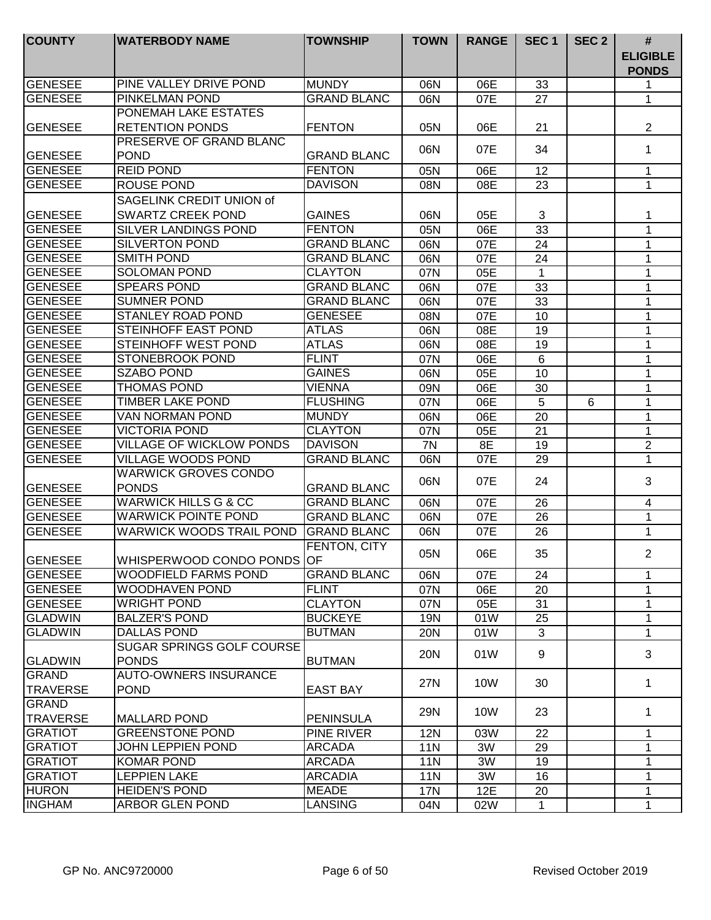| <b>COUNTY</b>   | <b>WATERBODY NAME</b>                       | <b>TOWNSHIP</b>    | <b>TOWN</b> | <b>RANGE</b> | SEC <sub>1</sub> | SEC <sub>2</sub> | $\#$                            |
|-----------------|---------------------------------------------|--------------------|-------------|--------------|------------------|------------------|---------------------------------|
|                 |                                             |                    |             |              |                  |                  | <b>ELIGIBLE</b><br><b>PONDS</b> |
| GENESEE         | PINE VALLEY DRIVE POND                      | <b>MUNDY</b>       | 06N         | 06E          | 33               |                  | 1                               |
| <b>GENESEE</b>  | PINKELMAN POND                              | <b>GRAND BLANC</b> | 06N         | 07E          | 27               |                  | 1                               |
|                 | PONEMAH LAKE ESTATES                        |                    |             |              |                  |                  |                                 |
| <b>GENESEE</b>  | <b>RETENTION PONDS</b>                      | <b>FENTON</b>      | 05N         | 06E          | 21               |                  | $\overline{2}$                  |
|                 | PRESERVE OF GRAND BLANC                     |                    | 06N         | 07E          | 34               |                  | 1                               |
| <b>GENESEE</b>  | <b>POND</b>                                 | <b>GRAND BLANC</b> |             |              |                  |                  |                                 |
| <b>GENESEE</b>  | <b>REID POND</b>                            | <b>FENTON</b>      | 05N         | 06E          | 12               |                  | $\mathbf 1$                     |
| <b>GENESEE</b>  | <b>ROUSE POND</b>                           | <b>DAVISON</b>     | 08N         | 08E          | 23               |                  | $\mathbf 1$                     |
|                 | SAGELINK CREDIT UNION of                    |                    |             |              |                  |                  |                                 |
| <b>GENESEE</b>  | <b>SWARTZ CREEK POND</b>                    | <b>GAINES</b>      | 06N         | 05E          | 3                |                  | 1                               |
| <b>GENESEE</b>  | SILVER LANDINGS POND                        | <b>FENTON</b>      | 05N         | 06E          | 33               |                  | 1                               |
| <b>GENESEE</b>  | <b>SILVERTON POND</b>                       | <b>GRAND BLANC</b> | 06N         | 07E          | 24               |                  | $\mathbf 1$                     |
| <b>GENESEE</b>  | <b>SMITH POND</b>                           | <b>GRAND BLANC</b> | 06N         | 07E          | 24               |                  | 1                               |
| <b>GENESEE</b>  | <b>SOLOMAN POND</b>                         | <b>CLAYTON</b>     | 07N         | 05E          | 1                |                  | 1                               |
| <b>GENESEE</b>  | <b>SPEARS POND</b>                          | <b>GRAND BLANC</b> | 06N         | 07E          | 33               |                  | 1                               |
| <b>GENESEE</b>  | <b>SUMNER POND</b>                          | <b>GRAND BLANC</b> | 06N         | 07E          | 33               |                  | 1                               |
| <b>GENESEE</b>  | <b>STANLEY ROAD POND</b>                    | <b>GENESEE</b>     | 08N         | 07E          | 10               |                  | 1                               |
| <b>GENESEE</b>  | STEINHOFF EAST POND                         | <b>ATLAS</b>       | 06N         | 08E          | 19               |                  | 1                               |
| <b>GENESEE</b>  | STEINHOFF WEST POND                         | <b>ATLAS</b>       | 06N         | 08E          | 19               |                  | 1                               |
| <b>GENESEE</b>  | <b>STONEBROOK POND</b>                      | <b>FLINT</b>       | 07N         | 06E          | $\overline{6}$   |                  | $\mathbf{1}$                    |
| <b>GENESEE</b>  | <b>SZABO POND</b>                           | <b>GAINES</b>      | 06N         | 05E          | 10               |                  | $\mathbf{1}$                    |
| <b>GENESEE</b>  | <b>THOMAS POND</b>                          | <b>VIENNA</b>      | 09N         | 06E          | 30               |                  | $\mathbf{1}$                    |
| <b>GENESEE</b>  | <b>TIMBER LAKE POND</b>                     | <b>FLUSHING</b>    | 07N         | 06E          | 5                | 6                | 1                               |
| <b>GENESEE</b>  | VAN NORMAN POND                             | <b>MUNDY</b>       | 06N         | 06E          | 20               |                  | 1                               |
| <b>GENESEE</b>  | <b>VICTORIA POND</b>                        | <b>CLAYTON</b>     | 07N         | 05E          | 21               |                  | $\mathbf{1}$                    |
| <b>GENESEE</b>  | <b>VILLAGE OF WICKLOW PONDS</b>             | <b>DAVISON</b>     | 7N          | 8E           | 19               |                  | $\sqrt{2}$                      |
| <b>GENESEE</b>  | <b>VILLAGE WOODS POND</b>                   | <b>GRAND BLANC</b> | 06N         | 07E          | 29               |                  | 1                               |
| <b>GENESEE</b>  | <b>WARWICK GROVES CONDO</b><br><b>PONDS</b> | <b>GRAND BLANC</b> | 06N         | 07E          | 24               |                  | 3                               |
| <b>GENESEE</b>  | <b>WARWICK HILLS G &amp; CC</b>             | <b>GRAND BLANC</b> | 06N         | 07E          | 26               |                  | 4                               |
| <b>GENESEE</b>  | <b>WARWICK POINTE POND</b>                  | <b>GRAND BLANC</b> | 06N         | 07E          | 26               |                  | 1                               |
| <b>GENESEE</b>  | <b>WARWICK WOODS TRAIL POND</b>             | <b>GRAND BLANC</b> | 06N         | 07E          | 26               |                  | 1                               |
|                 |                                             | FENTON, CITY       |             |              |                  |                  |                                 |
| <b>GENESEE</b>  | WHISPERWOOD CONDO PONDS OF                  |                    | 05N         | 06E          | 35               |                  | $\overline{2}$                  |
| <b>GENESEE</b>  | <b>WOODFIELD FARMS POND</b>                 | <b>GRAND BLANC</b> | 06N         | 07E          | 24               |                  | $\mathbf{1}$                    |
| <b>GENESEE</b>  | <b>WOODHAVEN POND</b>                       | <b>FLINT</b>       | 07N         | 06E          | 20               |                  | $\mathbf{1}$                    |
| <b>GENESEE</b>  | <b>WRIGHT POND</b>                          | <b>CLAYTON</b>     | 07N         | 05E          | 31               |                  | 1                               |
| <b>GLADWIN</b>  | <b>BALZER'S POND</b>                        | <b>BUCKEYE</b>     | 19N         | 01W          | 25               |                  | 1                               |
| <b>GLADWIN</b>  | <b>DALLAS POND</b>                          | <b>BUTMAN</b>      | <b>20N</b>  | 01W          | 3                |                  | $\mathbf 1$                     |
|                 | SUGAR SPRINGS GOLF COURSE                   |                    |             |              |                  |                  |                                 |
| <b>GLADWIN</b>  | <b>PONDS</b>                                | <b>BUTMAN</b>      | 20N         | 01W          | 9                |                  | 3                               |
| <b>GRAND</b>    | <b>AUTO-OWNERS INSURANCE</b>                |                    |             |              |                  |                  |                                 |
| <b>TRAVERSE</b> | <b>POND</b>                                 | <b>EAST BAY</b>    | 27N         | 10W          | 30               |                  | $\mathbf 1$                     |
| <b>GRAND</b>    |                                             |                    |             |              |                  |                  |                                 |
| <b>TRAVERSE</b> | MALLARD POND                                | <b>PENINSULA</b>   | 29N         | 10W          | 23               |                  | 1                               |
| <b>GRATIOT</b>  | <b>GREENSTONE POND</b>                      | <b>PINE RIVER</b>  | 12N         | 03W          | 22               |                  | 1                               |
| <b>GRATIOT</b>  | <b>JOHN LEPPIEN POND</b>                    | <b>ARCADA</b>      | <b>11N</b>  | 3W           | 29               |                  | 1                               |
| <b>GRATIOT</b>  | <b>KOMAR POND</b>                           | <b>ARCADA</b>      | <b>11N</b>  | 3W           | 19               |                  | 1                               |
| <b>GRATIOT</b>  | <b>LEPPIEN LAKE</b>                         | <b>ARCADIA</b>     | <b>11N</b>  | 3W           | 16               |                  | 1                               |
| <b>HURON</b>    | <b>HEIDEN'S POND</b>                        | <b>MEADE</b>       | <b>17N</b>  | 12E          | 20               |                  | 1                               |
| <b>INGHAM</b>   | <b>ARBOR GLEN POND</b>                      | <b>LANSING</b>     | 04N         | 02W          | $\mathbf{1}$     |                  | $\mathbf{1}$                    |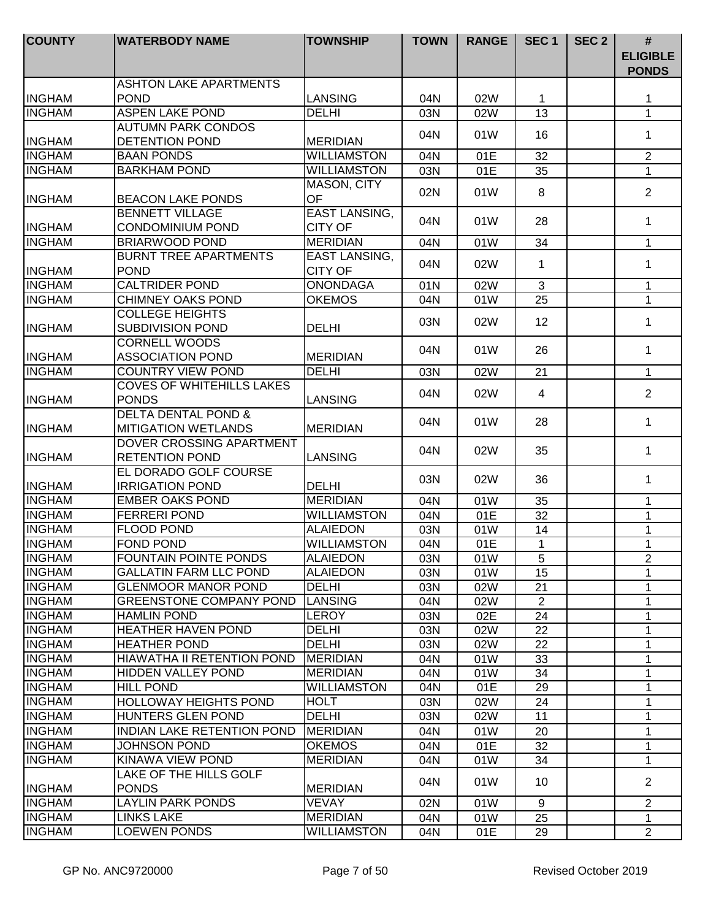| <b>COUNTY</b> | <b>WATERBODY NAME</b>                                        | <b>TOWNSHIP</b>      | <b>TOWN</b> | <b>RANGE</b> | SEC <sub>1</sub> | SEC <sub>2</sub> | #                               |
|---------------|--------------------------------------------------------------|----------------------|-------------|--------------|------------------|------------------|---------------------------------|
|               |                                                              |                      |             |              |                  |                  | <b>ELIGIBLE</b><br><b>PONDS</b> |
|               | <b>ASHTON LAKE APARTMENTS</b>                                |                      |             |              |                  |                  |                                 |
| <b>INGHAM</b> | <b>POND</b>                                                  | <b>LANSING</b>       | 04N         | 02W          | 1                |                  | 1                               |
| <b>INGHAM</b> | <b>ASPEN LAKE POND</b>                                       | <b>DELHI</b>         | 03N         | 02W          | 13               |                  | $\mathbf{1}$                    |
|               | <b>AUTUMN PARK CONDOS</b>                                    |                      | 04N         | 01W          | 16               |                  | 1                               |
| <b>INGHAM</b> | DETENTION POND                                               | <b>MERIDIAN</b>      |             |              |                  |                  |                                 |
| <b>INGHAM</b> | <b>BAAN PONDS</b>                                            | <b>WILLIAMSTON</b>   | 04N         | 01E          | 32               |                  | $\overline{2}$                  |
| <b>INGHAM</b> | <b>BARKHAM POND</b>                                          | <b>WILLIAMSTON</b>   | 03N         | 01E          | 35               |                  | $\mathbf{1}$                    |
| <b>INGHAM</b> | <b>BEACON LAKE PONDS</b>                                     | MASON, CITY<br>OF    | 02N         | 01W          | 8                |                  | $\overline{2}$                  |
|               | <b>BENNETT VILLAGE</b>                                       | <b>EAST LANSING,</b> | 04N         | 01W          | 28               |                  | 1                               |
| <b>INGHAM</b> | <b>CONDOMINIUM POND</b>                                      | <b>CITY OF</b>       |             |              |                  |                  |                                 |
| <b>INGHAM</b> | <b>BRIARWOOD POND</b>                                        | <b>MERIDIAN</b>      | 04N         | 01W          | 34               |                  | $\mathbf{1}$                    |
|               | <b>BURNT TREE APARTMENTS</b>                                 | <b>EAST LANSING,</b> | 04N         | 02W          | 1                |                  | $\mathbf 1$                     |
| <b>INGHAM</b> | <b>POND</b>                                                  | <b>CITY OF</b>       |             |              |                  |                  |                                 |
| <b>INGHAM</b> | <b>CALTRIDER POND</b>                                        | <b>ONONDAGA</b>      | 01N         | 02W          | 3                |                  | $\mathbf 1$                     |
| <b>INGHAM</b> | CHIMNEY OAKS POND                                            | <b>OKEMOS</b>        | 04N         | 01W          | 25               |                  | $\mathbf 1$                     |
| <b>INGHAM</b> | <b>COLLEGE HEIGHTS</b><br><b>SUBDIVISION POND</b>            | <b>DELHI</b>         | 03N         | 02W          | 12               |                  | 1                               |
| <b>INGHAM</b> | <b>CORNELL WOODS</b><br><b>ASSOCIATION POND</b>              | <b>MERIDIAN</b>      | 04N         | 01W          | 26               |                  | $\mathbf 1$                     |
| <b>INGHAM</b> | <b>COUNTRY VIEW POND</b>                                     | <b>DELHI</b>         | 03N         | 02W          | 21               |                  | $\mathbf{1}$                    |
| <b>INGHAM</b> | <b>COVES OF WHITEHILLS LAKES</b><br><b>PONDS</b>             | <b>LANSING</b>       | 04N         | 02W          | 4                |                  | $\overline{2}$                  |
| <b>INGHAM</b> | <b>DELTA DENTAL POND &amp;</b><br><b>MITIGATION WETLANDS</b> | <b>MERIDIAN</b>      | 04N         | 01W          | 28               |                  | $\mathbf 1$                     |
| <b>INGHAM</b> | DOVER CROSSING APARTMENT<br><b>RETENTION POND</b>            | <b>LANSING</b>       | 04N         | 02W          | 35               |                  | 1                               |
|               | EL DORADO GOLF COURSE                                        |                      |             |              |                  |                  |                                 |
| <b>INGHAM</b> | <b>IRRIGATION POND</b>                                       | <b>DELHI</b>         | 03N         | 02W          | 36               |                  | $\mathbf{1}$                    |
| <b>INGHAM</b> | <b>EMBER OAKS POND</b>                                       | <b>MERIDIAN</b>      | 04N         | 01W          | 35               |                  | 1                               |
| <b>INGHAM</b> | <b>FERRERI POND</b>                                          | <b>WILLIAMSTON</b>   | 04N         | 01E          | 32               |                  | 1                               |
| <b>INGHAM</b> | <b>FLOOD POND</b>                                            | <b>ALAIEDON</b>      | 03N         | 01W          | 14               |                  | 1                               |
| <b>INGHAM</b> | FOND POND                                                    | <b>WILLIAMSTON</b>   | 04N         | 01E          | $\mathbf{1}$     |                  | 1                               |
| <b>INGHAM</b> | <b>FOUNTAIN POINTE PONDS</b>                                 | <b>ALAIEDON</b>      | 03N         | 01W          | 5                |                  | 2                               |
| <b>INGHAM</b> | <b>GALLATIN FARM LLC POND</b>                                | <b>ALAIEDON</b>      | 03N         | 01W          | 15               |                  | 1                               |
| <b>INGHAM</b> | <b>GLENMOOR MANOR POND</b>                                   | <b>DELHI</b>         | 03N         | 02W          | 21               |                  | 1                               |
| <b>INGHAM</b> | <b>GREENSTONE COMPANY POND</b>                               | <b>LANSING</b>       | 04N         | 02W          | $\overline{2}$   |                  | 1                               |
| <b>INGHAM</b> | <b>HAMLIN POND</b>                                           | <b>LEROY</b>         | 03N         | 02E          | 24               |                  | 1                               |
| <b>INGHAM</b> | <b>HEATHER HAVEN POND</b>                                    | <b>DELHI</b>         | 03N         | 02W          | 22               |                  | 1                               |
| <b>INGHAM</b> | <b>HEATHER POND</b>                                          | <b>DELHI</b>         | 03N         | 02W          | 22               |                  | 1                               |
| <b>INGHAM</b> | <b>HIAWATHA II RETENTION POND</b>                            | <b>MERIDIAN</b>      | 04N         | 01W          | 33               |                  | 1                               |
| <b>INGHAM</b> | <b>HIDDEN VALLEY POND</b>                                    | <b>MERIDIAN</b>      | 04N         | 01W          | 34               |                  | 1                               |
| <b>INGHAM</b> | <b>HILL POND</b>                                             | <b>WILLIAMSTON</b>   | 04N         | 01E          | 29               |                  | 1                               |
| <b>INGHAM</b> | <b>HOLLOWAY HEIGHTS POND</b>                                 | <b>HOLT</b>          | 03N         | 02W          | 24               |                  | 1                               |
| <b>INGHAM</b> | <b>HUNTERS GLEN POND</b>                                     | <b>DELHI</b>         | 03N         | 02W          | 11               |                  | 1                               |
| <b>INGHAM</b> | <b>INDIAN LAKE RETENTION POND</b>                            | <b>MERIDIAN</b>      | 04N         | 01W          | 20               |                  | 1                               |
| <b>INGHAM</b> | <b>JOHNSON POND</b>                                          | <b>OKEMOS</b>        | 04N         | 01E          | 32               |                  | 1                               |
| <b>INGHAM</b> | KINAWA VIEW POND                                             | <b>MERIDIAN</b>      | 04N         | 01W          | 34               |                  | 1                               |
|               | LAKE OF THE HILLS GOLF                                       |                      |             |              |                  |                  |                                 |
| INGHAM        | <b>PONDS</b>                                                 | IMERIDIAN            | 04N         | 01W          | 10               |                  | $\overline{2}$                  |
| <b>INGHAM</b> | <b>LAYLIN PARK PONDS</b>                                     | <b>VEVAY</b>         | 02N         | 01W          | 9                |                  | 2                               |
| <b>INGHAM</b> | <b>LINKS LAKE</b>                                            | <b>MERIDIAN</b>      | 04N         | 01W          | 25               |                  | $\mathbf 1$                     |
| <b>INGHAM</b> | <b>LOEWEN PONDS</b>                                          | <b>WILLIAMSTON</b>   | 04N         | 01E          | 29               |                  | $\overline{2}$                  |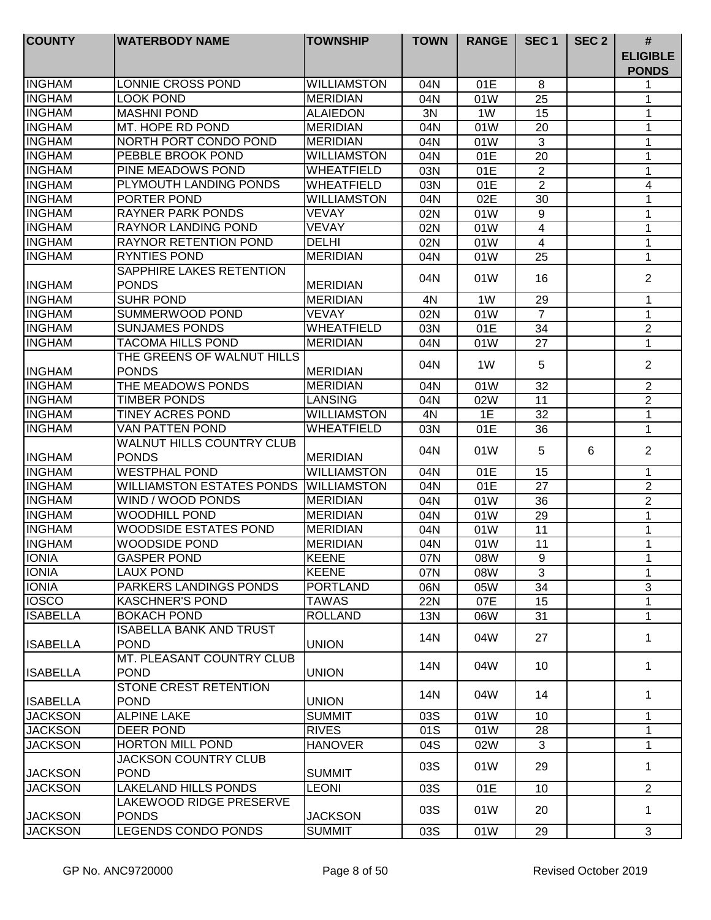| <b>COUNTY</b>   | <b>WATERBODY NAME</b>                            | <b>TOWNSHIP</b>     | <b>TOWN</b> | <b>RANGE</b> | SEC <sub>1</sub> | SEC <sub>2</sub> | $\#$                            |
|-----------------|--------------------------------------------------|---------------------|-------------|--------------|------------------|------------------|---------------------------------|
|                 |                                                  |                     |             |              |                  |                  | <b>ELIGIBLE</b><br><b>PONDS</b> |
| <b>INGHAM</b>   | LONNIE CROSS POND                                | <b>WILLIAMSTON</b>  | 04N         | 01E          | 8                |                  | 1                               |
| <b>INGHAM</b>   | <b>LOOK POND</b>                                 | <b>MERIDIAN</b>     | 04N         | 01W          | 25               |                  | 1                               |
| <b>INGHAM</b>   | <b>MASHNI POND</b>                               | <b>ALAIEDON</b>     | 3N          | 1W           | 15               |                  | 1                               |
| <b>INGHAM</b>   | MT. HOPE RD POND                                 | <b>MERIDIAN</b>     | 04N         | 01W          | 20               |                  | 1                               |
| <b>INGHAM</b>   | NORTH PORT CONDO POND                            | <b>MERIDIAN</b>     | 04N         | 01W          | 3                |                  | 1                               |
| <b>INGHAM</b>   | PEBBLE BROOK POND                                | <b>WILLIAMSTON</b>  | 04N         | 01E          | 20               |                  | 1                               |
| <b>INGHAM</b>   | PINE MEADOWS POND                                | WHEATFIELD          | 03N         | 01E          | $\overline{2}$   |                  | 1                               |
| <b>INGHAM</b>   | PLYMOUTH LANDING PONDS                           | <b>WHEATFIELD</b>   | 03N         | 01E          | $\overline{2}$   |                  | 4                               |
| <b>INGHAM</b>   | PORTER POND                                      | <b>WILLIAMSTON</b>  | 04N         | 02E          | 30               |                  | 1                               |
| <b>INGHAM</b>   | <b>RAYNER PARK PONDS</b>                         | <b>VEVAY</b>        | 02N         | 01W          | 9                |                  | 1                               |
| <b>INGHAM</b>   | RAYNOR LANDING POND                              | <b>VEVAY</b>        | 02N         | 01W          | 4                |                  | 1                               |
| <b>INGHAM</b>   | <b>RAYNOR RETENTION POND</b>                     | <b>DELHI</b>        | 02N         | 01W          | $\overline{4}$   |                  | 1                               |
| <b>INGHAM</b>   | RYNTIES POND                                     | <b>MERIDIAN</b>     | 04N         | 01W          | 25               |                  | 1                               |
|                 | SAPPHIRE LAKES RETENTION                         |                     |             |              |                  |                  |                                 |
| <b>INGHAM</b>   | <b>PONDS</b>                                     | <b>MERIDIAN</b>     | 04N         | 01W          | 16               |                  | $\overline{2}$                  |
| <b>INGHAM</b>   | <b>SUHR POND</b>                                 | <b>MERIDIAN</b>     | 4N          | 1W           | 29               |                  | 1                               |
| <b>INGHAM</b>   | SUMMERWOOD POND                                  | <b>VEVAY</b>        | 02N         | 01W          | $\overline{7}$   |                  | 1                               |
| <b>INGHAM</b>   | <b>SUNJAMES PONDS</b>                            | <b>WHEATFIELD</b>   | 03N         | 01E          | 34               |                  | $\mathbf{2}$                    |
| <b>INGHAM</b>   | <b>TACOMA HILLS POND</b>                         | <b>MERIDIAN</b>     | 04N         | 01W          | 27               |                  | 1                               |
|                 | THE GREENS OF WALNUT HILLS                       |                     |             |              |                  |                  |                                 |
| <b>INGHAM</b>   | <b>PONDS</b>                                     | <b>MERIDIAN</b>     | 04N         | 1W           | 5                |                  | $\overline{2}$                  |
| <b>INGHAM</b>   | THE MEADOWS PONDS                                | <b>MERIDIAN</b>     | 04N         | 01W          | 32               |                  | $\overline{2}$                  |
| <b>INGHAM</b>   | <b>TIMBER PONDS</b>                              | <b>LANSING</b>      | 04N         | 02W          | 11               |                  | $\overline{2}$                  |
| <b>INGHAM</b>   | <b>TINEY ACRES POND</b>                          | <b>WILLIAMSTON</b>  | 4N          | 1E           | $\overline{32}$  |                  | $\mathbf{1}$                    |
| <b>INGHAM</b>   | <b>VAN PATTEN POND</b>                           | <b>WHEATFIELD</b>   | 03N         | 01E          | 36               |                  | $\mathbf{1}$                    |
| <b>INGHAM</b>   | <b>WALNUT HILLS COUNTRY CLUB</b><br><b>PONDS</b> | <b>MERIDIAN</b>     | 04N         | 01W          | 5                | 6                | $\overline{2}$                  |
| <b>INGHAM</b>   | <b>WESTPHAL POND</b>                             | <b>WILLIAMSTON</b>  | 04N         | 01E          | 15               |                  | 1                               |
| <b>INGHAM</b>   | <b>WILLIAMSTON ESTATES PONDS</b>                 | <b>IWILLIAMSTON</b> | 04N         | 01E          | 27               |                  | $\overline{2}$                  |
| <b>INGHAM</b>   | WIND / WOOD PONDS                                | <b>MERIDIAN</b>     | 04N         | 01W          | 36               |                  | $\overline{2}$                  |
| <b>INGHAM</b>   | WOODHILL POND                                    | <b>MERIDIAN</b>     |             |              | 29               |                  | 1                               |
| <b>INGHAM</b>   | WOODSIDE ESTATES POND                            | <b>MERIDIAN</b>     | 04N         | 01W          |                  |                  |                                 |
|                 | WOODSIDE POND                                    |                     | 04N         | 01W          | 11               |                  | 1                               |
| <b>INGHAM</b>   |                                                  | <b>MERIDIAN</b>     | 04N         | 01W          | 11               |                  | 1                               |
| IIONIA          | GASPER POND                                      | <b>KEENE</b>        | 07N         | 08W          | 9                |                  |                                 |
| <b>TONIA</b>    | <b>LAUX POND</b>                                 | <b>KEENE</b>        | 07N         | 08W          | 3                |                  | 1                               |
| <b>IONIA</b>    | <b>PARKERS LANDINGS PONDS</b>                    | <b>PORTLAND</b>     | 06N         | 05W          | 34               |                  | 3                               |
| <b>IOSCO</b>    | <b>KASCHNER'S POND</b>                           | <b>TAWAS</b>        | <b>22N</b>  | 07E          | 15               |                  | $\mathbf 1$                     |
| <b>ISABELLA</b> | <b>BOKACH POND</b>                               | <b>ROLLAND</b>      | 13N         | 06W          | 31               |                  | 1                               |
| <b>ISABELLA</b> | <b>ISABELLA BANK AND TRUST</b><br><b>POND</b>    | <b>UNION</b>        | 14N         | 04W          | 27               |                  | $\mathbf 1$                     |
| <b>ISABELLA</b> | MT. PLEASANT COUNTRY CLUB<br><b>POND</b>         | <b>UNION</b>        | 14N         | 04W          | 10               |                  | 1                               |
| <b>ISABELLA</b> | STONE CREST RETENTION<br><b>POND</b>             | <b>UNION</b>        | 14N         | 04W          | 14               |                  | $\mathbf 1$                     |
| <b>JACKSON</b>  | <b>ALPINE LAKE</b>                               | <b>SUMMIT</b>       | 03S         | 01W          | 10               |                  | $\mathbf 1$                     |
| <b>JACKSON</b>  | DEER POND                                        | <b>RIVES</b>        | 01S         | 01W          | 28               |                  | 1                               |
| <b>JACKSON</b>  | <b>HORTON MILL POND</b>                          | <b>HANOVER</b>      | 04S         | 02W          | 3                |                  | 1                               |
|                 | JACKSON COUNTRY CLUB                             |                     |             |              |                  |                  |                                 |
| <b>JACKSON</b>  | <b>POND</b>                                      | <b>SUMMIT</b>       | 03S         | 01W          | 29               |                  | 1                               |
| <b>JACKSON</b>  | <b>LAKELAND HILLS PONDS</b>                      | <b>LEONI</b>        | 03S         | 01E          | 10               |                  | $\overline{2}$                  |
| <b>JACKSON</b>  | LAKEWOOD RIDGE PRESERVE<br><b>PONDS</b>          | <b>JACKSON</b>      | 03S         | 01W          | 20               |                  | 1                               |
| <b>JACKSON</b>  | <b>LEGENDS CONDO PONDS</b>                       | <b>SUMMIT</b>       | 03S         | 01W          | 29               |                  | 3                               |
|                 |                                                  |                     |             |              |                  |                  |                                 |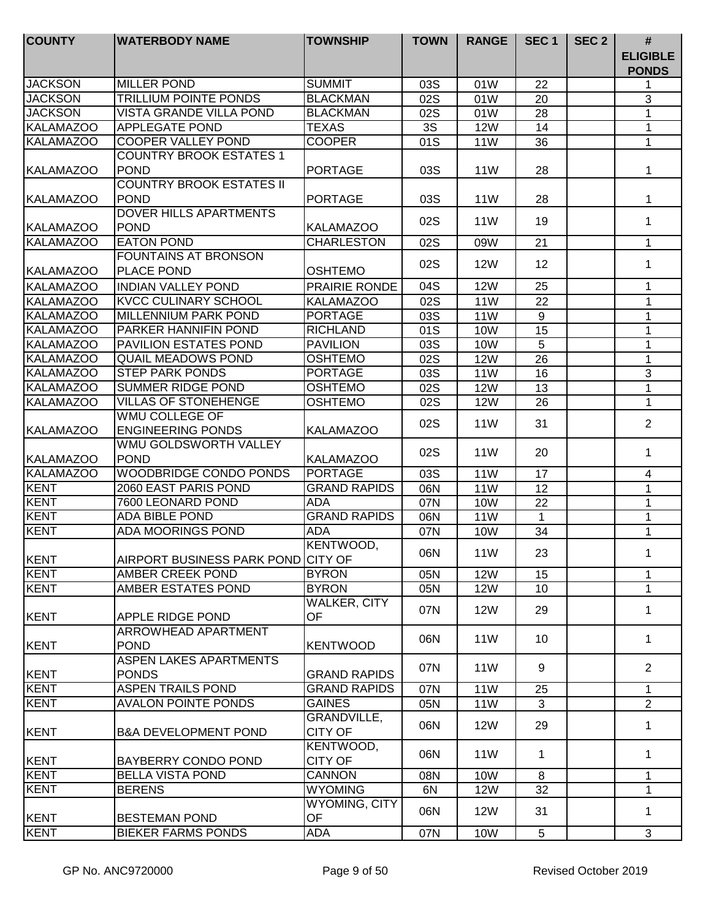| <b>COUNTY</b>    | <b>WATERBODY NAME</b>                         | <b>TOWNSHIP</b>                     | <b>TOWN</b> | <b>RANGE</b>    | SEC <sub>1</sub> | SEC <sub>2</sub> | #<br><b>ELIGIBLE</b><br><b>PONDS</b> |
|------------------|-----------------------------------------------|-------------------------------------|-------------|-----------------|------------------|------------------|--------------------------------------|
| <b>JACKSON</b>   | <b>MILLER POND</b>                            | <b>SUMMIT</b>                       | 03S         | 01W             | 22               |                  | 1                                    |
| <b>JACKSON</b>   | <b>TRILLIUM POINTE PONDS</b>                  | <b>BLACKMAN</b>                     | 02S         | 01W             | 20               |                  | 3                                    |
| <b>JACKSON</b>   | <b>VISTA GRANDE VILLA POND</b>                | <b>BLACKMAN</b>                     | 02S         | 01W             | 28               |                  | 1                                    |
| <b>KALAMAZOO</b> | <b>APPLEGATE POND</b>                         | <b>TEXAS</b>                        | 3S          | <b>12W</b>      | 14               |                  | 1                                    |
| <b>KALAMAZOO</b> | <b>COOPER VALLEY POND</b>                     | <b>COOPER</b>                       | 01S         | 11W             | 36               |                  | 1                                    |
|                  | <b>COUNTRY BROOK ESTATES 1</b>                |                                     |             |                 |                  |                  |                                      |
| <b>KALAMAZOO</b> | <b>POND</b>                                   | PORTAGE                             | 03S         | 11 <sub>W</sub> | 28               |                  | 1                                    |
|                  | <b>COUNTRY BROOK ESTATES II</b>               |                                     |             |                 |                  |                  |                                      |
| <b>KALAMAZOO</b> | <b>POND</b>                                   | PORTAGE                             | 03S         | 11 <sub>W</sub> | 28               |                  | 1                                    |
|                  | <b>DOVER HILLS APARTMENTS</b>                 |                                     | 02S         | 11 <sub>W</sub> | 19               |                  | 1                                    |
| <b>KALAMAZOO</b> | <b>POND</b>                                   | <b>KALAMAZOO</b>                    |             |                 |                  |                  |                                      |
| <b>KALAMAZOO</b> | <b>EATON POND</b>                             | <b>CHARLESTON</b>                   | 02S         | 09W             | 21               |                  | $\mathbf{1}$                         |
|                  | <b>FOUNTAINS AT BRONSON</b>                   |                                     | 02S         | <b>12W</b>      | 12               |                  | 1                                    |
| <b>KALAMAZOO</b> | PLACE POND                                    | <b>OSHTEMO</b>                      |             |                 |                  |                  |                                      |
| <b>KALAMAZOO</b> | <b>INDIAN VALLEY POND</b>                     | PRAIRIE RONDE                       | 04S         | <b>12W</b>      | 25               |                  | 1                                    |
| <b>KALAMAZOO</b> | <b>KVCC CULINARY SCHOOL</b>                   | <b>KALAMAZOO</b>                    | 02S         | <b>11W</b>      | $\overline{22}$  |                  | 1                                    |
| <b>KALAMAZOO</b> | <b>MILLENNIUM PARK POND</b>                   | <b>PORTAGE</b>                      | 03S         | <b>11W</b>      | 9                |                  | 1                                    |
| <b>KALAMAZOO</b> | PARKER HANNIFIN POND                          | <b>RICHLAND</b>                     | 01S         | <b>10W</b>      | 15               |                  | $\mathbf{1}$                         |
| <b>KALAMAZOO</b> | <b>PAVILION ESTATES POND</b>                  | <b>PAVILION</b>                     | 03S         | <b>10W</b>      | 5                |                  | $\mathbf{1}$                         |
| <b>KALAMAZOO</b> | <b>QUAIL MEADOWS POND</b>                     | <b>OSHTEMO</b>                      | 02S         | <b>12W</b>      | $\overline{26}$  |                  | $\mathbf{1}$                         |
| <b>KALAMAZOO</b> | <b>STEP PARK PONDS</b>                        | <b>PORTAGE</b>                      | 03S         | <b>11W</b>      | $\overline{16}$  |                  | 3                                    |
| <b>KALAMAZOO</b> | <b>SUMMER RIDGE POND</b>                      | <b>OSHTEMO</b>                      | 02S         | <b>12W</b>      | 13               |                  | $\mathbf{1}$                         |
| <b>KALAMAZOO</b> | <b>VILLAS OF STONEHENGE</b>                   | <b>OSHTEMO</b>                      | 02S         | <b>12W</b>      | 26               |                  | $\mathbf{1}$                         |
|                  | <b>WMU COLLEGE OF</b>                         |                                     |             |                 |                  |                  | $\overline{2}$                       |
| <b>KALAMAZOO</b> | <b>ENGINEERING PONDS</b>                      | <b>KALAMAZOO</b>                    | 02S         | 11 <sub>W</sub> | 31               |                  |                                      |
| <b>KALAMAZOO</b> | WMU GOLDSWORTH VALLEY<br><b>POND</b>          | <b>KALAMAZOO</b>                    | 02S         | 11 <sub>W</sub> | 20               |                  | $\mathbf 1$                          |
| <b>KALAMAZOO</b> | WOODBRIDGE CONDO PONDS                        | <b>PORTAGE</b>                      |             |                 |                  |                  |                                      |
| <b>KENT</b>      | 2060 EAST PARIS POND                          | <b>GRAND RAPIDS</b>                 | 03S         | <b>11W</b>      | 17               |                  | 4                                    |
| <b>KENT</b>      |                                               |                                     | 06N         | 11W             | 12               |                  | 1                                    |
| <b>KENT</b>      | 7600 LEONARD POND<br><b>ADA BIBLE POND</b>    | ADA<br><b>GRAND RAPIDS</b>          | 07N         | 10W             | 22               |                  | 1                                    |
|                  | <b>ADA MOORINGS POND</b>                      |                                     | 06N         | 11 <sub>W</sub> | $\mathbf 1$      |                  | 1                                    |
| <b>KENT</b>      |                                               | ADA                                 | 07N         | <b>10W</b>      | 34               |                  | 1                                    |
|                  |                                               | KENTWOOD,                           | 06N         | 11W             | 23               |                  | 1                                    |
| KENT             | AIRPORT BUSINESS PARK POND CITY OF            |                                     |             |                 |                  |                  |                                      |
| KENT             | AMBER CREEK POND                              | <b>BYRON</b>                        | 05N         | <b>12W</b>      | 15               |                  | $\mathbf{1}$                         |
| KENT             | AMBER ESTATES POND                            | <b>BYRON</b><br><b>WALKER, CITY</b> | 05N         | <b>12W</b>      | 10               |                  | $\mathbf{1}$                         |
| KENT             | <b>APPLE RIDGE POND</b>                       | OF                                  | 07N         | <b>12W</b>      | 29               |                  | $\mathbf{1}$                         |
|                  | ARROWHEAD APARTMENT                           |                                     | 06N         | <b>11W</b>      | 10               |                  | $\mathbf{1}$                         |
| KENT             | <b>POND</b>                                   | <b>KENTWOOD</b>                     |             |                 |                  |                  |                                      |
| KENT             | <b>ASPEN LAKES APARTMENTS</b><br><b>PONDS</b> | <b>GRAND RAPIDS</b>                 | 07N         | 11 <sub>W</sub> | 9                |                  | $\overline{2}$                       |
| <b>KENT</b>      | <b>ASPEN TRAILS POND</b>                      | <b>GRAND RAPIDS</b>                 | 07N         | 11 <sub>W</sub> | 25               |                  | 1                                    |
| KENT             | <b>AVALON POINTE PONDS</b>                    | <b>GAINES</b>                       | 05N         | 11 <sub>W</sub> | 3                |                  | $\overline{2}$                       |
| KENT             | <b>B&amp;A DEVELOPMENT POND</b>               | GRANDVILLE,<br><b>CITY OF</b>       | 06N         | <b>12W</b>      | 29               |                  | $\mathbf{1}$                         |
| KENT             | <b>BAYBERRY CONDO POND</b>                    | KENTWOOD,<br><b>CITY OF</b>         | 06N         | 11 <sub>W</sub> | 1                |                  | 1                                    |
| KENT             | <b>BELLA VISTA POND</b>                       | <b>CANNON</b>                       | 08N         | 10W             | 8                |                  | $\mathbf{1}$                         |
| KENT             | <b>BERENS</b>                                 | <b>WYOMING</b>                      | 6N          | <b>12W</b>      | 32               |                  | 1                                    |
|                  |                                               | <b>WYOMING, CITY</b>                | 06N         | <b>12W</b>      | 31               |                  | 1                                    |
| KENT             | <b>BESTEMAN POND</b>                          | OF                                  |             |                 |                  |                  |                                      |
| <b>KENT</b>      | <b>BIEKER FARMS PONDS</b>                     | ADA                                 | 07N         | 10W             | $5\phantom{.0}$  |                  | 3                                    |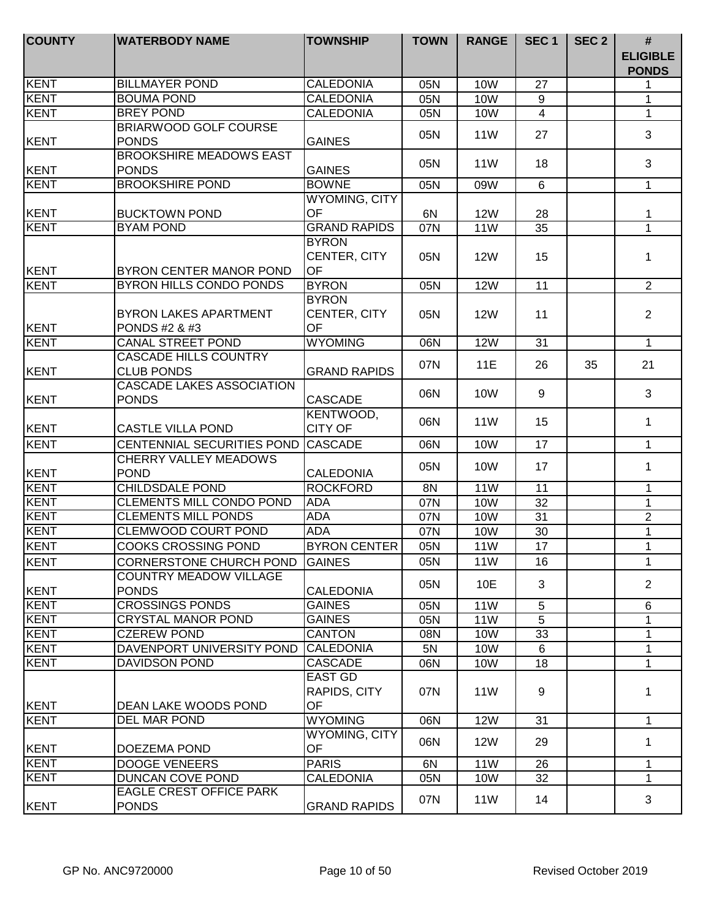| KENT<br><b>BILLMAYER POND</b><br><b>CALEDONIA</b><br><b>10W</b><br>27<br>05N<br>KENT<br><b>BOUMA POND</b><br><b>CALEDONIA</b><br><b>10W</b><br>05N<br>9<br>KENT<br><b>BREY POND</b><br><b>CALEDONIA</b><br><b>10W</b><br>$\overline{4}$<br>05N<br><b>BRIARWOOD GOLF COURSE</b><br><b>11W</b><br>27<br>05N<br><b>PONDS</b><br><b>GAINES</b><br>KENT<br><b>BROOKSHIRE MEADOWS EAST</b><br><b>11W</b><br>18<br>05N<br>KENT<br><b>PONDS</b><br><b>GAINES</b><br><b>KENT</b><br><b>BROOKSHIRE POND</b><br><b>BOWNE</b><br>05N<br>09W<br>6<br><b>WYOMING, CITY</b><br>KENT<br>OF<br><b>BUCKTOWN POND</b><br>6N<br><b>12W</b><br>28<br><b>KENT</b><br><b>GRAND RAPIDS</b><br><b>BYAM POND</b><br>$\overline{35}$<br>07N<br><b>11W</b><br><b>BYRON</b><br>CENTER, CITY<br>05N<br><b>12W</b><br>15<br><b>OF</b><br>KENT<br>BYRON CENTER MANOR POND<br>KENT<br>BYRON HILLS CONDO PONDS<br><b>BYRON</b><br><b>12W</b><br>11<br>05N | #<br><b>ELIGIBLE</b><br><b>PONDS</b> |
|-------------------------------------------------------------------------------------------------------------------------------------------------------------------------------------------------------------------------------------------------------------------------------------------------------------------------------------------------------------------------------------------------------------------------------------------------------------------------------------------------------------------------------------------------------------------------------------------------------------------------------------------------------------------------------------------------------------------------------------------------------------------------------------------------------------------------------------------------------------------------------------------------------------------------|--------------------------------------|
|                                                                                                                                                                                                                                                                                                                                                                                                                                                                                                                                                                                                                                                                                                                                                                                                                                                                                                                         | 1                                    |
|                                                                                                                                                                                                                                                                                                                                                                                                                                                                                                                                                                                                                                                                                                                                                                                                                                                                                                                         | 1                                    |
|                                                                                                                                                                                                                                                                                                                                                                                                                                                                                                                                                                                                                                                                                                                                                                                                                                                                                                                         | 1                                    |
|                                                                                                                                                                                                                                                                                                                                                                                                                                                                                                                                                                                                                                                                                                                                                                                                                                                                                                                         |                                      |
|                                                                                                                                                                                                                                                                                                                                                                                                                                                                                                                                                                                                                                                                                                                                                                                                                                                                                                                         | 3                                    |
|                                                                                                                                                                                                                                                                                                                                                                                                                                                                                                                                                                                                                                                                                                                                                                                                                                                                                                                         | 3                                    |
|                                                                                                                                                                                                                                                                                                                                                                                                                                                                                                                                                                                                                                                                                                                                                                                                                                                                                                                         |                                      |
|                                                                                                                                                                                                                                                                                                                                                                                                                                                                                                                                                                                                                                                                                                                                                                                                                                                                                                                         | $\mathbf{1}$                         |
|                                                                                                                                                                                                                                                                                                                                                                                                                                                                                                                                                                                                                                                                                                                                                                                                                                                                                                                         |                                      |
|                                                                                                                                                                                                                                                                                                                                                                                                                                                                                                                                                                                                                                                                                                                                                                                                                                                                                                                         | 1                                    |
|                                                                                                                                                                                                                                                                                                                                                                                                                                                                                                                                                                                                                                                                                                                                                                                                                                                                                                                         | $\overline{1}$                       |
|                                                                                                                                                                                                                                                                                                                                                                                                                                                                                                                                                                                                                                                                                                                                                                                                                                                                                                                         |                                      |
|                                                                                                                                                                                                                                                                                                                                                                                                                                                                                                                                                                                                                                                                                                                                                                                                                                                                                                                         | 1                                    |
|                                                                                                                                                                                                                                                                                                                                                                                                                                                                                                                                                                                                                                                                                                                                                                                                                                                                                                                         |                                      |
|                                                                                                                                                                                                                                                                                                                                                                                                                                                                                                                                                                                                                                                                                                                                                                                                                                                                                                                         | 2                                    |
| <b>BYRON</b>                                                                                                                                                                                                                                                                                                                                                                                                                                                                                                                                                                                                                                                                                                                                                                                                                                                                                                            |                                      |
| <b>BYRON LAKES APARTMENT</b><br>CENTER, CITY<br>05N<br><b>12W</b><br>11<br>OF                                                                                                                                                                                                                                                                                                                                                                                                                                                                                                                                                                                                                                                                                                                                                                                                                                           | $\overline{2}$                       |
| KENT<br>PONDS #2 & #3<br>KENT<br><b>CANAL STREET POND</b><br><b>WYOMING</b><br><b>12W</b><br>06N<br>31                                                                                                                                                                                                                                                                                                                                                                                                                                                                                                                                                                                                                                                                                                                                                                                                                  | $\mathbf{1}$                         |
| <b>CASCADE HILLS COUNTRY</b>                                                                                                                                                                                                                                                                                                                                                                                                                                                                                                                                                                                                                                                                                                                                                                                                                                                                                            |                                      |
| 07N<br><b>11E</b><br>26<br>35<br>KENT<br><b>CLUB PONDS</b><br><b>GRAND RAPIDS</b>                                                                                                                                                                                                                                                                                                                                                                                                                                                                                                                                                                                                                                                                                                                                                                                                                                       | 21                                   |
| <b>CASCADE LAKES ASSOCIATION</b>                                                                                                                                                                                                                                                                                                                                                                                                                                                                                                                                                                                                                                                                                                                                                                                                                                                                                        |                                      |
| 06N<br><b>10W</b><br>9<br>KENT<br><b>PONDS</b><br><b>CASCADE</b>                                                                                                                                                                                                                                                                                                                                                                                                                                                                                                                                                                                                                                                                                                                                                                                                                                                        | 3                                    |
| KENTWOOD,                                                                                                                                                                                                                                                                                                                                                                                                                                                                                                                                                                                                                                                                                                                                                                                                                                                                                                               |                                      |
| 06N<br><b>11W</b><br>15<br><b>CITY OF</b><br>KENT<br><b>CASTLE VILLA POND</b>                                                                                                                                                                                                                                                                                                                                                                                                                                                                                                                                                                                                                                                                                                                                                                                                                                           | $\mathbf{1}$                         |
| KENT<br>17<br>06N<br><b>10W</b><br>CENTENNIAL SECURITIES POND<br><b>CASCADE</b>                                                                                                                                                                                                                                                                                                                                                                                                                                                                                                                                                                                                                                                                                                                                                                                                                                         | $\mathbf{1}$                         |
| CHERRY VALLEY MEADOWS                                                                                                                                                                                                                                                                                                                                                                                                                                                                                                                                                                                                                                                                                                                                                                                                                                                                                                   |                                      |
| 05N<br>10W<br>17<br>KENT<br><b>POND</b><br><b>CALEDONIA</b>                                                                                                                                                                                                                                                                                                                                                                                                                                                                                                                                                                                                                                                                                                                                                                                                                                                             | $\mathbf{1}$                         |
| KENT<br><b>CHILDSDALE POND</b><br><b>ROCKFORD</b><br>8N<br><b>11W</b><br>11                                                                                                                                                                                                                                                                                                                                                                                                                                                                                                                                                                                                                                                                                                                                                                                                                                             | 1                                    |
| KENT<br><b>CLEMENTS MILL CONDO POND</b><br><b>ADA</b><br>07N<br><b>10W</b><br>32                                                                                                                                                                                                                                                                                                                                                                                                                                                                                                                                                                                                                                                                                                                                                                                                                                        | $\mathbf 1$                          |
| <b>ADA</b><br>KENT<br><b>CLEMENTS MILL PONDS</b><br>07N<br><b>10W</b><br>31                                                                                                                                                                                                                                                                                                                                                                                                                                                                                                                                                                                                                                                                                                                                                                                                                                             | $\overline{2}$                       |
| <b>KENT</b><br><b>ADA</b><br>CLEMWOOD COURT POND<br>07N<br><b>10W</b><br>30                                                                                                                                                                                                                                                                                                                                                                                                                                                                                                                                                                                                                                                                                                                                                                                                                                             | $\mathbf{1}$                         |
| KENT<br><b>COOKS CROSSING POND</b><br><b>BYRON CENTER</b><br>17<br>05N<br><b>11W</b>                                                                                                                                                                                                                                                                                                                                                                                                                                                                                                                                                                                                                                                                                                                                                                                                                                    | $\mathbf{1}$                         |
| KENT<br>05N<br>11 <sub>W</sub><br>16<br><b>CORNERSTONE CHURCH POND</b><br><b>GAINES</b>                                                                                                                                                                                                                                                                                                                                                                                                                                                                                                                                                                                                                                                                                                                                                                                                                                 | 1                                    |
| <b>COUNTRY MEADOW VILLAGE</b>                                                                                                                                                                                                                                                                                                                                                                                                                                                                                                                                                                                                                                                                                                                                                                                                                                                                                           |                                      |
| 05N<br>10E<br>3<br>KENT<br><b>PONDS</b><br><b>CALEDONIA</b>                                                                                                                                                                                                                                                                                                                                                                                                                                                                                                                                                                                                                                                                                                                                                                                                                                                             | $\overline{2}$                       |
| KENT<br><b>CROSSINGS PONDS</b><br><b>GAINES</b><br><b>11W</b><br>05N<br>5                                                                                                                                                                                                                                                                                                                                                                                                                                                                                                                                                                                                                                                                                                                                                                                                                                               | 6                                    |
| KENT<br><b>GAINES</b><br><b>CRYSTAL MANOR POND</b><br><b>11W</b><br>5<br>05N                                                                                                                                                                                                                                                                                                                                                                                                                                                                                                                                                                                                                                                                                                                                                                                                                                            | 1                                    |
| KENT<br><b>CZEREW POND</b><br><b>CANTON</b><br>33<br>10W<br>08N                                                                                                                                                                                                                                                                                                                                                                                                                                                                                                                                                                                                                                                                                                                                                                                                                                                         | 1                                    |
| KENT<br>DAVENPORT UNIVERSITY POND<br><b>CALEDONIA</b><br>5N<br>10W<br>6                                                                                                                                                                                                                                                                                                                                                                                                                                                                                                                                                                                                                                                                                                                                                                                                                                                 | $\mathbf 1$                          |
| KENT<br><b>DAVIDSON POND</b><br><b>CASCADE</b><br>18<br>06N<br>10W                                                                                                                                                                                                                                                                                                                                                                                                                                                                                                                                                                                                                                                                                                                                                                                                                                                      | $\mathbf 1$                          |
| EAST GD                                                                                                                                                                                                                                                                                                                                                                                                                                                                                                                                                                                                                                                                                                                                                                                                                                                                                                                 |                                      |
| RAPIDS, CITY<br>07N<br>11 <sub>W</sub><br>9                                                                                                                                                                                                                                                                                                                                                                                                                                                                                                                                                                                                                                                                                                                                                                                                                                                                             | 1                                    |
| <b>OF</b><br>KENT<br>DEAN LAKE WOODS POND                                                                                                                                                                                                                                                                                                                                                                                                                                                                                                                                                                                                                                                                                                                                                                                                                                                                               |                                      |
| <b>KENT</b><br><b>WYOMING</b><br>06N<br><b>12W</b><br>31<br>DEL MAR POND                                                                                                                                                                                                                                                                                                                                                                                                                                                                                                                                                                                                                                                                                                                                                                                                                                                | $\mathbf{1}$                         |
| WYOMING, CITY<br>06N<br><b>12W</b><br>29                                                                                                                                                                                                                                                                                                                                                                                                                                                                                                                                                                                                                                                                                                                                                                                                                                                                                | $\mathbf{1}$                         |
| OF<br>KENT<br>DOEZEMA POND                                                                                                                                                                                                                                                                                                                                                                                                                                                                                                                                                                                                                                                                                                                                                                                                                                                                                              |                                      |
| <b>KENT</b><br><b>DOOGE VENEERS</b><br><b>PARIS</b><br>6N<br>11 <sub>W</sub><br>26                                                                                                                                                                                                                                                                                                                                                                                                                                                                                                                                                                                                                                                                                                                                                                                                                                      | $\mathbf 1$                          |
| <b>IKENT</b><br>DUNCAN COVE POND<br>32<br><b>CALEDONIA</b><br>05N<br>10W<br><b>EAGLE CREST OFFICE PARK</b>                                                                                                                                                                                                                                                                                                                                                                                                                                                                                                                                                                                                                                                                                                                                                                                                              | $\mathbf 1$                          |
| 07N<br><b>11W</b><br>14<br>KENT<br><b>PONDS</b><br><b>GRAND RAPIDS</b>                                                                                                                                                                                                                                                                                                                                                                                                                                                                                                                                                                                                                                                                                                                                                                                                                                                  | 3                                    |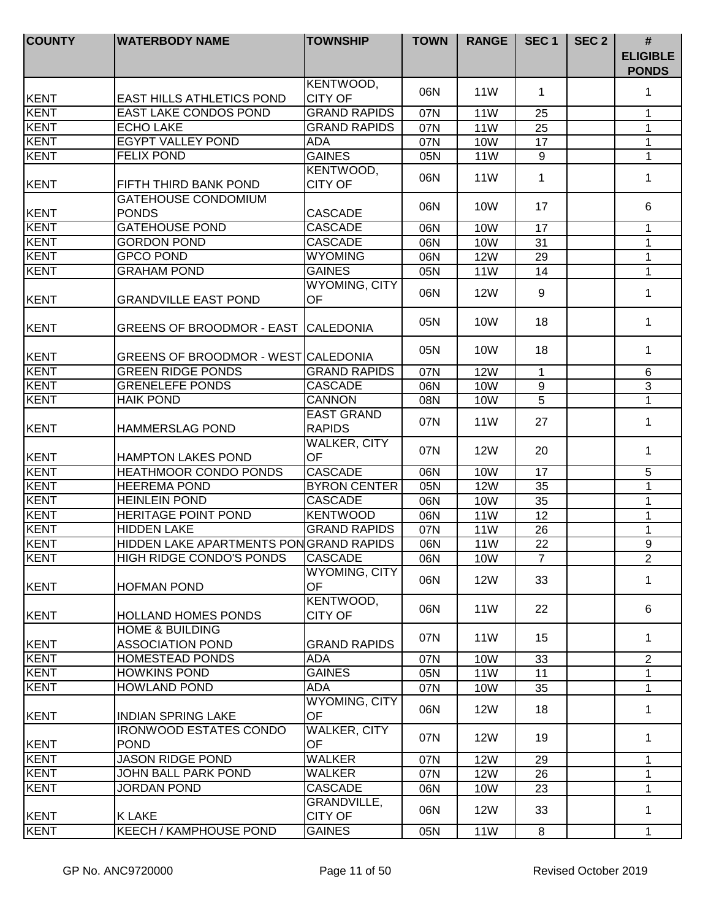| <b>COUNTY</b> | <b>WATERBODY NAME</b>                                 | <b>TOWNSHIP</b>                    | <b>TOWN</b> | <b>RANGE</b>    | SEC <sub>1</sub> | SEC <sub>2</sub> | $\#$<br><b>ELIGIBLE</b><br><b>PONDS</b> |
|---------------|-------------------------------------------------------|------------------------------------|-------------|-----------------|------------------|------------------|-----------------------------------------|
| KENT          | EAST HILLS ATHLETICS POND                             | KENTWOOD,<br><b>CITY OF</b>        | 06N         | <b>11W</b>      | 1                |                  | 1                                       |
| <b>KENT</b>   | EAST LAKE CONDOS POND                                 | <b>GRAND RAPIDS</b>                | 07N         | <b>11W</b>      | 25               |                  | 1                                       |
| <b>KENT</b>   | <b>ECHO LAKE</b>                                      | <b>GRAND RAPIDS</b>                | 07N         | <b>11W</b>      | 25               |                  | 1                                       |
| KENT          | <b>EGYPT VALLEY POND</b>                              | <b>ADA</b>                         | 07N         | <b>10W</b>      | 17               |                  | 1                                       |
| <b>KENT</b>   | <b>FELIX POND</b>                                     | <b>GAINES</b>                      | 05N         | <b>11W</b>      | $\overline{9}$   |                  | $\mathbf{1}$                            |
| <b>KENT</b>   | FIFTH THIRD BANK POND                                 | KENTWOOD,<br><b>CITY OF</b>        | 06N         | 11W             | 1                |                  | 1                                       |
| <b>KENT</b>   | <b>GATEHOUSE CONDOMIUM</b><br><b>PONDS</b>            | <b>CASCADE</b>                     | 06N         | 10W             | 17               |                  | 6                                       |
| <b>KENT</b>   | <b>GATEHOUSE POND</b>                                 | <b>CASCADE</b>                     | 06N         | <b>10W</b>      | 17               |                  | 1                                       |
| <b>KENT</b>   | <b>GORDON POND</b>                                    | <b>CASCADE</b>                     | 06N         | <b>10W</b>      | 31               |                  | $\mathbf{1}$                            |
| <b>KENT</b>   | <b>GPCO POND</b>                                      | <b>WYOMING</b>                     | 06N         | <b>12W</b>      | 29               |                  | 1                                       |
| <b>KENT</b>   | <b>GRAHAM POND</b>                                    | <b>GAINES</b>                      | 05N         | <b>11W</b>      | 14               |                  | $\mathbf{1}$                            |
| <b>KENT</b>   | <b>GRANDVILLE EAST POND</b>                           | WYOMING, CITY<br>OF                | 06N         | <b>12W</b>      | 9                |                  | 1                                       |
| <b>KENT</b>   | <b>GREENS OF BROODMOR - EAST</b>                      | <b>CALEDONIA</b>                   | 05N         | 10W             | 18               |                  | 1                                       |
| KENT          | GREENS OF BROODMOR - WEST CALEDONIA                   |                                    | 05N         | 10W             | 18               |                  | 1                                       |
| <b>KENT</b>   | <b>GREEN RIDGE PONDS</b>                              | <b>GRAND RAPIDS</b>                | 07N         | <b>12W</b>      | 1                |                  | $\,6\,$                                 |
| <b>KENT</b>   | <b>GRENELEFE PONDS</b>                                | <b>CASCADE</b>                     | 06N         | <b>10W</b>      | 9                |                  | $\overline{3}$                          |
| <b>KENT</b>   | <b>HAIK POND</b>                                      | CANNON                             | 08N         | <b>10W</b>      | 5                |                  | $\mathbf{1}$                            |
| <b>KENT</b>   | <b>HAMMERSLAG POND</b>                                | <b>EAST GRAND</b><br><b>RAPIDS</b> | 07N         | 11W             | 27               |                  | 1                                       |
| <b>KENT</b>   | <b>HAMPTON LAKES POND</b>                             | <b>WALKER, CITY</b><br>OF          | 07N         | <b>12W</b>      | 20               |                  | 1                                       |
| KENT          | <b>HEATHMOOR CONDO PONDS</b>                          | <b>CASCADE</b>                     | 06N         | <b>10W</b>      | 17               |                  | 5                                       |
| KENT          | <b>HEEREMA POND</b>                                   | <b>BYRON CENTER</b>                | 05N         | <b>12W</b>      | 35               |                  | 1                                       |
| <b>KENT</b>   | <b>HEINLEIN POND</b>                                  | <b>CASCADE</b>                     | 06N         | <b>10W</b>      | 35               |                  | 1                                       |
| <b>KENT</b>   | <b>HERITAGE POINT POND</b>                            | <b>KENTWOOD</b>                    | 06N         | 11 <sub>W</sub> | 12               |                  | 1                                       |
| <b>KENT</b>   | HIDDEN LAKE                                           | <b>GRAND RAPIDS</b>                | 07N         | 11 <sub>W</sub> | 26               |                  | 1                                       |
| <b>KENT</b>   | HIDDEN LAKE APARTMENTS PON GRAND RAPIDS               |                                    | 06N         | <b>11W</b>      | 22               |                  | $9\,$                                   |
| <b>KENT</b>   | HIGH RIDGE CONDO'S PONDS                              | <b>CASCADE</b>                     | 06N         | <b>10W</b>      | $\overline{7}$   |                  | 2                                       |
| <b>KENT</b>   | <b>HOFMAN POND</b>                                    | WYOMING, CITY<br><b>OF</b>         | 06N         | <b>12W</b>      | 33               |                  | 1                                       |
| <b>KENT</b>   | <b>HOLLAND HOMES PONDS</b>                            | KENTWOOD,<br><b>CITY OF</b>        | 06N         | 11 <sub>W</sub> | 22               |                  | 6                                       |
| KENT          | <b>HOME &amp; BUILDING</b><br><b>ASSOCIATION POND</b> | <b>GRAND RAPIDS</b>                | 07N         | 11W             | 15               |                  | $\mathbf 1$                             |
| <b>KENT</b>   | <b>HOMESTEAD PONDS</b>                                | <b>ADA</b>                         | 07N         | 10W             | 33               |                  | $\overline{2}$                          |
| <b>KENT</b>   | <b>HOWKINS POND</b>                                   | <b>GAINES</b>                      | 05N         | <b>11W</b>      | 11               |                  | 1                                       |
| <b>KENT</b>   | <b>HOWLAND POND</b>                                   | <b>ADA</b>                         | 07N         | <b>10W</b>      | 35               |                  | $\mathbf{1}$                            |
| <b>KENT</b>   | <b>INDIAN SPRING LAKE</b>                             | WYOMING, CITY<br>OF                | 06N         | <b>12W</b>      | 18               |                  | $\mathbf{1}$                            |
| <b>KENT</b>   | <b>IRONWOOD ESTATES CONDO</b><br><b>POND</b>          | WALKER, CITY<br>OF                 | 07N         | <b>12W</b>      | 19               |                  | $\mathbf 1$                             |
| KENT          | <b>JASON RIDGE POND</b>                               | WALKER                             | 07N         | <b>12W</b>      | 29               |                  | 1                                       |
| <b>KENT</b>   | JOHN BALL PARK POND                                   | WALKER                             | 07N         | <b>12W</b>      | 26               |                  | 1                                       |
| <b>KENT</b>   | <b>JORDAN POND</b>                                    | <b>CASCADE</b>                     | 06N         | 10W             | 23               |                  | 1                                       |
| KENT          | <b>K LAKE</b>                                         | GRANDVILLE,<br><b>CITY OF</b>      | 06N         | <b>12W</b>      | 33               |                  | 1                                       |
| <b>KENT</b>   | <b>KEECH / KAMPHOUSE POND</b>                         | <b>GAINES</b>                      | 05N         | 11W             | 8                |                  | $\mathbf{1}$                            |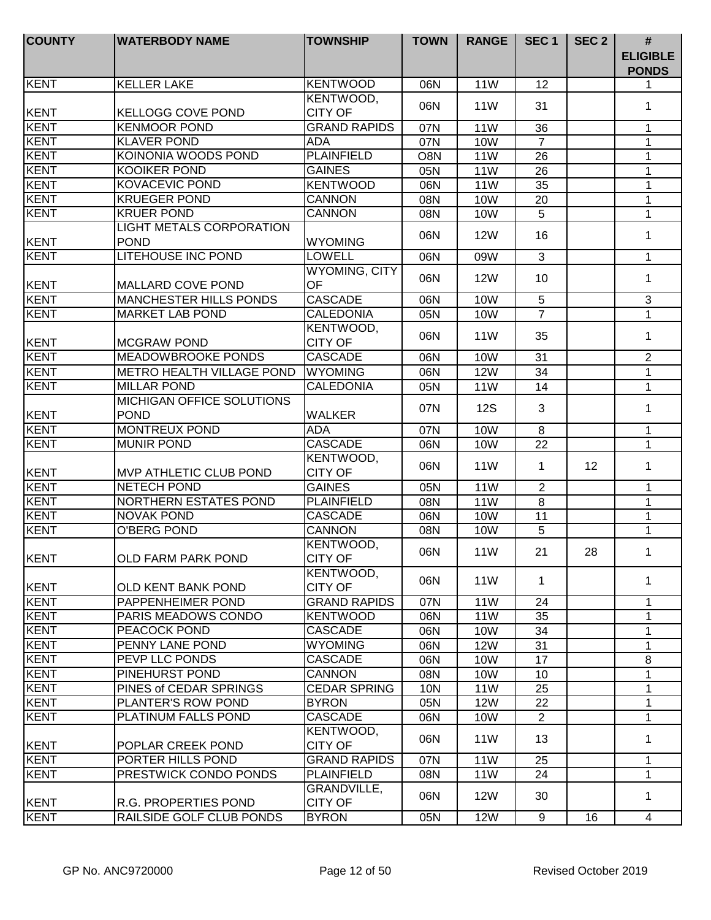| <b>COUNTY</b> | <b>WATERBODY NAME</b>                           | <b>TOWNSHIP</b>             | <b>TOWN</b> | <b>RANGE</b>    | SEC <sub>1</sub> | SEC <sub>2</sub> | #<br><b>ELIGIBLE</b><br><b>PONDS</b> |
|---------------|-------------------------------------------------|-----------------------------|-------------|-----------------|------------------|------------------|--------------------------------------|
| KENT          | <b>KELLER LAKE</b>                              | <b>KENTWOOD</b>             | 06N         | <b>11W</b>      | 12               |                  | 1                                    |
| <b>KENT</b>   | <b>KELLOGG COVE POND</b>                        | KENTWOOD,<br><b>CITY OF</b> | 06N         | <b>11W</b>      | 31               |                  | 1                                    |
| <b>KENT</b>   | <b>KENMOOR POND</b>                             | <b>GRAND RAPIDS</b>         | 07N         | <b>11W</b>      | 36               |                  | 1                                    |
| <b>KENT</b>   | <b>KLAVER POND</b>                              | <b>ADA</b>                  | 07N         | <b>10W</b>      | $\overline{7}$   |                  | 1                                    |
| <b>KENT</b>   | KOINONIA WOODS POND                             | <b>PLAINFIELD</b>           | O8N         | 11W             | 26               |                  | 1                                    |
| <b>KENT</b>   | <b>KOOIKER POND</b>                             | <b>GAINES</b>               | 05N         | <b>11W</b>      | 26               |                  | 1                                    |
| <b>KENT</b>   | <b>KOVACEVIC POND</b>                           | <b>KENTWOOD</b>             | 06N         | <b>11W</b>      | $\overline{35}$  |                  | $\mathbf{1}$                         |
| <b>KENT</b>   | <b>KRUEGER POND</b>                             | <b>CANNON</b>               | 08N         | 10W             | 20               |                  | $\mathbf 1$                          |
| <b>KENT</b>   | <b>KRUER POND</b>                               | CANNON                      | 08N         | <b>10W</b>      | 5                |                  | 1                                    |
|               | <b>LIGHT METALS CORPORATION</b>                 |                             |             |                 |                  |                  |                                      |
| <b>KENT</b>   | <b>POND</b>                                     | <b>WYOMING</b>              | 06N         | <b>12W</b>      | 16               |                  | 1                                    |
| <b>KENT</b>   | <b>LITEHOUSE INC POND</b>                       | <b>LOWELL</b>               | 06N         | 09W             | 3                |                  | 1                                    |
| KENT          | <b>MALLARD COVE POND</b>                        | <b>WYOMING, CITY</b><br>OF  | 06N         | <b>12W</b>      | 10               |                  | $\mathbf{1}$                         |
| <b>KENT</b>   | <b>MANCHESTER HILLS PONDS</b>                   | <b>CASCADE</b>              | 06N         | <b>10W</b>      | $\overline{5}$   |                  | $\sqrt{3}$                           |
| <b>KENT</b>   | <b>MARKET LAB POND</b>                          | <b>CALEDONIA</b>            | 05N         | <b>10W</b>      | $\overline{7}$   |                  | 1                                    |
| KENT          | <b>MCGRAW POND</b>                              | KENTWOOD,<br><b>CITY OF</b> | 06N         | <b>11W</b>      | 35               |                  | 1                                    |
| <b>KENT</b>   | <b>MEADOWBROOKE PONDS</b>                       | <b>CASCADE</b>              | 06N         | <b>10W</b>      | 31               |                  | $\overline{2}$                       |
| KENT          | <b>METRO HEALTH VILLAGE POND</b>                | <b>WYOMING</b>              | 06N         | <b>12W</b>      | 34               |                  | $\mathbf{1}$                         |
| <b>KENT</b>   | <b>MILLAR POND</b>                              | <b>CALEDONIA</b>            | 05N         | 11W             | 14               |                  | $\mathbf{1}$                         |
| <b>KENT</b>   | <b>MICHIGAN OFFICE SOLUTIONS</b><br><b>POND</b> | <b>WALKER</b>               | 07N         | <b>12S</b>      | 3                |                  | 1                                    |
| <b>KENT</b>   | <b>MONTREUX POND</b>                            | <b>ADA</b>                  | 07N         | <b>10W</b>      | 8                |                  | 1                                    |
| <b>KENT</b>   | <b>MUNIR POND</b>                               | <b>CASCADE</b>              | 06N         | <b>10W</b>      | 22               |                  | $\mathbf 1$                          |
| <b>KENT</b>   | <b>MVP ATHLETIC CLUB POND</b>                   | KENTWOOD,<br><b>CITY OF</b> | 06N         | 11 <sub>W</sub> | 1                | 12               | $\mathbf 1$                          |
| <b>KENT</b>   | <b>NETECH POND</b>                              | <b>GAINES</b>               | 05N         | <b>11W</b>      | $\overline{2}$   |                  | 1                                    |
| <b>KENT</b>   | NORTHERN ESTATES POND                           | <b>PLAINFIELD</b>           | 08N         | <b>11W</b>      | 8                |                  | 1                                    |
| <b>KENT</b>   | <b>NOVAK POND</b>                               | <b>CASCADE</b>              | 06N         | <b>10W</b>      | 11               |                  | 1                                    |
| <b>KENT</b>   | O'BERG POND                                     | <b>CANNON</b>               | 08N         | <b>10W</b>      | 5                |                  | 1                                    |
| <b>KENT</b>   | <b>OLD FARM PARK POND</b>                       | KENTWOOD,<br><b>CITY OF</b> | 06N         | 11W             | 21               | 28               | 1.                                   |
| <b>KENT</b>   | OLD KENT BANK POND                              | KENTWOOD,<br><b>CITY OF</b> | 06N         | 11 <sub>W</sub> | 1                |                  | 1                                    |
| <b>KENT</b>   | PAPPENHEIMER POND                               | <b>GRAND RAPIDS</b>         | 07N         | 11 <sub>W</sub> | 24               |                  | $\mathbf 1$                          |
| <b>KENT</b>   | PARIS MEADOWS CONDO                             | <b>KENTWOOD</b>             | 06N         | 11W             | 35               |                  | $\mathbf 1$                          |
| <b>KENT</b>   | PEACOCK POND                                    | <b>CASCADE</b>              | 06N         | 10W             | 34               |                  | $\mathbf 1$                          |
| <b>KENT</b>   | PENNY LANE POND                                 | <b>WYOMING</b>              | 06N         | <b>12W</b>      | 31               |                  | $\mathbf 1$                          |
| <b>KENT</b>   | PEVP LLC PONDS                                  | <b>CASCADE</b>              | 06N         | 10W             | 17               |                  | 8                                    |
| <b>KENT</b>   | PINEHURST POND                                  | <b>CANNON</b>               | 08N         | 10W             | 10               |                  | $\mathbf 1$                          |
| <b>KENT</b>   | PINES of CEDAR SPRINGS                          | <b>CEDAR SPRING</b>         | <b>10N</b>  | 11W             | 25               |                  | 1                                    |
| <b>KENT</b>   | PLANTER'S ROW POND                              | <b>BYRON</b>                | 05N         | <b>12W</b>      | 22               |                  | 1                                    |
| <b>KENT</b>   | PLATINUM FALLS POND                             | <b>CASCADE</b>              | 06N         | 10W             | $\overline{2}$   |                  | 1                                    |
| <b>KENT</b>   | POPLAR CREEK POND                               | KENTWOOD,<br><b>CITY OF</b> | 06N         | 11 <sub>W</sub> | 13               |                  | $\mathbf 1$                          |
| <b>KENT</b>   | PORTER HILLS POND                               | <b>GRAND RAPIDS</b>         | 07N         | 11 <sub>W</sub> | 25               |                  | 1                                    |
| <b>KENT</b>   | PRESTWICK CONDO PONDS                           | <b>PLAINFIELD</b>           | 08N         | 11 <sub>W</sub> | 24               |                  | 1                                    |
| <b>KENT</b>   | <b>R.G. PROPERTIES POND</b>                     | GRANDVILLE,<br>CITY OF      | 06N         | <b>12W</b>      | 30               |                  | 1                                    |
| <b>KENT</b>   | RAILSIDE GOLF CLUB PONDS                        | <b>BYRON</b>                | 05N         | <b>12W</b>      | 9                | 16               | $\overline{4}$                       |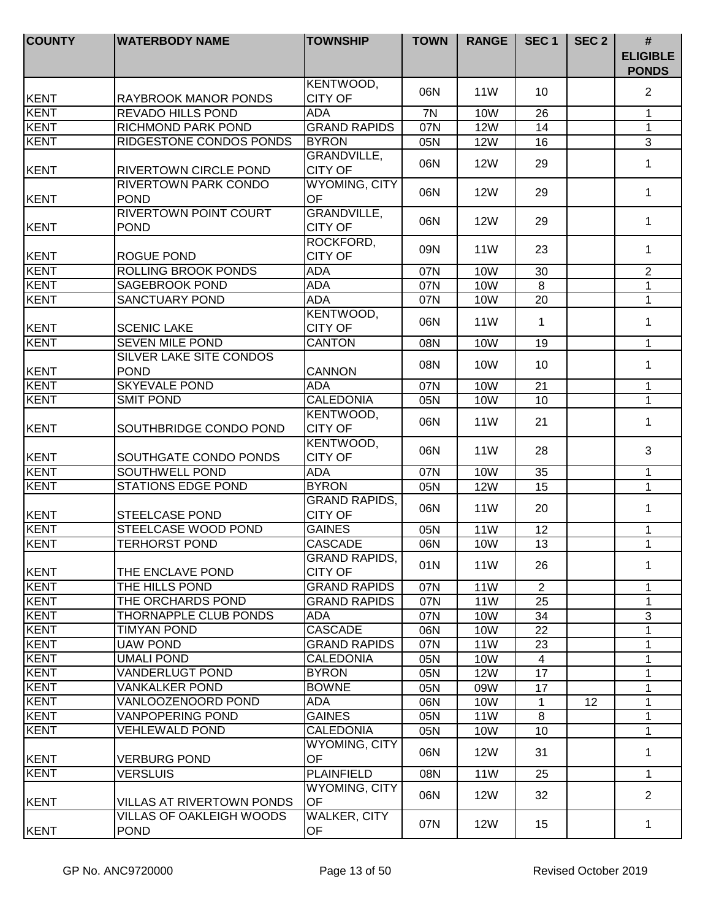| <b>COUNTY</b>       | <b>WATERBODY NAME</b>                       | <b>TOWNSHIP</b>                        | <b>TOWN</b> | <b>RANGE</b>      | SEC <sub>1</sub>     | SEC <sub>2</sub> | $\#$                            |
|---------------------|---------------------------------------------|----------------------------------------|-------------|-------------------|----------------------|------------------|---------------------------------|
|                     |                                             |                                        |             |                   |                      |                  | <b>ELIGIBLE</b><br><b>PONDS</b> |
| KENT                | RAYBROOK MANOR PONDS                        | KENTWOOD,<br><b>CITY OF</b>            | 06N         | 11 <sub>W</sub>   | 10                   |                  | $\overline{2}$                  |
| KENT                | <b>REVADO HILLS POND</b>                    | ADA                                    | 7N          | <b>10W</b>        | 26                   |                  | 1                               |
| KENT                | RICHMOND PARK POND                          | <b>GRAND RAPIDS</b>                    | 07N         | <b>12W</b>        | 14                   |                  | 1                               |
| KENT                | RIDGESTONE CONDOS PONDS                     | <b>BYRON</b>                           | 05N         | <b>12W</b>        | 16                   |                  | $\mathbf{3}$                    |
|                     |                                             | GRANDVILLE,                            |             |                   |                      |                  |                                 |
| KENT                | RIVERTOWN CIRCLE POND                       | <b>CITY OF</b>                         | 06N         | <b>12W</b>        | 29                   |                  | 1                               |
| KENT                | RIVERTOWN PARK CONDO<br><b>POND</b>         | <b>WYOMING, CITY</b><br>OF             | 06N         | <b>12W</b>        | 29                   |                  | $\mathbf{1}$                    |
| <b>KENT</b>         | <b>RIVERTOWN POINT COURT</b><br><b>POND</b> | <b>GRANDVILLE,</b><br><b>CITY OF</b>   | 06N         | <b>12W</b>        | 29                   |                  | $\mathbf 1$                     |
| KENT                | ROGUE POND                                  | ROCKFORD,<br><b>CITY OF</b>            | 09N         | 11 <sub>W</sub>   | 23                   |                  | $\mathbf 1$                     |
| <b>KENT</b>         | ROLLING BROOK PONDS                         | <b>ADA</b>                             | 07N         | <b>10W</b>        | 30                   |                  | $\overline{2}$                  |
| KENT                | <b>SAGEBROOK POND</b>                       | <b>ADA</b>                             | 07N         | 10W               | 8                    |                  | $\mathbf 1$                     |
| KENT                | <b>SANCTUARY POND</b>                       | <b>ADA</b>                             | 07N         | <b>10W</b>        | 20                   |                  | $\mathbf{1}$                    |
| KENT                | <b>SCENIC LAKE</b>                          | KENTWOOD,<br><b>CITY OF</b>            | 06N         | 11W               | 1                    |                  | 1                               |
| KENT                | <b>SEVEN MILE POND</b>                      | <b>CANTON</b>                          | 08N         | <b>10W</b>        | 19                   |                  | 1                               |
|                     | <b>SILVER LAKE SITE CONDOS</b>              |                                        |             |                   |                      |                  |                                 |
| KENT                | <b>POND</b>                                 | <b>CANNON</b>                          | 08N         | 10W               | 10                   |                  | 1                               |
| <b>KENT</b>         | <b>SKYEVALE POND</b>                        | <b>ADA</b>                             | 07N         | <b>10W</b>        | 21                   |                  | $\mathbf{1}$                    |
| KENT                | <b>SMIT POND</b>                            | CALEDONIA                              | 05N         | <b>10W</b>        | 10                   |                  | $\mathbf{1}$                    |
| KENT                | SOUTHBRIDGE CONDO POND                      | KENTWOOD,<br><b>CITY OF</b>            | 06N         | <b>11W</b>        | 21                   |                  | 1                               |
| KENT                | SOUTHGATE CONDO PONDS                       | KENTWOOD,<br><b>CITY OF</b>            | 06N         | 11 <sub>W</sub>   | 28                   |                  | 3                               |
| KENT                | SOUTHWELL POND                              | <b>ADA</b>                             | 07N         | <b>10W</b>        | 35                   |                  | $\mathbf 1$                     |
| <b>KENT</b>         | <b>STATIONS EDGE POND</b>                   | <b>BYRON</b>                           | 05N         | <b>12W</b>        | 15                   |                  | $\mathbf{1}$                    |
| KENT                | <b>STEELCASE POND</b>                       | <b>GRAND RAPIDS,</b><br><b>CITY OF</b> | 06N         | 11W               | 20                   |                  | $\mathbf{1}$                    |
| KENT                | STEELCASE WOOD POND                         | <b>GAINES</b>                          | 05N         | <b>11W</b>        | 12                   |                  | 1                               |
| KENT                | <b>TERHORST POND</b>                        | <b>CASCADE</b>                         | 06N         | <b>10W</b>        | 13                   |                  | $\mathbf{1}$                    |
|                     |                                             | GRAND RAPIDS,                          | 01N         | 11 <sub>W</sub>   | 26                   |                  | 1                               |
| KENT                | THE ENCLAVE POND                            | <b>CITY OF</b>                         |             |                   |                      |                  |                                 |
| KENT                | THE HILLS POND                              | <b>GRAND RAPIDS</b>                    | 07N         | <b>11W</b>        | $\overline{2}$       |                  | 1                               |
| <b>KENT</b>         | THE ORCHARDS POND                           | <b>GRAND RAPIDS</b>                    | 07N         | <b>11W</b>        | 25                   |                  | 1                               |
| <b>KENT</b><br>KENT | THORNAPPLE CLUB PONDS<br><b>TIMYAN POND</b> | ADA                                    | 07N         | 10W               | 34                   |                  | 3                               |
| KENT                |                                             | <b>CASCADE</b><br><b>GRAND RAPIDS</b>  | 06N         | <b>10W</b>        | 22                   |                  | 1                               |
| <b>KENT</b>         | <b>UAW POND</b><br><b>UMALI POND</b>        | <b>CALEDONIA</b>                       | 07N         | 11W               | 23                   |                  | 1                               |
| <b>KENT</b>         | <b>VANDERLUGT POND</b>                      | <b>BYRON</b>                           | 05N         | 10W<br><b>12W</b> | $\overline{4}$<br>17 |                  | $\mathbf 1$<br>1                |
| <b>KENT</b>         | <b>VANKALKER POND</b>                       | <b>BOWNE</b>                           | 05N<br>05N  | 09W               | 17                   |                  | $\mathbf{1}$                    |
| <b>KENT</b>         | VANLOOZENOORD POND                          | ADA                                    | 06N         | <b>10W</b>        | 1                    | 12               | 1                               |
| <b>KENT</b>         | <b>VANPOPERING POND</b>                     | <b>GAINES</b>                          | 05N         | <b>11W</b>        | 8                    |                  | $\mathbf{1}$                    |
| <b>KENT</b>         | <b>VEHLEWALD POND</b>                       | <b>CALEDONIA</b>                       | 05N         | 10W               | 10                   |                  | 1                               |
|                     |                                             | <b>WYOMING, CITY</b>                   | 06N         | <b>12W</b>        | 31                   |                  | $\mathbf 1$                     |
| KENT                | <b>VERBURG POND</b>                         | <b>OF</b>                              |             |                   |                      |                  |                                 |
| KENT                | <b>VERSLUIS</b>                             | <b>PLAINFIELD</b>                      | 08N         | 11 <sub>W</sub>   | 25                   |                  | $\mathbf 1$                     |
| <b>IKENT</b>        | VILLAS AT RIVERTOWN PONDS                   | WYOMING, CITY<br>OF                    | 06N         | <b>12W</b>        | 32                   |                  | 2                               |
| KENT                | VILLAS OF OAKLEIGH WOODS<br><b>POND</b>     | <b>WALKER, CITY</b><br>OF              | 07N         | <b>12W</b>        | 15                   |                  | 1                               |
|                     |                                             |                                        |             |                   |                      |                  |                                 |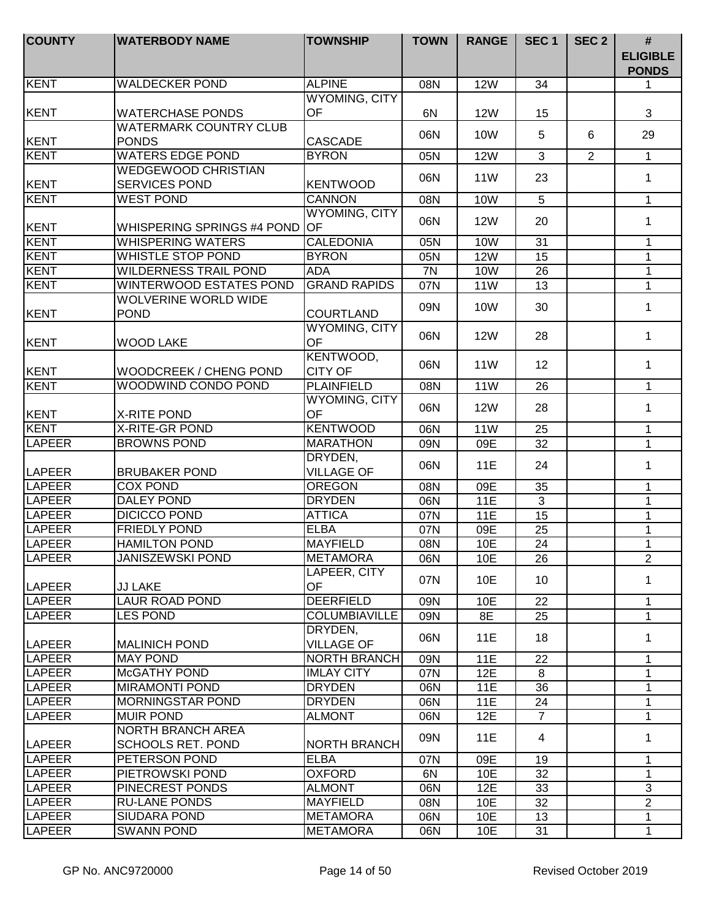| <b>COUNTY</b> | <b>WATERBODY NAME</b>                                | <b>TOWNSHIP</b>              | <b>TOWN</b> | <b>RANGE</b>    | SEC <sub>1</sub> | SEC <sub>2</sub> | #<br><b>ELIGIBLE</b><br><b>PONDS</b> |
|---------------|------------------------------------------------------|------------------------------|-------------|-----------------|------------------|------------------|--------------------------------------|
| <b>KENT</b>   | <b>WALDECKER POND</b>                                | <b>ALPINE</b>                | 08N         | <b>12W</b>      | 34               |                  | 1                                    |
| <b>KENT</b>   | <b>WATERCHASE PONDS</b>                              | <b>WYOMING, CITY</b><br>OF   | 6N          | <b>12W</b>      | 15               |                  | 3                                    |
| <b>KENT</b>   | <b>WATERMARK COUNTRY CLUB</b><br><b>PONDS</b>        | <b>CASCADE</b>               | 06N         | 10W             | 5                | 6                | 29                                   |
| <b>KENT</b>   | <b>WATERS EDGE POND</b>                              | <b>BYRON</b>                 | 05N         | <b>12W</b>      | 3                | $\overline{2}$   | $\mathbf{1}$                         |
| <b>KENT</b>   | <b>WEDGEWOOD CHRISTIAN</b><br><b>SERVICES POND</b>   | <b>KENTWOOD</b>              | 06N         | <b>11W</b>      | 23               |                  | $\mathbf 1$                          |
| <b>KENT</b>   | <b>WEST POND</b>                                     | <b>CANNON</b>                | 08N         | 10W             | 5                |                  | $\mathbf{1}$                         |
| <b>KENT</b>   | <b>WHISPERING SPRINGS #4 POND</b>                    | <b>WYOMING, CITY</b><br>OF   | 06N         | <b>12W</b>      | 20               |                  | 1                                    |
| KENT          | <b>WHISPERING WATERS</b>                             | <b>CALEDONIA</b>             | 05N         | <b>10W</b>      | 31               |                  | 1                                    |
| <b>KENT</b>   | <b>WHISTLE STOP POND</b>                             | <b>BYRON</b>                 | 05N         | <b>12W</b>      | 15               |                  | $\mathbf{1}$                         |
| <b>KENT</b>   | <b>WILDERNESS TRAIL POND</b>                         | <b>ADA</b>                   | 7N          | <b>10W</b>      | 26               |                  | 1                                    |
| <b>KENT</b>   | WINTERWOOD ESTATES POND                              | <b>GRAND RAPIDS</b>          | 07N         | 11 <sub>W</sub> | 13               |                  | $\mathbf{1}$                         |
| <b>KENT</b>   | <b>WOLVERINE WORLD WIDE</b><br><b>POND</b>           | <b>COURTLAND</b>             | 09N         | 10W             | 30               |                  | $\mathbf 1$                          |
| <b>KENT</b>   | <b>WOOD LAKE</b>                                     | <b>WYOMING, CITY</b><br>OF   | 06N         | <b>12W</b>      | 28               |                  | 1                                    |
| KENT          | WOODCREEK / CHENG POND                               | KENTWOOD,<br><b>CITY OF</b>  | 06N         | <b>11W</b>      | 12               |                  | 1                                    |
| <b>KENT</b>   | WOODWIND CONDO POND                                  | <b>PLAINFIELD</b>            | 08N         | 11W             | 26               |                  | $\mathbf{1}$                         |
| <b>KENT</b>   | <b>X-RITE POND</b>                                   | WYOMING, CITY<br>OF          | 06N         | <b>12W</b>      | 28               |                  | $\mathbf 1$                          |
| <b>KENT</b>   | <b>X-RITE-GR POND</b>                                | <b>KENTWOOD</b>              | 06N         | <b>11W</b>      | 25               |                  | $\mathbf{1}$                         |
| <b>LAPEER</b> | <b>BROWNS POND</b>                                   | <b>MARATHON</b>              | 09N         | 09E             | 32               |                  | $\mathbf{1}$                         |
| <b>LAPEER</b> | <b>BRUBAKER POND</b>                                 | DRYDEN,<br><b>VILLAGE OF</b> | 06N         | <b>11E</b>      | 24               |                  | 1                                    |
| <b>LAPEER</b> | <b>COX POND</b>                                      | <b>OREGON</b>                | 08N         | 09E             | 35               |                  | 1                                    |
| <b>LAPEER</b> | <b>DALEY POND</b>                                    | <b>DRYDEN</b>                | 06N         | <b>11E</b>      | 3                |                  | 1                                    |
| <b>LAPEER</b> | <b>DICICCO POND</b>                                  | <b>ATTICA</b>                | 07N         | <b>11E</b>      | 15               |                  | 1                                    |
| <b>LAPEER</b> | <b>FRIEDLY POND</b>                                  | <b>ELBA</b>                  | 07N         | 09E             | 25               |                  | 1                                    |
| LAPEER        | <b>HAMILTON POND</b>                                 | <b>MAYFIELD</b>              | 08N         | 10E             | 24               |                  | $\mathbf 1$                          |
| ILAPEER       | <b>JANISZEWSKI POND</b>                              | <b>METAMORA</b>              | 06N         | 10E             | 26               |                  | $\overline{2}$                       |
| LAPEER        | <b>JJ LAKE</b>                                       | LAPEER, CITY<br>OF           | 07N         | 10E             | 10               |                  | 1                                    |
| LAPEER        | <b>LAUR ROAD POND</b>                                | <b>DEERFIELD</b>             | 09N         | 10E             | 22               |                  | $\mathbf 1$                          |
| <b>LAPEER</b> | <b>LES POND</b>                                      | <b>COLUMBIAVILLE</b>         | 09N         | 8E              | 25               |                  | 1                                    |
| <b>LAPEER</b> | <b>MALINICH POND</b>                                 | DRYDEN,<br><b>VILLAGE OF</b> | 06N         | 11E             | 18               |                  | 1                                    |
| <b>LAPEER</b> | <b>MAY POND</b>                                      | <b>NORTH BRANCH</b>          | 09N         | 11E             | 22               |                  | $\mathbf 1$                          |
| <b>LAPEER</b> | McGATHY POND                                         | <b>IMLAY CITY</b>            | 07N         | 12E             | 8                |                  | $\mathbf 1$                          |
| LAPEER        | <b>MIRAMONTI POND</b>                                | <b>DRYDEN</b>                | 06N         | 11E             | 36               |                  | $\mathbf 1$                          |
| <b>LAPEER</b> | <b>MORNINGSTAR POND</b>                              | <b>DRYDEN</b>                | 06N         | <b>11E</b>      | 24               |                  | 1                                    |
| <b>LAPEER</b> | <b>MUIR POND</b>                                     | <b>ALMONT</b>                | 06N         | 12E             | $\overline{7}$   |                  | 1                                    |
| <b>LAPEER</b> | <b>NORTH BRANCH AREA</b><br><b>SCHOOLS RET. POND</b> | <b>NORTH BRANCH</b>          | 09N         | 11E             | 4                |                  | 1                                    |
| LAPEER        | PETERSON POND                                        | <b>ELBA</b>                  | 07N         | 09E             | 19               |                  | 1                                    |
| <b>LAPEER</b> | PIETROWSKI POND                                      | <b>OXFORD</b>                | 6N          | 10E             | 32               |                  | $\mathbf 1$                          |
| LAPEER        | PINECREST PONDS                                      | <b>ALMONT</b>                | 06N         | 12E             | 33               |                  | 3                                    |
| <b>LAPEER</b> | <b>RU-LANE PONDS</b>                                 | <b>MAYFIELD</b>              | 08N         | 10E             | 32               |                  | $\overline{2}$                       |
| <b>LAPEER</b> | SIUDARA POND                                         | <b>METAMORA</b>              | 06N         | 10E             | 13               |                  | 1                                    |
| <b>LAPEER</b> | <b>SWANN POND</b>                                    | <b>METAMORA</b>              | 06N         | 10E             | 31               |                  | 1                                    |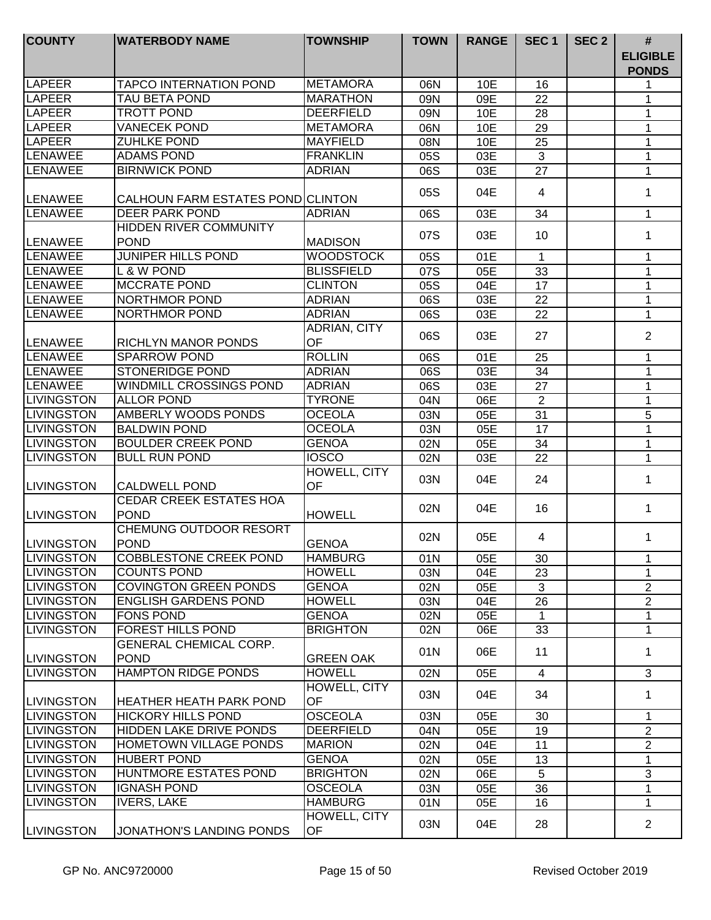| <b>COUNTY</b>                            | <b>WATERBODY NAME</b>                               | <b>TOWNSHIP</b>    | <b>TOWN</b> | <b>RANGE</b> | SEC <sub>1</sub> | SEC <sub>2</sub> | $\#$                            |
|------------------------------------------|-----------------------------------------------------|--------------------|-------------|--------------|------------------|------------------|---------------------------------|
|                                          |                                                     |                    |             |              |                  |                  | <b>ELIGIBLE</b><br><b>PONDS</b> |
| LAPEER                                   | <b>TAPCO INTERNATION POND</b>                       | <b>METAMORA</b>    | 06N         | 10E          | 16               |                  |                                 |
| <b>LAPEER</b>                            | <b>TAU BETA POND</b>                                | <b>MARATHON</b>    | 09N         | 09E          | 22               |                  | 1                               |
| LAPEER                                   | <b>TROTT POND</b>                                   | <b>DEERFIELD</b>   | 09N         | 10E          | 28               |                  | 1                               |
| <b>LAPEER</b>                            | <b>VANECEK POND</b>                                 | <b>METAMORA</b>    | 06N         | 10E          | 29               |                  | 1                               |
| <b>LAPEER</b>                            | <b>ZUHLKE POND</b>                                  | <b>MAYFIELD</b>    | 08N         | 10E          | 25               |                  | 1                               |
| <b>LENAWEE</b>                           | <b>ADAMS POND</b>                                   | <b>FRANKLIN</b>    | 05S         | 03E          | $\mathbf{3}$     |                  | $\mathbf 1$                     |
| LENAWEE                                  | <b>BIRNWICK POND</b>                                | <b>ADRIAN</b>      | 06S         | 03E          | 27               |                  | $\mathbf{1}$                    |
| <b>ILENAWEE</b>                          | CALHOUN FARM ESTATES PONDICLINTON                   |                    | 05S         | 04E          | 4                |                  | 1                               |
| LENAWEE                                  | <b>DEER PARK POND</b>                               | <b>ADRIAN</b>      | 06S         | 03E          | 34               |                  | $\mathbf 1$                     |
|                                          | <b>HIDDEN RIVER COMMUNITY</b>                       |                    |             |              |                  |                  |                                 |
| <b>LENAWEE</b>                           | <b>POND</b>                                         | <b>MADISON</b>     | 07S         | 03E          | 10               |                  | 1                               |
| LENAWEE                                  | <b>JUNIPER HILLS POND</b>                           | <b>WOODSTOCK</b>   | 05S         | 01E          | $\mathbf{1}$     |                  | 1                               |
| LENAWEE                                  | L & W POND                                          | <b>BLISSFIELD</b>  | 07S         | 05E          | 33               |                  | 1                               |
| LENAWEE                                  | <b>MCCRATE POND</b>                                 | <b>CLINTON</b>     | 05S         | 04E          | 17               |                  | $\mathbf{1}$                    |
| <b>LENAWEE</b>                           | NORTHMOR POND                                       | <b>ADRIAN</b>      | 06S         | 03E          | 22               |                  | $\mathbf 1$                     |
| <b>LENAWEE</b>                           | NORTHMOR POND                                       | <b>ADRIAN</b>      | 06S         | 03E          | 22               |                  | 1                               |
| <b>LENAWEE</b>                           | RICHLYN MANOR PONDS                                 | ADRIAN, CITY<br>OF | 06S         | 03E          | 27               |                  | $\overline{2}$                  |
| <b>LENAWEE</b>                           | <b>SPARROW POND</b>                                 | <b>ROLLIN</b>      | 06S         | 01E          | 25               |                  | 1                               |
| <b>LENAWEE</b>                           | <b>STONERIDGE POND</b>                              | <b>ADRIAN</b>      | 06S         | 03E          | 34               |                  | 1                               |
| <b>LENAWEE</b>                           | WINDMILL CROSSINGS POND                             | <b>ADRIAN</b>      | 06S         | 03E          | 27               |                  | 1                               |
| <b>LIVINGSTON</b>                        | <b>ALLOR POND</b>                                   | <b>TYRONE</b>      | 04N         | 06E          | $\overline{2}$   |                  | $\mathbf{1}$                    |
| <b>LIVINGSTON</b>                        | <b>AMBERLY WOODS PONDS</b>                          | <b>OCEOLA</b>      | 03N         | 05E          | 31               |                  | 5                               |
| <b>LIVINGSTON</b>                        | <b>BALDWIN POND</b>                                 | <b>OCEOLA</b>      | 03N         | 05E          | $\overline{17}$  |                  | 1                               |
| <b>LIVINGSTON</b>                        | <b>BOULDER CREEK POND</b>                           | <b>GENOA</b>       | 02N         | 05E          | 34               |                  | 1                               |
| <b>LIVINGSTON</b>                        | <b>BULL RUN POND</b>                                | <b>IOSCO</b>       | 02N         | 03E          | 22               |                  | $\mathbf{1}$                    |
|                                          |                                                     | HOWELL, CITY       |             |              |                  |                  |                                 |
| <b>LIVINGSTON</b>                        | <b>CALDWELL POND</b>                                | OF                 | 03N         | 04E          | 24               |                  | 1                               |
|                                          | <b>CEDAR CREEK ESTATES HOA</b>                      |                    |             |              |                  |                  |                                 |
| <b>LIVINGSTON</b>                        | <b>POND</b>                                         | <b>HOWELL</b>      | 02N         | 04E          | 16               |                  | 1                               |
|                                          | CHEMUNG OUTDOOR RESORT                              |                    |             |              |                  |                  |                                 |
| <b>LIVINGSTON</b>                        | <b>POND</b>                                         | <b>GENOA</b>       | 02N         | 05E          | 4                |                  | 1                               |
|                                          |                                                     | IHAMBURG           |             |              |                  |                  |                                 |
| <b>I</b> LIVINGSTON<br><b>LIVINGSTON</b> | <b>COBBLESTONE CREEK POND</b><br><b>COUNTS POND</b> | <b>HOWELL</b>      | 01N         | 05E          | 30<br>23         |                  | 1.<br>1                         |
| <b>LIVINGSTON</b>                        | <b>COVINGTON GREEN PONDS</b>                        | <b>GENOA</b>       | 03N<br>02N  | 04E          | 3                |                  | $\overline{2}$                  |
| <b>LIVINGSTON</b>                        | <b>ENGLISH GARDENS POND</b>                         | <b>HOWELL</b>      |             | 05E          |                  |                  |                                 |
| <b>LIVINGSTON</b>                        | <b>FONS POND</b>                                    | <b>GENOA</b>       | 03N         | 04E          | 26<br>1          |                  | $\overline{2}$<br>1             |
|                                          | <b>FOREST HILLS POND</b>                            |                    | 02N         | 05E          |                  |                  | 1                               |
| <b>LIVINGSTON</b>                        | <b>GENERAL CHEMICAL CORP.</b>                       | <b>BRIGHTON</b>    | 02N         | 06E          | 33               |                  |                                 |
| <b>LIVINGSTON</b>                        | <b>POND</b>                                         | <b>GREEN OAK</b>   | 01N         | 06E          | 11               |                  | $\mathbf 1$                     |
| <b>ILIVINGSTON</b>                       | <b>HAMPTON RIDGE PONDS</b>                          | <b>HOWELL</b>      | 02N         | 05E          | $\overline{4}$   |                  | 3                               |
|                                          |                                                     | HOWELL, CITY       | 03N         | 04E          | 34               |                  | 1                               |
| <b>LIVINGSTON</b>                        | <b>HEATHER HEATH PARK POND</b>                      | <b>OF</b>          |             |              |                  |                  |                                 |
| <b>LIVINGSTON</b>                        | <b>HICKORY HILLS POND</b>                           | <b>OSCEOLA</b>     | 03N         | 05E          | 30               |                  | 1                               |
| <b>LIVINGSTON</b>                        | HIDDEN LAKE DRIVE PONDS                             | <b>DEERFIELD</b>   | 04N         | 05E          | 19               |                  | $\overline{2}$                  |
| <b>LIVINGSTON</b>                        | HOMETOWN VILLAGE PONDS                              | <b>MARION</b>      | 02N         | 04E          | 11               |                  | $\overline{2}$                  |
| <b>LIVINGSTON</b>                        | <b>HUBERT POND</b>                                  | <b>GENOA</b>       | 02N         | 05E          | 13               |                  | $\mathbf 1$                     |
| <b>LIVINGSTON</b>                        | HUNTMORE ESTATES POND                               | <b>BRIGHTON</b>    | 02N         | 06E          | 5                |                  | 3                               |
| <b>LIVINGSTON</b>                        | <b>IGNASH POND</b>                                  | <b>OSCEOLA</b>     | 03N         | 05E          | 36               |                  | 1                               |
| <b>LIVINGSTON</b>                        | <b>IVERS, LAKE</b>                                  | <b>HAMBURG</b>     | 01N         | 05E          | 16               |                  | $\mathbf 1$                     |
| <b>LIVINGSTON</b>                        | JONATHON'S LANDING PONDS                            | HOWELL, CITY<br>OF | 03N         | 04E          | 28               |                  | $\overline{2}$                  |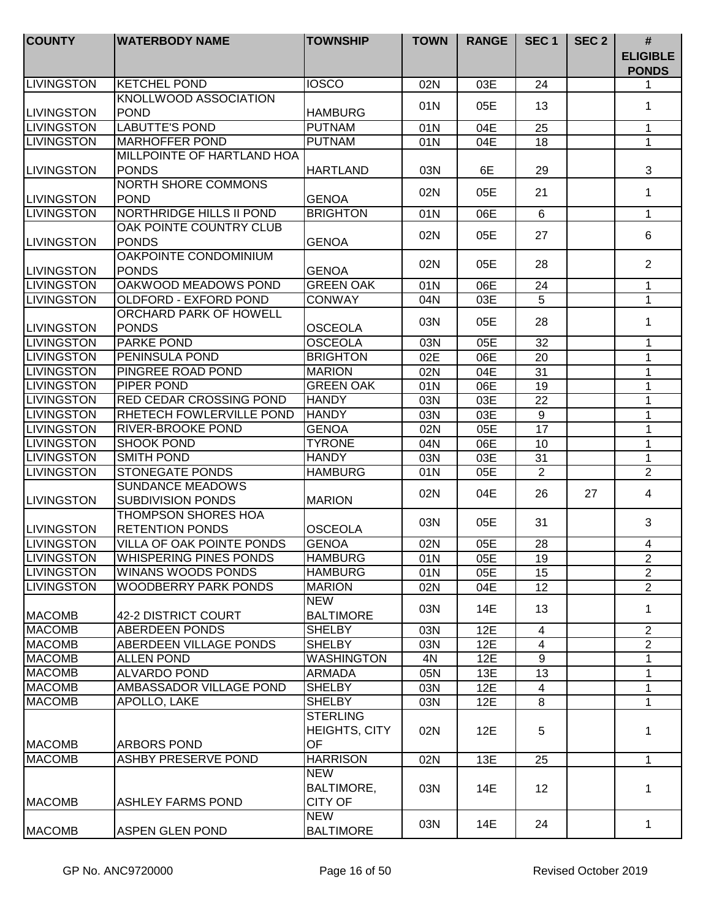| <b>COUNTY</b>     | <b>WATERBODY NAME</b>                | <b>TOWNSHIP</b>                        | <b>TOWN</b> | <b>RANGE</b> | SEC <sub>1</sub> | SEC <sub>2</sub> | $\#$<br><b>ELIGIBLE</b><br><b>PONDS</b> |
|-------------------|--------------------------------------|----------------------------------------|-------------|--------------|------------------|------------------|-----------------------------------------|
| <b>LIVINGSTON</b> | <b>KETCHEL POND</b>                  | <b>IOSCO</b>                           | 02N         | 03E          | 24               |                  | 1                                       |
| <b>LIVINGSTON</b> | KNOLLWOOD ASSOCIATION<br><b>POND</b> | <b>HAMBURG</b>                         | 01N         | 05E          | 13               |                  | 1                                       |
| <b>LIVINGSTON</b> | <b>LABUTTE'S POND</b>                | <b>PUTNAM</b>                          | 01N         | 04E          | 25               |                  | 1                                       |
| <b>LIVINGSTON</b> | <b>MARHOFFER POND</b>                | <b>PUTNAM</b>                          | 01N         | 04E          | 18               |                  | $\mathbf{1}$                            |
|                   | MILLPOINTE OF HARTLAND HOA           |                                        |             |              |                  |                  |                                         |
| <b>LIVINGSTON</b> | <b>PONDS</b>                         | <b>HARTLAND</b>                        | 03N         | 6E           | 29               |                  | 3                                       |
|                   | <b>NORTH SHORE COMMONS</b>           |                                        | 02N         | 05E          | 21               |                  | $\mathbf 1$                             |
| <b>LIVINGSTON</b> | <b>POND</b>                          | <b>GENOA</b>                           |             |              |                  |                  |                                         |
| <b>LIVINGSTON</b> | NORTHRIDGE HILLS II POND             | <b>BRIGHTON</b>                        | 01N         | 06E          | 6                |                  | 1                                       |
|                   | OAK POINTE COUNTRY CLUB              |                                        | 02N         | 05E          | 27               |                  | 6                                       |
| <b>LIVINGSTON</b> | <b>PONDS</b>                         | <b>GENOA</b>                           |             |              |                  |                  |                                         |
|                   | OAKPOINTE CONDOMINIUM                |                                        | 02N         | 05E          | 28               |                  | $\overline{2}$                          |
| <b>LIVINGSTON</b> | <b>PONDS</b>                         | <b>GENOA</b>                           |             |              |                  |                  |                                         |
| <b>LIVINGSTON</b> | OAKWOOD MEADOWS POND                 | <b>GREEN OAK</b>                       | 01N         | 06E          | 24               |                  | $\mathbf 1$                             |
| <b>LIVINGSTON</b> | OLDFORD - EXFORD POND                | <b>CONWAY</b>                          | 04N         | 03E          | 5                |                  | 1                                       |
|                   | ORCHARD PARK OF HOWELL               |                                        | 03N         | 05E          | 28               |                  | 1                                       |
| <b>LIVINGSTON</b> | <b>PONDS</b>                         | <b>OSCEOLA</b>                         |             |              |                  |                  |                                         |
| <b>LIVINGSTON</b> | <b>PARKE POND</b>                    | <b>OSCEOLA</b>                         | 03N         | 05E          | 32               |                  | 1                                       |
| <b>LIVINGSTON</b> | <b>PENINSULA POND</b>                | <b>BRIGHTON</b>                        | 02E         | 06E          | 20               |                  | 1                                       |
| <b>LIVINGSTON</b> | PINGREE ROAD POND                    | <b>MARION</b>                          | 02N         | 04E          | 31               |                  | 1                                       |
| <b>LIVINGSTON</b> | <b>PIPER POND</b>                    | <b>GREEN OAK</b>                       | 01N         | 06E          | 19               |                  | 1                                       |
| <b>LIVINGSTON</b> | <b>RED CEDAR CROSSING POND</b>       | <b>HANDY</b>                           | 03N         | 03E          | 22               |                  | $\mathbf{1}$                            |
| <b>LIVINGSTON</b> | RHETECH FOWLERVILLE POND             | <b>HANDY</b>                           | 03N         | 03E          | $\overline{9}$   |                  | $\mathbf{1}$                            |
| <b>LIVINGSTON</b> | RIVER-BROOKE POND                    | <b>GENOA</b>                           | 02N         | 05E          | $\overline{17}$  |                  | $\mathbf{1}$                            |
| <b>LIVINGSTON</b> | <b>SHOOK POND</b>                    | <b>TYRONE</b>                          | 04N         | 06E          | 10               |                  | $\mathbf{1}$                            |
| <b>LIVINGSTON</b> | <b>SMITH POND</b>                    | <b>HANDY</b>                           | 03N         | 03E          | 31               |                  | $\mathbf{1}$                            |
| <b>LIVINGSTON</b> | <b>STONEGATE PONDS</b>               | <b>HAMBURG</b>                         | 01N         | 05E          | $\overline{2}$   |                  | $\overline{2}$                          |
|                   | <b>SUNDANCE MEADOWS</b>              |                                        | 02N         | 04E          | 26               | 27               | 4                                       |
| <b>LIVINGSTON</b> | <b>SUBDIVISION PONDS</b>             | <b>MARION</b>                          |             |              |                  |                  |                                         |
|                   | <b>THOMPSON SHORES HOA</b>           |                                        | 03N         | 05E          | 31               |                  | 3                                       |
| <b>LIVINGSTON</b> | <b>RETENTION PONDS</b>               | <b>OSCEOLA</b>                         |             |              |                  |                  |                                         |
| <b>LIVINGSTON</b> | VILLA OF OAK POINTE PONDS            | <b>GENOA</b>                           | 02N         | 05E          | 28               |                  | 4                                       |
| ILIVINGSTON       | WHISPERING PINES PONDS               | <b>HAMBURG</b>                         | 01N         | 05E          | 19               |                  | $\overline{2}$                          |
| <b>LIVINGSTON</b> | WINANS WOODS PONDS                   | <b>HAMBURG</b>                         | 01N         | 05E          | 15               |                  | $\overline{2}$                          |
| <b>LIVINGSTON</b> | <b>WOODBERRY PARK PONDS</b>          | <b>MARION</b>                          | 02N         | 04E          | 12               |                  | $\overline{2}$                          |
|                   |                                      | <b>NEW</b>                             | 03N         | 14E          | 13               |                  | 1                                       |
| <b>MACOMB</b>     | 42-2 DISTRICT COURT                  | <b>BALTIMORE</b>                       |             |              |                  |                  |                                         |
| <b>MACOMB</b>     | ABERDEEN PONDS                       | <b>SHELBY</b>                          | 03N         | 12E          | $\overline{4}$   |                  | $\overline{2}$                          |
| <b>MACOMB</b>     | <b>ABERDEEN VILLAGE PONDS</b>        | <b>SHELBY</b>                          | 03N         | 12E          | $\overline{4}$   |                  | $\overline{2}$                          |
| <b>MACOMB</b>     | <b>ALLEN POND</b>                    | <b>WASHINGTON</b>                      | 4N          | 12E          | 9                |                  | $\mathbf{1}$                            |
| <b>MACOMB</b>     | <b>ALVARDO POND</b>                  | <b>ARMADA</b>                          | 05N         | 13E          | 13               |                  | $\mathbf 1$                             |
| <b>MACOMB</b>     | AMBASSADOR VILLAGE POND              | <b>SHELBY</b>                          | 03N         | 12E          | 4                |                  | 1                                       |
| <b>MACOMB</b>     | APOLLO, LAKE                         | <b>SHELBY</b>                          | 03N         | 12E          | 8                |                  | 1                                       |
| <b>MACOMB</b>     | ARBORS POND                          | <b>STERLING</b><br>HEIGHTS, CITY<br>OF | 02N         | 12E          | 5                |                  | 1                                       |
| <b>MACOMB</b>     | ASHBY PRESERVE POND                  | <b>HARRISON</b>                        | 02N         | 13E          | 25               |                  | 1                                       |
|                   |                                      | <b>NEW</b>                             |             |              |                  |                  |                                         |
| <b>MACOMB</b>     | <b>ASHLEY FARMS POND</b>             | <b>BALTIMORE,</b><br><b>CITY OF</b>    | 03N         | 14E          | 12 <sup>2</sup>  |                  | 1                                       |
| <b>MACOMB</b>     | <b>ASPEN GLEN POND</b>               | <b>NEW</b><br><b>BALTIMORE</b>         | 03N         | 14E          | 24               |                  | 1                                       |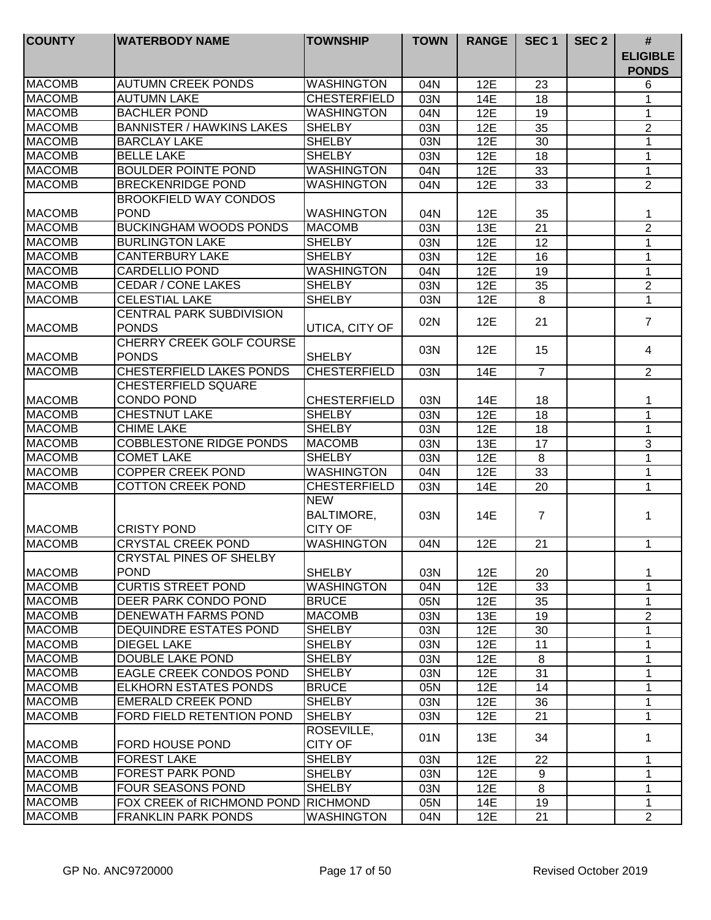| <b>COUNTY</b>  | <b>WATERBODY NAME</b>                           | <b>TOWNSHIP</b>                                   | <b>TOWN</b> | <b>RANGE</b> | SEC <sub>1</sub>    | SEC <sub>2</sub> | #<br><b>ELIGIBLE</b><br><b>PONDS</b> |
|----------------|-------------------------------------------------|---------------------------------------------------|-------------|--------------|---------------------|------------------|--------------------------------------|
| <b>MACOMB</b>  | <b>AUTUMN CREEK PONDS</b>                       | <b>WASHINGTON</b>                                 | 04N         | 12E          | 23                  |                  | 6                                    |
| <b>MACOMB</b>  | <b>AUTUMN LAKE</b>                              | <b>CHESTERFIELD</b>                               | 03N         | 14E          | 18                  |                  | 1                                    |
| <b>MACOMB</b>  | <b>BACHLER POND</b>                             | <b>WASHINGTON</b>                                 | 04N         | 12E          | 19                  |                  | 1                                    |
| <b>MACOMB</b>  | <b>BANNISTER / HAWKINS LAKES</b>                | <b>SHELBY</b>                                     | 03N         | 12E          | 35                  |                  | $\mathbf{2}$                         |
| <b>MACOMB</b>  | <b>BARCLAY LAKE</b>                             | <b>SHELBY</b>                                     | 03N         | 12E          | 30                  |                  | 1                                    |
| <b>MACOMB</b>  | <b>BELLE LAKE</b>                               | <b>SHELBY</b>                                     | 03N         | 12E          | 18                  |                  | 1                                    |
| <b>MACOMB</b>  | <b>BOULDER POINTE POND</b>                      | <b>WASHINGTON</b>                                 | 04N         | 12E          | 33                  |                  | $\mathbf{1}$                         |
| <b>MACOMB</b>  | <b>BRECKENRIDGE POND</b>                        | <b>WASHINGTON</b>                                 | 04N         | 12E          | 33                  |                  | $\overline{2}$                       |
| <b>MACOMB</b>  | <b>BROOKFIELD WAY CONDOS</b><br><b>POND</b>     | <b>WASHINGTON</b>                                 | 04N         | 12E          | 35                  |                  | 1                                    |
| <b>MACOMB</b>  | <b>BUCKINGHAM WOODS PONDS</b>                   | <b>MACOMB</b>                                     | 03N         | 13E          | $\overline{21}$     |                  | $\overline{2}$                       |
| <b>MACOMB</b>  | <b>BURLINGTON LAKE</b>                          | <b>SHELBY</b>                                     | 03N         | 12E          | 12                  |                  | 1                                    |
| <b>MACOMB</b>  | <b>CANTERBURY LAKE</b>                          | <b>SHELBY</b>                                     | 03N         | 12E          | 16                  |                  | 1                                    |
| <b>MACOMB</b>  | <b>CARDELLIO POND</b>                           | <b>WASHINGTON</b>                                 | 04N         | 12E          | 19                  |                  | $\mathbf 1$                          |
| <b>MACOMB</b>  | <b>CEDAR / CONE LAKES</b>                       | <b>SHELBY</b>                                     | 03N         | 12E          | 35                  |                  | $\overline{2}$                       |
| <b>MACOMB</b>  | <b>CELESTIAL LAKE</b>                           | <b>SHELBY</b>                                     | 03N         | 12E          | 8                   |                  | $\mathbf{1}$                         |
| <b>MACOMB</b>  | <b>CENTRAL PARK SUBDIVISION</b><br><b>PONDS</b> | UTICA, CITY OF                                    | 02N         | 12E          | 21                  |                  | $\overline{7}$                       |
| <b>MACOMB</b>  | <b>CHERRY CREEK GOLF COURSE</b><br><b>PONDS</b> | <b>SHELBY</b>                                     | 03N         | 12E          | 15                  |                  | 4                                    |
| <b>MACOMB</b>  | <b>CHESTERFIELD LAKES PONDS</b>                 | <b>CHESTERFIELD</b>                               | 03N         | 14E          | $\overline{7}$      |                  | $\overline{2}$                       |
| <b>MACOMB</b>  | CHESTERFIELD SQUARE<br><b>CONDO POND</b>        | <b>CHESTERFIELD</b>                               | 03N         | 14E          | 18                  |                  | 1                                    |
| <b>MACOMB</b>  | <b>CHESTNUT LAKE</b>                            | <b>SHELBY</b>                                     | 03N         | 12E          | 18                  |                  | $\mathbf{1}$                         |
| <b>MACOMB</b>  | <b>CHIME LAKE</b>                               | <b>SHELBY</b>                                     | 03N         | 12E          | 18                  |                  | $\mathbf{1}$                         |
| <b>MACOMB</b>  | <b>COBBLESTONE RIDGE PONDS</b>                  | <b>MACOMB</b>                                     | 03N         | 13E          | 17                  |                  | 3                                    |
| <b>MACOMB</b>  | <b>COMET LAKE</b>                               | <b>SHELBY</b>                                     | 03N         | 12E          | $\overline{\infty}$ |                  | $\mathbf{1}$                         |
| <b>MACOMB</b>  | <b>COPPER CREEK POND</b>                        | <b>WASHINGTON</b>                                 | 04N         | 12E          | 33                  |                  | $\mathbf{1}$                         |
| <b>MACOMB</b>  | <b>COTTON CREEK POND</b>                        | <b>CHESTERFIELD</b>                               | 03N         | 14E          | 20                  |                  | 1                                    |
| <b>IMACOMB</b> | <b>CRISTY POND</b>                              | <b>NEW</b><br><b>BALTIMORE,</b><br><b>CITY OF</b> | 03N         | 14E          | $\overline{7}$      |                  | 1                                    |
| <b>MACOMB</b>  | <b>CRYSTAL CREEK POND</b>                       | <b>WASHINGTON</b>                                 | 04N         | 12E          | 21                  |                  | 1                                    |
| <b>MACOMB</b>  | CRYSTAL PINES OF SHELBY<br><b>POND</b>          | <b>SHELBY</b>                                     | 03N         | 12E          | 20                  |                  | 1                                    |
| <b>MACOMB</b>  | <b>CURTIS STREET POND</b>                       | <b>WASHINGTON</b>                                 | 04N         | 12E          | 33                  |                  | $\mathbf 1$                          |
| <b>MACOMB</b>  | DEER PARK CONDO POND                            | <b>BRUCE</b>                                      | 05N         | 12E          | 35                  |                  | 1                                    |
| <b>MACOMB</b>  | DENEWATH FARMS POND                             | <b>MACOMB</b>                                     | 03N         | 13E          | 19                  |                  | $\overline{2}$                       |
| <b>MACOMB</b>  | <b>DEQUINDRE ESTATES POND</b>                   | <b>SHELBY</b>                                     | 03N         | 12E          | 30                  |                  | 1                                    |
| <b>MACOMB</b>  | <b>DIEGEL LAKE</b>                              | <b>SHELBY</b>                                     | 03N         | 12E          | 11                  |                  | 1                                    |
| <b>MACOMB</b>  | DOUBLE LAKE POND                                | <b>SHELBY</b>                                     | 03N         | 12E          | 8                   |                  | $\mathbf 1$                          |
| <b>MACOMB</b>  | <b>EAGLE CREEK CONDOS POND</b>                  | SHELBY                                            | 03N         | 12E          | 31                  |                  | 1                                    |
| <b>MACOMB</b>  | <b>ELKHORN ESTATES PONDS</b>                    | <b>BRUCE</b>                                      | 05N         | 12E          | 14                  |                  | 1                                    |
| <b>MACOMB</b>  | <b>EMERALD CREEK POND</b>                       | <b>SHELBY</b>                                     | 03N         | 12E          | 36                  |                  | $\mathbf{1}$                         |
| <b>MACOMB</b>  | <b>FORD FIELD RETENTION POND</b>                | <b>SHELBY</b>                                     | 03N         | 12E          | 21                  |                  | 1                                    |
| <b>MACOMB</b>  | <b>FORD HOUSE POND</b>                          | ROSEVILLE,<br><b>CITY OF</b>                      | 01N         | 13E          | 34                  |                  | 1                                    |
| <b>MACOMB</b>  | <b>FOREST LAKE</b>                              | <b>SHELBY</b>                                     | 03N         | 12E          | 22                  |                  | 1                                    |
| <b>MACOMB</b>  | <b>FOREST PARK POND</b>                         | <b>SHELBY</b>                                     | 03N         | 12E          | 9                   |                  | 1                                    |
| <b>MACOMB</b>  | <b>FOUR SEASONS POND</b>                        | <b>SHELBY</b>                                     | 03N         | 12E          | 8                   |                  | 1                                    |
| <b>MACOMB</b>  | FOX CREEK of RICHMOND POND                      | RICHMOND                                          | 05N         | 14E          | 19                  |                  | 1                                    |
| <b>MACOMB</b>  | <b>FRANKLIN PARK PONDS</b>                      | <b>WASHINGTON</b>                                 | 04N         | 12E          | 21                  |                  | $\overline{2}$                       |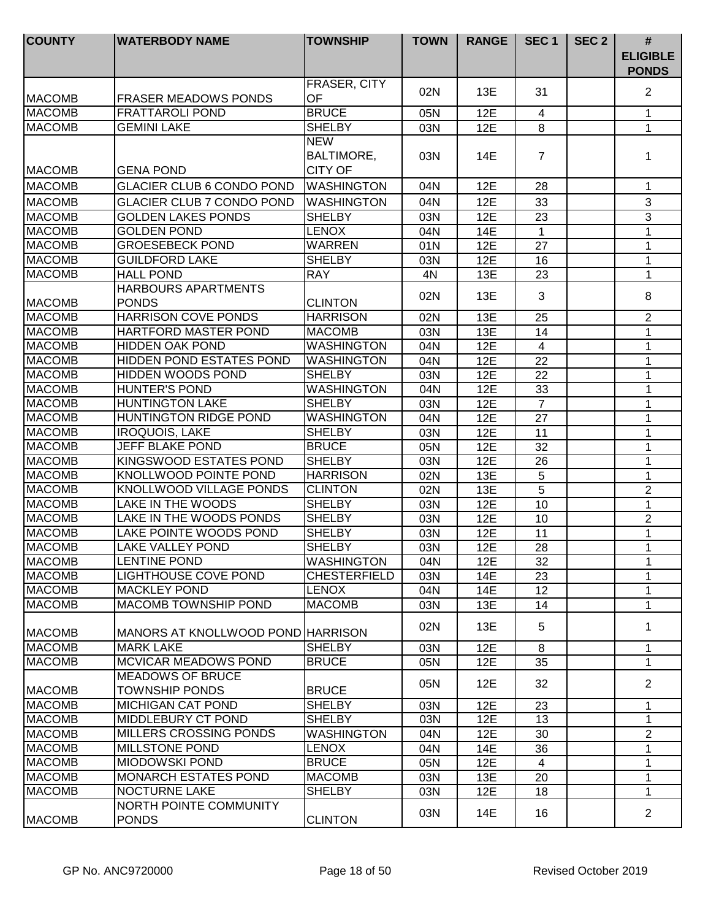| <b>COUNTY</b> | <b>WATERBODY NAME</b>                      | <b>TOWNSHIP</b>                                   | <b>TOWN</b> | <b>RANGE</b> | SEC <sub>1</sub>     | SEC <sub>2</sub> | $\#$<br><b>ELIGIBLE</b><br><b>PONDS</b> |
|---------------|--------------------------------------------|---------------------------------------------------|-------------|--------------|----------------------|------------------|-----------------------------------------|
| <b>MACOMB</b> | <b>FRASER MEADOWS PONDS</b>                | FRASER, CITY<br>OF                                | 02N         | 13E          | 31                   |                  | $\overline{2}$                          |
| <b>MACOMB</b> | <b>FRATTAROLI POND</b>                     | <b>BRUCE</b>                                      | 05N         | 12E          | $\overline{4}$       |                  | 1                                       |
| <b>MACOMB</b> | <b>GEMINI LAKE</b>                         | <b>SHELBY</b>                                     | 03N         | 12E          | 8                    |                  | 1                                       |
| <b>MACOMB</b> | <b>GENA POND</b>                           | <b>NEW</b><br><b>BALTIMORE,</b><br><b>CITY OF</b> | 03N         | 14E          | $\overline{7}$       |                  | 1                                       |
| <b>MACOMB</b> | <b>GLACIER CLUB 6 CONDO POND</b>           | <b>WASHINGTON</b>                                 | 04N         | 12E          | 28                   |                  | 1                                       |
| <b>MACOMB</b> | <b>GLACIER CLUB 7 CONDO POND</b>           | <b>WASHINGTON</b>                                 | 04N         | 12E          | 33                   |                  | 3                                       |
| <b>MACOMB</b> | <b>GOLDEN LAKES PONDS</b>                  | <b>SHELBY</b>                                     | 03N         | <b>12E</b>   | 23                   |                  | 3                                       |
| <b>MACOMB</b> | <b>GOLDEN POND</b>                         | <b>LENOX</b>                                      | 04N         | 14E          | 1                    |                  | 1                                       |
| <b>MACOMB</b> | <b>GROESEBECK POND</b>                     | <b>WARREN</b>                                     | 01N         | 12E          | 27                   |                  | 1                                       |
| <b>MACOMB</b> | <b>GUILDFORD LAKE</b>                      | <b>SHELBY</b>                                     | 03N         | 12E          | 16                   |                  | 1                                       |
| <b>MACOMB</b> | <b>HALL POND</b>                           | <b>RAY</b>                                        | 4N          | 13E          | 23                   |                  | 1                                       |
| <b>MACOMB</b> | <b>HARBOURS APARTMENTS</b><br><b>PONDS</b> | <b>CLINTON</b>                                    | 02N         | 13E          | 3                    |                  | 8                                       |
| <b>MACOMB</b> | <b>HARRISON COVE PONDS</b>                 | <b>HARRISON</b>                                   |             | 13E          | 25                   |                  | $\overline{2}$                          |
| <b>MACOMB</b> | HARTFORD MASTER POND                       | <b>MACOMB</b>                                     | 02N<br>03N  | 13E          |                      |                  | 1                                       |
| <b>MACOMB</b> | <b>HIDDEN OAK POND</b>                     | <b>WASHINGTON</b>                                 | 04N         | 12E          | 14<br>$\overline{4}$ |                  | 1                                       |
| <b>MACOMB</b> | <b>HIDDEN POND ESTATES POND</b>            | <b>WASHINGTON</b>                                 | 04N         | 12E          | 22                   |                  | 1                                       |
| <b>MACOMB</b> | <b>HIDDEN WOODS POND</b>                   | <b>SHELBY</b>                                     | 03N         | 12E          | 22                   |                  | 1                                       |
| <b>MACOMB</b> | <b>HUNTER'S POND</b>                       | <b>WASHINGTON</b>                                 | 04N         | 12E          | 33                   |                  | 1                                       |
| <b>MACOMB</b> | <b>HUNTINGTON LAKE</b>                     | <b>SHELBY</b>                                     | 03N         | 12E          | $\overline{7}$       |                  | 1                                       |
| <b>MACOMB</b> | HUNTINGTON RIDGE POND                      | <b>WASHINGTON</b>                                 | 04N         | 12E          | 27                   |                  | 1                                       |
| <b>MACOMB</b> | <b>IROQUOIS, LAKE</b>                      | <b>SHELBY</b>                                     | 03N         | 12E          | 11                   |                  | 1                                       |
| <b>MACOMB</b> | JEFF BLAKE POND                            | <b>BRUCE</b>                                      | 05N         | 12E          | 32                   |                  | 1                                       |
| <b>MACOMB</b> | KINGSWOOD ESTATES POND                     | <b>SHELBY</b>                                     | 03N         | 12E          | 26                   |                  | 1                                       |
| <b>MACOMB</b> | KNOLLWOOD POINTE POND                      | <b>HARRISON</b>                                   | 02N         | 13E          | 5                    |                  | 1                                       |
| <b>MACOMB</b> | KNOLLWOOD VILLAGE PONDS                    | <b>CLINTON</b>                                    | 02N         | 13E          | 5                    |                  | $\overline{2}$                          |
| <b>MACOMB</b> | LAKE IN THE WOODS                          | <b>SHELBY</b>                                     | 03N         | 12E          | 10                   |                  | 1                                       |
| <b>MACOMB</b> | LAKE IN THE WOODS PONDS                    | <b>SHELBY</b>                                     | 03N         | 12E          | 10                   |                  | $\overline{2}$                          |
| <b>MACOMB</b> | LAKE POINTE WOODS POND                     | <b>SHELBY</b>                                     | 03N         | 12E          | 11                   |                  | $\mathbf{1}$                            |
| <b>MACOMB</b> | <b>LAKE VALLEY POND</b>                    | <b>SHELBY</b>                                     | 03N         | 12E          | 28                   |                  | $\mathbf{1}$                            |
| <b>MACOMB</b> | <b>LENTINE POND</b>                        | <b>WASHINGTON</b>                                 | 04N         | 12E          | 32                   |                  | 1                                       |
| <b>MACOMB</b> | <b>LIGHTHOUSE COVE POND</b>                | <b>CHESTERFIELD</b>                               | 03N         | 14E          | 23                   |                  | 1                                       |
| <b>MACOMB</b> | <b>MACKLEY POND</b>                        | <b>LENOX</b>                                      | 04N         | 14E          | 12                   |                  | $\mathbf{1}$                            |
| <b>MACOMB</b> | <b>MACOMB TOWNSHIP POND</b>                | <b>MACOMB</b>                                     | 03N         | 13E          | 14                   |                  | 1                                       |
| <b>MACOMB</b> | MANORS AT KNOLLWOOD POND HARRISON          |                                                   | 02N         | 13E          | 5                    |                  | 1                                       |
| <b>MACOMB</b> | <b>MARK LAKE</b>                           | <b>SHELBY</b>                                     | 03N         | 12E          | 8                    |                  | $\mathbf 1$                             |
| <b>MACOMB</b> | <b>MCVICAR MEADOWS POND</b>                | <b>BRUCE</b>                                      | 05N         | 12E          | 35                   |                  | 1                                       |
|               | <b>MEADOWS OF BRUCE</b>                    |                                                   |             |              |                      |                  |                                         |
| <b>MACOMB</b> | <b>TOWNSHIP PONDS</b>                      | <b>BRUCE</b>                                      | 05N         | 12E          | 32                   |                  | $\overline{2}$                          |
| <b>MACOMB</b> | <b>MICHIGAN CAT POND</b>                   | <b>SHELBY</b>                                     | 03N         | 12E          | 23                   |                  | 1                                       |
| <b>MACOMB</b> | MIDDLEBURY CT POND                         | <b>SHELBY</b>                                     | 03N         | 12E          | 13                   |                  | 1                                       |
| <b>MACOMB</b> | MILLERS CROSSING PONDS                     | <b>WASHINGTON</b>                                 | 04N         | 12E          | 30                   |                  | $\overline{2}$                          |
| <b>MACOMB</b> | <b>MILLSTONE POND</b>                      | <b>LENOX</b>                                      | 04N         | 14E          | 36                   |                  | 1                                       |
| <b>MACOMB</b> | MIODOWSKI POND                             | <b>BRUCE</b>                                      | 05N         | 12E          | $\overline{4}$       |                  | $\mathbf 1$                             |
| <b>MACOMB</b> | <b>MONARCH ESTATES POND</b>                | <b>MACOMB</b>                                     | 03N         | 13E          | 20                   |                  | $\mathbf{1}$                            |
| <b>MACOMB</b> | NOCTURNE LAKE                              | <b>SHELBY</b>                                     | 03N         | 12E          | 18                   |                  | $\mathbf{1}$                            |
| <b>MACOMB</b> | NORTH POINTE COMMUNITY<br><b>PONDS</b>     | <b>CLINTON</b>                                    | 03N         | 14E          | 16                   |                  | $\overline{2}$                          |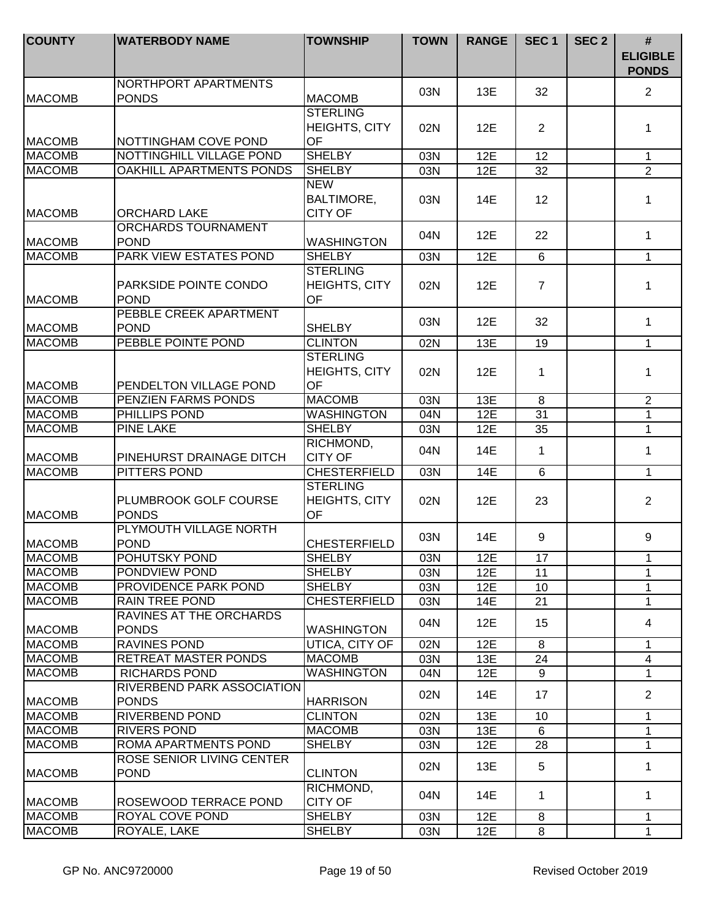| <b>COUNTY</b> | <b>WATERBODY NAME</b>                             | <b>TOWNSHIP</b>                                      | <b>TOWN</b>       | <b>RANGE</b> | SEC <sub>1</sub>  | SEC <sub>2</sub> | #<br><b>ELIGIBLE</b><br><b>PONDS</b> |
|---------------|---------------------------------------------------|------------------------------------------------------|-------------------|--------------|-------------------|------------------|--------------------------------------|
| <b>MACOMB</b> | NORTHPORT APARTMENTS<br><b>PONDS</b>              | <b>MACOMB</b>                                        | 03N               | 13E          | 32                |                  | 2                                    |
| <b>MACOMB</b> | NOTTINGHAM COVE POND                              | <b>STERLING</b><br><b>HEIGHTS, CITY</b><br><b>OF</b> | 02N               | 12E          | 2                 |                  | 1                                    |
| <b>MACOMB</b> | NOTTINGHILL VILLAGE POND                          | <b>SHELBY</b>                                        | 03N               | 12E          | 12                |                  | $\mathbf{1}$                         |
| <b>MACOMB</b> | <b>OAKHILL APARTMENTS PONDS</b>                   | <b>SHELBY</b>                                        | 03N               | 12E          | 32                |                  | $\overline{2}$                       |
| <b>MACOMB</b> | <b>ORCHARD LAKE</b>                               | <b>NEW</b><br><b>BALTIMORE,</b><br><b>CITY OF</b>    | 03N               | 14E          | $12 \overline{ }$ |                  | 1                                    |
| <b>MACOMB</b> | ORCHARDS TOURNAMENT<br><b>POND</b>                | <b>WASHINGTON</b>                                    | 04N               | 12E          | 22                |                  | $\mathbf{1}$                         |
| <b>MACOMB</b> | PARK VIEW ESTATES POND                            | <b>SHELBY</b>                                        |                   | 12E          | 6                 |                  | $\mathbf{1}$                         |
| <b>MACOMB</b> | PARKSIDE POINTE CONDO<br><b>POND</b>              | <b>STERLING</b><br><b>HEIGHTS, CITY</b><br>OF        | 03N<br>02N        | 12E          | $\overline{7}$    |                  | 1                                    |
| <b>MACOMB</b> | PEBBLE CREEK APARTMENT<br><b>POND</b>             | <b>SHELBY</b>                                        | 03N               | 12E          | 32                |                  | $\mathbf{1}$                         |
| <b>MACOMB</b> | PEBBLE POINTE POND                                | <b>CLINTON</b>                                       | 02N               | 13E          | 19                |                  | $\mathbf{1}$                         |
| <b>MACOMB</b> | PENDELTON VILLAGE POND                            | <b>STERLING</b><br><b>HEIGHTS, CITY</b><br>OF        | 02N               | 12E          | 1                 |                  | 1                                    |
| <b>MACOMB</b> | PENZIEN FARMS PONDS                               | <b>MACOMB</b>                                        | $\overline{0}$ 3N | 13E          | $\overline{8}$    |                  | $\overline{2}$                       |
| <b>MACOMB</b> | PHILLIPS POND                                     | <b>WASHINGTON</b>                                    | 04N               | 12E          | $\overline{31}$   |                  | $\mathbf 1$                          |
| <b>MACOMB</b> | <b>PINE LAKE</b>                                  | <b>SHELBY</b>                                        | 03N               | 12E          | 35                |                  | $\mathbf{1}$                         |
| <b>MACOMB</b> | PINEHURST DRAINAGE DITCH                          | RICHMOND,<br><b>CITY OF</b>                          | 04N               | 14E          | $\mathbf 1$       |                  | $\mathbf{1}$                         |
| <b>MACOMB</b> | PITTERS POND                                      | <b>CHESTERFIELD</b>                                  | 03N               | 14E          | $6\phantom{1}$    |                  | 1                                    |
| <b>MACOMB</b> | PLUMBROOK GOLF COURSE<br><b>PONDS</b>             | <b>STERLING</b><br><b>HEIGHTS, CITY</b><br>OF        | 02N               | 12E          | 23                |                  | $\overline{2}$                       |
| <b>MACOMB</b> | PLYMOUTH VILLAGE NORTH<br><b>POND</b>             | <b>CHESTERFIELD</b>                                  | 03N               | 14E          | 9                 |                  | 9                                    |
| <b>MACOMB</b> | POHUTSKY POND                                     | <b>SHELBY</b>                                        | 03N               | 12E          | 17                |                  | 1                                    |
| <b>MACOMB</b> | PONDVIEW POND                                     | <b>SHELBY</b>                                        | 03N               | 12E          | 11                |                  | 1                                    |
| <b>MACOMB</b> | PROVIDENCE PARK POND                              | <b>SHELBY</b>                                        | 03N               | 12E          | 10                |                  | 1                                    |
| <b>MACOMB</b> | <b>RAIN TREE POND</b>                             | <b>CHESTERFIELD</b>                                  | 03N               | 14E          | 21                |                  | $\mathbf{1}$                         |
| <b>MACOMB</b> | RAVINES AT THE ORCHARDS<br><b>PONDS</b>           | <b>WASHINGTON</b>                                    | 04N               | 12E          | 15                |                  | 4                                    |
| <b>MACOMB</b> | <b>RAVINES POND</b>                               | UTICA, CITY OF                                       | 02N               | 12E          | 8                 |                  | 1                                    |
| <b>MACOMB</b> | RETREAT MASTER PONDS                              | <b>MACOMB</b>                                        | 03N               | 13E          | 24                |                  | 4                                    |
| <b>MACOMB</b> | <b>RICHARDS POND</b>                              | <b>WASHINGTON</b>                                    | 04N               | 12E          | 9                 |                  | $\mathbf{1}$                         |
| <b>MACOMB</b> | <b>RIVERBEND PARK ASSOCIATION</b><br><b>PONDS</b> | <b>HARRISON</b>                                      | 02N               | 14E          | 17                |                  | $\overline{2}$                       |
| <b>MACOMB</b> | RIVERBEND POND                                    | <b>CLINTON</b>                                       | 02N               | 13E          | 10                |                  | 1                                    |
| <b>MACOMB</b> | <b>RIVERS POND</b>                                | <b>MACOMB</b>                                        | 03N               | 13E          | 6                 |                  | 1                                    |
| <b>MACOMB</b> | ROMA APARTMENTS POND                              | <b>SHELBY</b>                                        | 03N               | 12E          | 28                |                  | 1                                    |
| <b>MACOMB</b> | ROSE SENIOR LIVING CENTER<br><b>POND</b>          | <b>CLINTON</b>                                       | 02N               | 13E          | 5                 |                  | 1                                    |
| <b>MACOMB</b> | ROSEWOOD TERRACE POND                             | RICHMOND,<br><b>CITY OF</b>                          | 04N               | 14E          | 1                 |                  | 1                                    |
| <b>MACOMB</b> | ROYAL COVE POND                                   | <b>SHELBY</b>                                        | 03N               | 12E          | 8                 |                  | $\mathbf{1}$                         |
| <b>MACOMB</b> | ROYALE, LAKE                                      | <b>SHELBY</b>                                        | 03N               | 12E          | 8                 |                  | $\mathbf{1}$                         |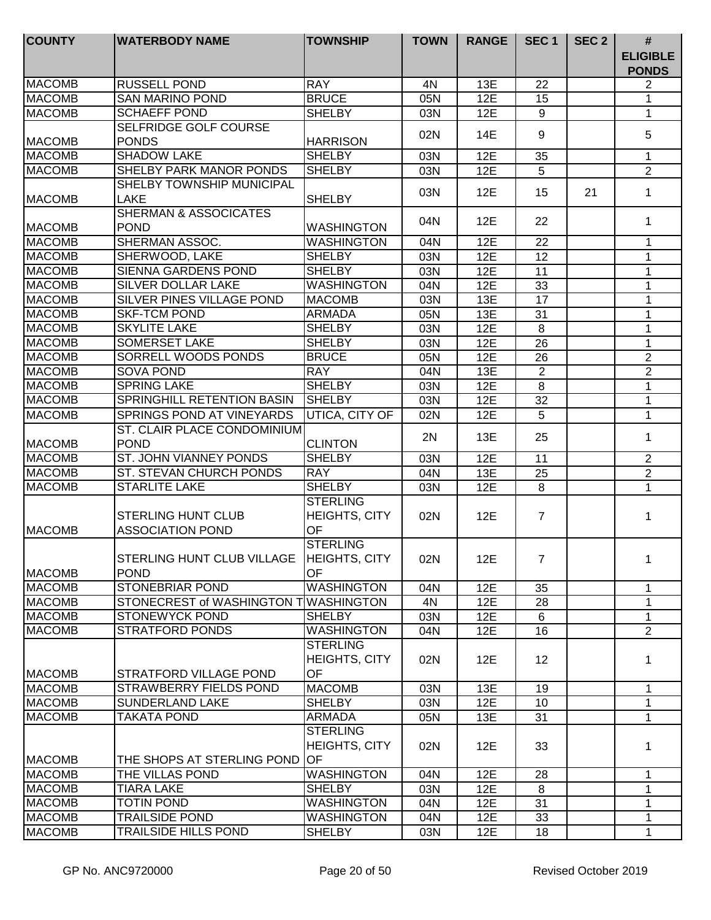| <b>COUNTY</b> | <b>WATERBODY NAME</b>                                     | <b>TOWNSHIP</b>                                      | <b>TOWN</b> | <b>RANGE</b> | SEC <sub>1</sub> | SEC <sub>2</sub> | #<br><b>ELIGIBLE</b><br><b>PONDS</b> |
|---------------|-----------------------------------------------------------|------------------------------------------------------|-------------|--------------|------------------|------------------|--------------------------------------|
| <b>MACOMB</b> | <b>RUSSELL POND</b>                                       | <b>RAY</b>                                           | 4N          | 13E          | 22               |                  | 2                                    |
| <b>MACOMB</b> | <b>SAN MARINO POND</b>                                    | <b>BRUCE</b>                                         | 05N         | 12E          | 15               |                  | 1                                    |
| <b>MACOMB</b> | <b>SCHAEFF POND</b>                                       | <b>SHELBY</b>                                        | 03N         | 12E          | 9                |                  | 1                                    |
|               | SELFRIDGE GOLF COURSE                                     |                                                      | 02N         | 14E          | 9                |                  | 5                                    |
| <b>MACOMB</b> | <b>PONDS</b>                                              | <b>HARRISON</b>                                      |             |              |                  |                  |                                      |
| <b>MACOMB</b> | <b>SHADOW LAKE</b>                                        | <b>SHELBY</b>                                        | 03N         | 12E          | 35               |                  | $\mathbf{1}$                         |
| <b>MACOMB</b> | SHELBY PARK MANOR PONDS                                   | <b>SHELBY</b>                                        | 03N         | 12E          | 5                |                  | $\overline{2}$                       |
| <b>MACOMB</b> | SHELBY TOWNSHIP MUNICIPAL<br><b>LAKE</b>                  | <b>SHELBY</b>                                        | 03N         | 12E          | 15               | 21               | $\mathbf 1$                          |
| <b>MACOMB</b> | <b>SHERMAN &amp; ASSOCICATES</b><br><b>POND</b>           | <b>WASHINGTON</b>                                    | 04N         | 12E          | 22               |                  | $\mathbf 1$                          |
| <b>MACOMB</b> | <b>SHERMAN ASSOC.</b>                                     | <b>WASHINGTON</b>                                    | 04N         | 12E          | 22               |                  | 1                                    |
| <b>MACOMB</b> | SHERWOOD, LAKE                                            | <b>SHELBY</b>                                        | 03N         | 12E          | 12               |                  | $\mathbf{1}$                         |
| <b>MACOMB</b> | SIENNA GARDENS POND                                       | <b>SHELBY</b>                                        | 03N         | 12E          | 11               |                  | 1                                    |
| <b>MACOMB</b> | <b>SILVER DOLLAR LAKE</b>                                 | <b>WASHINGTON</b>                                    | 04N         | 12E          | 33               |                  | 1                                    |
| <b>MACOMB</b> | SILVER PINES VILLAGE POND                                 | <b>MACOMB</b>                                        | 03N         | 13E          | 17               |                  | 1                                    |
| <b>MACOMB</b> | <b>SKF-TCM POND</b>                                       | <b>ARMADA</b>                                        | 05N         | 13E          | 31               |                  | 1                                    |
| <b>MACOMB</b> | <b>SKYLITE LAKE</b>                                       | <b>SHELBY</b>                                        | 03N         | 12E          | 8                |                  | 1                                    |
| <b>MACOMB</b> | <b>SOMERSET LAKE</b>                                      | <b>SHELBY</b>                                        | 03N         | 12E          | 26               |                  | 1                                    |
| <b>MACOMB</b> | SORRELL WOODS PONDS                                       | <b>BRUCE</b>                                         | 05N         | 12E          | 26               |                  | $\overline{2}$                       |
| <b>MACOMB</b> | <b>SOVA POND</b>                                          | <b>RAY</b>                                           | 04N         | 13E          | $\overline{2}$   |                  | $\overline{2}$                       |
| <b>MACOMB</b> | <b>SPRING LAKE</b>                                        | <b>SHELBY</b>                                        | 03N         | 12E          | 8                |                  | 1                                    |
| <b>MACOMB</b> | SPRINGHILL RETENTION BASIN                                | <b>SHELBY</b>                                        | 03N         | 12E          | 32               |                  | $\mathbf{1}$                         |
| <b>MACOMB</b> | SPRINGS POND AT VINEYARDS                                 | UTICA, CITY OF                                       | 02N         | 12E          | 5                |                  | $\mathbf{1}$                         |
| <b>MACOMB</b> | ST. CLAIR PLACE CONDOMINIUM<br><b>POND</b>                | <b>CLINTON</b>                                       | 2N          | 13E          | 25               |                  | 1                                    |
| <b>MACOMB</b> | ST. JOHN VIANNEY PONDS                                    | <b>SHELBY</b>                                        | 03N         | 12E          | 11               |                  | $\overline{2}$                       |
| <b>MACOMB</b> | ST. STEVAN CHURCH PONDS                                   | <b>RAY</b>                                           | 04N         | 13E          | 25               |                  | $\overline{2}$                       |
| <b>MACOMB</b> | <b>STARLITE LAKE</b>                                      | <b>SHELBY</b>                                        | 03N         | 12E          | 8                |                  | $\mathbf{1}$                         |
| <b>MACOMB</b> | <b>STERLING HUNT CLUB</b><br><b>ASSOCIATION POND</b>      | <b>STERLING</b><br><b>HEIGHTS, CITY</b><br><b>OF</b> | 02N         | 12E          | $\overline{7}$   |                  | 1                                    |
| <b>MACOMB</b> | STERLING HUNT CLUB VILLAGE   HEIGHTS, CITY<br><b>POND</b> | <b>STERLING</b><br>OF                                | 02N         | 12E          | $\overline{7}$   |                  | 1                                    |
| <b>MACOMB</b> | <b>STONEBRIAR POND</b>                                    | <b>WASHINGTON</b>                                    | 04N         | 12E          | 35               |                  | $\mathbf 1$                          |
| <b>MACOMB</b> | STONECREST of WASHINGTON TWASHINGTON                      |                                                      | 4N          | 12E          | 28               |                  | $\mathbf 1$                          |
| <b>MACOMB</b> | <b>STONEWYCK POND</b>                                     | <b>SHELBY</b>                                        | 03N         | 12E          | 6                |                  | 1                                    |
| <b>MACOMB</b> | <b>STRATFORD PONDS</b>                                    | <b>WASHINGTON</b>                                    | 04N         | 12E          | 16               |                  | $\overline{2}$                       |
| <b>MACOMB</b> | STRATFORD VILLAGE POND                                    | <b>STERLING</b><br>HEIGHTS, CITY<br><b>OF</b>        | 02N         | 12E          | 12               |                  | 1                                    |
| <b>MACOMB</b> | STRAWBERRY FIELDS POND                                    | <b>MACOMB</b>                                        | 03N         | 13E          | 19               |                  | 1                                    |
| <b>MACOMB</b> | <b>SUNDERLAND LAKE</b>                                    | <b>SHELBY</b>                                        | 03N         | 12E          | 10               |                  | $\mathbf{1}$                         |
| <b>MACOMB</b> | <b>TAKATA POND</b>                                        | <b>ARMADA</b>                                        | 05N         | 13E          | 31               |                  | 1                                    |
|               |                                                           | <b>STERLING</b><br><b>HEIGHTS, CITY</b>              | 02N         | 12E          | 33               |                  | 1                                    |
| <b>MACOMB</b> | THE SHOPS AT STERLING POND                                | <b>OF</b>                                            |             |              |                  |                  |                                      |
| <b>MACOMB</b> | THE VILLAS POND                                           | <b>WASHINGTON</b>                                    | 04N         | 12E          | 28               |                  | 1                                    |
| <b>MACOMB</b> | <b>TIARA LAKE</b>                                         | <b>SHELBY</b>                                        | 03N         | 12E          | 8                |                  | 1                                    |
| <b>MACOMB</b> | <b>TOTIN POND</b>                                         | <b>WASHINGTON</b>                                    | 04N         | 12E          | 31               |                  | 1                                    |
| <b>MACOMB</b> | <b>TRAILSIDE POND</b>                                     | <b>WASHINGTON</b>                                    | 04N         | 12E          | 33               |                  | 1                                    |
| <b>MACOMB</b> | <b>TRAILSIDE HILLS POND</b>                               | <b>SHELBY</b>                                        | 03N         | 12E          | 18               |                  | 1                                    |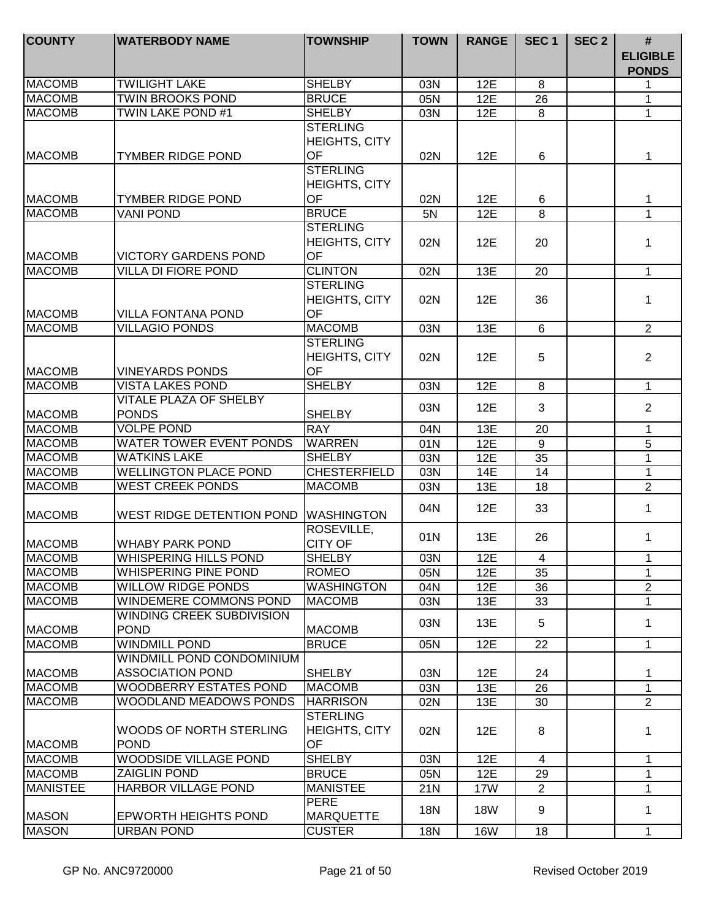| <b>COUNTY</b>   | <b>WATERBODY NAME</b>                                | <b>TOWNSHIP</b>                               | <b>TOWN</b> | <b>RANGE</b> | SEC <sub>1</sub> | SEC <sub>2</sub> | $\#$<br><b>ELIGIBLE</b><br><b>PONDS</b> |
|-----------------|------------------------------------------------------|-----------------------------------------------|-------------|--------------|------------------|------------------|-----------------------------------------|
| <b>MACOMB</b>   | <b>TWILIGHT LAKE</b>                                 | <b>SHELBY</b>                                 | 03N         | 12E          | 8                |                  | 1                                       |
| <b>MACOMB</b>   | <b>TWIN BROOKS POND</b>                              | <b>BRUCE</b>                                  | 05N         | 12E          | 26               |                  | 1                                       |
| <b>MACOMB</b>   | <b>TWIN LAKE POND #1</b>                             | <b>SHELBY</b>                                 | 03N         | 12E          | 8                |                  | $\mathbf{1}$                            |
|                 |                                                      | <b>STERLING</b><br><b>HEIGHTS, CITY</b>       |             |              |                  |                  |                                         |
| <b>MACOMB</b>   | <b>TYMBER RIDGE POND</b>                             | OF                                            | 02N         | 12E          | 6                |                  | 1                                       |
|                 |                                                      | <b>STERLING</b><br><b>HEIGHTS, CITY</b>       |             |              |                  |                  |                                         |
| <b>MACOMB</b>   | <b>TYMBER RIDGE POND</b>                             | <b>OF</b>                                     | 02N         | 12E          | 6                |                  | 1                                       |
| <b>MACOMB</b>   | <b>VANI POND</b>                                     | <b>BRUCE</b>                                  | 5N          | 12E          | 8                |                  | $\mathbf{1}$                            |
| <b>MACOMB</b>   | <b>VICTORY GARDENS POND</b>                          | <b>STERLING</b><br>HEIGHTS, CITY<br>OF        | 02N         | 12E          | 20               |                  | 1                                       |
| <b>MACOMB</b>   | <b>VILLA DI FIORE POND</b>                           | <b>CLINTON</b>                                | 02N         | 13E          | 20               |                  | $\mathbf{1}$                            |
| <b>MACOMB</b>   | <b>VILLA FONTANA POND</b>                            | <b>STERLING</b><br><b>HEIGHTS, CITY</b><br>OF | 02N         | 12E          | 36               |                  | 1                                       |
| <b>MACOMB</b>   | <b>VILLAGIO PONDS</b>                                | <b>MACOMB</b>                                 | 03N         | 13E          | 6                |                  | $\overline{2}$                          |
| <b>MACOMB</b>   | <b>VINEYARDS PONDS</b>                               | <b>STERLING</b><br>HEIGHTS, CITY<br><b>OF</b> | 02N         | 12E          | 5                |                  | $\overline{2}$                          |
| <b>MACOMB</b>   | <b>VISTA LAKES POND</b>                              | <b>SHELBY</b>                                 | 03N         | 12E          | 8                |                  | $\mathbf{1}$                            |
| <b>MACOMB</b>   | VITALE PLAZA OF SHELBY<br><b>PONDS</b>               | <b>SHELBY</b>                                 | 03N         | 12E          | 3                |                  | $\overline{2}$                          |
| <b>MACOMB</b>   | <b>VOLPE POND</b>                                    | <b>RAY</b>                                    | 04N         | 13E          | $\overline{20}$  |                  | $\overline{1}$                          |
| <b>MACOMB</b>   | <b>WATER TOWER EVENT PONDS</b>                       | <b>WARREN</b>                                 | 01N         | 12E          | $\overline{9}$   |                  | $\overline{5}$                          |
| <b>MACOMB</b>   | <b>WATKINS LAKE</b>                                  | <b>SHELBY</b>                                 | 03N         | 12E          | $\overline{35}$  |                  | $\mathbf{1}$                            |
| <b>MACOMB</b>   | <b>WELLINGTON PLACE POND</b>                         | <b>CHESTERFIELD</b>                           | 03N         | 14E          | 14               |                  | 1                                       |
| <b>MACOMB</b>   | <b>WEST CREEK PONDS</b>                              | <b>MACOMB</b>                                 | 03N         | 13E          | 18               |                  | $\overline{2}$                          |
| <b>MACOMB</b>   | WEST RIDGE DETENTION POND                            | <b>WASHINGTON</b>                             | 04N         | 12E          | 33               |                  | $\mathbf{1}$                            |
| <b>MACOMB</b>   | <b>WHABY PARK POND</b>                               | ROSEVILLE,<br><b>CITY OF</b>                  | 01N         | 13E          | 26               |                  | $\mathbf{1}$                            |
| MACOMB          | WHISPERING HILLS POND                                | <b>SHELBY</b>                                 | 03N         | 12E          | 4                |                  | 1                                       |
| <b>MACOMB</b>   | <b>WHISPERING PINE POND</b>                          | <b>ROMEO</b>                                  | 05N         | 12E          | 35               |                  | $\mathbf{1}$                            |
| <b>MACOMB</b>   | <b>WILLOW RIDGE PONDS</b>                            | <b>WASHINGTON</b>                             | 04N         | 12E          | 36               |                  | $\overline{2}$                          |
| <b>MACOMB</b>   | WINDEMERE COMMONS POND                               | <b>MACOMB</b>                                 | 03N         | 13E          | 33               |                  | 1                                       |
| <b>MACOMB</b>   | WINDING CREEK SUBDIVISION<br><b>POND</b>             | <b>MACOMB</b>                                 | 03N         | 13E          | 5                |                  | 1                                       |
| <b>MACOMB</b>   | <b>WINDMILL POND</b>                                 | <b>BRUCE</b>                                  | 05N         | 12E          | 22               |                  | $\mathbf{1}$                            |
| <b>MACOMB</b>   | WINDMILL POND CONDOMINIUM<br><b>ASSOCIATION POND</b> | <b>SHELBY</b>                                 | 03N         | 12E          | 24               |                  | 1                                       |
| <b>MACOMB</b>   | <b>WOODBERRY ESTATES POND</b>                        | <b>MACOMB</b>                                 | 03N         | 13E          | 26               |                  | $\mathbf{1}$                            |
| <b>MACOMB</b>   | <b>WOODLAND MEADOWS PONDS</b>                        | <b>HARRISON</b>                               | 02N         | 13E          | 30               |                  | $\overline{2}$                          |
| <b>MACOMB</b>   | WOODS OF NORTH STERLING<br><b>POND</b>               | <b>STERLING</b><br>HEIGHTS, CITY<br>OF        | 02N         | 12E          | 8                |                  | 1                                       |
| <b>MACOMB</b>   | <b>WOODSIDE VILLAGE POND</b>                         | <b>SHELBY</b>                                 | 03N         | 12E          | 4                |                  | 1                                       |
| <b>MACOMB</b>   | <b>ZAIGLIN POND</b>                                  | <b>BRUCE</b>                                  | 05N         | 12E          | 29               |                  | 1                                       |
| <b>MANISTEE</b> | HARBOR VILLAGE POND                                  | <b>MANISTEE</b>                               | 21N         | 17W          | 2                |                  | 1                                       |
| <b>MASON</b>    | <b>EPWORTH HEIGHTS POND</b>                          | <b>PERE</b><br><b>MARQUETTE</b>               | <b>18N</b>  | <b>18W</b>   | 9                |                  | 1                                       |
| <b>MASON</b>    | <b>URBAN POND</b>                                    | <b>CUSTER</b>                                 | <b>18N</b>  | <b>16W</b>   | 18               |                  | $\mathbf{1}$                            |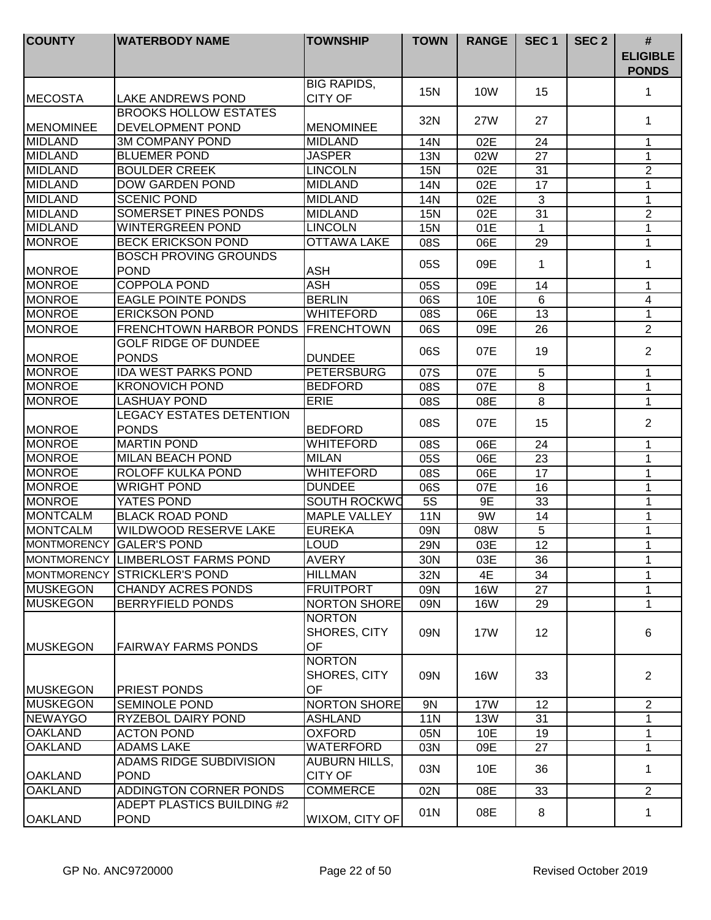| <b>COUNTY</b>      | <b>WATERBODY NAME</b>                                   | <b>TOWNSHIP</b>                            | <b>TOWN</b> | <b>RANGE</b> | SEC <sub>1</sub> | SEC <sub>2</sub> | #<br><b>ELIGIBLE</b><br><b>PONDS</b> |
|--------------------|---------------------------------------------------------|--------------------------------------------|-------------|--------------|------------------|------------------|--------------------------------------|
| <b>MECOSTA</b>     | LAKE ANDREWS POND                                       | <b>BIG RAPIDS,</b><br><b>CITY OF</b>       | 15N         | 10W          | 15               |                  | 1                                    |
| <b>MENOMINEE</b>   | <b>BROOKS HOLLOW ESTATES</b><br><b>DEVELOPMENT POND</b> | <b>MENOMINEE</b>                           | 32N         | 27W          | 27               |                  | 1                                    |
| <b>MIDLAND</b>     | <b>3M COMPANY POND</b>                                  | <b>MIDLAND</b>                             | 14N         | 02E          | 24               |                  | 1                                    |
| <b>MIDLAND</b>     | <b>BLUEMER POND</b>                                     | <b>JASPER</b>                              | <b>13N</b>  | 02W          | 27               |                  | 1                                    |
| <b>MIDLAND</b>     | <b>BOULDER CREEK</b>                                    | <b>LINCOLN</b>                             | <b>15N</b>  | 02E          | 31               |                  | $\overline{2}$                       |
| <b>MIDLAND</b>     | <b>DOW GARDEN POND</b>                                  | <b>MIDLAND</b>                             | 14N         | 02E          | 17               |                  | 1                                    |
| <b>MIDLAND</b>     | <b>SCENIC POND</b>                                      | <b>MIDLAND</b>                             | 14N         | 02E          | 3                |                  | 1                                    |
| <b>MIDLAND</b>     | SOMERSET PINES PONDS                                    | <b>MIDLAND</b>                             | <b>15N</b>  | 02E          | 31               |                  | $\overline{2}$                       |
| <b>MIDLAND</b>     | <b>WINTERGREEN POND</b>                                 | <b>LINCOLN</b>                             | <b>15N</b>  | 01E          | 1                |                  | $\mathbf{1}$                         |
| <b>MONROE</b>      | <b>BECK ERICKSON POND</b>                               | <b>OTTAWA LAKE</b>                         | 08S         | 06E          | 29               |                  | 1                                    |
| <b>MONROE</b>      | <b>BOSCH PROVING GROUNDS</b><br><b>POND</b>             | <b>ASH</b>                                 | 05S         | 09E          | 1                |                  | 1                                    |
| <b>MONROE</b>      | <b>COPPOLA POND</b>                                     | <b>ASH</b>                                 | 05S         | 09E          | 14               |                  | 1                                    |
| <b>MONROE</b>      | <b>EAGLE POINTE PONDS</b>                               | <b>BERLIN</b>                              | 06S         | 10E          | 6                |                  | 4                                    |
| <b>MONROE</b>      | <b>ERICKSON POND</b>                                    | <b>WHITEFORD</b>                           | 08S         | 06E          | 13               |                  | 1                                    |
| <b>MONROE</b>      | <b>FRENCHTOWN HARBOR PONDS</b>                          | <b>FRENCHTOWN</b>                          | 06S         | 09E          | 26               |                  | 2                                    |
| <b>MONROE</b>      | <b>GOLF RIDGE OF DUNDEE</b><br><b>PONDS</b>             | <b>DUNDEE</b>                              | 06S         | 07E          | 19               |                  | $\overline{2}$                       |
| <b>MONROE</b>      | <b>IDA WEST PARKS POND</b>                              | <b>PETERSBURG</b>                          | 07S         | 07E          | 5                |                  | $\mathbf{1}$                         |
| <b>MONROE</b>      | <b>KRONOVICH POND</b>                                   | <b>BEDFORD</b>                             | 08S         | 07E          | 8                |                  | $\mathbf{1}$                         |
| <b>MONROE</b>      | <b>LASHUAY POND</b>                                     | <b>ERIE</b>                                | 08S         | 08E          | 8                |                  | $\mathbf{1}$                         |
| <b>MONROE</b>      | <b>LEGACY ESTATES DETENTION</b><br><b>PONDS</b>         | <b>BEDFORD</b>                             | 08S         | 07E          | 15               |                  | $\overline{2}$                       |
| <b>MONROE</b>      | <b>MARTIN POND</b>                                      | <b>WHITEFORD</b>                           | 08S         | 06E          | 24               |                  | 1                                    |
| <b>MONROE</b>      | MILAN BEACH POND                                        | <b>MILAN</b>                               | 05S         | 06E          | 23               |                  | 1                                    |
| <b>MONROE</b>      | ROLOFF KULKA POND                                       | <b>WHITEFORD</b>                           | 08S         | 06E          | 17               |                  | 1                                    |
| <b>MONROE</b>      | <b>WRIGHT POND</b>                                      | <b>DUNDEE</b>                              | 06S         | 07E          | 16               |                  | 1                                    |
| <b>MONROE</b>      | YATES POND                                              | SOUTH ROCKWO                               | <b>5S</b>   | 9E           | 33               |                  | 1                                    |
| <b>MONTCALM</b>    | <b>BLACK ROAD POND</b>                                  | <b>MAPLE VALLEY</b>                        | <b>11N</b>  | 9W           | 14               |                  | 1                                    |
| <b>MONTCALM</b>    | <b>WILDWOOD RESERVE LAKE</b>                            | <b>EUREKA</b>                              | 09N         | 08W          | 5                |                  | 1                                    |
| <b>MONTMORENCY</b> | <b>GALER'S POND</b>                                     | <b>LOUD</b>                                | 29N         | 03E          | 12               |                  | 1                                    |
|                    | MONTMORENCY LIMBERLOST FARMS POND                       | <b>AVERY</b>                               | 30N         | 03E          | 36               |                  | 1                                    |
|                    | MONTMORENCY STRICKLER'S POND                            | <b>HILLMAN</b>                             | 32N         | 4E           | 34               |                  | $\mathbf{1}$                         |
| MUSKEGON           | <b>CHANDY ACRES PONDS</b>                               | <b>FRUITPORT</b>                           | 09N         | <b>16W</b>   | 27               |                  | $\mathbf{1}$                         |
| <b>MUSKEGON</b>    | <b>BERRYFIELD PONDS</b>                                 | <b>NORTON SHORE</b>                        | 09N         | <b>16W</b>   | 29               |                  | 1                                    |
| <b>MUSKEGON</b>    | <b>FAIRWAY FARMS PONDS</b>                              | <b>NORTON</b><br>SHORES, CITY<br><b>OF</b> | 09N         | 17W          | 12               |                  | 6                                    |
| <b>MUSKEGON</b>    | <b>PRIEST PONDS</b>                                     | <b>NORTON</b><br>SHORES, CITY<br><b>OF</b> | 09N         | <b>16W</b>   | 33               |                  | $\overline{2}$                       |
| <b>MUSKEGON</b>    | <b>SEMINOLE POND</b>                                    | <b>NORTON SHORE</b>                        | 9N          | <b>17W</b>   | 12               |                  | 2                                    |
| <b>NEWAYGO</b>     | <b>RYZEBOL DAIRY POND</b>                               | <b>ASHLAND</b>                             | 11N         | <b>13W</b>   | 31               |                  | 1                                    |
| <b>OAKLAND</b>     | <b>ACTON POND</b>                                       | <b>OXFORD</b>                              | 05N         | 10E          | 19               |                  | 1                                    |
| <b>OAKLAND</b>     | <b>ADAMS LAKE</b>                                       | <b>WATERFORD</b>                           | 03N         | 09E          | 27               |                  | 1                                    |
| <b>OAKLAND</b>     | ADAMS RIDGE SUBDIVISION<br><b>POND</b>                  | <b>AUBURN HILLS,</b><br><b>CITY OF</b>     | 03N         | 10E          | 36               |                  | 1                                    |
| <b>OAKLAND</b>     | ADDINGTON CORNER PONDS                                  | <b>COMMERCE</b>                            | 02N         | 08E          | 33               |                  | $\overline{2}$                       |
| <b>OAKLAND</b>     | ADEPT PLASTICS BUILDING #2<br><b>POND</b>               | WIXOM, CITY OF                             | 01N         | 08E          | 8                |                  | $\mathbf{1}$                         |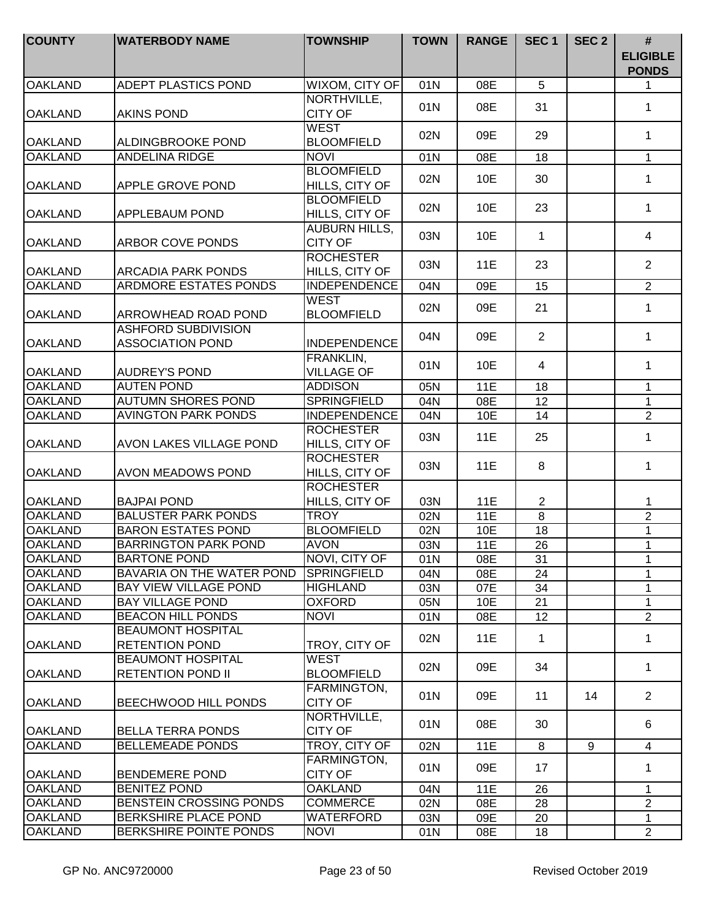| <b>COUNTY</b>                    | <b>WATERBODY NAME</b>                                                         | <b>TOWNSHIP</b>                        | <b>TOWN</b> | <b>RANGE</b> | SEC <sub>1</sub>  | SEC <sub>2</sub> | #<br><b>ELIGIBLE</b><br><b>PONDS</b> |
|----------------------------------|-------------------------------------------------------------------------------|----------------------------------------|-------------|--------------|-------------------|------------------|--------------------------------------|
| <b>OAKLAND</b>                   | <b>ADEPT PLASTICS POND</b>                                                    | WIXOM, CITY OF                         | 01N         | 08E          | 5                 |                  | 1                                    |
| <b>OAKLAND</b>                   | <b>AKINS POND</b>                                                             | NORTHVILLE,<br><b>CITY OF</b>          | 01N         | 08E          | 31                |                  | $\mathbf 1$                          |
| <b>OAKLAND</b>                   | <b>ALDINGBROOKE POND</b>                                                      | <b>WEST</b><br><b>BLOOMFIELD</b>       | 02N         | 09E          | 29                |                  | $\mathbf 1$                          |
| <b>OAKLAND</b>                   | <b>ANDELINA RIDGE</b>                                                         | <b>NOVI</b>                            | 01N         | 08E          | 18                |                  | $\mathbf{1}$                         |
| <b>OAKLAND</b>                   | <b>APPLE GROVE POND</b>                                                       | <b>BLOOMFIELD</b><br>HILLS, CITY OF    | 02N         | 10E          | 30                |                  | $\mathbf{1}$                         |
| <b>OAKLAND</b>                   | <b>APPLEBAUM POND</b>                                                         | <b>BLOOMFIELD</b><br>HILLS, CITY OF    | 02N         | 10E          | 23                |                  | $\mathbf{1}$                         |
| <b>OAKLAND</b>                   | <b>ARBOR COVE PONDS</b>                                                       | <b>AUBURN HILLS,</b><br><b>CITY OF</b> | 03N         | 10E          | $\mathbf 1$       |                  | 4                                    |
| <b>OAKLAND</b>                   | <b>ARCADIA PARK PONDS</b>                                                     | <b>ROCHESTER</b><br>HILLS, CITY OF     | 03N         | 11E          | 23                |                  | $\overline{2}$                       |
| <b>OAKLAND</b>                   | <b>ARDMORE ESTATES PONDS</b>                                                  | <b>INDEPENDENCE</b>                    | 04N         | 09E          | 15                |                  | $\overline{2}$                       |
| <b>OAKLAND</b>                   | <b>ARROWHEAD ROAD POND</b>                                                    | <b>WEST</b><br><b>BLOOMFIELD</b>       | 02N         | 09E          | 21                |                  | $\mathbf{1}$                         |
| <b>OAKLAND</b>                   | <b>ASHFORD SUBDIVISION</b><br><b>ASSOCIATION POND</b>                         | <b>INDEPENDENCE</b>                    | 04N         | 09E          | 2                 |                  | $\mathbf 1$                          |
| <b>OAKLAND</b>                   | <b>AUDREY'S POND</b>                                                          | FRANKLIN,<br><b>VILLAGE OF</b>         | 01N         | 10E          | $\overline{4}$    |                  | $\mathbf{1}$                         |
| <b>OAKLAND</b>                   | <b>AUTEN POND</b>                                                             | <b>ADDISON</b>                         | 05N         | 11E          | 18                |                  | $\mathbf{1}$                         |
| <b>OAKLAND</b>                   | <b>AUTUMN SHORES POND</b>                                                     | <b>SPRINGFIELD</b>                     | 04N         | 08E          | $\overline{12}$   |                  | $\mathbf{1}$                         |
| <b>OAKLAND</b>                   | <b>AVINGTON PARK PONDS</b>                                                    | <b>INDEPENDENCE</b>                    | 04N         | 10E          | 14                |                  | $\overline{2}$                       |
| <b>OAKLAND</b>                   | <b>AVON LAKES VILLAGE POND</b>                                                | <b>ROCHESTER</b><br>HILLS, CITY OF     | 03N         | 11E          | 25                |                  | $\mathbf{1}$                         |
| <b>OAKLAND</b>                   | <b>AVON MEADOWS POND</b>                                                      | <b>ROCHESTER</b><br>HILLS, CITY OF     | 03N         | 11E          | 8                 |                  | $\mathbf{1}$                         |
| <b>OAKLAND</b>                   | <b>BAJPAI POND</b>                                                            | <b>ROCHESTER</b><br>HILLS, CITY OF     | 03N         | 11E          | $\overline{2}$    |                  | 1                                    |
| <b>OAKLAND</b>                   | <b>BALUSTER PARK PONDS</b>                                                    | <b>TROY</b>                            | 02N         | 11E          | 8                 |                  | $\overline{2}$                       |
| <b>OAKLAND</b>                   | <b>BARON ESTATES POND</b>                                                     | <b>BLOOMFIELD</b>                      | 02N         | 10E          | 18                |                  | 1                                    |
| <b>OAKLAND</b>                   | <b>BARRINGTON PARK POND</b>                                                   | <b>AVON</b>                            | 03N         | 11E          | 26                |                  | $\mathbf{1}$                         |
| <b>OAKLAND</b>                   | <b>BARTONE POND</b>                                                           | NOVI, CITY OF                          | 01N         | 08E          | 31                |                  | 1                                    |
| <b>OAKLAND</b>                   | BAVARIA ON THE WATER POND                                                     | <b>SPRINGFIELD</b>                     | 04N         | 08E          | 24                |                  | 1                                    |
| <b>OAKLAND</b>                   | <b>BAY VIEW VILLAGE POND</b>                                                  | <b>HIGHLAND</b>                        | 03N         | 07E          | 34                |                  | 1                                    |
| <b>OAKLAND</b>                   | <b>BAY VILLAGE POND</b>                                                       | <b>OXFORD</b>                          | 05N         | 10E          | 21                |                  | $\mathbf{1}$<br>$\overline{2}$       |
| <b>OAKLAND</b><br><b>OAKLAND</b> | <b>BEACON HILL PONDS</b><br><b>BEAUMONT HOSPITAL</b><br><b>RETENTION POND</b> | <b>NOVI</b><br>TROY, CITY OF           | 01N<br>02N  | 08E<br>11E   | 12<br>$\mathbf 1$ |                  | $\mathbf 1$                          |
| <b>OAKLAND</b>                   | <b>BEAUMONT HOSPITAL</b><br><b>RETENTION POND II</b>                          | <b>WEST</b><br><b>BLOOMFIELD</b>       | 02N         | 09E          | 34                |                  | $\mathbf{1}$                         |
| <b>OAKLAND</b>                   | BEECHWOOD HILL PONDS                                                          | <b>FARMINGTON,</b><br><b>CITY OF</b>   | 01N         | 09E          | 11                | 14               | $\overline{2}$                       |
| <b>OAKLAND</b>                   | <b>BELLA TERRA PONDS</b>                                                      | NORTHVILLE,<br><b>CITY OF</b>          | 01N         | 08E          | 30                |                  | 6                                    |
| <b>OAKLAND</b>                   | <b>BELLEMEADE PONDS</b>                                                       | TROY, CITY OF                          | 02N         | 11E          | 8                 | 9                | 4                                    |
| <b>OAKLAND</b>                   | <b>BENDEMERE POND</b>                                                         | FARMINGTON,<br><b>CITY OF</b>          | 01N         | 09E          | 17                |                  | $\mathbf{1}$                         |
| <b>OAKLAND</b>                   | <b>BENITEZ POND</b>                                                           | <b>OAKLAND</b>                         | 04N         | <b>11E</b>   | 26                |                  | 1                                    |
| <b>OAKLAND</b>                   | BENSTEIN CROSSING PONDS                                                       | <b>COMMERCE</b>                        | 02N         | 08E          | 28                |                  | $\overline{2}$                       |
| <b>OAKLAND</b>                   | <b>BERKSHIRE PLACE POND</b>                                                   | <b>WATERFORD</b>                       | 03N         | 09E          | 20                |                  | $\mathbf{1}$                         |
| <b>OAKLAND</b>                   | BERKSHIRE POINTE PONDS                                                        | <b>NOVI</b>                            | 01N         | 08E          | 18                |                  | $\overline{2}$                       |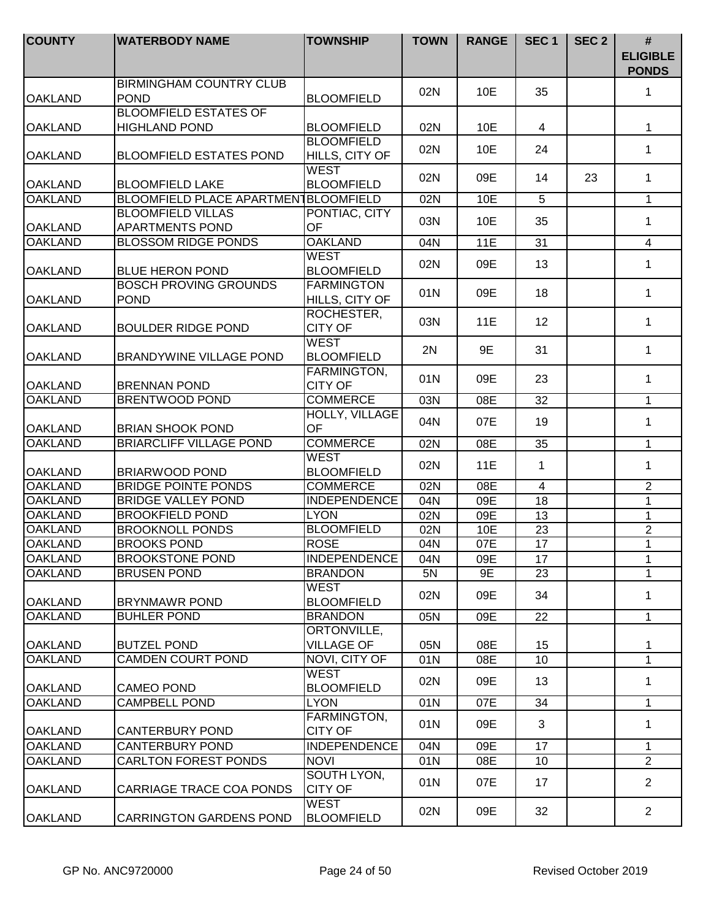| <b>COUNTY</b>                    | <b>WATERBODY NAME</b>                                | <b>TOWNSHIP</b>                                    | <b>TOWN</b> | <b>RANGE</b> | SEC <sub>1</sub> | SEC <sub>2</sub> | #<br><b>ELIGIBLE</b><br><b>PONDS</b> |
|----------------------------------|------------------------------------------------------|----------------------------------------------------|-------------|--------------|------------------|------------------|--------------------------------------|
| <b>OAKLAND</b>                   | <b>BIRMINGHAM COUNTRY CLUB</b><br><b>POND</b>        | <b>BLOOMFIELD</b>                                  | 02N         | 10E          | 35               |                  | 1                                    |
| <b>OAKLAND</b>                   | <b>BLOOMFIELD ESTATES OF</b><br><b>HIGHLAND POND</b> | <b>BLOOMFIELD</b>                                  | 02N         | 10E          | 4                |                  | 1                                    |
| <b>OAKLAND</b>                   | <b>BLOOMFIELD ESTATES POND</b>                       | <b>BLOOMFIELD</b><br>HILLS, CITY OF                | 02N         | 10E          | 24               |                  | 1                                    |
| <b>OAKLAND</b>                   | <b>BLOOMFIELD LAKE</b>                               | <b>WEST</b><br><b>BLOOMFIELD</b>                   | 02N         | 09E          | 14               | 23               | 1                                    |
| <b>OAKLAND</b>                   | BLOOMFIELD PLACE APARTMEN BLOOMFIELD                 |                                                    | 02N         | 10E          | 5                |                  | 1                                    |
| <b>OAKLAND</b>                   | <b>BLOOMFIELD VILLAS</b><br><b>APARTMENTS POND</b>   | PONTIAC, CITY<br>OF                                | 03N         | 10E          | 35               |                  | 1                                    |
| <b>OAKLAND</b>                   | <b>BLOSSOM RIDGE PONDS</b>                           | <b>OAKLAND</b>                                     | 04N         | 11E          | 31               |                  | $\overline{4}$                       |
| <b>OAKLAND</b>                   | <b>BLUE HERON POND</b>                               | <b>WEST</b><br><b>BLOOMFIELD</b>                   | 02N         | 09E          | 13               |                  | 1                                    |
| <b>OAKLAND</b>                   | <b>BOSCH PROVING GROUNDS</b><br><b>POND</b>          | <b>FARMINGTON</b><br>HILLS, CITY OF                | 01N         | 09E          | 18               |                  | 1                                    |
| <b>OAKLAND</b>                   | <b>BOULDER RIDGE POND</b>                            | ROCHESTER,<br><b>CITY OF</b>                       | 03N         | 11E          | 12               |                  | 1                                    |
| <b>OAKLAND</b>                   | <b>BRANDYWINE VILLAGE POND</b>                       | <b>WEST</b><br><b>BLOOMFIELD</b>                   | 2N          | 9E           | 31               |                  | 1                                    |
| <b>OAKLAND</b>                   | <b>BRENNAN POND</b>                                  | FARMINGTON,<br><b>CITY OF</b>                      | 01N         | 09E          | 23               |                  | 1                                    |
| <b>OAKLAND</b>                   | <b>BRENTWOOD POND</b>                                | <b>COMMERCE</b>                                    | 03N         | 08E          | 32               |                  | $\mathbf{1}$                         |
| <b>OAKLAND</b>                   | <b>BRIAN SHOOK POND</b>                              | <b>HOLLY, VILLAGE</b><br>OF                        | 04N         | 07E          | 19               |                  | 1                                    |
| <b>OAKLAND</b>                   | <b>BRIARCLIFF VILLAGE POND</b>                       | <b>COMMERCE</b>                                    | 02N         | 08E          | 35               |                  | $\mathbf{1}$                         |
| <b>OAKLAND</b>                   | <b>BRIARWOOD POND</b>                                | <b>WEST</b><br><b>BLOOMFIELD</b>                   | 02N         | 11E          | $\mathbf{1}$     |                  | 1                                    |
| <b>OAKLAND</b>                   | <b>BRIDGE POINTE PONDS</b>                           | <b>COMMERCE</b>                                    | 02N         | 08E          | $\overline{4}$   |                  | $\overline{\mathbf{c}}$              |
| <b>OAKLAND</b>                   | <b>BRIDGE VALLEY POND</b>                            | <b>INDEPENDENCE</b>                                | 04N         | 09E          | 18               |                  | 1                                    |
| <b>OAKLAND</b>                   | <b>BROOKFIELD POND</b>                               | <b>LYON</b>                                        | 02N         | 09E          | 13               |                  | 1                                    |
| <b>OAKLAND</b>                   | <b>BROOKNOLL PONDS</b>                               | <b>BLOOMFIELD</b>                                  | 02N         | 10E          | 23               |                  | $\overline{c}$                       |
| <b>OAKLAND</b>                   | <b>BROOKS POND</b>                                   | <b>ROSE</b>                                        | 04N         | 07E          | 17               |                  | 1                                    |
| <b>OAKLAND</b>                   | <b>BROOKSTONE POND</b>                               | INDEPENDENCE                                       | 04N         | 09E          | 17               |                  | 1                                    |
| <b>OAKLAND</b><br><b>OAKLAND</b> | <b>BRUSEN POND</b><br><b>BRYNMAWR POND</b>           | <b>BRANDON</b><br><b>WEST</b><br><b>BLOOMFIELD</b> | 5N<br>02N   | 9E<br>09E    | 23<br>34         |                  | 1<br>1                               |
| <b>OAKLAND</b>                   | <b>BUHLER POND</b>                                   | <b>BRANDON</b>                                     | 05N         | 09E          | 22               |                  | $\mathbf{1}$                         |
| <b>OAKLAND</b>                   | <b>BUTZEL POND</b>                                   | ORTONVILLE,<br><b>VILLAGE OF</b>                   | 05N         | 08E          | 15               |                  | 1                                    |
| <b>OAKLAND</b>                   | <b>CAMDEN COURT POND</b>                             | NOVI, CITY OF                                      | 01N         | 08E          | 10               |                  | 1                                    |
| <b>OAKLAND</b>                   | <b>CAMEO POND</b>                                    | <b>WEST</b><br><b>BLOOMFIELD</b>                   | 02N         | 09E          | 13               |                  | 1                                    |
| <b>OAKLAND</b>                   | <b>CAMPBELL POND</b>                                 | <b>LYON</b>                                        | 01N         | 07E          | 34               |                  | 1                                    |
| <b>OAKLAND</b>                   | <b>CANTERBURY POND</b>                               | FARMINGTON,<br><b>CITY OF</b>                      | 01N         | 09E          | 3                |                  | 1                                    |
| <b>OAKLAND</b>                   | <b>CANTERBURY POND</b>                               | <b>INDEPENDENCE</b>                                | 04N         | 09E          | 17               |                  | 1                                    |
| <b>OAKLAND</b>                   | <b>CARLTON FOREST PONDS</b>                          | <b>NOVI</b>                                        | 01N         | 08E          | 10               |                  | $\overline{2}$                       |
| <b>OAKLAND</b>                   | CARRIAGE TRACE COA PONDS                             | SOUTH LYON,<br><b>CITY OF</b>                      | 01N         | 07E          | 17               |                  | $\overline{2}$                       |
| <b>OAKLAND</b>                   | <b>CARRINGTON GARDENS POND</b>                       | <b>WEST</b><br><b>BLOOMFIELD</b>                   | 02N         | 09E          | 32               |                  | $\overline{2}$                       |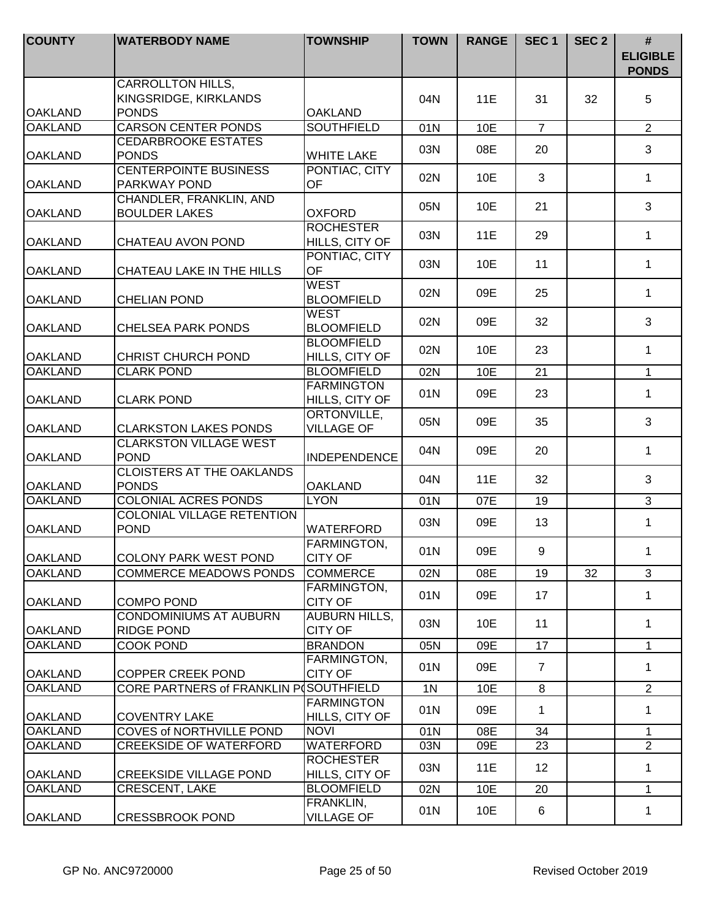| <b>COUNTY</b>  | <b>WATERBODY NAME</b>                                             | <b>TOWNSHIP</b>                         | <b>TOWN</b>    | <b>RANGE</b> | SEC <sub>1</sub> | SEC <sub>2</sub> | #<br><b>ELIGIBLE</b><br><b>PONDS</b> |
|----------------|-------------------------------------------------------------------|-----------------------------------------|----------------|--------------|------------------|------------------|--------------------------------------|
| <b>OAKLAND</b> | <b>CARROLLTON HILLS,</b><br>KINGSRIDGE, KIRKLANDS<br><b>PONDS</b> | <b>OAKLAND</b>                          | 04N            | 11E          | 31               | 32               | 5                                    |
| <b>OAKLAND</b> | <b>CARSON CENTER PONDS</b>                                        | <b>SOUTHFIELD</b>                       | 01N            | 10E          | $\overline{7}$   |                  | $\overline{2}$                       |
| <b>OAKLAND</b> | <b>CEDARBROOKE ESTATES</b><br><b>PONDS</b>                        | <b>WHITE LAKE</b>                       | 03N            | 08E          | 20               |                  | 3                                    |
| <b>OAKLAND</b> | <b>CENTERPOINTE BUSINESS</b><br>PARKWAY POND                      | PONTIAC, CITY<br>OF                     | 02N            | 10E          | 3                |                  | $\mathbf 1$                          |
| <b>OAKLAND</b> | CHANDLER, FRANKLIN, AND<br><b>BOULDER LAKES</b>                   | <b>OXFORD</b>                           | 05N            | 10E          | 21               |                  | 3                                    |
| <b>OAKLAND</b> | CHATEAU AVON POND                                                 | <b>ROCHESTER</b><br>HILLS, CITY OF      | 03N            | 11E          | 29               |                  | 1                                    |
| <b>OAKLAND</b> | CHATEAU LAKE IN THE HILLS                                         | PONTIAC, CITY<br>OF                     | 03N            | 10E          | 11               |                  | $\mathbf{1}$                         |
| <b>OAKLAND</b> | <b>CHELIAN POND</b>                                               | <b>WEST</b><br><b>BLOOMFIELD</b>        | 02N            | 09E          | 25               |                  | $\mathbf 1$                          |
| <b>OAKLAND</b> | <b>CHELSEA PARK PONDS</b>                                         | <b>WEST</b><br><b>BLOOMFIELD</b>        | 02N            | 09E          | 32               |                  | 3                                    |
| <b>OAKLAND</b> | <b>CHRIST CHURCH POND</b>                                         | <b>BLOOMFIELD</b><br>HILLS, CITY OF     | 02N            | 10E          | 23               |                  | $\mathbf 1$                          |
| <b>OAKLAND</b> | <b>CLARK POND</b>                                                 | <b>BLOOMFIELD</b>                       | 02N            | 10E          | 21               |                  | $\mathbf{1}$                         |
| <b>OAKLAND</b> | <b>CLARK POND</b>                                                 | <b>FARMINGTON</b><br>HILLS, CITY OF     | 01N            | 09E          | 23               |                  | $\mathbf 1$                          |
| <b>OAKLAND</b> | <b>CLARKSTON LAKES PONDS</b>                                      | <b>ORTONVILLE,</b><br><b>VILLAGE OF</b> | 05N            | 09E          | 35               |                  | 3                                    |
| <b>OAKLAND</b> | <b>CLARKSTON VILLAGE WEST</b><br><b>POND</b>                      | <b>INDEPENDENCE</b>                     | 04N            | 09E          | 20               |                  | $\mathbf{1}$                         |
| <b>OAKLAND</b> | <b>CLOISTERS AT THE OAKLANDS</b><br><b>PONDS</b>                  | <b>OAKLAND</b>                          | 04N            | 11E          | 32               |                  | 3                                    |
| <b>OAKLAND</b> | <b>COLONIAL ACRES PONDS</b>                                       | <b>LYON</b>                             | 01N            | 07E          | 19               |                  | 3                                    |
| <b>OAKLAND</b> | <b>COLONIAL VILLAGE RETENTION</b><br><b>POND</b>                  | WATERFORD                               | 03N            | 09E          | 13               |                  | $\mathbf{1}$                         |
| <b>OAKLAND</b> | <b>COLONY PARK WEST POND</b>                                      | FARMINGTON,<br><b>CITY OF</b>           | 01N            | 09E          | 9                |                  | 1.                                   |
| <b>OAKLAND</b> | <b>COMMERCE MEADOWS PONDS</b>                                     | <b>COMMERCE</b>                         | 02N            | 08E          | 19               | 32               | 3                                    |
| <b>OAKLAND</b> | <b>COMPO POND</b>                                                 | FARMINGTON,<br><b>CITY OF</b>           | 01N            | 09E          | 17               |                  | $\mathbf{1}$                         |
| <b>OAKLAND</b> | <b>CONDOMINIUMS AT AUBURN</b><br><b>RIDGE POND</b>                | <b>AUBURN HILLS,</b><br><b>CITY OF</b>  | 03N            | 10E          | 11               |                  | $\mathbf{1}$                         |
| <b>OAKLAND</b> | <b>COOK POND</b>                                                  | <b>BRANDON</b>                          | 05N            | 09E          | 17               |                  | $\mathbf 1$                          |
| <b>OAKLAND</b> | <b>COPPER CREEK POND</b>                                          | <b>FARMINGTON,</b><br><b>CITY OF</b>    | 01N            | 09E          | $\overline{7}$   |                  | $\mathbf{1}$                         |
| <b>OAKLAND</b> | CORE PARTNERS of FRANKLIN POSOUTHFIELD                            |                                         | 1 <sub>N</sub> | 10E          | 8                |                  | $\overline{2}$                       |
| <b>OAKLAND</b> | <b>COVENTRY LAKE</b>                                              | <b>FARMINGTON</b><br>HILLS, CITY OF     | 01N            | 09E          | 1                |                  | $\mathbf{1}$                         |
| <b>OAKLAND</b> | COVES of NORTHVILLE POND                                          | <b>NOVI</b>                             | 01N            | 08E          | 34               |                  | $\mathbf{1}$                         |
| <b>OAKLAND</b> | <b>CREEKSIDE OF WATERFORD</b>                                     | WATERFORD                               | 03N            | 09E          | 23               |                  | $\overline{2}$                       |
| <b>OAKLAND</b> | <b>CREEKSIDE VILLAGE POND</b>                                     | <b>ROCHESTER</b><br>HILLS, CITY OF      | 03N            | 11E          | 12               |                  | $\mathbf 1$                          |
| <b>OAKLAND</b> | <b>CRESCENT, LAKE</b>                                             | <b>BLOOMFIELD</b>                       | 02N            | 10E          | 20               |                  | $\mathbf{1}$                         |
| <b>OAKLAND</b> | <b>CRESSBROOK POND</b>                                            | FRANKLIN,<br><b>VILLAGE OF</b>          | 01N            | 10E          | 6                |                  | 1                                    |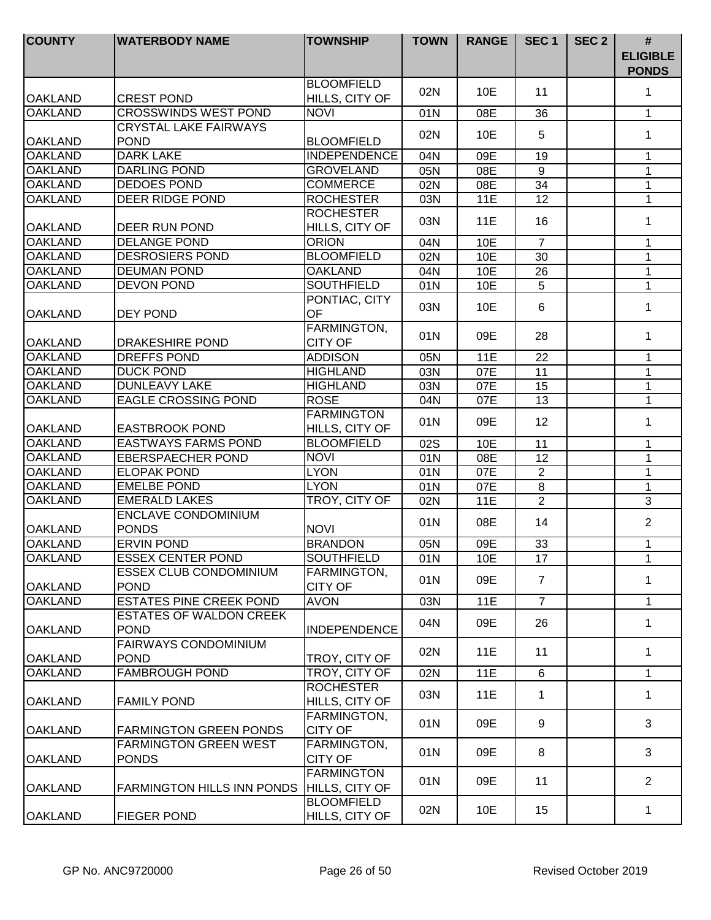| <b>COUNTY</b>  | <b>WATERBODY NAME</b>             | <b>TOWNSHIP</b>                     | <b>TOWN</b> | <b>RANGE</b> | SEC <sub>1</sub> | SEC <sub>2</sub> | #<br><b>ELIGIBLE</b><br><b>PONDS</b> |
|----------------|-----------------------------------|-------------------------------------|-------------|--------------|------------------|------------------|--------------------------------------|
| <b>OAKLAND</b> | <b>CREST POND</b>                 | <b>BLOOMFIELD</b><br>HILLS, CITY OF | 02N         | 10E          | 11               |                  | 1                                    |
| <b>OAKLAND</b> | <b>CROSSWINDS WEST POND</b>       | <b>NOVI</b>                         | 01N         | 08E          | 36               |                  | $\mathbf{1}$                         |
|                | <b>CRYSTAL LAKE FAIRWAYS</b>      |                                     |             |              |                  |                  |                                      |
| <b>OAKLAND</b> | <b>POND</b>                       | <b>BLOOMFIELD</b>                   | 02N         | 10E          | 5                |                  | 1                                    |
| <b>OAKLAND</b> | <b>DARK LAKE</b>                  | <b>INDEPENDENCE</b>                 | 04N         | 09E          | 19               |                  | 1                                    |
| <b>OAKLAND</b> | <b>DARLING POND</b>               | <b>GROVELAND</b>                    | 05N         | 08E          | 9                |                  | $\mathbf{1}$                         |
| <b>OAKLAND</b> | <b>DEDOES POND</b>                | <b>COMMERCE</b>                     | 02N         | 08E          | 34               |                  | $\mathbf{1}$                         |
| <b>OAKLAND</b> | <b>DEER RIDGE POND</b>            | <b>ROCHESTER</b>                    | 03N         | 11E          | 12               |                  | $\mathbf{1}$                         |
|                |                                   | <b>ROCHESTER</b>                    |             |              |                  |                  |                                      |
| <b>OAKLAND</b> | DEER RUN POND                     | HILLS, CITY OF                      | 03N         | <b>11E</b>   | 16               |                  | 1                                    |
| <b>OAKLAND</b> | <b>DELANGE POND</b>               | <b>ORION</b>                        | 04N         | 10E          | $\overline{7}$   |                  | 1                                    |
| <b>OAKLAND</b> | <b>DESROSIERS POND</b>            | <b>BLOOMFIELD</b>                   | 02N         | 10E          | 30               |                  | 1                                    |
| <b>OAKLAND</b> | <b>DEUMAN POND</b>                | <b>OAKLAND</b>                      | 04N         | 10E          | 26               |                  | 1                                    |
| <b>OAKLAND</b> | <b>DEVON POND</b>                 | <b>SOUTHFIELD</b>                   | 01N         | 10E          | 5                |                  | $\mathbf{1}$                         |
|                |                                   | PONTIAC, CITY                       |             |              |                  |                  |                                      |
| <b>OAKLAND</b> | <b>DEY POND</b>                   | <b>OF</b>                           | 03N         | 10E          | 6                |                  | 1                                    |
|                |                                   | FARMINGTON,                         |             |              |                  |                  |                                      |
| <b>OAKLAND</b> | DRAKESHIRE POND                   | <b>CITY OF</b>                      | 01N         | 09E          | 28               |                  | 1                                    |
| <b>OAKLAND</b> | <b>DREFFS POND</b>                | <b>ADDISON</b>                      | 05N         | 11E          | 22               |                  | 1                                    |
| <b>OAKLAND</b> | <b>DUCK POND</b>                  | <b>HIGHLAND</b>                     | 03N         | 07E          | 11               |                  | $\mathbf{1}$                         |
| <b>OAKLAND</b> | <b>DUNLEAVY LAKE</b>              | <b>HIGHLAND</b>                     | 03N         | 07E          | 15               |                  | 1                                    |
| <b>OAKLAND</b> | <b>EAGLE CROSSING POND</b>        | <b>ROSE</b>                         | 04N         | 07E          | $\overline{13}$  |                  | $\mathbf{1}$                         |
|                |                                   | <b>FARMINGTON</b>                   |             |              |                  |                  |                                      |
| <b>OAKLAND</b> | <b>EASTBROOK POND</b>             | HILLS, CITY OF                      | 01N         | 09E          | 12               |                  | 1                                    |
| <b>OAKLAND</b> | <b>EASTWAYS FARMS POND</b>        | <b>BLOOMFIELD</b>                   | 02S         | 10E          | 11               |                  | $\mathbf{1}$                         |
| <b>OAKLAND</b> | <b>EBERSPAECHER POND</b>          | <b>NOVI</b>                         | 01N         | 08E          | 12               |                  | $\mathbf{1}$                         |
| <b>OAKLAND</b> | <b>ELOPAK POND</b>                | <b>LYON</b>                         | 01N         | 07E          | $\overline{2}$   |                  | $\mathbf{1}$                         |
| <b>OAKLAND</b> | <b>EMELBE POND</b>                | <b>LYON</b>                         | 01N         | 07E          | $\,8\,$          |                  | $\mathbf 1$                          |
| <b>OAKLAND</b> | <b>EMERALD LAKES</b>              | TROY, CITY OF                       | 02N         | 11E          | $\overline{2}$   |                  | 3                                    |
|                | <b>ENCLAVE CONDOMINIUM</b>        |                                     |             |              |                  |                  |                                      |
| <b>OAKLAND</b> | <b>PONDS</b>                      | <b>NOVI</b>                         | 01N         | 08E          | 14               |                  | $\overline{2}$                       |
| <b>OAKLAND</b> | <b>ERVIN POND</b>                 | <b>BRANDON</b>                      | 05N         | 09E          | 33               |                  | $\mathbf 1$                          |
| OAKLAND        | <b>ESSEX CENTER POND</b>          | <b>SOUTHFIELD</b>                   | 01N         | 10E          | 17               |                  | 1                                    |
|                | <b>ESSEX CLUB CONDOMINIUM</b>     | FARMINGTON,                         |             |              |                  |                  |                                      |
| <b>OAKLAND</b> | <b>POND</b>                       | <b>CITY OF</b>                      | 01N         | 09E          | $\overline{7}$   |                  | 1                                    |
| <b>OAKLAND</b> | <b>ESTATES PINE CREEK POND</b>    | <b>AVON</b>                         | 03N         | <b>11E</b>   | $\overline{7}$   |                  | $\mathbf{1}$                         |
|                | <b>ESTATES OF WALDON CREEK</b>    |                                     |             |              |                  |                  |                                      |
| <b>OAKLAND</b> | <b>POND</b>                       | <b>INDEPENDENCE</b>                 | 04N         | 09E          | 26               |                  | 1                                    |
|                | <b>FAIRWAYS CONDOMINIUM</b>       |                                     |             |              |                  |                  |                                      |
| <b>OAKLAND</b> | <b>POND</b>                       | TROY, CITY OF                       | 02N         | 11E          | 11               |                  | $\mathbf{1}$                         |
| <b>OAKLAND</b> | <b>FAMBROUGH POND</b>             | TROY, CITY OF                       | 02N         | 11E          | 6                |                  | $\mathbf{1}$                         |
|                |                                   | <b>ROCHESTER</b>                    |             |              |                  |                  |                                      |
| <b>OAKLAND</b> | <b>FAMILY POND</b>                | HILLS, CITY OF                      | 03N         | 11E          | 1                |                  | $\mathbf{1}$                         |
|                |                                   | FARMINGTON,                         |             |              |                  |                  |                                      |
| <b>OAKLAND</b> | <b>FARMINGTON GREEN PONDS</b>     | <b>CITY OF</b>                      | 01N         | 09E          | 9                |                  | 3                                    |
|                | <b>FARMINGTON GREEN WEST</b>      | FARMINGTON,                         |             |              |                  |                  |                                      |
| <b>OAKLAND</b> | <b>PONDS</b>                      | <b>CITY OF</b>                      | 01N         | 09E          | 8                |                  | 3                                    |
|                |                                   | <b>FARMINGTON</b>                   |             |              |                  |                  |                                      |
| <b>OAKLAND</b> | <b>FARMINGTON HILLS INN PONDS</b> | HILLS, CITY OF                      | 01N         | 09E          | 11               |                  | $\overline{2}$                       |
|                |                                   | <b>BLOOMFIELD</b>                   |             |              |                  |                  |                                      |
| <b>OAKLAND</b> | <b>FIEGER POND</b>                | HILLS, CITY OF                      | 02N         | 10E          | 15               |                  | $\mathbf 1$                          |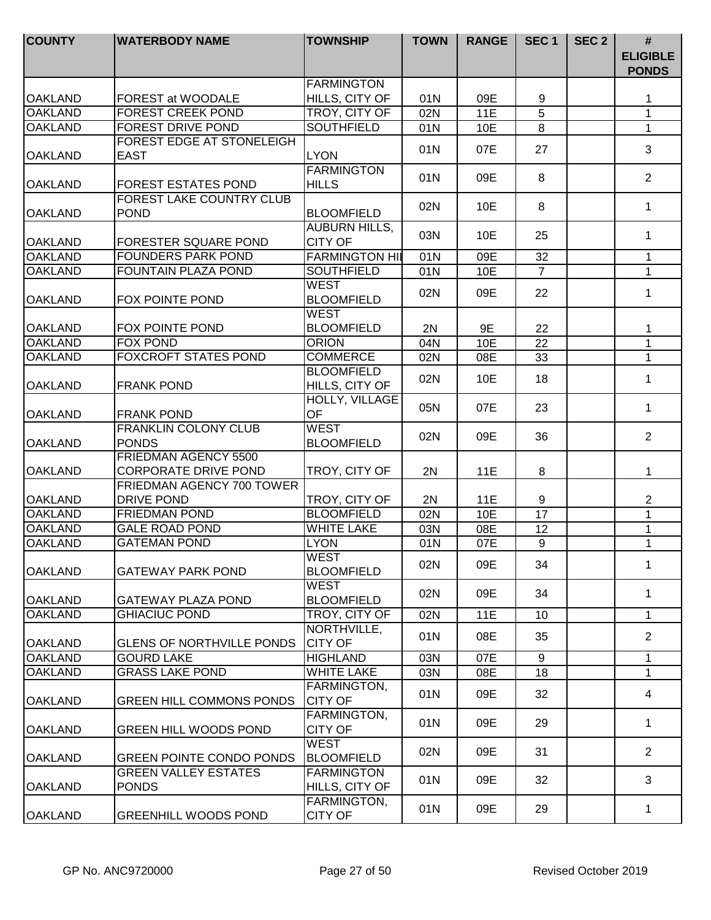| <b>COUNTY</b>  | <b>WATERBODY NAME</b>                       | <b>TOWNSHIP</b>                     | <b>TOWN</b> | <b>RANGE</b> | SEC <sub>1</sub> | SEC <sub>2</sub> | #<br><b>ELIGIBLE</b><br><b>PONDS</b> |
|----------------|---------------------------------------------|-------------------------------------|-------------|--------------|------------------|------------------|--------------------------------------|
|                |                                             | <b>FARMINGTON</b>                   |             |              |                  |                  |                                      |
| <b>OAKLAND</b> | <b>FOREST at WOODALE</b>                    | HILLS, CITY OF                      | 01N         | 09E          | 9                |                  | 1                                    |
| <b>OAKLAND</b> | <b>FOREST CREEK POND</b>                    | TROY, CITY OF                       | 02N         | <b>11E</b>   | 5                |                  | $\mathbf{1}$                         |
| <b>OAKLAND</b> | <b>FOREST DRIVE POND</b>                    | <b>SOUTHFIELD</b>                   | 01N         | 10E          | 8                |                  | $\mathbf{1}$                         |
| <b>OAKLAND</b> | FOREST EDGE AT STONELEIGH<br><b>EAST</b>    | <b>LYON</b>                         | 01N         | 07E          | 27               |                  | 3                                    |
|                |                                             | <b>FARMINGTON</b>                   |             |              |                  |                  |                                      |
| <b>OAKLAND</b> | <b>FOREST ESTATES POND</b>                  | <b>HILLS</b>                        | 01N         | 09E          | 8                |                  | $\overline{2}$                       |
|                | <b>FOREST LAKE COUNTRY CLUB</b>             |                                     | 02N         | 10E          | 8                |                  | $\mathbf{1}$                         |
| <b>OAKLAND</b> | <b>POND</b>                                 | <b>BLOOMFIELD</b>                   |             |              |                  |                  |                                      |
|                |                                             | <b>AUBURN HILLS,</b>                | 03N         | 10E          | 25               |                  | $\mathbf 1$                          |
| <b>OAKLAND</b> | <b>FORESTER SQUARE POND</b>                 | <b>CITY OF</b>                      |             |              |                  |                  |                                      |
| <b>OAKLAND</b> | <b>FOUNDERS PARK POND</b>                   | <b>FARMINGTON HIL</b>               | 01N         | 09E          | 32               |                  | 1                                    |
| <b>OAKLAND</b> | FOUNTAIN PLAZA POND                         | <b>SOUTHFIELD</b>                   | 01N         | 10E          | $\overline{7}$   |                  | $\mathbf{1}$                         |
| <b>OAKLAND</b> | FOX POINTE POND                             | <b>WEST</b><br><b>BLOOMFIELD</b>    | 02N         | 09E          | 22               |                  | 1                                    |
| <b>OAKLAND</b> | <b>FOX POINTE POND</b>                      | <b>WEST</b><br><b>BLOOMFIELD</b>    | 2N          | 9E           | 22               |                  | 1                                    |
| <b>OAKLAND</b> | <b>FOX POND</b>                             | <b>ORION</b>                        | 04N         | 10E          | 22               |                  | $\mathbf{1}$                         |
| <b>OAKLAND</b> | <b>FOXCROFT STATES POND</b>                 | <b>COMMERCE</b>                     | 02N         | 08E          | 33               |                  | 1                                    |
| <b>OAKLAND</b> | <b>FRANK POND</b>                           | <b>BLOOMFIELD</b><br>HILLS, CITY OF | 02N         | 10E          | 18               |                  | 1                                    |
| <b>OAKLAND</b> | <b>FRANK POND</b>                           | HOLLY, VILLAGE<br><b>OF</b>         | 05N         | 07E          | 23               |                  | $\mathbf{1}$                         |
|                | <b>FRANKLIN COLONY CLUB</b>                 | <b>WEST</b>                         |             |              |                  |                  |                                      |
| <b>OAKLAND</b> | <b>PONDS</b>                                | <b>BLOOMFIELD</b>                   | 02N         | 09E          | 36               |                  | $\overline{2}$                       |
|                | <b>FRIEDMAN AGENCY 5500</b>                 |                                     |             |              |                  |                  |                                      |
| <b>OAKLAND</b> | <b>CORPORATE DRIVE POND</b>                 | TROY, CITY OF                       | 2N          | 11E          | 8                |                  | 1                                    |
|                | <b>FRIEDMAN AGENCY 700 TOWER</b>            |                                     |             |              |                  |                  |                                      |
| <b>OAKLAND</b> | <b>DRIVE POND</b>                           | TROY, CITY OF                       | 2N          | 11E          | 9                |                  | $\mathbf{2}$                         |
| <b>OAKLAND</b> | <b>FRIEDMAN POND</b>                        | <b>BLOOMFIELD</b>                   | 02N         | 10E          | 17               |                  | $\mathbf{1}$                         |
| <b>OAKLAND</b> | <b>GALE ROAD POND</b>                       | <b>WHITE LAKE</b>                   | 03N         | 08E          | 12               |                  | 1                                    |
| <b>OAKLAND</b> | <b>GATEMAN POND</b>                         | <b>LYON</b>                         | 01N         | 07E          | 9                |                  | 1                                    |
| <b>OAKLAND</b> | <b>GATEWAY PARK POND</b>                    | <b>WEST</b><br><b>BLOOMFIELD</b>    | 02N         | 09E          | 34               |                  | 1                                    |
| <b>OAKLAND</b> | <b>GATEWAY PLAZA POND</b>                   | <b>WEST</b><br><b>BLOOMFIELD</b>    | 02N         | 09E          | 34               |                  | 1                                    |
| <b>OAKLAND</b> | <b>GHIACIUC POND</b>                        | TROY, CITY OF                       | 02N         | <b>11E</b>   | 10               |                  | $\mathbf{1}$                         |
| <b>OAKLAND</b> | <b>GLENS OF NORTHVILLE PONDS</b>            | NORTHVILLE,<br><b>CITY OF</b>       | 01N         | 08E          | 35               |                  | $\overline{2}$                       |
| <b>OAKLAND</b> | <b>GOURD LAKE</b>                           | <b>HIGHLAND</b>                     | 03N         | 07E          | 9                |                  | $\mathbf{1}$                         |
| <b>OAKLAND</b> | <b>GRASS LAKE POND</b>                      | <b>WHITE LAKE</b>                   | 03N         | 08E          | 18               |                  | $\mathbf{1}$                         |
|                |                                             | FARMINGTON,                         |             |              |                  |                  |                                      |
| <b>OAKLAND</b> | <b>GREEN HILL COMMONS PONDS</b>             | <b>CITY OF</b>                      | 01N         | 09E          | 32               |                  | 4                                    |
| <b>OAKLAND</b> | <b>GREEN HILL WOODS POND</b>                | FARMINGTON,<br><b>CITY OF</b>       | 01N         | 09E          | 29               |                  | $\mathbf 1$                          |
| <b>OAKLAND</b> | <b>GREEN POINTE CONDO PONDS</b>             | <b>WEST</b><br><b>BLOOMFIELD</b>    | 02N         | 09E          | 31               |                  | 2                                    |
| <b>OAKLAND</b> | <b>GREEN VALLEY ESTATES</b><br><b>PONDS</b> | <b>FARMINGTON</b><br>HILLS, CITY OF | 01N         | 09E          | 32               |                  | 3                                    |
| <b>OAKLAND</b> | <b>GREENHILL WOODS POND</b>                 | FARMINGTON,<br><b>CITY OF</b>       | 01N         | 09E          | 29               |                  | $\mathbf 1$                          |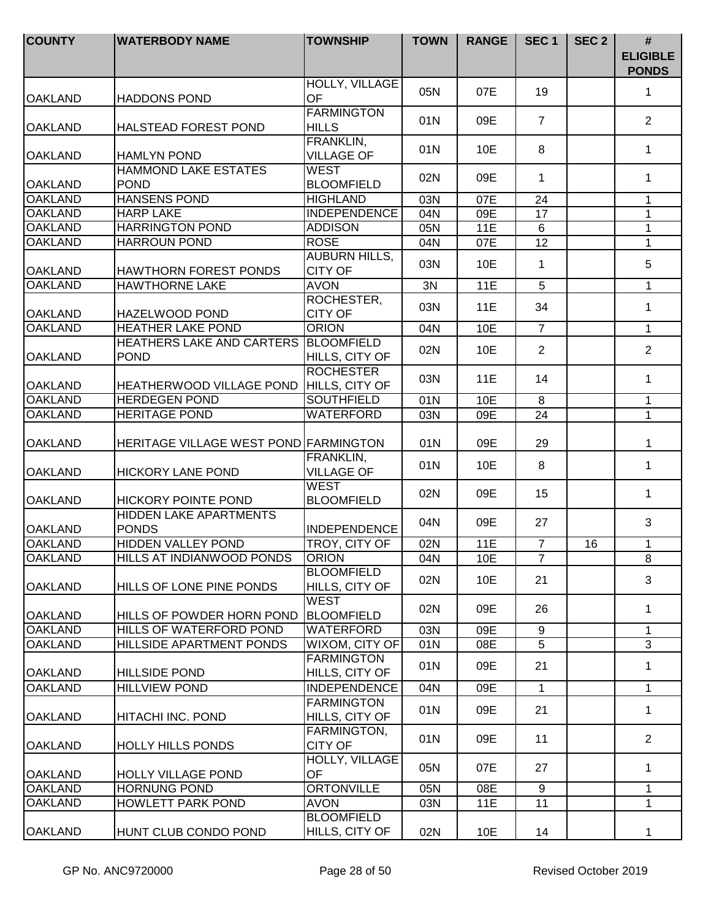| <b>COUNTY</b>  | <b>WATERBODY NAME</b>                           | <b>TOWNSHIP</b>                        | <b>TOWN</b> | <b>RANGE</b> | SEC <sub>1</sub> | SEC <sub>2</sub> | #<br><b>ELIGIBLE</b><br><b>PONDS</b> |
|----------------|-------------------------------------------------|----------------------------------------|-------------|--------------|------------------|------------------|--------------------------------------|
| <b>OAKLAND</b> | <b>HADDONS POND</b>                             | HOLLY, VILLAGE<br>OF                   | 05N         | 07E          | 19               |                  | 1                                    |
| <b>OAKLAND</b> | <b>HALSTEAD FOREST POND</b>                     | <b>FARMINGTON</b><br><b>HILLS</b>      | 01N         | 09E          | $\overline{7}$   |                  | $\overline{2}$                       |
| <b>OAKLAND</b> | <b>HAMLYN POND</b>                              | FRANKLIN,<br><b>VILLAGE OF</b>         | 01N         | 10E          | 8                |                  | $\mathbf 1$                          |
| <b>OAKLAND</b> | <b>HAMMOND LAKE ESTATES</b><br><b>POND</b>      | <b>WEST</b><br><b>BLOOMFIELD</b>       | 02N         | 09E          | 1                |                  | 1                                    |
| <b>OAKLAND</b> | <b>HANSENS POND</b>                             | <b>HIGHLAND</b>                        | 03N         | 07E          | 24               |                  | $\mathbf 1$                          |
| <b>OAKLAND</b> | <b>HARP LAKE</b>                                | <b>INDEPENDENCE</b>                    | 04N         | 09E          | 17               |                  | 1                                    |
| <b>OAKLAND</b> | <b>HARRINGTON POND</b>                          | <b>ADDISON</b>                         | 05N         | 11E          | 6                |                  | $\mathbf{1}$                         |
| <b>OAKLAND</b> | <b>HARROUN POND</b>                             | <b>ROSE</b>                            | 04N         | 07E          | 12               |                  | $\mathbf{1}$                         |
| <b>OAKLAND</b> | <b>HAWTHORN FOREST PONDS</b>                    | <b>AUBURN HILLS,</b><br><b>CITY OF</b> | 03N         | 10E          | $\mathbf{1}$     |                  | 5                                    |
| <b>OAKLAND</b> | <b>HAWTHORNE LAKE</b>                           | <b>AVON</b>                            | 3N          | <b>11E</b>   | $\overline{5}$   |                  | $\mathbf{1}$                         |
| <b>OAKLAND</b> | <b>HAZELWOOD POND</b>                           | ROCHESTER,<br><b>CITY OF</b>           | 03N         | 11E          | 34               |                  | 1                                    |
| <b>OAKLAND</b> | <b>HEATHER LAKE POND</b>                        | <b>ORION</b>                           | 04N         | 10E          | $\overline{7}$   |                  | $\mathbf{1}$                         |
| <b>OAKLAND</b> | <b>HEATHERS LAKE AND CARTERS</b><br><b>POND</b> | <b>BLOOMFIELD</b><br>HILLS, CITY OF    | 02N         | 10E          | 2                |                  | $\overline{2}$                       |
| <b>OAKLAND</b> | <b>HEATHERWOOD VILLAGE POND</b>                 | <b>ROCHESTER</b><br>HILLS, CITY OF     | 03N         | 11E          | 14               |                  | 1                                    |
| <b>OAKLAND</b> | <b>HERDEGEN POND</b>                            | <b>SOUTHFIELD</b>                      | 01N         | 10E          | 8                |                  | $\mathbf{1}$                         |
| <b>OAKLAND</b> | <b>HERITAGE POND</b>                            | <b>WATERFORD</b>                       | 03N         | 09E          | 24               |                  | $\mathbf{1}$                         |
| <b>OAKLAND</b> | HERITAGE VILLAGE WEST POND FARMINGTON           |                                        | 01N         | 09E          | 29               |                  | 1                                    |
| <b>OAKLAND</b> | <b>HICKORY LANE POND</b>                        | FRANKLIN,<br><b>VILLAGE OF</b>         | 01N         | 10E          | 8                |                  | $\mathbf 1$                          |
| <b>OAKLAND</b> | <b>HICKORY POINTE POND</b>                      | <b>WEST</b><br><b>BLOOMFIELD</b>       | 02N         | 09E          | 15               |                  | $\mathbf 1$                          |
| <b>OAKLAND</b> | HIDDEN LAKE APARTMENTS<br><b>PONDS</b>          | <b>INDEPENDENCE</b>                    | 04N         | 09E          | 27               |                  | 3                                    |
| <b>OAKLAND</b> | HIDDEN VALLEY POND                              | TROY, CITY OF                          | 02N         | <b>11E</b>   | $\overline{7}$   | 16               | $\mathbf 1$                          |
| IOAKLAND       | IHILLS AT INDIANWOOD PONDS                      | IORION                                 | 04N         | 10E          | $\overline{7}$   |                  | 8                                    |
| <b>OAKLAND</b> | HILLS OF LONE PINE PONDS                        | <b>BLOOMFIELD</b><br>HILLS, CITY OF    | 02N         | 10E          | 21               |                  | 3                                    |
| <b>OAKLAND</b> | <b>HILLS OF POWDER HORN POND</b>                | <b>WEST</b><br><b>BLOOMFIELD</b>       | 02N         | 09E          | 26               |                  | 1                                    |
| <b>OAKLAND</b> | HILLS OF WATERFORD POND                         | WATERFORD                              | 03N         | 09E          | 9                |                  | $\mathbf{1}$                         |
| <b>OAKLAND</b> | <b>HILLSIDE APARTMENT PONDS</b>                 | WIXOM, CITY OF                         | 01N         | 08E          | 5                |                  | 3                                    |
| <b>OAKLAND</b> | <b>HILLSIDE POND</b>                            | <b>FARMINGTON</b><br>HILLS, CITY OF    | 01N         | 09E          | 21               |                  | $\mathbf{1}$                         |
| <b>OAKLAND</b> | <b>HILLVIEW POND</b>                            | INDEPENDENCE                           | 04N         | 09E          | $\mathbf{1}$     |                  | $\mathbf{1}$                         |
| <b>OAKLAND</b> | <b>HITACHI INC. POND</b>                        | <b>FARMINGTON</b><br>HILLS, CITY OF    | 01N         | 09E          | 21               |                  | $\mathbf{1}$                         |
| OAKLAND        | <b>HOLLY HILLS PONDS</b>                        | FARMINGTON,<br><b>CITY OF</b>          | 01N         | 09E          | 11               |                  | $\overline{2}$                       |
| <b>OAKLAND</b> | <b>HOLLY VILLAGE POND</b>                       | HOLLY, VILLAGE<br>OF                   | 05N         | 07E          | 27               |                  | $\mathbf 1$                          |
| <b>OAKLAND</b> | <b>HORNUNG POND</b>                             | <b>ORTONVILLE</b>                      | 05N         | 08E          | 9                |                  | $\mathbf 1$                          |
| <b>OAKLAND</b> | <b>HOWLETT PARK POND</b>                        | <b>AVON</b>                            | 03N         | 11E          | $\overline{11}$  |                  | 1                                    |
| <b>OAKLAND</b> | HUNT CLUB CONDO POND                            | <b>BLOOMFIELD</b><br>HILLS, CITY OF    | 02N         | 10E          | 14               |                  | 1                                    |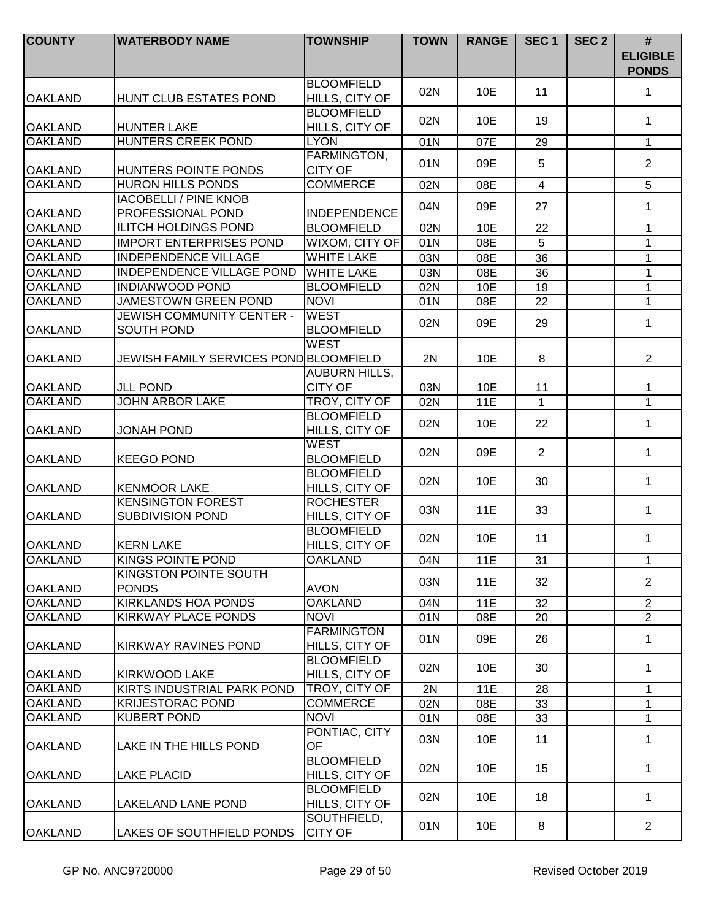| <b>COUNTY</b>  | <b>WATERBODY NAME</b>                               | <b>TOWNSHIP</b>                        | <b>TOWN</b> | <b>RANGE</b> | SEC <sub>1</sub> | SEC <sub>2</sub> | $\#$<br><b>ELIGIBLE</b><br><b>PONDS</b> |
|----------------|-----------------------------------------------------|----------------------------------------|-------------|--------------|------------------|------------------|-----------------------------------------|
| <b>OAKLAND</b> | HUNT CLUB ESTATES POND                              | <b>BLOOMFIELD</b><br>HILLS, CITY OF    | 02N         | 10E          | 11               |                  | 1                                       |
| <b>OAKLAND</b> | <b>HUNTER LAKE</b>                                  | <b>BLOOMFIELD</b><br>HILLS, CITY OF    | 02N         | 10E          | 19               |                  | 1                                       |
| <b>OAKLAND</b> | <b>HUNTERS CREEK POND</b>                           | <b>LYON</b>                            | 01N         | 07E          | 29               |                  | $\mathbf{1}$                            |
| <b>OAKLAND</b> | HUNTERS POINTE PONDS                                | FARMINGTON,<br><b>CITY OF</b>          | 01N         | 09E          | 5                |                  | 2                                       |
| <b>OAKLAND</b> | <b>HURON HILLS PONDS</b>                            | <b>COMMERCE</b>                        | 02N         | 08E          | $\overline{4}$   |                  | 5                                       |
| <b>OAKLAND</b> | <b>IACOBELLI / PINE KNOB</b><br>PROFESSIONAL POND   | <b>INDEPENDENCE</b>                    | 04N         | 09E          | 27               |                  | 1                                       |
| <b>OAKLAND</b> | <b>ILITCH HOLDINGS POND</b>                         | <b>BLOOMFIELD</b>                      | 02N         | 10E          | 22               |                  | 1                                       |
| <b>OAKLAND</b> | <b>IMPORT ENTERPRISES POND</b>                      | WIXOM, CITY OF                         | 01N         | 08E          | 5                |                  | $\mathbf{1}$                            |
| <b>OAKLAND</b> | <b>INDEPENDENCE VILLAGE</b>                         | <b>WHITE LAKE</b>                      | 03N         | 08E          | 36               |                  | $\mathbf{1}$                            |
| <b>OAKLAND</b> | <b>INDEPENDENCE VILLAGE POND</b>                    | <b>WHITE LAKE</b>                      | 03N         | 08E          | 36               |                  | 1                                       |
| <b>OAKLAND</b> | <b>INDIANWOOD POND</b>                              | <b>BLOOMFIELD</b>                      | 02N         | 10E          | 19               |                  | 1                                       |
| <b>OAKLAND</b> | <b>JAMESTOWN GREEN POND</b>                         | <b>NOVI</b>                            | 01N         | 08E          | 22               |                  | $\mathbf{1}$                            |
| <b>OAKLAND</b> | <b>JEWISH COMMUNITY CENTER -</b><br>SOUTH POND      | <b>WEST</b><br><b>BLOOMFIELD</b>       | 02N         | 09E          | 29               |                  | 1                                       |
| <b>OAKLAND</b> | JEWISH FAMILY SERVICES POND BLOOMFIELD              | <b>WEST</b>                            | 2N          | 10E          | 8                |                  | $\overline{2}$                          |
| <b>OAKLAND</b> | <b>JLL POND</b>                                     | <b>AUBURN HILLS,</b><br><b>CITY OF</b> | 03N         | 10E          | 11               |                  | 1                                       |
| <b>OAKLAND</b> | <b>JOHN ARBOR LAKE</b>                              | TROY, CITY OF                          | 02N         | <b>11E</b>   | $\mathbf{1}$     |                  | $\mathbf{1}$                            |
| <b>OAKLAND</b> | <b>JONAH POND</b>                                   | <b>BLOOMFIELD</b><br>HILLS, CITY OF    | 02N         | 10E          | 22               |                  | $\mathbf{1}$                            |
| <b>OAKLAND</b> | <b>KEEGO POND</b>                                   | <b>WEST</b><br><b>BLOOMFIELD</b>       | 02N         | 09E          | $\overline{2}$   |                  | $\mathbf{1}$                            |
| <b>OAKLAND</b> | <b>KENMOOR LAKE</b>                                 | <b>BLOOMFIELD</b><br>HILLS, CITY OF    | 02N         | 10E          | 30               |                  | $\mathbf{1}$                            |
| <b>OAKLAND</b> | <b>KENSINGTON FOREST</b><br><b>SUBDIVISION POND</b> | <b>ROCHESTER</b><br>HILLS, CITY OF     | 03N         | 11E          | 33               |                  | 1                                       |
| <b>OAKLAND</b> | <b>KERN LAKE</b>                                    | <b>BLOOMFIELD</b><br>HILLS, CITY OF    | 02N         | 10E          | 11               |                  | 1                                       |
| <b>OAKLAND</b> | <b>KINGS POINTE POND</b>                            | <b>OAKLAND</b>                         | 04N         | 11E          | 31               |                  | 1                                       |
| <b>OAKLAND</b> | KINGSTON POINTE SOUTH<br><b>PONDS</b>               | <b>AVON</b>                            | 03N         | 11E          | 32               |                  | $\overline{2}$                          |
| <b>OAKLAND</b> | <b>KIRKLANDS HOA PONDS</b>                          | <b>OAKLAND</b>                         | 04N         | <b>11E</b>   | 32               |                  | $\overline{2}$                          |
| <b>OAKLAND</b> | KIRKWAY PLACE PONDS                                 | <b>NOVI</b>                            | 01N         | 08E          | 20               |                  | $\overline{2}$                          |
| <b>OAKLAND</b> | <b>KIRKWAY RAVINES POND</b>                         | <b>FARMINGTON</b><br>HILLS, CITY OF    | 01N         | 09E          | 26               |                  | $\mathbf 1$                             |
| <b>OAKLAND</b> | <b>IKIRKWOOD LAKE</b>                               | <b>BLOOMFIELD</b><br>HILLS, CITY OF    | 02N         | 10E          | 30               |                  | $\mathbf 1$                             |
| <b>OAKLAND</b> | KIRTS INDUSTRIAL PARK POND                          | TROY, CITY OF                          | 2N          | 11E          | 28               |                  | 1                                       |
| <b>OAKLAND</b> | <b>KRIJESTORAC POND</b>                             | <b>COMMERCE</b>                        | 02N         | 08E          | 33               |                  | $\mathbf 1$                             |
| <b>OAKLAND</b> | <b>KUBERT POND</b>                                  | <b>NOVI</b>                            | 01N         | 08E          | 33               |                  | $\mathbf{1}$                            |
| <b>OAKLAND</b> | LAKE IN THE HILLS POND                              | PONTIAC, CITY<br><b>OF</b>             | 03N         | 10E          | 11               |                  | $\mathbf 1$                             |
| <b>OAKLAND</b> | <b>LAKE PLACID</b>                                  | <b>BLOOMFIELD</b><br>HILLS, CITY OF    | 02N         | 10E          | 15               |                  | $\mathbf 1$                             |
| <b>OAKLAND</b> | LAKELAND LANE POND                                  | <b>BLOOMFIELD</b><br>HILLS, CITY OF    | 02N         | 10E          | 18               |                  | 1                                       |
| <b>OAKLAND</b> | LAKES OF SOUTHFIELD PONDS                           | SOUTHFIELD,<br><b>CITY OF</b>          | 01N         | 10E          | 8                |                  | $\overline{2}$                          |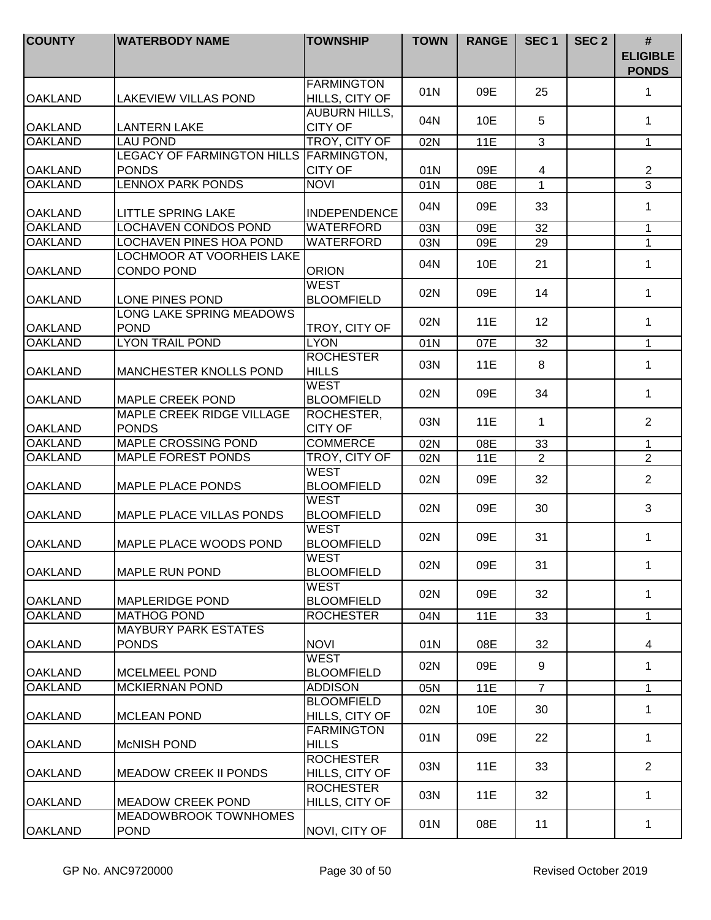| <b>COUNTY</b>  | <b>WATERBODY NAME</b>                            | <b>TOWNSHIP</b>                        | <b>TOWN</b> | <b>RANGE</b> | SEC <sub>1</sub> | SEC <sub>2</sub> | $\#$<br><b>ELIGIBLE</b><br><b>PONDS</b> |
|----------------|--------------------------------------------------|----------------------------------------|-------------|--------------|------------------|------------------|-----------------------------------------|
| <b>OAKLAND</b> | <b>LAKEVIEW VILLAS POND</b>                      | <b>FARMINGTON</b><br>HILLS, CITY OF    | 01N         | 09E          | 25               |                  | 1                                       |
| <b>OAKLAND</b> | <b>LANTERN LAKE</b>                              | <b>AUBURN HILLS,</b><br><b>CITY OF</b> | 04N         | 10E          | 5                |                  | 1                                       |
| <b>OAKLAND</b> | <b>LAU POND</b>                                  | TROY, CITY OF                          | 02N         | <b>11E</b>   | 3                |                  | $\mathbf{1}$                            |
|                | LEGACY OF FARMINGTON HILLS FARMINGTON,           |                                        |             |              |                  |                  |                                         |
| <b>OAKLAND</b> | <b>PONDS</b>                                     | <b>CITY OF</b>                         | 01N         | 09E          | $\overline{4}$   |                  | $\overline{2}$                          |
| <b>OAKLAND</b> | <b>LENNOX PARK PONDS</b>                         | <b>NOVI</b>                            | 01N         | 08E          | $\mathbf{1}$     |                  | $\overline{3}$                          |
| <b>OAKLAND</b> | <b>LITTLE SPRING LAKE</b>                        | <b>INDEPENDENCE</b>                    | 04N         | 09E          | 33               |                  | $\mathbf 1$                             |
| <b>OAKLAND</b> | <b>LOCHAVEN CONDOS POND</b>                      | <b>WATERFORD</b>                       | 03N         | 09E          | 32               |                  | $\mathbf{1}$                            |
| <b>OAKLAND</b> | LOCHAVEN PINES HOA POND                          | <b>WATERFORD</b>                       | 03N         | 09E          | 29               |                  | $\mathbf{1}$                            |
| <b>OAKLAND</b> | <b>LOCHMOOR AT VOORHEIS LAKE</b><br>CONDO POND   | <b>ORION</b>                           | 04N         | 10E          | 21               |                  | $\mathbf{1}$                            |
| <b>OAKLAND</b> | LONE PINES POND                                  | WEST<br><b>BLOOMFIELD</b>              | 02N         | 09E          | 14               |                  | $\mathbf{1}$                            |
| <b>OAKLAND</b> | LONG LAKE SPRING MEADOWS<br><b>POND</b>          | TROY, CITY OF                          | 02N         | 11E          | 12               |                  | 1                                       |
| <b>OAKLAND</b> | <b>LYON TRAIL POND</b>                           | <b>LYON</b>                            | 01N         | 07E          | 32               |                  | $\mathbf{1}$                            |
| <b>OAKLAND</b> | <b>MANCHESTER KNOLLS POND</b>                    | <b>ROCHESTER</b><br><b>HILLS</b>       | 03N         | 11E          | 8                |                  | 1                                       |
| <b>OAKLAND</b> | <b>MAPLE CREEK POND</b>                          | <b>WEST</b><br><b>BLOOMFIELD</b>       | 02N         | 09E          | 34               |                  | 1                                       |
| <b>OAKLAND</b> | <b>MAPLE CREEK RIDGE VILLAGE</b><br><b>PONDS</b> | ROCHESTER,<br><b>CITY OF</b>           | 03N         | 11E          | $\mathbf{1}$     |                  | $\overline{2}$                          |
| <b>OAKLAND</b> | <b>MAPLE CROSSING POND</b>                       | <b>COMMERCE</b>                        | 02N         | 08E          | 33               |                  | $\mathbf{1}$                            |
| <b>OAKLAND</b> | <b>MAPLE FOREST PONDS</b>                        | TROY, CITY OF                          | 02N         | 11E          | $\overline{2}$   |                  | $\overline{2}$                          |
| <b>OAKLAND</b> | <b>MAPLE PLACE PONDS</b>                         | <b>WEST</b><br><b>BLOOMFIELD</b>       | 02N         | 09E          | 32               |                  | $\overline{2}$                          |
| <b>OAKLAND</b> | <b>MAPLE PLACE VILLAS PONDS</b>                  | <b>WEST</b><br><b>BLOOMFIELD</b>       | 02N         | 09E          | 30               |                  | 3                                       |
| <b>OAKLAND</b> | MAPLE PLACE WOODS POND                           | <b>WEST</b><br><b>BLOOMFIELD</b>       | 02N         | 09E          | 31               |                  | 1                                       |
| <b>OAKLAND</b> | <b>MAPLE RUN POND</b>                            | <b>IWEST</b><br><b>BLOOMFIELD</b>      | 02N         | 09E          | 31               |                  | 1                                       |
| <b>OAKLAND</b> | <b>MAPLERIDGE POND</b>                           | <b>WEST</b><br><b>BLOOMFIELD</b>       | 02N         | 09E          | 32               |                  | 1                                       |
| <b>OAKLAND</b> | <b>MATHOG POND</b>                               | <b>ROCHESTER</b>                       | 04N         | 11E          | 33               |                  | $\mathbf{1}$                            |
| <b>OAKLAND</b> | <b>MAYBURY PARK ESTATES</b><br><b>PONDS</b>      | <b>NOVI</b>                            | 01N         | 08E          | 32               |                  | $\overline{4}$                          |
| <b>OAKLAND</b> | <b>MCELMEEL POND</b>                             | <b>WEST</b><br><b>BLOOMFIELD</b>       | 02N         | 09E          | 9                |                  | $\mathbf 1$                             |
| <b>OAKLAND</b> | <b>MCKIERNAN POND</b>                            | <b>ADDISON</b>                         | 05N         | 11E          | $\overline{7}$   |                  | $\mathbf{1}$                            |
| <b>OAKLAND</b> | <b>MCLEAN POND</b>                               | <b>BLOOMFIELD</b><br>HILLS, CITY OF    | 02N         | 10E          | 30               |                  | $\mathbf{1}$                            |
| <b>OAKLAND</b> | <b>McNISH POND</b>                               | <b>FARMINGTON</b><br><b>HILLS</b>      | 01N         | 09E          | 22               |                  | $\mathbf{1}$                            |
| <b>OAKLAND</b> | <b>MEADOW CREEK II PONDS</b>                     | <b>ROCHESTER</b><br>HILLS, CITY OF     | 03N         | 11E          | 33               |                  | $\overline{2}$                          |
| <b>OAKLAND</b> | <b>MEADOW CREEK POND</b>                         | <b>ROCHESTER</b><br>HILLS, CITY OF     | 03N         | 11E          | 32               |                  | $\mathbf 1$                             |
| <b>OAKLAND</b> | <b>MEADOWBROOK TOWNHOMES</b><br><b>POND</b>      | NOVI, CITY OF                          | 01N         | 08E          | 11               |                  | 1                                       |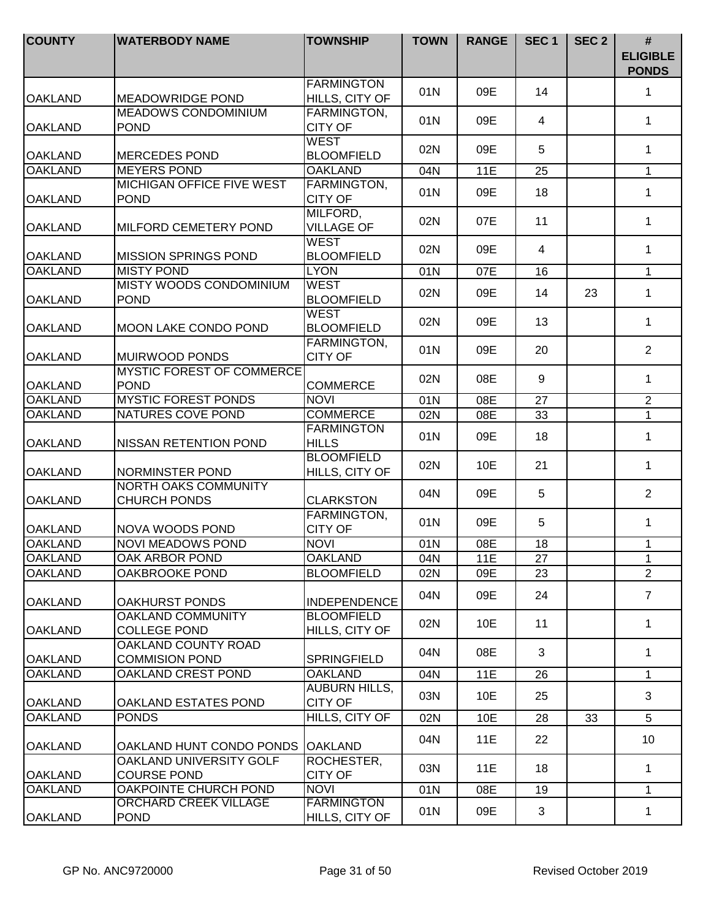| <b>COUNTY</b>  | <b>WATERBODY NAME</b>                              | <b>TOWNSHIP</b>                          | <b>TOWN</b> | <b>RANGE</b> | SEC <sub>1</sub> | SEC <sub>2</sub> | $\#$<br><b>ELIGIBLE</b><br><b>PONDS</b> |
|----------------|----------------------------------------------------|------------------------------------------|-------------|--------------|------------------|------------------|-----------------------------------------|
| <b>OAKLAND</b> | <b>MEADOWRIDGE POND</b>                            | <b>FARMINGTON</b><br>HILLS, CITY OF      | 01N         | 09E          | 14               |                  | 1                                       |
| <b>OAKLAND</b> | <b>MEADOWS CONDOMINIUM</b><br><b>POND</b>          | FARMINGTON,<br><b>CITY OF</b>            | 01N         | 09E          | 4                |                  | 1                                       |
| <b>OAKLAND</b> | <b>MERCEDES POND</b>                               | <b>WEST</b><br><b>BLOOMFIELD</b>         | 02N         | 09E          | 5                |                  | 1                                       |
| <b>OAKLAND</b> | <b>MEYERS POND</b>                                 | <b>OAKLAND</b>                           | 04N         | 11E          | 25               |                  | $\mathbf{1}$                            |
| <b>OAKLAND</b> | <b>MICHIGAN OFFICE FIVE WEST</b><br><b>POND</b>    | <b>FARMINGTON,</b><br><b>CITY OF</b>     | 01N         | 09E          | 18               |                  | $\mathbf{1}$                            |
| <b>OAKLAND</b> | MILFORD CEMETERY POND                              | MILFORD,<br><b>VILLAGE OF</b>            | 02N         | 07E          | 11               |                  | 1                                       |
| <b>OAKLAND</b> | <b>MISSION SPRINGS POND</b>                        | <b>WEST</b><br><b>BLOOMFIELD</b>         | 02N         | 09E          | $\overline{4}$   |                  | $\mathbf{1}$                            |
| <b>OAKLAND</b> | <b>MISTY POND</b>                                  | <b>LYON</b>                              | 01N         | 07E          | 16               |                  | $\mathbf{1}$                            |
| <b>OAKLAND</b> | MISTY WOODS CONDOMINIUM<br><b>POND</b>             | <b>WEST</b><br><b>BLOOMFIELD</b>         | 02N         | 09E          | 14               | 23               | $\mathbf{1}$                            |
| <b>OAKLAND</b> | <b>MOON LAKE CONDO POND</b>                        | <b>WEST</b><br><b>BLOOMFIELD</b>         | 02N         | 09E          | 13               |                  | 1                                       |
| <b>OAKLAND</b> | MUIRWOOD PONDS                                     | FARMINGTON,<br><b>CITY OF</b>            | 01N         | 09E          | 20               |                  | $\overline{2}$                          |
| <b>OAKLAND</b> | <b>MYSTIC FOREST OF COMMERCE</b><br><b>POND</b>    | <b>COMMERCE</b>                          | 02N         | 08E          | 9                |                  | 1                                       |
| <b>OAKLAND</b> | <b>MYSTIC FOREST PONDS</b>                         | <b>NOVI</b>                              | 01N         | 08E          | 27               |                  | $\overline{2}$                          |
| <b>OAKLAND</b> | NATURES COVE POND                                  | <b>COMMERCE</b>                          | 02N         | 08E          | 33               |                  | $\overline{1}$                          |
| <b>OAKLAND</b> | <b>NISSAN RETENTION POND</b>                       | <b>FARMINGTON</b><br><b>HILLS</b>        | 01N         | 09E          | 18               |                  | $\mathbf{1}$                            |
| <b>OAKLAND</b> | NORMINSTER POND                                    | <b>BLOOMFIELD</b><br>HILLS, CITY OF      | 02N         | 10E          | 21               |                  | $\mathbf{1}$                            |
| <b>OAKLAND</b> | <b>NORTH OAKS COMMUNITY</b><br><b>CHURCH PONDS</b> | <b>CLARKSTON</b>                         | 04N         | 09E          | 5                |                  | 2                                       |
| <b>OAKLAND</b> | NOVA WOODS POND                                    | FARMINGTON,<br><b>CITY OF</b>            | 01N         | 09E          | 5                |                  | $\mathbf{1}$                            |
| <b>OAKLAND</b> | <b>NOVI MEADOWS POND</b>                           | <b>NOVI</b>                              | 01N         | 08E          | 18               |                  | $\mathbf{1}$                            |
| <b>OAKLAND</b> | OAK ARBOR POND                                     | OAKLAND                                  | 04N         | 11E          | 27               |                  | 1                                       |
| <b>OAKLAND</b> | OAKBROOKE POND                                     | <b>BLOOMFIELD</b>                        | 02N         | 09E          | 23               |                  | $\overline{2}$                          |
| <b>OAKLAND</b> | <b>OAKHURST PONDS</b>                              | <b>INDEPENDENCE</b><br><b>BLOOMFIELD</b> | 04N         | 09E          | 24               |                  | $\overline{7}$                          |
| <b>OAKLAND</b> | OAKLAND COMMUNITY<br><b>COLLEGE POND</b>           | HILLS, CITY OF                           | 02N         | 10E          | 11               |                  | $\mathbf{1}$                            |
| <b>OAKLAND</b> | OAKLAND COUNTY ROAD<br><b>COMMISION POND</b>       | SPRINGFIELD                              | 04N         | 08E          | 3                |                  | $\mathbf{1}$                            |
| <b>OAKLAND</b> | OAKLAND CREST POND                                 | <b>OAKLAND</b>                           | 04N         | 11E          | 26               |                  | $\mathbf{1}$                            |
| <b>OAKLAND</b> | OAKLAND ESTATES POND                               | <b>AUBURN HILLS,</b><br><b>CITY OF</b>   | 03N         | 10E          | 25               |                  | 3                                       |
| <b>OAKLAND</b> | <b>PONDS</b>                                       | HILLS, CITY OF                           | 02N         | 10E          | 28               | 33               | 5                                       |
| <b>OAKLAND</b> | OAKLAND HUNT CONDO PONDS OAKLAND                   |                                          | 04N         | 11E          | 22               |                  | 10 <sup>°</sup>                         |
| <b>OAKLAND</b> | OAKLAND UNIVERSITY GOLF<br><b>COURSE POND</b>      | ROCHESTER,<br><b>CITY OF</b>             | 03N         | 11E          | 18               |                  | $\mathbf 1$                             |
| <b>OAKLAND</b> | OAKPOINTE CHURCH POND                              | <b>NOVI</b>                              | 01N         | 08E          | 19               |                  | $\mathbf{1}$                            |
| <b>OAKLAND</b> | ORCHARD CREEK VILLAGE<br><b>POND</b>               | <b>FARMINGTON</b><br>HILLS, CITY OF      | 01N         | 09E          | 3                |                  | 1                                       |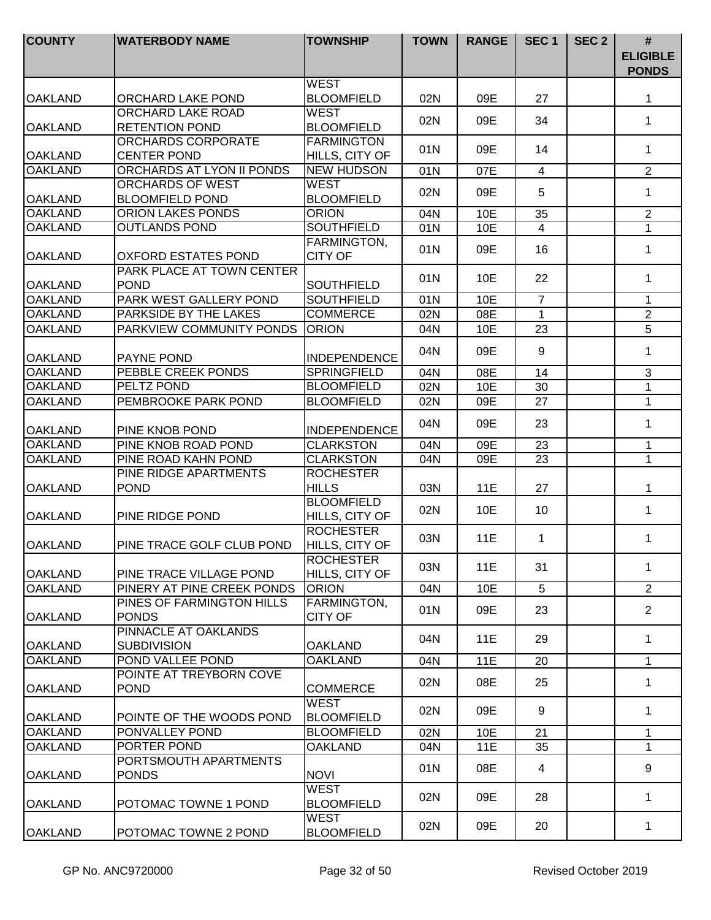| <b>COUNTY</b>  | <b>WATERBODY NAME</b>                      | <b>TOWNSHIP</b>                     | <b>TOWN</b> | <b>RANGE</b> | SEC <sub>1</sub> | SEC <sub>2</sub> | #<br><b>ELIGIBLE</b><br><b>PONDS</b> |
|----------------|--------------------------------------------|-------------------------------------|-------------|--------------|------------------|------------------|--------------------------------------|
| <b>OAKLAND</b> | ORCHARD LAKE POND                          | <b>WEST</b><br><b>BLOOMFIELD</b>    | 02N         | 09E          | 27               |                  | 1                                    |
| <b>OAKLAND</b> | ORCHARD LAKE ROAD<br><b>RETENTION POND</b> | <b>WEST</b><br><b>BLOOMFIELD</b>    | 02N         | 09E          | 34               |                  | $\mathbf 1$                          |
| <b>OAKLAND</b> | ORCHARDS CORPORATE<br><b>CENTER POND</b>   | <b>FARMINGTON</b><br>HILLS, CITY OF | 01N         | 09E          | 14               |                  | 1                                    |
| <b>OAKLAND</b> | ORCHARDS AT LYON II PONDS                  | <b>NEW HUDSON</b>                   | 01N         | 07E          | $\overline{4}$   |                  | $\overline{2}$                       |
| <b>OAKLAND</b> | ORCHARDS OF WEST<br><b>BLOOMFIELD POND</b> | <b>WEST</b><br><b>BLOOMFIELD</b>    | 02N         | 09E          | 5                |                  | $\mathbf 1$                          |
| <b>OAKLAND</b> | ORION LAKES PONDS                          | <b>ORION</b>                        | 04N         | 10E          | 35               |                  | $\overline{2}$                       |
| <b>OAKLAND</b> | <b>OUTLANDS POND</b>                       | <b>SOUTHFIELD</b>                   | 01N         | 10E          | $\overline{4}$   |                  | $\mathbf{1}$                         |
| <b>OAKLAND</b> | <b>OXFORD ESTATES POND</b>                 | FARMINGTON,<br><b>CITY OF</b>       | 01N         | 09E          | 16               |                  | 1                                    |
| <b>OAKLAND</b> | PARK PLACE AT TOWN CENTER<br><b>POND</b>   | <b>SOUTHFIELD</b>                   | 01N         | 10E          | 22               |                  | $\mathbf{1}$                         |
| <b>OAKLAND</b> | PARK WEST GALLERY POND                     | <b>SOUTHFIELD</b>                   | 01N         | 10E          | $\overline{7}$   |                  | $\mathbf{1}$                         |
| <b>OAKLAND</b> | PARKSIDE BY THE LAKES                      | <b>COMMERCE</b>                     | 02N         | 08E          | $\mathbf 1$      |                  | $\overline{2}$                       |
| <b>OAKLAND</b> | PARKVIEW COMMUNITY PONDS                   | <b>ORION</b>                        | 04N         | 10E          | 23               |                  | 5                                    |
| <b>OAKLAND</b> | <b>PAYNE POND</b>                          | <b>INDEPENDENCE</b>                 | 04N         | 09E          | 9                |                  | 1                                    |
| <b>OAKLAND</b> | PEBBLE CREEK PONDS                         | <b>SPRINGFIELD</b>                  | 04N         | 08E          | 14               |                  | 3                                    |
| <b>OAKLAND</b> | PELTZ POND                                 | <b>BLOOMFIELD</b>                   | 02N         | 10E          | 30               |                  | $\mathbf{1}$                         |
| <b>OAKLAND</b> | PEMBROOKE PARK POND                        | <b>BLOOMFIELD</b>                   | 02N         | 09E          | 27               |                  | $\mathbf 1$                          |
| <b>OAKLAND</b> | PINE KNOB POND                             | <b>INDEPENDENCE</b>                 | 04N         | 09E          | 23               |                  | $\mathbf{1}$                         |
| <b>OAKLAND</b> | PINE KNOB ROAD POND                        | <b>CLARKSTON</b>                    | 04N         | 09E          | 23               |                  | $\mathbf 1$                          |
| <b>OAKLAND</b> | PINE ROAD KAHN POND                        | <b>CLARKSTON</b>                    | 04N         | 09E          | 23               |                  | $\mathbf{1}$                         |
| <b>OAKLAND</b> | PINE RIDGE APARTMENTS<br><b>POND</b>       | <b>ROCHESTER</b><br><b>HILLS</b>    | 03N         | 11E          | 27               |                  | 1                                    |
| <b>OAKLAND</b> | PINE RIDGE POND                            | <b>BLOOMFIELD</b><br>HILLS, CITY OF | 02N         | 10E          | 10               |                  | $\mathbf 1$                          |
| <b>OAKLAND</b> | PINE TRACE GOLF CLUB POND                  | <b>ROCHESTER</b><br>HILLS, CITY OF  | 03N         | 11E          | 1                |                  | 1                                    |
| <b>OAKLAND</b> | PINE TRACE VILLAGE POND                    | <b>ROCHESTER</b><br>HILLS, CITY OF  | 03N         | 11E          | 31               |                  | 1                                    |
| <b>OAKLAND</b> | PINERY AT PINE CREEK PONDS                 | <b>ORION</b>                        | 04N         | 10E          | 5                |                  | $\overline{2}$                       |
| <b>OAKLAND</b> | PINES OF FARMINGTON HILLS<br><b>PONDS</b>  | FARMINGTON,<br><b>CITY OF</b>       | 01N         | 09E          | 23               |                  | $\overline{2}$                       |
| <b>OAKLAND</b> | PINNACLE AT OAKLANDS<br><b>SUBDIVISION</b> | <b>OAKLAND</b>                      | 04N         | 11E          | 29               |                  | $\mathbf{1}$                         |
| <b>OAKLAND</b> | POND VALLEE POND                           | <b>OAKLAND</b>                      | 04N         | 11E          | 20               |                  | $\mathbf{1}$                         |
| <b>OAKLAND</b> | POINTE AT TREYBORN COVE<br><b>POND</b>     | <b>COMMERCE</b>                     | 02N         | 08E          | 25               |                  | $\mathbf{1}$                         |
| <b>OAKLAND</b> | POINTE OF THE WOODS POND                   | <b>WEST</b><br><b>BLOOMFIELD</b>    | 02N         | 09E          | 9                |                  | $\mathbf{1}$                         |
| <b>OAKLAND</b> | PONVALLEY POND                             | <b>BLOOMFIELD</b>                   | 02N         | 10E          | 21               |                  | $\mathbf{1}$                         |
| <b>OAKLAND</b> | PORTER POND                                | <b>OAKLAND</b>                      | 04N         | 11E          | 35               |                  | 1                                    |
| <b>OAKLAND</b> | PORTSMOUTH APARTMENTS<br><b>PONDS</b>      | <b>NOVI</b>                         | 01N         | 08E          | 4                |                  | 9                                    |
| IOAKLAND       | POTOMAC TOWNE 1 POND                       | <b>WEST</b><br><b>BLOOMFIELD</b>    | 02N         | 09E          | 28               |                  | 1                                    |
| <b>OAKLAND</b> | POTOMAC TOWNE 2 POND                       | <b>WEST</b><br><b>BLOOMFIELD</b>    | 02N         | 09E          | 20               |                  | $\mathbf{1}$                         |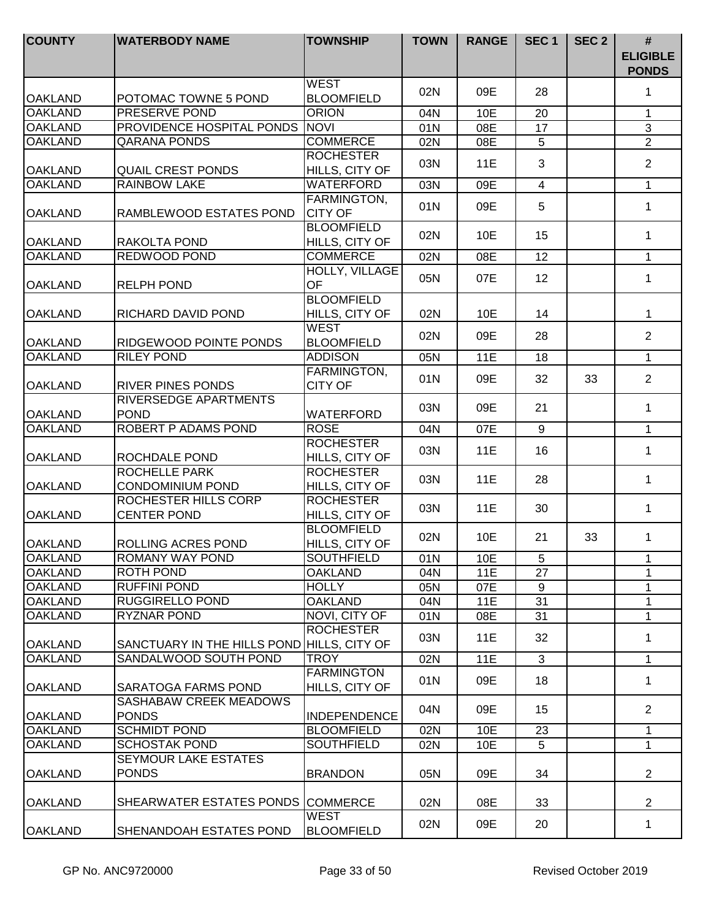| <b>COUNTY</b>  | <b>WATERBODY NAME</b>                                               | <b>TOWNSHIP</b>                     | <b>TOWN</b> | <b>RANGE</b> | SEC <sub>1</sub> | SEC <sub>2</sub> | #<br><b>ELIGIBLE</b><br><b>PONDS</b> |
|----------------|---------------------------------------------------------------------|-------------------------------------|-------------|--------------|------------------|------------------|--------------------------------------|
| <b>OAKLAND</b> | POTOMAC TOWNE 5 POND                                                | <b>WEST</b><br><b>BLOOMFIELD</b>    | 02N         | 09E          | 28               |                  | 1                                    |
| <b>OAKLAND</b> | <b>PRESERVE POND</b>                                                | <b>ORION</b>                        | 04N         | 10E          | 20               |                  | $\mathbf{1}$                         |
| <b>OAKLAND</b> | PROVIDENCE HOSPITAL PONDS                                           | <b>NOVI</b>                         | 01N         | 08E          | 17               |                  | $\mathfrak{S}$                       |
| <b>OAKLAND</b> | <b>QARANA PONDS</b>                                                 | <b>COMMERCE</b>                     | 02N         | 08E          | 5                |                  | $\overline{2}$                       |
| <b>OAKLAND</b> | <b>QUAIL CREST PONDS</b>                                            | <b>ROCHESTER</b><br>HILLS, CITY OF  | 03N         | <b>11E</b>   | 3                |                  | $\overline{2}$                       |
| <b>OAKLAND</b> | <b>RAINBOW LAKE</b>                                                 | WATERFORD                           | 03N         | 09E          | $\overline{4}$   |                  | $\mathbf{1}$                         |
| <b>OAKLAND</b> | RAMBLEWOOD ESTATES POND                                             | FARMINGTON,<br><b>CITY OF</b>       | 01N         | 09E          | 5                |                  | $\mathbf 1$                          |
| <b>OAKLAND</b> | RAKOLTA POND                                                        | <b>BLOOMFIELD</b><br>HILLS, CITY OF | 02N         | 10E          | 15               |                  | $\mathbf{1}$                         |
| <b>OAKLAND</b> | REDWOOD POND                                                        | <b>COMMERCE</b>                     | 02N         | 08E          | 12               |                  | 1                                    |
| <b>OAKLAND</b> | <b>RELPH POND</b>                                                   | HOLLY, VILLAGE<br><b>OF</b>         | 05N         | 07E          | 12               |                  | $\mathbf{1}$                         |
| <b>OAKLAND</b> | RICHARD DAVID POND                                                  | <b>BLOOMFIELD</b><br>HILLS, CITY OF | 02N         | 10E          | 14               |                  | 1                                    |
| <b>OAKLAND</b> | RIDGEWOOD POINTE PONDS                                              | <b>WEST</b><br><b>BLOOMFIELD</b>    | 02N         | 09E          | 28               |                  | $\overline{2}$                       |
| <b>OAKLAND</b> | <b>RILEY POND</b>                                                   | <b>ADDISON</b>                      | 05N         | <b>11E</b>   | 18               |                  | $\mathbf{1}$                         |
| <b>OAKLAND</b> | <b>RIVER PINES PONDS</b>                                            | FARMINGTON,<br><b>CITY OF</b>       | 01N         | 09E          | 32               | 33               | $\overline{2}$                       |
| <b>OAKLAND</b> | RIVERSEDGE APARTMENTS<br><b>POND</b>                                | <b>WATERFORD</b>                    | 03N         | 09E          | 21               |                  | $\mathbf{1}$                         |
| <b>OAKLAND</b> | ROBERT P ADAMS POND                                                 | <b>ROSE</b>                         | 04N         | 07E          | 9                |                  | $\mathbf{1}$                         |
| <b>OAKLAND</b> | ROCHDALE POND                                                       | <b>ROCHESTER</b><br>HILLS, CITY OF  | 03N         | 11E          | 16               |                  | $\mathbf{1}$                         |
| <b>OAKLAND</b> | <b>ROCHELLE PARK</b><br>CONDOMINIUM POND                            | <b>ROCHESTER</b><br>HILLS, CITY OF  | 03N         | 11E          | 28               |                  | $\mathbf{1}$                         |
| <b>OAKLAND</b> | ROCHESTER HILLS CORP<br><b>CENTER POND</b>                          | <b>ROCHESTER</b><br>HILLS, CITY OF  | 03N         | 11E          | 30               |                  | $\mathbf{1}$                         |
| <b>OAKLAND</b> | ROLLING ACRES POND                                                  | <b>BLOOMFIELD</b><br>HILLS, CITY OF | 02N         | 10E          | 21               | 33               | $\mathbf{1}$                         |
| IOAKLAND       | ROMANY WAY POND                                                     | <b>SOUTHFIELD</b>                   | 01N         | 10E          | 5                |                  | 1                                    |
| <b>OAKLAND</b> | <b>ROTH POND</b>                                                    | <b>OAKLAND</b>                      | 04N         | <b>11E</b>   | 27               |                  | 1                                    |
| <b>OAKLAND</b> | <b>RUFFINI POND</b>                                                 | <b>HOLLY</b>                        | 05N         | 07E          | 9                |                  | 1                                    |
| <b>OAKLAND</b> | <b>RUGGIRELLO POND</b>                                              | <b>OAKLAND</b>                      | 04N         | 11E          | 31               |                  | 1                                    |
| <b>OAKLAND</b> | <b>RYZNAR POND</b>                                                  | NOVI, CITY OF<br><b>ROCHESTER</b>   | 01N<br>03N  | 08E<br>11E   | 31<br>32         |                  | $\mathbf 1$<br>$\mathbf{1}$          |
| <b>OAKLAND</b> | SANCTUARY IN THE HILLS POND HILLS, CITY OF<br>SANDALWOOD SOUTH POND |                                     |             |              |                  |                  |                                      |
| <b>OAKLAND</b> |                                                                     | <b>TROY</b>                         | 02N         | 11E          | 3                |                  | $\mathbf{1}$                         |
| <b>OAKLAND</b> | <b>SARATOGA FARMS POND</b>                                          | <b>FARMINGTON</b><br>HILLS, CITY OF | 01N         | 09E          | 18               |                  | $\mathbf{1}$                         |
| <b>OAKLAND</b> | SASHABAW CREEK MEADOWS<br><b>PONDS</b>                              | <b>INDEPENDENCE</b>                 | 04N         | 09E          | 15               |                  | $\overline{2}$                       |
| <b>OAKLAND</b> | <b>SCHMIDT POND</b>                                                 | <b>BLOOMFIELD</b>                   | 02N         | 10E          | 23               |                  | $\mathbf 1$                          |
| <b>OAKLAND</b> | <b>SCHOSTAK POND</b>                                                | <b>SOUTHFIELD</b>                   | 02N         | 10E          | 5                |                  | 1                                    |
| <b>OAKLAND</b> | SEYMOUR LAKE ESTATES<br><b>PONDS</b>                                | <b>BRANDON</b>                      | 05N         | 09E          | 34               |                  | $\overline{2}$                       |
| <b>OAKLAND</b> | SHEARWATER ESTATES PONDS COMMERCE                                   |                                     | 02N         | 08E          | 33               |                  | $\overline{2}$                       |
| <b>OAKLAND</b> | SHENANDOAH ESTATES POND                                             | <b>WEST</b><br><b>BLOOMFIELD</b>    | 02N         | 09E          | 20               |                  | 1                                    |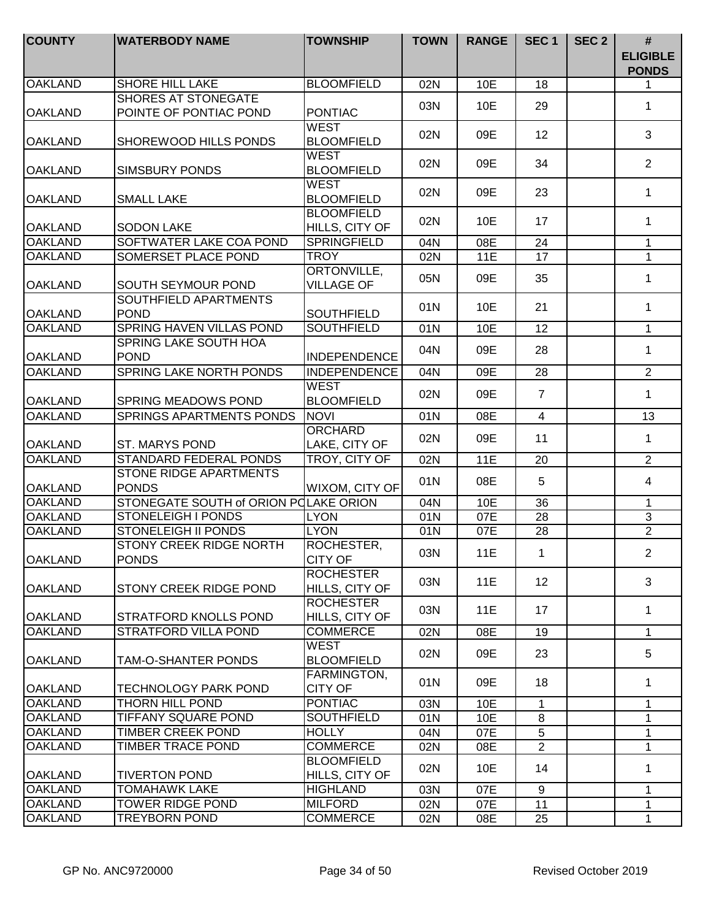| <b>COUNTY</b>  | <b>WATERBODY NAME</b>                                | <b>TOWNSHIP</b>                                       | <b>TOWN</b> | <b>RANGE</b> | SEC <sub>1</sub> | SEC <sub>2</sub> | #<br><b>ELIGIBLE</b><br><b>PONDS</b> |
|----------------|------------------------------------------------------|-------------------------------------------------------|-------------|--------------|------------------|------------------|--------------------------------------|
| <b>OAKLAND</b> | <b>SHORE HILL LAKE</b>                               | <b>BLOOMFIELD</b>                                     | 02N         | 10E          | 18               |                  | 1                                    |
| <b>OAKLAND</b> | <b>SHORES AT STONEGATE</b><br>POINTE OF PONTIAC POND | <b>PONTIAC</b>                                        | 03N         | 10E          | 29               |                  | $\mathbf{1}$                         |
| <b>OAKLAND</b> | SHOREWOOD HILLS PONDS                                | <b>WEST</b><br><b>BLOOMFIELD</b>                      | 02N         | 09E          | 12               |                  | 3                                    |
| <b>OAKLAND</b> | <b>SIMSBURY PONDS</b>                                | <b>WEST</b><br><b>BLOOMFIELD</b>                      | 02N         | 09E          | 34               |                  | $\overline{2}$                       |
| <b>OAKLAND</b> | <b>SMALL LAKE</b>                                    | <b>WEST</b><br><b>BLOOMFIELD</b><br><b>BLOOMFIELD</b> | 02N         | 09E          | 23               |                  | $\mathbf 1$                          |
| <b>OAKLAND</b> | <b>SODON LAKE</b>                                    | HILLS, CITY OF                                        | 02N         | 10E          | 17               |                  | $\mathbf{1}$                         |
| <b>OAKLAND</b> | SOFTWATER LAKE COA POND                              | <b>SPRINGFIELD</b>                                    | 04N         | 08E          | 24               |                  | 1                                    |
| <b>OAKLAND</b> | SOMERSET PLACE POND                                  | <b>TROY</b>                                           | 02N         | 11E          | 17               |                  | $\mathbf{1}$                         |
| <b>OAKLAND</b> | SOUTH SEYMOUR POND                                   | ORTONVILLE,<br><b>VILLAGE OF</b>                      | 05N         | 09E          | 35               |                  | $\mathbf{1}$                         |
| <b>OAKLAND</b> | SOUTHFIELD APARTMENTS<br><b>POND</b>                 | <b>SOUTHFIELD</b>                                     | 01N         | 10E          | 21               |                  | $\mathbf 1$                          |
| <b>OAKLAND</b> | <b>SPRING HAVEN VILLAS POND</b>                      | <b>SOUTHFIELD</b>                                     | 01N         | 10E          | 12               |                  | $\mathbf{1}$                         |
| <b>OAKLAND</b> | SPRING LAKE SOUTH HOA<br><b>POND</b>                 | <b>INDEPENDENCE</b>                                   | 04N         | 09E          | 28               |                  | $\mathbf 1$                          |
| <b>OAKLAND</b> | SPRING LAKE NORTH PONDS                              | <b>INDEPENDENCE</b>                                   | 04N         | 09E          | 28               |                  | $\overline{2}$                       |
| <b>OAKLAND</b> | <b>SPRING MEADOWS POND</b>                           | <b>WEST</b><br><b>BLOOMFIELD</b>                      | 02N         | 09E          | $\overline{7}$   |                  | $\mathbf{1}$                         |
| <b>OAKLAND</b> | <b>SPRINGS APARTMENTS PONDS</b>                      | <b>NOVI</b>                                           | 01N         | 08E          | $\overline{4}$   |                  | 13                                   |
| <b>OAKLAND</b> | ST. MARYS POND                                       | <b>ORCHARD</b><br>LAKE, CITY OF                       | 02N         | 09E          | 11               |                  | $\mathbf{1}$                         |
| <b>OAKLAND</b> | <b>STANDARD FEDERAL PONDS</b>                        | TROY, CITY OF                                         | 02N         | 11E          | 20               |                  | $\overline{2}$                       |
| <b>OAKLAND</b> | STONE RIDGE APARTMENTS<br><b>PONDS</b>               | WIXOM, CITY OF                                        | 01N         | 08E          | 5                |                  | 4                                    |
| <b>OAKLAND</b> | STONEGATE SOUTH of ORION POLAKE ORION                |                                                       | 04N         | 10E          | 36               |                  | 1                                    |
| <b>OAKLAND</b> | <b>STONELEIGH I PONDS</b>                            | <b>LYON</b>                                           | 01N         | 07E          | 28               |                  | $\overline{3}$                       |
| <b>OAKLAND</b> | <b>STONELEIGH II PONDS</b>                           | <b>LYON</b>                                           | 01N         | 07E          | 28               |                  | $\overline{2}$                       |
| <b>OAKLAND</b> | STONY CREEK RIDGE NORTH<br><b>PONDS</b>              | ROCHESTER,<br><b>CITY OF</b>                          | 03N         | 11E          | $\mathbf{1}$     |                  | $\overline{2}$                       |
| <b>OAKLAND</b> | STONY CREEK RIDGE POND                               | <b>ROCHESTER</b><br>HILLS, CITY OF                    | 03N         | 11E          | 12 <sup>2</sup>  |                  | 3                                    |
| <b>OAKLAND</b> | STRATFORD KNOLLS POND                                | <b>ROCHESTER</b><br>HILLS, CITY OF                    | 03N         | 11E          | 17               |                  | $\mathbf{1}$                         |
| <b>OAKLAND</b> | <b>STRATFORD VILLA POND</b>                          | <b>COMMERCE</b>                                       | 02N         | 08E          | 19               |                  | $\mathbf{1}$                         |
| <b>OAKLAND</b> | TAM-O-SHANTER PONDS                                  | <b>WEST</b><br><b>BLOOMFIELD</b>                      | 02N         | 09E          | 23               |                  | 5                                    |
| <b>OAKLAND</b> | <b>TECHNOLOGY PARK POND</b>                          | FARMINGTON,<br><b>CITY OF</b>                         | 01N         | 09E          | 18               |                  | 1                                    |
| <b>OAKLAND</b> | THORN HILL POND                                      | <b>PONTIAC</b>                                        | 03N         | 10E          | 1                |                  | 1                                    |
| <b>OAKLAND</b> | TIFFANY SQUARE POND                                  | <b>SOUTHFIELD</b>                                     | 01N         | 10E          | 8                |                  | 1                                    |
| <b>OAKLAND</b> | TIMBER CREEK POND                                    | <b>HOLLY</b>                                          | 04N         | 07E          | 5                |                  | $\mathbf 1$                          |
| <b>OAKLAND</b> | TIMBER TRACE POND                                    | <b>COMMERCE</b>                                       | 02N         | 08E          | $\overline{2}$   |                  | $\mathbf{1}$                         |
| <b>OAKLAND</b> | <b>TIVERTON POND</b>                                 | <b>BLOOMFIELD</b><br>HILLS, CITY OF                   | 02N         | 10E          | 14               |                  | 1                                    |
| <b>OAKLAND</b> | TOMAHAWK LAKE                                        | <b>HIGHLAND</b>                                       | 03N         | 07E          | 9                |                  | $\mathbf 1$                          |
| <b>OAKLAND</b> | TOWER RIDGE POND                                     | <b>MILFORD</b>                                        | 02N         | 07E          | 11               |                  | $\mathbf{1}$                         |
| <b>OAKLAND</b> | <b>TREYBORN POND</b>                                 | <b>COMMERCE</b>                                       | 02N         | 08E          | 25               |                  | $\mathbf{1}$                         |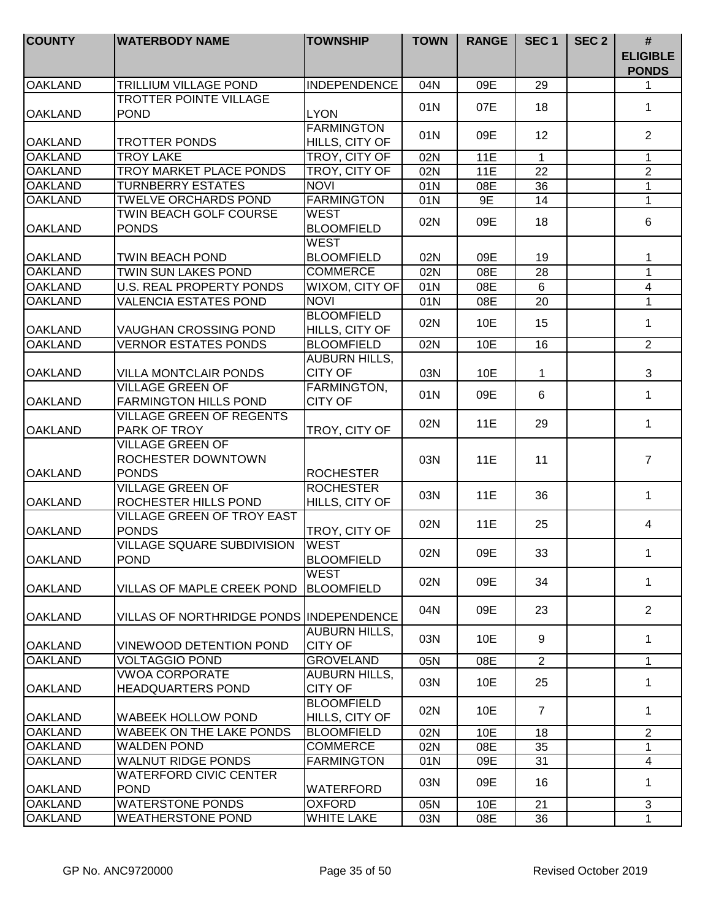| <b>COUNTY</b>  | <b>WATERBODY NAME</b>                                         | <b>TOWNSHIP</b>                        | <b>TOWN</b> | <b>RANGE</b> | SEC <sub>1</sub> | SEC <sub>2</sub> | #<br><b>ELIGIBLE</b><br><b>PONDS</b> |
|----------------|---------------------------------------------------------------|----------------------------------------|-------------|--------------|------------------|------------------|--------------------------------------|
| <b>OAKLAND</b> | TRILLIUM VILLAGE POND                                         | <b>INDEPENDENCE</b>                    | 04N         | 09E          | 29               |                  | 1                                    |
| <b>OAKLAND</b> | <b>TROTTER POINTE VILLAGE</b><br><b>POND</b>                  | <b>LYON</b>                            | 01N         | 07E          | 18               |                  | $\mathbf 1$                          |
| <b>OAKLAND</b> | TROTTER PONDS                                                 | <b>FARMINGTON</b><br>HILLS, CITY OF    | 01N         | 09E          | 12               |                  | $\overline{2}$                       |
| <b>OAKLAND</b> | <b>TROY LAKE</b>                                              | TROY, CITY OF                          | 02N         | 11E          | $\mathbf{1}$     |                  | $\mathbf{1}$                         |
| <b>OAKLAND</b> | <b>TROY MARKET PLACE PONDS</b>                                | TROY, CITY OF                          | 02N         | 11E          | 22               |                  | $\overline{2}$                       |
| <b>OAKLAND</b> | <b>TURNBERRY ESTATES</b>                                      | <b>NOVI</b>                            | 01N         | 08E          | 36               |                  | 1                                    |
| <b>OAKLAND</b> | <b>TWELVE ORCHARDS POND</b>                                   | <b>FARMINGTON</b>                      | 01N         | 9E           | $\overline{14}$  |                  | $\overline{1}$                       |
| <b>OAKLAND</b> | TWIN BEACH GOLF COURSE<br><b>PONDS</b>                        | <b>WEST</b><br><b>BLOOMFIELD</b>       | 02N         | 09E          | 18               |                  | $6\phantom{1}$                       |
| <b>OAKLAND</b> | <b>TWIN BEACH POND</b>                                        | <b>WEST</b><br><b>BLOOMFIELD</b>       | 02N         | 09E          | 19               |                  | 1                                    |
| <b>OAKLAND</b> | TWIN SUN LAKES POND                                           | <b>COMMERCE</b>                        | 02N         | 08E          | 28               |                  | $\mathbf{1}$                         |
| <b>OAKLAND</b> | <b>U.S. REAL PROPERTY PONDS</b>                               | WIXOM, CITY OF                         | 01N         | 08E          | 6                |                  | $\overline{4}$                       |
| <b>OAKLAND</b> | <b>VALENCIA ESTATES POND</b>                                  | <b>NOVI</b>                            | 01N         | 08E          | $\overline{20}$  |                  | $\mathbf{1}$                         |
| <b>OAKLAND</b> | <b>VAUGHAN CROSSING POND</b>                                  | <b>BLOOMFIELD</b><br>HILLS, CITY OF    | 02N         | 10E          | 15               |                  | $\mathbf 1$                          |
| <b>OAKLAND</b> | <b>VERNOR ESTATES PONDS</b>                                   | <b>BLOOMFIELD</b>                      | 02N         | 10E          | $\overline{16}$  |                  | $\overline{2}$                       |
| <b>OAKLAND</b> | <b>VILLA MONTCLAIR PONDS</b>                                  | <b>AUBURN HILLS,</b><br><b>CITY OF</b> | 03N         | 10E          | $\mathbf 1$      |                  | 3                                    |
| <b>OAKLAND</b> | <b>VILLAGE GREEN OF</b><br><b>FARMINGTON HILLS POND</b>       | FARMINGTON,<br><b>CITY OF</b>          | 01N         | 09E          | $6\phantom{1}$   |                  | $\mathbf{1}$                         |
| <b>OAKLAND</b> | <b>VILLAGE GREEN OF REGENTS</b><br>PARK OF TROY               | TROY, CITY OF                          | 02N         | 11E          | 29               |                  | $\mathbf{1}$                         |
| <b>OAKLAND</b> | <b>VILLAGE GREEN OF</b><br>ROCHESTER DOWNTOWN<br><b>PONDS</b> | <b>ROCHESTER</b>                       | 03N         | 11E          | 11               |                  | $\overline{7}$                       |
| <b>OAKLAND</b> | <b>VILLAGE GREEN OF</b><br>ROCHESTER HILLS POND               | <b>ROCHESTER</b><br>HILLS, CITY OF     | 03N         | 11E          | 36               |                  | $\mathbf{1}$                         |
| <b>OAKLAND</b> | <b>VILLAGE GREEN OF TROY EAST</b><br><b>PONDS</b>             | TROY, CITY OF                          | 02N         | 11E          | 25               |                  | 4                                    |
| <b>OAKLAND</b> | <b>VILLAGE SQUARE SUBDIVISION</b><br><b>POND</b>              | <b>WEST</b><br><b>BLOOMFIELD</b>       | 02N         | 09E          | 33               |                  | 1                                    |
| <b>OAKLAND</b> | VILLAS OF MAPLE CREEK POND                                    | <b>WEST</b><br><b>BLOOMFIELD</b>       | 02N         | 09E          | 34               |                  | 1                                    |
| <b>OAKLAND</b> | VILLAS OF NORTHRIDGE PONDS IINDEPENDENCE                      |                                        | 04N         | 09E          | 23               |                  | $\overline{2}$                       |
| <b>OAKLAND</b> | VINEWOOD DETENTION POND                                       | <b>AUBURN HILLS,</b><br><b>CITY OF</b> | 03N         | 10E          | 9                |                  | $\mathbf{1}$                         |
| <b>OAKLAND</b> | VOLTAGGIO POND                                                | <b>GROVELAND</b>                       | 05N         | 08E          | $\overline{2}$   |                  | $\mathbf{1}$                         |
| <b>OAKLAND</b> | <b>VWOA CORPORATE</b><br><b>HEADQUARTERS POND</b>             | <b>AUBURN HILLS,</b><br><b>CITY OF</b> | 03N         | 10E          | 25               |                  | $\mathbf{1}$                         |
| <b>OAKLAND</b> | WABEEK HOLLOW POND                                            | <b>BLOOMFIELD</b><br>HILLS, CITY OF    | 02N         | 10E          | $\overline{7}$   |                  | $\mathbf{1}$                         |
| <b>OAKLAND</b> | <b>WABEEK ON THE LAKE PONDS</b>                               | <b>BLOOMFIELD</b>                      | 02N         | 10E          | 18               |                  | $\overline{2}$                       |
| <b>OAKLAND</b> | <b>WALDEN POND</b>                                            | <b>COMMERCE</b>                        | 02N         | 08E          | 35               |                  | 1                                    |
| <b>OAKLAND</b> | <b>WALNUT RIDGE PONDS</b>                                     | <b>FARMINGTON</b>                      | 01N         | 09E          | 31               |                  | $\overline{4}$                       |
| <b>OAKLAND</b> | <b>WATERFORD CIVIC CENTER</b><br><b>POND</b>                  | <b>WATERFORD</b>                       | 03N         | 09E          | 16               |                  | 1                                    |
| <b>OAKLAND</b> | <b>WATERSTONE PONDS</b>                                       | <b>OXFORD</b>                          | 05N         | 10E          | 21               |                  | 3                                    |
| <b>OAKLAND</b> | <b>WEATHERSTONE POND</b>                                      | <b>WHITE LAKE</b>                      | 03N         | 08E          | 36               |                  | $\mathbf{1}$                         |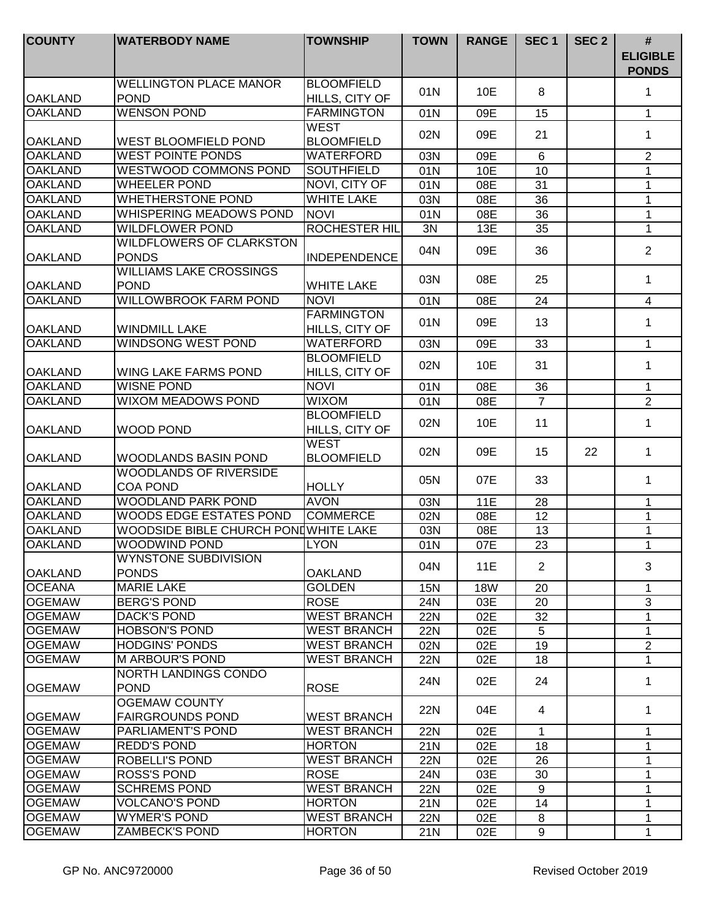| <b>COUNTY</b>  | <b>WATERBODY NAME</b>                           | <b>TOWNSHIP</b>                     | <b>TOWN</b> | <b>RANGE</b> | SEC <sub>1</sub> | SEC <sub>2</sub> | $\#$<br><b>ELIGIBLE</b><br><b>PONDS</b> |
|----------------|-------------------------------------------------|-------------------------------------|-------------|--------------|------------------|------------------|-----------------------------------------|
|                | <b>WELLINGTON PLACE MANOR</b>                   | <b>BLOOMFIELD</b>                   | 01N         | 10E          | 8                |                  | 1                                       |
| <b>OAKLAND</b> | <b>POND</b>                                     | HILLS, CITY OF                      |             |              |                  |                  |                                         |
| <b>OAKLAND</b> | <b>WENSON POND</b>                              | <b>FARMINGTON</b>                   | 01N         | 09E          | 15               |                  | $\mathbf{1}$                            |
| <b>OAKLAND</b> | <b>WEST BLOOMFIELD POND</b>                     | <b>WEST</b><br><b>BLOOMFIELD</b>    | 02N         | 09E          | 21               |                  | 1                                       |
| <b>OAKLAND</b> | <b>WEST POINTE PONDS</b>                        | <b>WATERFORD</b>                    | 03N         | 09E          | $6\phantom{1}$   |                  | $\overline{2}$                          |
| <b>OAKLAND</b> | <b>WESTWOOD COMMONS POND</b>                    | <b>SOUTHFIELD</b>                   | 01N         | 10E          | 10               |                  | $\mathbf{1}$                            |
| <b>OAKLAND</b> | <b>WHEELER POND</b>                             | NOVI, CITY OF                       | 01N         | 08E          | 31               |                  | $\mathbf{1}$                            |
| <b>OAKLAND</b> | <b>WHETHERSTONE POND</b>                        | <b>WHITE LAKE</b>                   | 03N         | 08E          | 36               |                  | 1                                       |
| <b>OAKLAND</b> | <b>WHISPERING MEADOWS POND</b>                  | <b>NOVI</b>                         | 01N         | 08E          | 36               |                  | 1                                       |
| <b>OAKLAND</b> | <b>WILDFLOWER POND</b>                          | <b>ROCHESTER HIL</b>                | 3N          | 13E          | 35               |                  | 1                                       |
| <b>OAKLAND</b> | <b>WILDFLOWERS OF CLARKSTON</b><br><b>PONDS</b> | <b>INDEPENDENCE</b>                 | 04N         | 09E          | 36               |                  | $\overline{2}$                          |
| <b>OAKLAND</b> | <b>WILLIAMS LAKE CROSSINGS</b><br><b>POND</b>   | <b>WHITE LAKE</b>                   | 03N         | 08E          | 25               |                  | 1                                       |
| <b>OAKLAND</b> | <b>WILLOWBROOK FARM POND</b>                    | <b>NOVI</b>                         | 01N         | 08E          | 24               |                  | $\overline{\mathbf{4}}$                 |
| <b>OAKLAND</b> | <b>WINDMILL LAKE</b>                            | <b>FARMINGTON</b><br>HILLS, CITY OF | 01N         | 09E          | 13               |                  | 1                                       |
| <b>OAKLAND</b> | <b>WINDSONG WEST POND</b>                       | <b>WATERFORD</b>                    | 03N         | 09E          | 33               |                  | $\mathbf{1}$                            |
| <b>OAKLAND</b> | <b>WING LAKE FARMS POND</b>                     | <b>BLOOMFIELD</b><br>HILLS, CITY OF | 02N         | 10E          | 31               |                  | $\mathbf{1}$                            |
| <b>OAKLAND</b> | <b>WISNE POND</b>                               | <b>NOVI</b>                         | 01N         | 08E          | 36               |                  | $\mathbf{1}$                            |
| <b>OAKLAND</b> | <b>WIXOM MEADOWS POND</b>                       | <b>WIXOM</b>                        | 01N         | 08E          | $\overline{7}$   |                  | $\overline{2}$                          |
| <b>OAKLAND</b> | <b>WOOD POND</b>                                | <b>BLOOMFIELD</b><br>HILLS, CITY OF | 02N         | 10E          | 11               |                  | 1                                       |
| <b>OAKLAND</b> | <b>WOODLANDS BASIN POND</b>                     | <b>WEST</b><br><b>BLOOMFIELD</b>    | 02N         | 09E          | 15               | 22               | $\mathbf{1}$                            |
| <b>OAKLAND</b> | WOODLANDS OF RIVERSIDE<br><b>COA POND</b>       | <b>HOLLY</b>                        | 05N         | 07E          | 33               |                  | $\mathbf 1$                             |
| <b>OAKLAND</b> | <b>WOODLAND PARK POND</b>                       | <b>AVON</b>                         | 03N         | <b>11E</b>   | 28               |                  | 1                                       |
| <b>OAKLAND</b> | WOODS EDGE ESTATES POND                         | <b>COMMERCE</b>                     | 02N         | 08E          | 12               |                  | 1                                       |
| <b>OAKLAND</b> | WOODSIDE BIBLE CHURCH POND WHITE LAKE           |                                     | 03N         | 08E          | 13               |                  | 1                                       |
| <b>OAKLAND</b> | <b>WOODWIND POND</b>                            | <b>LYON</b>                         | 01N         | 07E          | 23               |                  | $\mathbf 1$                             |
| IOAKLAND       | <b>WYNSTONE SUBDIVISION</b><br><b>PONDS</b>     | <b>OAKLAND</b>                      | 04N         | 11E          | $\overline{2}$   |                  | 3                                       |
| <b>OCEANA</b>  | <b>MARIE LAKE</b>                               | <b>GOLDEN</b>                       | 15N         | <b>18W</b>   | 20               |                  | $\mathbf 1$                             |
| <b>OGEMAW</b>  | <b>BERG'S POND</b>                              | <b>ROSE</b>                         | 24N         | 03E          | 20               |                  | 3                                       |
| <b>OGEMAW</b>  | <b>DACK'S POND</b>                              | <b>WEST BRANCH</b>                  | <b>22N</b>  | 02E          | 32               |                  | $\mathbf{1}$                            |
| <b>OGEMAW</b>  | <b>HOBSON'S POND</b>                            | <b>WEST BRANCH</b>                  | 22N         | 02E          | 5                |                  | $\mathbf{1}$                            |
| <b>OGEMAW</b>  | <b>HODGINS' PONDS</b>                           | <b>WEST BRANCH</b>                  | 02N         | 02E          | 19               |                  | $\overline{2}$                          |
| <b>OGEMAW</b>  | <b>M ARBOUR'S POND</b>                          | <b>WEST BRANCH</b>                  | 22N         | 02E          | 18               |                  | $\mathbf 1$                             |
| <b>OGEMAW</b>  | NORTH LANDINGS CONDO<br><b>POND</b>             | <b>ROSE</b>                         | 24N         | 02E          | 24               |                  | 1                                       |
|                | OGEMAW COUNTY                                   |                                     |             |              |                  |                  |                                         |
| <b>OGEMAW</b>  | <b>FAIRGROUNDS POND</b>                         | <b>WEST BRANCH</b>                  | 22N         | 04E          | 4                |                  | $\mathbf{1}$                            |
| <b>OGEMAW</b>  | PARLIAMENT'S POND                               | <b>WEST BRANCH</b>                  | <b>22N</b>  | 02E          | 1                |                  | $\mathbf{1}$                            |
| <b>OGEMAW</b>  | <b>REDD'S POND</b>                              | <b>HORTON</b>                       | 21N         | 02E          | 18               |                  | 1                                       |
| <b>OGEMAW</b>  | ROBELLI'S POND                                  | <b>WEST BRANCH</b>                  | 22N         | 02E          | 26               |                  | 1                                       |
| <b>OGEMAW</b>  | <b>ROSS'S POND</b>                              | <b>ROSE</b>                         | 24N         | 03E          | 30               |                  | 1                                       |
| <b>OGEMAW</b>  | <b>SCHREMS POND</b>                             | <b>WEST BRANCH</b>                  | <b>22N</b>  | 02E          | 9                |                  | 1                                       |
| <b>OGEMAW</b>  | <b>VOLCANO'S POND</b>                           | <b>HORTON</b>                       | 21N         | 02E          | 14               |                  | 1                                       |
| <b>OGEMAW</b>  | <b>WYMER'S POND</b>                             | <b>WEST BRANCH</b>                  | 22N         | 02E          | 8                |                  | 1                                       |
| <b>OGEMAW</b>  | <b>ZAMBECK'S POND</b>                           | <b>HORTON</b>                       | 21N         | 02E          | 9                |                  | 1                                       |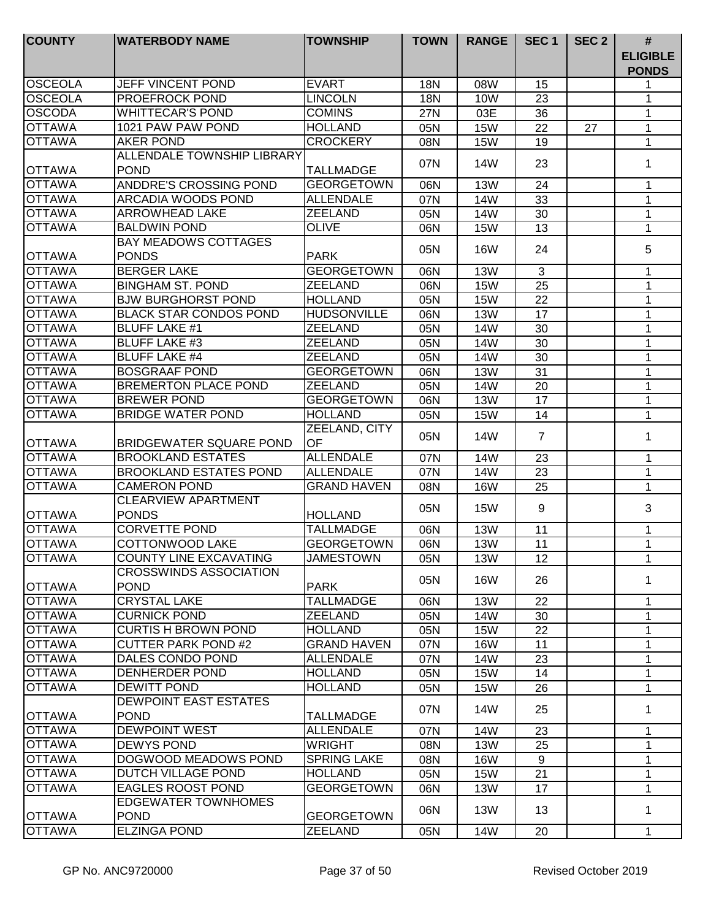| <b>COUNTY</b>                  | <b>WATERBODY NAME</b>                        | <b>TOWNSHIP</b>                       | <b>TOWN</b> | <b>RANGE</b> | SEC <sub>1</sub>  | SEC <sub>2</sub> | $\#$                            |
|--------------------------------|----------------------------------------------|---------------------------------------|-------------|--------------|-------------------|------------------|---------------------------------|
|                                |                                              |                                       |             |              |                   |                  | <b>ELIGIBLE</b><br><b>PONDS</b> |
| <b>OSCEOLA</b>                 | JEFF VINCENT POND                            | <b>EVART</b>                          | 18N         | 08W          | 15                |                  | 1                               |
| <b>OSCEOLA</b>                 | <b>PROEFROCK POND</b>                        | <b>LINCOLN</b>                        | 18N         | 10W          | 23                |                  | 1                               |
| <b>OSCODA</b>                  | <b>WHITTECAR'S POND</b>                      | <b>COMINS</b>                         | 27N         | 03E          | 36                |                  | 1                               |
| <b>OTTAWA</b>                  | 1021 PAW PAW POND                            | <b>HOLLAND</b>                        | 05N         | <b>15W</b>   | 22                | 27               | 1                               |
| <b>OTTAWA</b>                  | <b>AKER POND</b>                             | <b>CROCKERY</b>                       | 08N         | <b>15W</b>   | 19                |                  | $\mathbf 1$                     |
|                                | ALLENDALE TOWNSHIP LIBRARY                   |                                       | 07N         | 14W          | 23                |                  | 1                               |
| <b>OTTAWA</b><br><b>OTTAWA</b> | <b>POND</b>                                  | <b>TALLMADGE</b>                      |             |              |                   |                  |                                 |
| <b>OTTAWA</b>                  | ANDDRE'S CROSSING POND<br>ARCADIA WOODS POND | <b>GEORGETOWN</b><br><b>ALLENDALE</b> | 06N         | <b>13W</b>   | 24                |                  | 1                               |
| <b>OTTAWA</b>                  | <b>ARROWHEAD LAKE</b>                        | <b>ZEELAND</b>                        | 07N         | 14W          | 33                |                  | $\mathbf{1}$                    |
| <b>OTTAWA</b>                  | <b>BALDWIN POND</b>                          | <b>OLIVE</b>                          | 05N         | 14W          | 30<br>13          |                  | 1<br>1                          |
|                                | <b>BAY MEADOWS COTTAGES</b>                  |                                       | 06N         | <b>15W</b>   |                   |                  |                                 |
| <b>OTTAWA</b>                  | <b>PONDS</b>                                 | <b>PARK</b>                           | 05N         | <b>16W</b>   | 24                |                  | 5                               |
| <b>OTTAWA</b>                  | <b>BERGER LAKE</b>                           | <b>GEORGETOWN</b>                     | 06N         | <b>13W</b>   | 3                 |                  | 1                               |
| <b>OTTAWA</b>                  | <b>BINGHAM ST. POND</b>                      | <b>ZEELAND</b>                        | 06N         | <b>15W</b>   | 25                |                  | 1                               |
| <b>OTTAWA</b>                  | <b>BJW BURGHORST POND</b>                    | <b>HOLLAND</b>                        | 05N         | <b>15W</b>   | 22                |                  | 1                               |
| <b>OTTAWA</b>                  | <b>BLACK STAR CONDOS POND</b>                | <b>HUDSONVILLE</b>                    | 06N         | <b>13W</b>   | 17                |                  | 1                               |
| <b>OTTAWA</b>                  | <b>BLUFF LAKE #1</b>                         | <b>ZEELAND</b>                        | 05N         | 14W          | 30                |                  | 1                               |
| <b>OTTAWA</b>                  | <b>BLUFF LAKE #3</b>                         | <b>ZEELAND</b>                        | 05N         | 14W          | 30                |                  | 1                               |
| <b>OTTAWA</b>                  | <b>BLUFF LAKE #4</b>                         | <b>ZEELAND</b>                        | 05N         | <b>14W</b>   | 30                |                  | 1                               |
| <b>OTTAWA</b>                  | <b>BOSGRAAF POND</b>                         | <b>GEORGETOWN</b>                     | 06N         | <b>13W</b>   | 31                |                  | 1                               |
| <b>OTTAWA</b>                  | <b>BREMERTON PLACE POND</b>                  | <b>ZEELAND</b>                        | 05N         | <b>14W</b>   | 20                |                  | 1                               |
| <b>OTTAWA</b>                  | <b>BREWER POND</b>                           | <b>GEORGETOWN</b>                     | 06N         | <b>13W</b>   | 17                |                  | 1                               |
| <b>OTTAWA</b>                  | <b>BRIDGE WATER POND</b>                     | <b>HOLLAND</b>                        | 05N         | <b>15W</b>   | 14                |                  | $\mathbf{1}$                    |
|                                |                                              | ZEELAND, CITY                         |             |              |                   |                  |                                 |
| <b>OTTAWA</b>                  | <b>BRIDGEWATER SQUARE POND</b>               | OF                                    | 05N         | 14W          | $\overline{7}$    |                  | 1                               |
| <b>OTTAWA</b>                  | <b>BROOKLAND ESTATES</b>                     | <b>ALLENDALE</b>                      | 07N         | 14W          | 23                |                  | 1                               |
| <b>OTTAWA</b>                  | <b>BROOKLAND ESTATES POND</b>                | <b>ALLENDALE</b>                      | 07N         | 14W          | 23                |                  | 1                               |
| <b>OTTAWA</b>                  | <b>CAMERON POND</b>                          | <b>GRAND HAVEN</b>                    | 08N         | <b>16W</b>   | 25                |                  | $\mathbf{1}$                    |
|                                | CLEARVIEW APARTMENT                          |                                       | 05N         | <b>15W</b>   | 9                 |                  | 3                               |
| <b>OTTAWA</b>                  | <b>PONDS</b>                                 | <b>HOLLAND</b>                        |             |              |                   |                  |                                 |
| <b>OTTAWA</b>                  | <b>CORVETTE POND</b>                         | <b>TALLMADGE</b>                      | 06N         | <b>13W</b>   | 11                |                  | 1                               |
| <b>OTTAWA</b>                  | <b>COTTONWOOD LAKE</b>                       | <b>GEORGETOWN</b>                     | 06N         | <b>13W</b>   | 11                |                  | $\mathbf{1}$                    |
| <b>OTTAWA</b>                  | COUNTY LINE EXCAVATING                       | <b>JAMESTOWN</b>                      | 05N         | 13W          | $12 \overline{ }$ |                  | 1                               |
| <b>OTTAWA</b>                  | <b>CROSSWINDS ASSOCIATION</b><br><b>POND</b> | <b>PARK</b>                           | 05N         | 16W          | 26                |                  | 1                               |
| <b>OTTAWA</b>                  | <b>CRYSTAL LAKE</b>                          | <b>TALLMADGE</b>                      | 06N         | <b>13W</b>   | 22                |                  | 1                               |
| <b>OTTAWA</b>                  | <b>CURNICK POND</b>                          | <b>ZEELAND</b>                        | 05N         | 14W          | 30                |                  | 1                               |
| <b>OTTAWA</b>                  | <b>CURTIS H BROWN POND</b>                   | <b>HOLLAND</b>                        | 05N         | <b>15W</b>   | 22                |                  | 1                               |
| <b>OTTAWA</b>                  | <b>CUTTER PARK POND#2</b>                    | <b>GRAND HAVEN</b>                    | 07N         | <b>16W</b>   | 11                |                  | 1                               |
| <b>OTTAWA</b>                  | DALES CONDO POND                             | <b>ALLENDALE</b>                      | 07N         | 14W          | 23                |                  | $\mathbf 1$                     |
| <b>OTTAWA</b>                  | <b>DENHERDER POND</b>                        | <b>HOLLAND</b>                        | 05N         | <b>15W</b>   | 14                |                  | $\mathbf{1}$                    |
| <b>OTTAWA</b>                  | <b>DEWITT POND</b>                           | <b>HOLLAND</b>                        | 05N         | <b>15W</b>   | 26                |                  | $\mathbf{1}$                    |
|                                | <b>DEWPOINT EAST ESTATES</b>                 |                                       |             |              |                   |                  |                                 |
| <b>OTTAWA</b>                  | <b>POND</b>                                  | <b>TALLMADGE</b>                      | 07N         | 14W          | 25                |                  | 1                               |
| <b>OTTAWA</b>                  | <b>DEWPOINT WEST</b>                         | <b>ALLENDALE</b>                      | 07N         | 14W          | 23                |                  | 1                               |
| <b>OTTAWA</b>                  | <b>DEWYS POND</b>                            | <b>WRIGHT</b>                         | 08N         | <b>13W</b>   | 25                |                  | 1                               |
| <b>OTTAWA</b>                  | DOGWOOD MEADOWS POND                         | <b>SPRING LAKE</b>                    | 08N         | <b>16W</b>   | 9                 |                  | $\mathbf 1$                     |
| <b>OTTAWA</b>                  | DUTCH VILLAGE POND                           | <b>HOLLAND</b>                        | 05N         | <b>15W</b>   | 21                |                  | $\mathbf 1$                     |
| <b>OTTAWA</b>                  | <b>EAGLES ROOST POND</b>                     | <b>GEORGETOWN</b>                     | 06N         | 13W          | 17                |                  | $\mathbf 1$                     |
|                                | <b>EDGEWATER TOWNHOMES</b>                   |                                       | 06N         | 13W          | 13                |                  | 1                               |
| <b>OTTAWA</b>                  | <b>POND</b>                                  | <b>GEORGETOWN</b>                     |             |              |                   |                  |                                 |
| <b>OTTAWA</b>                  | <b>ELZINGA POND</b>                          | <b>ZEELAND</b>                        | 05N         | <b>14W</b>   | 20                |                  | $\mathbf{1}$                    |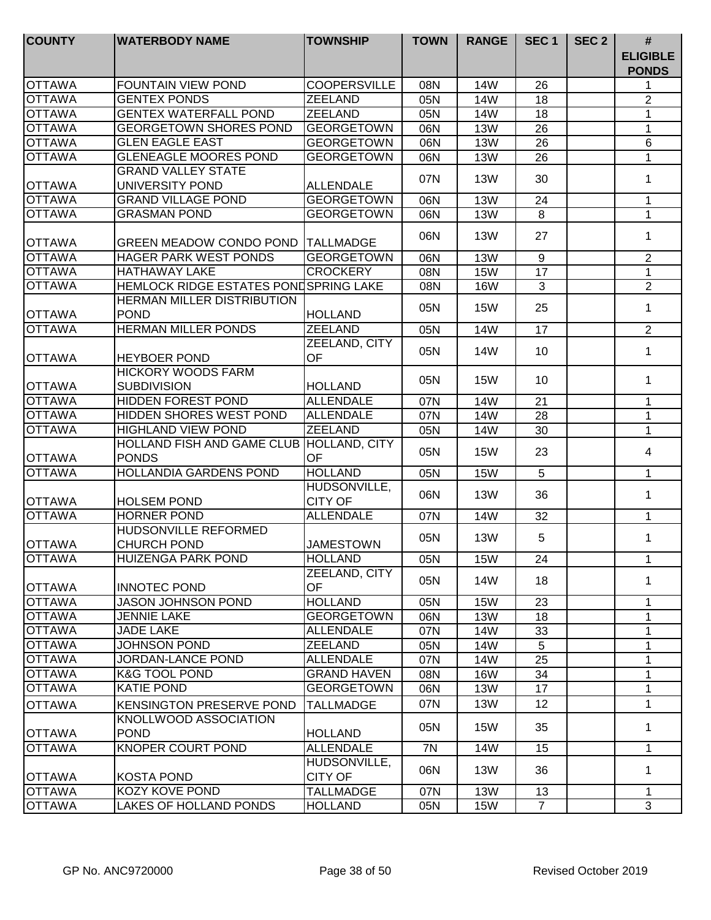| <b>COUNTY</b> | <b>WATERBODY NAME</b>                                    | <b>TOWNSHIP</b>                | <b>TOWN</b> | <b>RANGE</b> | SEC <sub>1</sub> | SEC <sub>2</sub> | #<br><b>ELIGIBLE</b><br><b>PONDS</b> |
|---------------|----------------------------------------------------------|--------------------------------|-------------|--------------|------------------|------------------|--------------------------------------|
| <b>OTTAWA</b> | <b>FOUNTAIN VIEW POND</b>                                | <b>COOPERSVILLE</b>            | 08N         | 14W          | 26               |                  | 1                                    |
| <b>OTTAWA</b> | <b>GENTEX PONDS</b>                                      | <b>ZEELAND</b>                 | 05N         | 14W          | 18               |                  | $\overline{2}$                       |
| <b>OTTAWA</b> | <b>GENTEX WATERFALL POND</b>                             | <b>ZEELAND</b>                 | 05N         | <b>14W</b>   | 18               |                  | 1                                    |
| <b>OTTAWA</b> | <b>GEORGETOWN SHORES POND</b>                            | <b>GEORGETOWN</b>              | 06N         | <b>13W</b>   | 26               |                  | 1                                    |
| <b>OTTAWA</b> | <b>GLEN EAGLE EAST</b>                                   | <b>GEORGETOWN</b>              | 06N         | <b>13W</b>   | $\overline{26}$  |                  | 6                                    |
| <b>OTTAWA</b> | <b>GLENEAGLE MOORES POND</b>                             | <b>GEORGETOWN</b>              | 06N         | <b>13W</b>   | 26               |                  | $\mathbf{1}$                         |
| <b>OTTAWA</b> | <b>GRAND VALLEY STATE</b><br>UNIVERSITY POND             | <b>ALLENDALE</b>               | 07N         | <b>13W</b>   | 30               |                  | 1                                    |
| <b>OTTAWA</b> | <b>GRAND VILLAGE POND</b>                                | <b>GEORGETOWN</b>              | 06N         | <b>13W</b>   | 24               |                  | $\mathbf 1$                          |
| <b>OTTAWA</b> | <b>GRASMAN POND</b>                                      | <b>GEORGETOWN</b>              | 06N         | <b>13W</b>   | 8                |                  | $\mathbf{1}$                         |
| <b>OTTAWA</b> | GREEN MEADOW CONDO POND                                  | <b>TALLMADGE</b>               | 06N         | <b>13W</b>   | 27               |                  | 1                                    |
| <b>OTTAWA</b> | HAGER PARK WEST PONDS                                    | <b>GEORGETOWN</b>              | 06N         | <b>13W</b>   | 9                |                  | $\overline{2}$                       |
| <b>OTTAWA</b> | <b>HATHAWAY LAKE</b>                                     | <b>CROCKERY</b>                | 08N         | <b>15W</b>   | 17               |                  | $\mathbf{1}$                         |
| <b>OTTAWA</b> | HEMLOCK RIDGE ESTATES PONDSPRING LAKE                    |                                | 08N         | <b>16W</b>   | 3                |                  | $\overline{2}$                       |
| <b>OTTAWA</b> | <b>HERMAN MILLER DISTRIBUTION</b><br><b>POND</b>         | <b>HOLLAND</b>                 | 05N         | <b>15W</b>   | 25               |                  | 1                                    |
| <b>OTTAWA</b> | <b>HERMAN MILLER PONDS</b>                               | <b>ZEELAND</b>                 | 05N         | <b>14W</b>   | 17               |                  | $\overline{2}$                       |
| <b>OTTAWA</b> | <b>HEYBOER POND</b>                                      | ZEELAND, CITY<br>OF            | 05N         | 14W          | 10               |                  | 1                                    |
| <b>OTTAWA</b> | <b>HICKORY WOODS FARM</b><br><b>SUBDIVISION</b>          | <b>HOLLAND</b>                 | 05N         | <b>15W</b>   | 10               |                  | 1                                    |
| <b>OTTAWA</b> | <b>HIDDEN FOREST POND</b>                                | <b>ALLENDALE</b>               | 07N         | <b>14W</b>   | 21               |                  | 1                                    |
| <b>OTTAWA</b> | <b>HIDDEN SHORES WEST POND</b>                           | <b>ALLENDALE</b>               | 07N         | <b>14W</b>   | $\overline{28}$  |                  | $\mathbf{1}$                         |
| <b>OTTAWA</b> | <b>HIGHLAND VIEW POND</b>                                | <b>ZEELAND</b>                 | 05N         | <b>14W</b>   | 30               |                  | $\mathbf{1}$                         |
| <b>OTTAWA</b> | HOLLAND FISH AND GAME CLUB HOLLAND, CITY<br><b>PONDS</b> | OF                             | 05N         | <b>15W</b>   | 23               |                  | 4                                    |
| <b>OTTAWA</b> | <b>HOLLANDIA GARDENS POND</b>                            | <b>HOLLAND</b>                 | 05N         | <b>15W</b>   | 5                |                  | 1                                    |
| <b>OTTAWA</b> | <b>HOLSEM POND</b>                                       | HUDSONVILLE,<br><b>CITY OF</b> | 06N         | <b>13W</b>   | 36               |                  | 1                                    |
| <b>OTTAWA</b> | <b>HORNER POND</b>                                       | <b>ALLENDALE</b>               | 07N         | <b>14W</b>   | 32               |                  | 1                                    |
| <b>OTTAWA</b> | HUDSONVILLE REFORMED<br><b>CHURCH POND</b>               | <b>JAMESTOWN</b>               | 05N         | 13W          | 5                |                  | 1                                    |
| <b>OTTAWA</b> | <b>HUIZENGA PARK POND</b>                                | <b>HOLLAND</b>                 | 05N         | <b>15W</b>   | 24               |                  | 1                                    |
| <b>OTTAWA</b> | <b>INNOTEC POND</b>                                      | ZEELAND, CITY<br><b>OF</b>     | 05N         | 14W          | 18               |                  | 1                                    |
| <b>OTTAWA</b> | <b>JASON JOHNSON POND</b>                                | <b>HOLLAND</b>                 | 05N         | <b>15W</b>   | 23               |                  | $\mathbf 1$                          |
| <b>OTTAWA</b> | <b>JENNIE LAKE</b>                                       | <b>GEORGETOWN</b>              | 06N         | <b>13W</b>   | 18               |                  | $\mathbf{1}$                         |
| <b>OTTAWA</b> | <b>JADE LAKE</b>                                         | <b>ALLENDALE</b>               | 07N         | 14W          | 33               |                  | 1                                    |
| <b>OTTAWA</b> | <b>JOHNSON POND</b>                                      | <b>ZEELAND</b>                 | 05N         | 14W          | 5                |                  | 1                                    |
| <b>OTTAWA</b> | JORDAN-LANCE POND                                        | <b>ALLENDALE</b>               | 07N         | 14W          | $\overline{25}$  |                  | $\mathbf{1}$                         |
| <b>OTTAWA</b> | <b>K&amp;G TOOL POND</b>                                 | <b>GRAND HAVEN</b>             | 08N         | <b>16W</b>   | 34               |                  | 1                                    |
| <b>OTTAWA</b> | <b>KATIE POND</b>                                        | <b>GEORGETOWN</b>              | 06N         | <b>13W</b>   | 17               |                  | 1                                    |
| <b>OTTAWA</b> | <b>KENSINGTON PRESERVE POND</b><br>KNOLLWOOD ASSOCIATION | <b>TALLMADGE</b>               | 07N         | <b>13W</b>   | 12 <sup>°</sup>  |                  | 1                                    |
| <b>OTTAWA</b> | <b>POND</b>                                              | <b>HOLLAND</b>                 | 05N         | <b>15W</b>   | 35               |                  | 1                                    |
| <b>OTTAWA</b> | KNOPER COURT POND                                        | <b>ALLENDALE</b>               | 7N          | 14W          | 15               |                  | $\mathbf{1}$                         |
| <b>OTTAWA</b> | <b>KOSTA POND</b>                                        | HUDSONVILLE,<br><b>CITY OF</b> | 06N         | <b>13W</b>   | 36               |                  | 1                                    |
| <b>OTTAWA</b> | KOZY KOVE POND                                           | <b>TALLMADGE</b>               | 07N         | <b>13W</b>   | 13               |                  | 1                                    |
| <b>OTTAWA</b> | LAKES OF HOLLAND PONDS                                   | <b>HOLLAND</b>                 | 05N         | <b>15W</b>   | $\overline{7}$   |                  | 3                                    |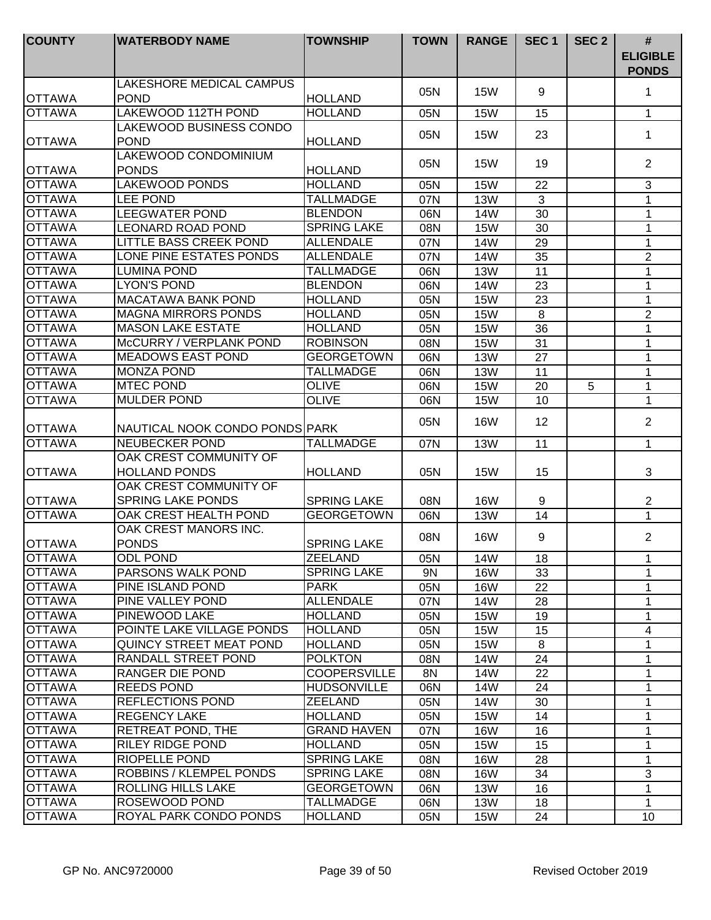| <b>COUNTY</b>                  | <b>WATERBODY NAME</b>                   | <b>TOWNSHIP</b>                       | <b>TOWN</b> | <b>RANGE</b>             | SEC <sub>1</sub>      | SEC <sub>2</sub> | $\#$<br><b>ELIGIBLE</b><br><b>PONDS</b> |
|--------------------------------|-----------------------------------------|---------------------------------------|-------------|--------------------------|-----------------------|------------------|-----------------------------------------|
| <b>OTTAWA</b>                  | LAKESHORE MEDICAL CAMPUS<br><b>POND</b> | HOLLAND                               | 05N         | <b>15W</b>               | 9                     |                  | 1                                       |
| <b>OTTAWA</b>                  | LAKEWOOD 112TH POND                     | <b>HOLLAND</b>                        | 05N         | <b>15W</b>               | 15                    |                  | $\mathbf{1}$                            |
|                                | LAKEWOOD BUSINESS CONDO                 |                                       |             |                          |                       |                  |                                         |
| <b>OTTAWA</b>                  | <b>POND</b>                             | <b>HOLLAND</b>                        | 05N         | <b>15W</b>               | 23                    |                  | 1                                       |
|                                | LAKEWOOD CONDOMINIUM                    |                                       | 05N         | <b>15W</b>               | 19                    |                  | 2                                       |
| <b>OTTAWA</b>                  | <b>PONDS</b>                            | <b>HOLLAND</b>                        |             |                          |                       |                  |                                         |
| <b>OTTAWA</b>                  | LAKEWOOD PONDS                          | <b>HOLLAND</b>                        | 05N         | <b>15W</b>               | 22                    |                  | 3                                       |
| <b>OTTAWA</b>                  | <b>LEE POND</b>                         | <b>TALLMADGE</b>                      | 07N         | <b>13W</b>               | 3                     |                  | 1                                       |
| <b>OTTAWA</b>                  | <b>LEEGWATER POND</b>                   | <b>BLENDON</b>                        | 06N         | 14W                      | 30                    |                  | 1                                       |
| <b>OTTAWA</b>                  | <b>LEONARD ROAD POND</b>                | <b>SPRING LAKE</b>                    | 08N         | <b>15W</b>               | 30                    |                  | 1                                       |
| <b>OTTAWA</b>                  | <b>LITTLE BASS CREEK POND</b>           | <b>ALLENDALE</b>                      | 07N         | <b>14W</b>               | 29                    |                  | 1                                       |
| <b>OTTAWA</b>                  | LONE PINE ESTATES PONDS                 | <b>ALLENDALE</b>                      | 07N         | <b>14W</b>               | 35                    |                  | $\overline{2}$                          |
| <b>OTTAWA</b>                  | <b>LUMINA POND</b>                      | <b>TALLMADGE</b>                      | 06N         | <b>13W</b>               | 11                    |                  | $\mathbf 1$                             |
| <b>OTTAWA</b>                  | <b>LYON'S POND</b>                      | <b>BLENDON</b>                        | 06N         | 14W                      | 23                    |                  | $\mathbf{1}$                            |
| <b>OTTAWA</b>                  | <b>MACATAWA BANK POND</b>               | <b>HOLLAND</b>                        | 05N         | <b>15W</b>               | 23                    |                  | $\mathbf 1$                             |
| <b>OTTAWA</b>                  | <b>MAGNA MIRRORS PONDS</b>              | <b>HOLLAND</b>                        | 05N         | <b>15W</b>               | 8                     |                  | $\overline{2}$                          |
| <b>OTTAWA</b>                  | <b>MASON LAKE ESTATE</b>                | <b>HOLLAND</b>                        | 05N         | <b>15W</b>               | 36                    |                  | 1                                       |
| <b>OTTAWA</b>                  | McCURRY / VERPLANK POND                 | <b>ROBINSON</b>                       | 08N         | <b>15W</b>               | 31                    |                  | 1                                       |
| <b>OTTAWA</b><br><b>OTTAWA</b> | <b>MEADOWS EAST POND</b>                | <b>GEORGETOWN</b><br><b>TALLMADGE</b> | 06N         | <b>13W</b>               | 27                    |                  | 1                                       |
| <b>OTTAWA</b>                  | <b>MONZA POND</b>                       |                                       | 06N         | <b>13W</b>               | 11                    |                  | $\mathbf 1$                             |
| <b>OTTAWA</b>                  | <b>MTEC POND</b><br><b>MULDER POND</b>  | <b>OLIVE</b><br><b>OLIVE</b>          | 06N<br>06N  | <b>15W</b><br><b>15W</b> | 20<br>$\overline{10}$ | 5                | $\mathbf 1$<br>$\mathbf{1}$             |
|                                |                                         |                                       |             |                          |                       |                  |                                         |
| <b>OTTAWA</b>                  | NAUTICAL NOOK CONDO PONDS PARK          |                                       | 05N         | <b>16W</b>               | 12                    |                  | $\overline{2}$                          |
| <b>OTTAWA</b>                  | <b>NEUBECKER POND</b>                   | <b>TALLMADGE</b>                      | 07N         | <b>13W</b>               | 11                    |                  | $\mathbf{1}$                            |
|                                | OAK CREST COMMUNITY OF                  |                                       |             |                          |                       |                  |                                         |
| <b>OTTAWA</b>                  | <b>HOLLAND PONDS</b>                    | <b>HOLLAND</b>                        | 05N         | <b>15W</b>               | 15                    |                  | 3                                       |
|                                | OAK CREST COMMUNITY OF                  |                                       |             |                          |                       |                  |                                         |
| <b>OTTAWA</b>                  | <b>SPRING LAKE PONDS</b>                | <b>SPRING LAKE</b>                    | 08N         | <b>16W</b>               | 9                     |                  | $\overline{2}$                          |
| <b>OTTAWA</b>                  | OAK CREST HEALTH POND                   | <b>GEORGETOWN</b>                     | 06N         | <b>13W</b>               | 14                    |                  | $\mathbf{1}$                            |
| <b>OTTAWA</b>                  | OAK CREST MANORS INC.<br><b>PONDS</b>   | <b>SPRING LAKE</b>                    | 08N         | 16W                      | 9                     |                  | $\overline{2}$                          |
| <b>JOTTAWA</b>                 | ODL POND                                | <b>IZEELAND</b>                       | 05N         | 14W                      | 18                    |                  | 1.                                      |
| <b>OTTAWA</b>                  | <b>PARSONS WALK POND</b>                | <b>SPRING LAKE</b>                    | 9N          | <b>16W</b>               | 33                    |                  | 1                                       |
| <b>OTTAWA</b>                  | PINE ISLAND POND                        | <b>PARK</b>                           | 05N         | <b>16W</b>               | 22                    |                  | 1                                       |
| <b>OTTAWA</b>                  | PINE VALLEY POND                        | <b>ALLENDALE</b>                      | 07N         | 14W                      | 28                    |                  | 1                                       |
| <b>OTTAWA</b>                  | PINEWOOD LAKE                           | <b>HOLLAND</b>                        | 05N         | <b>15W</b>               | 19                    |                  | 1                                       |
| <b>OTTAWA</b>                  | POINTE LAKE VILLAGE PONDS               | <b>HOLLAND</b>                        | 05N         | <b>15W</b>               | 15                    |                  | 4                                       |
| <b>OTTAWA</b>                  | QUINCY STREET MEAT POND                 | <b>HOLLAND</b>                        | 05N         | <b>15W</b>               | 8                     |                  | 1                                       |
| <b>OTTAWA</b>                  | RANDALL STREET POND                     | <b>POLKTON</b>                        | 08N         | 14W                      | 24                    |                  | 1                                       |
| <b>OTTAWA</b>                  | RANGER DIE POND                         | <b>COOPERSVILLE</b>                   | 8N          | 14W                      | 22                    |                  | 1                                       |
| <b>OTTAWA</b>                  | <b>REEDS POND</b>                       | <b>HUDSONVILLE</b>                    | 06N         | 14W                      | 24                    |                  | 1                                       |
| <b>OTTAWA</b>                  | <b>REFLECTIONS POND</b>                 | ZEELAND                               | 05N         | 14W                      | 30                    |                  | 1                                       |
| <b>OTTAWA</b>                  | <b>REGENCY LAKE</b>                     | <b>HOLLAND</b>                        | 05N         | <b>15W</b>               | 14                    |                  | 1                                       |
| <b>OTTAWA</b>                  | RETREAT POND, THE                       | <b>GRAND HAVEN</b>                    | 07N         | <b>16W</b>               | 16                    |                  | 1                                       |
| <b>OTTAWA</b>                  | <b>RILEY RIDGE POND</b>                 | <b>HOLLAND</b>                        | 05N         | 15W                      | 15                    |                  | 1                                       |
| <b>OTTAWA</b>                  | RIOPELLE POND                           | <b>SPRING LAKE</b>                    | 08N         | 16W                      | 28                    |                  | 1                                       |
| <b>OTTAWA</b>                  | ROBBINS / KLEMPEL PONDS                 | <b>SPRING LAKE</b>                    | 08N         | 16W                      | 34                    |                  | 3                                       |
| <b>OTTAWA</b>                  | ROLLING HILLS LAKE                      | <b>GEORGETOWN</b>                     | 06N         | 13W                      | 16                    |                  | 1                                       |
| <b>OTTAWA</b>                  | ROSEWOOD POND                           | <b>TALLMADGE</b>                      | 06N         | <b>13W</b>               | 18                    |                  | 1                                       |
| <b>OTTAWA</b>                  | ROYAL PARK CONDO PONDS                  | <b>HOLLAND</b>                        | 05N         | <b>15W</b>               | 24                    |                  | 10 <sup>°</sup>                         |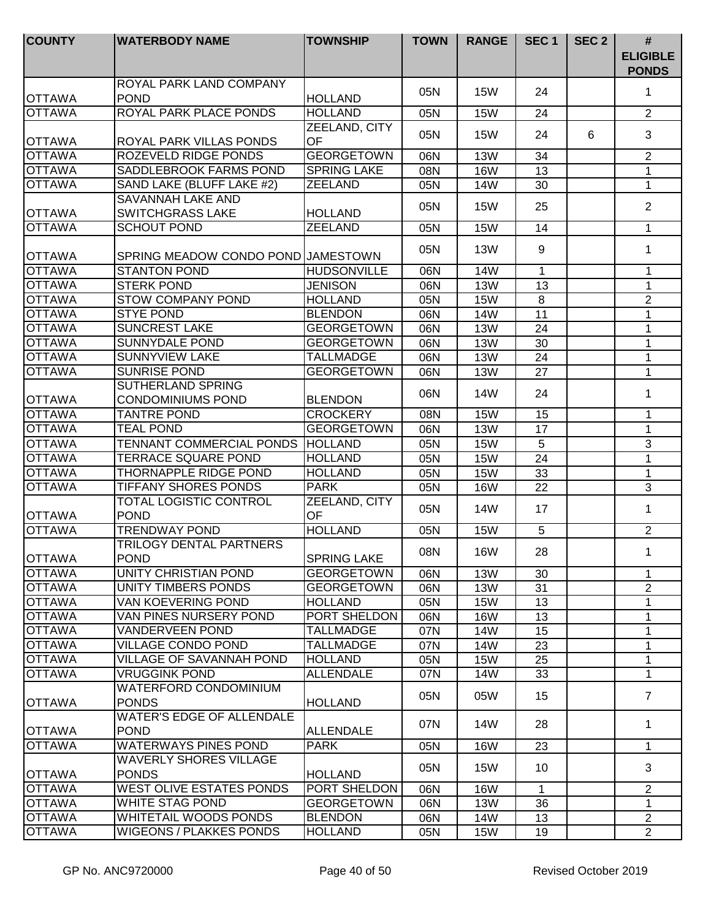| <b>COUNTY</b>                  | <b>WATERBODY NAME</b>                                | <b>TOWNSHIP</b>     | <b>TOWN</b> | <b>RANGE</b> | SEC <sub>1</sub> | SEC <sub>2</sub> | $\#$<br><b>ELIGIBLE</b><br><b>PONDS</b> |
|--------------------------------|------------------------------------------------------|---------------------|-------------|--------------|------------------|------------------|-----------------------------------------|
| <b>OTTAWA</b>                  | ROYAL PARK LAND COMPANY<br><b>POND</b>               | <b>HOLLAND</b>      | 05N         | <b>15W</b>   | 24               |                  | 1                                       |
| <b>OTTAWA</b>                  | ROYAL PARK PLACE PONDS                               | <b>HOLLAND</b>      | 05N         | <b>15W</b>   | 24               |                  | $\overline{2}$                          |
|                                |                                                      | ZEELAND, CITY       |             |              |                  |                  |                                         |
| <b>OTTAWA</b>                  | ROYAL PARK VILLAS PONDS                              | <b>OF</b>           | 05N         | <b>15W</b>   | 24               | 6                | 3                                       |
| <b>OTTAWA</b>                  | ROZEVELD RIDGE PONDS                                 | <b>GEORGETOWN</b>   | 06N         | <b>13W</b>   | 34               |                  | $\overline{2}$                          |
| <b>OTTAWA</b>                  | SADDLEBROOK FARMS POND                               | <b>SPRING LAKE</b>  | 08N         | <b>16W</b>   | 13               |                  | $\mathbf{1}$                            |
| <b>OTTAWA</b>                  | SAND LAKE (BLUFF LAKE #2)                            | <b>ZEELAND</b>      | 05N         | 14W          | 30               |                  | $\mathbf{1}$                            |
|                                | SAVANNAH LAKE AND                                    |                     | 05N         | <b>15W</b>   | 25               |                  | $\overline{2}$                          |
| <b>OTTAWA</b>                  | <b>SWITCHGRASS LAKE</b>                              | <b>HOLLAND</b>      |             |              |                  |                  |                                         |
| <b>OTTAWA</b>                  | <b>SCHOUT POND</b>                                   | <b>ZEELAND</b>      | 05N         | <b>15W</b>   | 14               |                  | $\mathbf{1}$                            |
| <b>OTTAWA</b>                  | SPRING MEADOW CONDO POND JAMESTOWN                   |                     | 05N         | <b>13W</b>   | 9                |                  | 1                                       |
| <b>OTTAWA</b>                  | <b>STANTON POND</b>                                  | <b>HUDSONVILLE</b>  | 06N         | 14W          | $\mathbf{1}$     |                  | 1                                       |
| <b>OTTAWA</b>                  | <b>STERK POND</b>                                    | <b>JENISON</b>      | 06N         | <b>13W</b>   | 13               |                  | 1                                       |
| <b>OTTAWA</b>                  | <b>STOW COMPANY POND</b>                             | <b>HOLLAND</b>      | 05N         | <b>15W</b>   | 8                |                  | $\sqrt{2}$                              |
| <b>OTTAWA</b>                  | <b>STYE POND</b>                                     | <b>BLENDON</b>      | 06N         | <b>14W</b>   | 11               |                  | $\mathbf 1$                             |
| <b>OTTAWA</b>                  | <b>SUNCREST LAKE</b>                                 | <b>GEORGETOWN</b>   | 06N         | <b>13W</b>   | 24               |                  | 1                                       |
| <b>OTTAWA</b>                  | <b>SUNNYDALE POND</b>                                | <b>GEORGETOWN</b>   | 06N         | <b>13W</b>   | 30               |                  | 1                                       |
| <b>OTTAWA</b>                  | <b>SUNNYVIEW LAKE</b>                                | <b>TALLMADGE</b>    | 06N         | <b>13W</b>   | 24               |                  | 1                                       |
| <b>OTTAWA</b>                  | <b>SUNRISE POND</b>                                  | <b>GEORGETOWN</b>   | 06N         | <b>13W</b>   | 27               |                  | $\mathbf 1$                             |
| <b>OTTAWA</b>                  | <b>SUTHERLAND SPRING</b><br><b>CONDOMINIUMS POND</b> | <b>BLENDON</b>      | 06N         | 14W          | 24               |                  | 1                                       |
| <b>OTTAWA</b>                  | <b>TANTRE POND</b>                                   | <b>CROCKERY</b>     | 08N         | 15W          | $\overline{15}$  |                  | 1                                       |
| <b>OTTAWA</b>                  | <b>TEAL POND</b>                                     | <b>GEORGETOWN</b>   | 06N         | <b>13W</b>   | 17               |                  | $\mathbf{1}$                            |
| <b>OTTAWA</b>                  | TENNANT COMMERCIAL PONDS HOLLAND                     |                     | 05N         | <b>15W</b>   | 5                |                  | 3                                       |
| <b>OTTAWA</b>                  | <b>TERRACE SQUARE POND</b>                           | <b>HOLLAND</b>      | 05N         | <b>15W</b>   | 24               |                  | $\mathbf{1}$                            |
| <b>OTTAWA</b>                  | <b>THORNAPPLE RIDGE POND</b>                         | <b>HOLLAND</b>      | 05N         | <b>15W</b>   | 33               |                  | 1                                       |
| <b>OTTAWA</b>                  | <b>TIFFANY SHORES PONDS</b>                          | <b>PARK</b>         | 05N         | <b>16W</b>   | 22               |                  | $\mathfrak{S}$                          |
| <b>OTTAWA</b>                  | TOTAL LOGISTIC CONTROL<br><b>POND</b>                | ZEELAND, CITY<br>OF | 05N         | 14W          | 17               |                  | 1                                       |
| <b>OTTAWA</b>                  | <b>TRENDWAY POND</b>                                 | <b>HOLLAND</b>      | 05N         | <b>15W</b>   | 5                |                  | $\overline{2}$                          |
| <b>OTTAWA</b>                  | TRILOGY DENTAL PARTNERS<br><b>POND</b>               | <b>SPRING LAKE</b>  | 08N         | <b>16W</b>   | 28               |                  | 1.                                      |
| <b>OTTAWA</b>                  | UNITY CHRISTIAN POND                                 | <b>GEORGETOWN</b>   | 06N         | <b>13W</b>   | 30               |                  | 1                                       |
| <b>OTTAWA</b>                  | UNITY TIMBERS PONDS                                  | <b>GEORGETOWN</b>   | 06N         | <b>13W</b>   | 31               |                  | $\overline{2}$                          |
| <b>OTTAWA</b>                  | VAN KOEVERING POND                                   | <b>HOLLAND</b>      | 05N         | <b>15W</b>   | 13               |                  | $\mathbf 1$                             |
| <b>OTTAWA</b>                  | VAN PINES NURSERY POND                               | PORT SHELDON        | 06N         | <b>16W</b>   | 13               |                  | $\mathbf 1$                             |
| <b>OTTAWA</b>                  | <b>VANDERVEEN POND</b>                               | <b>TALLMADGE</b>    | 07N         | 14W          | 15               |                  | $\mathbf{1}$                            |
| <b>OTTAWA</b>                  | <b>VILLAGE CONDO POND</b>                            | <b>TALLMADGE</b>    | 07N         | 14W          | 23               |                  | $\mathbf 1$                             |
| <b>OTTAWA</b>                  | <b>VILLAGE OF SAVANNAH POND</b>                      | <b>HOLLAND</b>      | 05N         | <b>15W</b>   | 25               |                  | 1                                       |
| <b>OTTAWA</b>                  | <b>VRUGGINK POND</b>                                 | <b>ALLENDALE</b>    | 07N         | 14W          | 33               |                  | 1                                       |
| <b>OTTAWA</b>                  | <b>WATERFORD CONDOMINIUM</b><br><b>PONDS</b>         | <b>HOLLAND</b>      | 05N         | 05W          | 15               |                  | $\overline{7}$                          |
| <b>OTTAWA</b>                  | <b>WATER'S EDGE OF ALLENDALE</b><br><b>POND</b>      | ALLENDALE           | 07N         | 14W          | 28               |                  | $\mathbf 1$                             |
| <b>OTTAWA</b>                  | <b>WATERWAYS PINES POND</b>                          | <b>PARK</b>         | 05N         | <b>16W</b>   | 23               |                  | $\mathbf{1}$                            |
|                                | <b>WAVERLY SHORES VILLAGE</b>                        |                     |             |              |                  |                  |                                         |
| <b>OTTAWA</b>                  | <b>PONDS</b>                                         | <b>HOLLAND</b>      | 05N         | <b>15W</b>   | 10               |                  | 3                                       |
| <b>OTTAWA</b>                  | <b>WEST OLIVE ESTATES PONDS</b>                      | PORT SHELDON        | 06N         | <b>16W</b>   | $\mathbf 1$      |                  | 2                                       |
| <b>OTTAWA</b><br><b>OTTAWA</b> | WHITE STAG POND                                      | <b>GEORGETOWN</b>   | 06N         | <b>13W</b>   | 36               |                  | 1                                       |
|                                | WHITETAIL WOODS PONDS                                | <b>BLENDON</b>      | 06N         | 14W          | 13               |                  | $\overline{2}$                          |
| <b>OTTAWA</b>                  | <b>WIGEONS / PLAKKES PONDS</b>                       | <b>HOLLAND</b>      | 05N         | 15W          | 19               |                  | $\overline{2}$                          |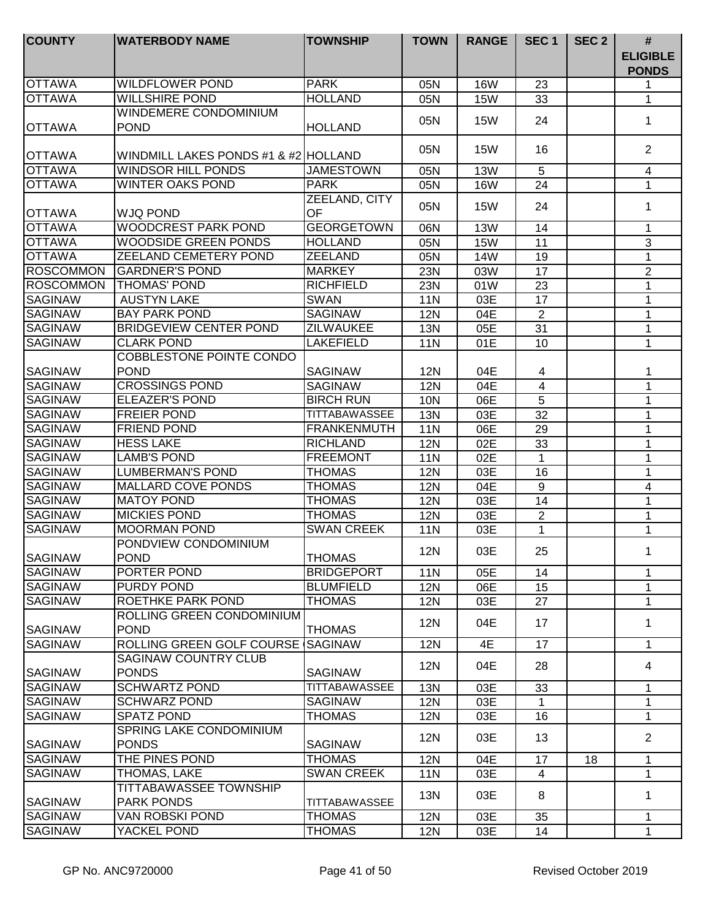| <b>COUNTY</b>    | <b>WATERBODY NAME</b>                       | <b>TOWNSHIP</b>      | <b>TOWN</b> | <b>RANGE</b> | SEC <sub>1</sub> | SEC <sub>2</sub> | #                               |
|------------------|---------------------------------------------|----------------------|-------------|--------------|------------------|------------------|---------------------------------|
|                  |                                             |                      |             |              |                  |                  | <b>ELIGIBLE</b><br><b>PONDS</b> |
| <b>OTTAWA</b>    | <b>WILDFLOWER POND</b>                      | <b>PARK</b>          | 05N         | <b>16W</b>   | 23               |                  | 1                               |
| <b>OTTAWA</b>    | <b>WILLSHIRE POND</b>                       | <b>HOLLAND</b>       | 05N         | <b>15W</b>   | 33               |                  | 1                               |
|                  | WINDEMERE CONDOMINIUM                       |                      | 05N         | <b>15W</b>   | 24               |                  | 1                               |
| <b>OTTAWA</b>    | <b>POND</b>                                 | <b>HOLLAND</b>       |             |              |                  |                  |                                 |
| <b>OTTAWA</b>    | WINDMILL LAKES PONDS #1 & #2 HOLLAND        |                      | 05N         | <b>15W</b>   | 16               |                  | 2                               |
| <b>OTTAWA</b>    | <b>WINDSOR HILL PONDS</b>                   | <b>JAMESTOWN</b>     | 05N         | <b>13W</b>   | 5                |                  | $\overline{4}$                  |
| <b>OTTAWA</b>    | WINTER OAKS POND                            | <b>PARK</b>          | 05N         | <b>16W</b>   | 24               |                  | $\mathbf 1$                     |
| <b>OTTAWA</b>    | <b>WJQ POND</b>                             | ZEELAND, CITY<br>OF  | 05N         | <b>15W</b>   | 24               |                  | 1                               |
| <b>OTTAWA</b>    | <b>WOODCREST PARK POND</b>                  | <b>GEORGETOWN</b>    | 06N         | <b>13W</b>   | 14               |                  | $\mathbf 1$                     |
| <b>OTTAWA</b>    | <b>WOODSIDE GREEN PONDS</b>                 | <b>HOLLAND</b>       | 05N         | <b>15W</b>   | 11               |                  | 3                               |
| <b>OTTAWA</b>    | <b>ZEELAND CEMETERY POND</b>                | ZEELAND              | 05N         | <b>14W</b>   | 19               |                  | $\mathbf{1}$                    |
| <b>ROSCOMMON</b> | <b>GARDNER'S POND</b>                       | <b>MARKEY</b>        | 23N         | 03W          | 17               |                  | $\overline{2}$                  |
| <b>ROSCOMMON</b> | <b>THOMAS' POND</b>                         | <b>RICHFIELD</b>     | 23N         | 01W          | 23               |                  | 1                               |
| <b>SAGINAW</b>   | <b>AUSTYN LAKE</b>                          | <b>SWAN</b>          | <b>11N</b>  | 03E          | 17               |                  | 1                               |
| <b>SAGINAW</b>   | <b>BAY PARK POND</b>                        | <b>SAGINAW</b>       | <b>12N</b>  | 04E          | 2                |                  | $\mathbf{1}$                    |
| <b>SAGINAW</b>   | <b>BRIDGEVIEW CENTER POND</b>               | <b>ZILWAUKEE</b>     | 13N         | 05E          | 31               |                  | 1                               |
| <b>SAGINAW</b>   | <b>CLARK POND</b>                           | <b>LAKEFIELD</b>     | <b>11N</b>  | 01E          | 10               |                  | 1                               |
|                  | COBBLESTONE POINTE CONDO                    |                      |             |              |                  |                  |                                 |
| <b>SAGINAW</b>   | <b>POND</b>                                 | <b>SAGINAW</b>       | 12N         | 04E          | $\overline{4}$   |                  | 1                               |
| <b>SAGINAW</b>   | <b>CROSSINGS POND</b>                       | <b>SAGINAW</b>       | <b>12N</b>  | 04E          | $\overline{4}$   |                  | 1                               |
| <b>SAGINAW</b>   | <b>ELEAZER'S POND</b>                       | <b>BIRCH RUN</b>     | 10N         | 06E          | 5                |                  | 1                               |
| <b>SAGINAW</b>   | <b>FREIER POND</b>                          | <b>TITTABAWASSEE</b> | 13N         | 03E          | 32               |                  | 1                               |
| <b>SAGINAW</b>   | <b>FRIEND POND</b>                          | <b>FRANKENMUTH</b>   | <b>11N</b>  | 06E          | 29               |                  | $\mathbf{1}$                    |
| <b>SAGINAW</b>   | <b>HESS LAKE</b>                            | <b>RICHLAND</b>      | <b>12N</b>  | 02E          | 33               |                  | $\mathbf{1}$                    |
| <b>SAGINAW</b>   | <b>LAMB'S POND</b>                          | <b>FREEMONT</b>      | <b>11N</b>  | 02E          | $\mathbf{1}$     |                  | $\mathbf{1}$                    |
| <b>SAGINAW</b>   | <b>LUMBERMAN'S POND</b>                     | <b>THOMAS</b>        | <b>12N</b>  | 03E          | 16               |                  | 1                               |
| <b>SAGINAW</b>   | <b>MALLARD COVE PONDS</b>                   | <b>THOMAS</b>        | <b>12N</b>  | 04E          | 9                |                  | $\overline{4}$                  |
| <b>SAGINAW</b>   | <b>MATOY POND</b>                           | <b>THOMAS</b>        | <b>12N</b>  | 03E          | 14               |                  | 1                               |
| <b>SAGINAW</b>   | <b>MICKIES POND</b>                         | <b>THOMAS</b>        | <b>12N</b>  | 03E          | 2                |                  | 1                               |
| <b>SAGINAW</b>   | <b>MOORMAN POND</b>                         | <b>SWAN CREEK</b>    | <b>11N</b>  | 03E          | 1                |                  | 1                               |
| SAGINAW          | PONDVIEW CONDOMINIUM<br><b>POND</b>         | <b>THOMAS</b>        | <b>12N</b>  | 03E          | 25               |                  | 1                               |
| <b>SAGINAW</b>   | PORTER POND                                 | <b>BRIDGEPORT</b>    | <b>11N</b>  | 05E          | 14               |                  | 1                               |
| SAGINAW          | PURDY POND                                  | <b>BLUMFIELD</b>     | <b>12N</b>  | 06E          | 15               |                  | 1                               |
| <b>SAGINAW</b>   | ROETHKE PARK POND                           | <b>THOMAS</b>        | <b>12N</b>  | 03E          | 27               |                  | 1                               |
| <b>SAGINAW</b>   | ROLLING GREEN CONDOMINIUM<br><b>POND</b>    | <b>THOMAS</b>        | <b>12N</b>  | 04E          | 17               |                  | 1                               |
| <b>SAGINAW</b>   | ROLLING GREEN GOLF COURSE                   | <b>SAGINAW</b>       | <b>12N</b>  | 4E           | 17               |                  | $\mathbf 1$                     |
| <b>SAGINAW</b>   | <b>SAGINAW COUNTRY CLUB</b><br><b>PONDS</b> | <b>SAGINAW</b>       | <b>12N</b>  | 04E          | 28               |                  | 4                               |
| SAGINAW          | <b>SCHWARTZ POND</b>                        | <b>TITTABAWASSEE</b> | 13N         | 03E          | 33               |                  | $\mathbf{1}$                    |
| <b>SAGINAW</b>   | <b>SCHWARZ POND</b>                         | <b>SAGINAW</b>       | 12N         | 03E          | 1                |                  | $\mathbf 1$                     |
| SAGINAW          | <b>SPATZ POND</b>                           | <b>THOMAS</b>        | <b>12N</b>  | 03E          | 16               |                  | 1                               |
|                  | SPRING LAKE CONDOMINIUM                     |                      |             |              |                  |                  |                                 |
| <b>SAGINAW</b>   | <b>PONDS</b>                                | <b>SAGINAW</b>       | 12N         | 03E          | 13               |                  | 2                               |
| SAGINAW          | THE PINES POND                              | <b>THOMAS</b>        | <b>12N</b>  | 04E          | 17               | 18               | 1                               |
| SAGINAW          | THOMAS, LAKE                                | <b>SWAN CREEK</b>    | 11N         | 03E          | 4                |                  | 1                               |
|                  | <b>TITTABAWASSEE TOWNSHIP</b>               |                      | 13N         | 03E          | 8                |                  | 1                               |
| <b>SAGINAW</b>   | <b>PARK PONDS</b>                           | <b>TITTABAWASSEE</b> |             |              |                  |                  |                                 |
| <b>SAGINAW</b>   | VAN ROBSKI POND                             | <b>THOMAS</b>        | <b>12N</b>  | 03E          | 35               |                  | 1                               |
| SAGINAW          | YACKEL POND                                 | <b>THOMAS</b>        | <b>12N</b>  | 03E          | 14               |                  | $\mathbf 1$                     |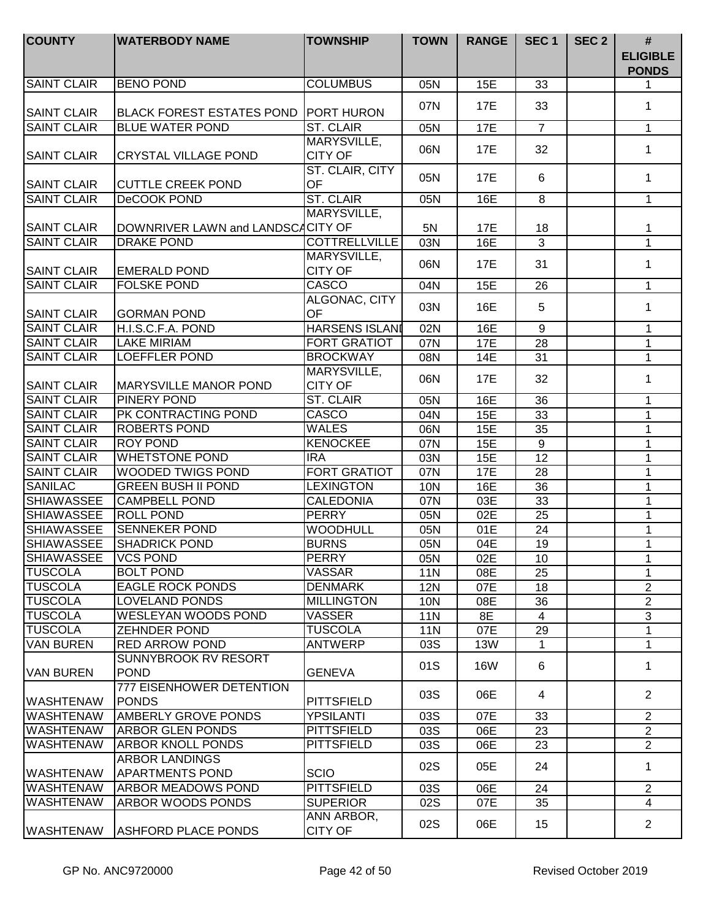| <b>COUNTY</b>      | <b>WATERBODY NAME</b>                    | <b>TOWNSHIP</b>               | <b>TOWN</b> | <b>RANGE</b> | SEC <sub>1</sub> | SEC <sub>2</sub> | #<br><b>ELIGIBLE</b><br><b>PONDS</b> |
|--------------------|------------------------------------------|-------------------------------|-------------|--------------|------------------|------------------|--------------------------------------|
| <b>SAINT CLAIR</b> | <b>BENO POND</b>                         | <b>COLUMBUS</b>               | 05N         | 15E          | 33               |                  | 1                                    |
| <b>SAINT CLAIR</b> | <b>BLACK FOREST ESTATES POND</b>         | <b>PORT HURON</b>             | 07N         | 17E          | 33               |                  | $\mathbf{1}$                         |
| <b>SAINT CLAIR</b> | <b>BLUE WATER POND</b>                   | <b>ST. CLAIR</b>              | 05N         | <b>17E</b>   | $\overline{7}$   |                  | $\mathbf{1}$                         |
| <b>SAINT CLAIR</b> | <b>CRYSTAL VILLAGE POND</b>              | MARYSVILLE,<br><b>CITY OF</b> | 06N         | <b>17E</b>   | 32               |                  | $\mathbf{1}$                         |
| <b>SAINT CLAIR</b> | <b>CUTTLE CREEK POND</b>                 | ST. CLAIR, CITY<br><b>OF</b>  | 05N         | <b>17E</b>   | 6                |                  | $\mathbf 1$                          |
| <b>SAINT CLAIR</b> | <b>DeCOOK POND</b>                       | <b>ST. CLAIR</b>              | 05N         | 16E          | 8                |                  | 1                                    |
| <b>SAINT CLAIR</b> | DOWNRIVER LAWN and LANDSCACITY OF        | MARYSVILLE,                   | 5N          | 17E          | 18               |                  | 1                                    |
| <b>SAINT CLAIR</b> | <b>DRAKE POND</b>                        | <b>COTTRELLVILLE</b>          | 03N         | 16E          | $\overline{3}$   |                  | $\mathbf{1}$                         |
| <b>SAINT CLAIR</b> | <b>EMERALD POND</b>                      | MARYSVILLE,<br><b>CITY OF</b> | 06N         | 17E          | 31               |                  | $\mathbf{1}$                         |
| <b>SAINT CLAIR</b> | <b>FOLSKE POND</b>                       | CASCO                         | 04N         | 15E          | 26               |                  | 1                                    |
| <b>SAINT CLAIR</b> | <b>GORMAN POND</b>                       | <b>ALGONAC, CITY</b><br>OF    | 03N         | 16E          | 5                |                  | 1                                    |
| <b>SAINT CLAIR</b> | H.I.S.C.F.A. POND                        | <b>HARSENS ISLAND</b>         | 02N         | 16E          | 9                |                  | $\mathbf{1}$                         |
| <b>SAINT CLAIR</b> | <b>LAKE MIRIAM</b>                       | <b>FORT GRATIOT</b>           | 07N         | <b>17E</b>   | 28               |                  | 1                                    |
| <b>SAINT CLAIR</b> | <b>LOEFFLER POND</b>                     | <b>BROCKWAY</b>               | 08N         | 14E          | 31               |                  | $\mathbf{1}$                         |
| <b>SAINT CLAIR</b> | <b>MARYSVILLE MANOR POND</b>             | MARYSVILLE,<br><b>CITY OF</b> | 06N         | <b>17E</b>   | 32               |                  | 1                                    |
| <b>SAINT CLAIR</b> | <b>PINERY POND</b>                       | ST. CLAIR                     | 05N         | <b>16E</b>   | 36               |                  | $\mathbf{1}$                         |
| <b>SAINT CLAIR</b> | PK CONTRACTING POND                      | CASCO                         | 04N         | 15E          | 33               |                  | $\mathbf{1}$                         |
| <b>SAINT CLAIR</b> | <b>ROBERTS POND</b>                      | <b>WALES</b>                  | 06N         | 15E          | 35               |                  | 1                                    |
| <b>SAINT CLAIR</b> | <b>ROY POND</b>                          | <b>KENOCKEE</b>               | 07N         | 15E          | 9                |                  | $\mathbf{1}$                         |
| <b>SAINT CLAIR</b> | <b>WHETSTONE POND</b>                    | <b>IRA</b>                    | 03N         | 15E          | 12               |                  | $\mathbf{1}$                         |
| <b>SAINT CLAIR</b> | WOODED TWIGS POND                        | <b>FORT GRATIOT</b>           | 07N         | 17E          | 28               |                  | $\mathbf{1}$                         |
| <b>SANILAC</b>     | <b>GREEN BUSH II POND</b>                | <b>LEXINGTON</b>              | 10N         | 16E          | 36               |                  | 1                                    |
| <b>SHIAWASSEE</b>  | <b>CAMPBELL POND</b>                     | <b>CALEDONIA</b>              | 07N         | 03E          | 33               |                  | 1                                    |
| <b>SHIAWASSEE</b>  | <b>ROLL POND</b>                         | <b>PERRY</b>                  | 05N         | 02E          | 25               |                  | $\mathbf 1$                          |
| <b>SHIAWASSEE</b>  | <b>SENNEKER POND</b>                     | <b>WOODHULL</b>               | 05N         | 01E          | 24               |                  | 1                                    |
| <b>SHIAWASSEE</b>  | <b>SHADRICK POND</b>                     | <b>BURNS</b>                  | 05N         | 04E          | 19               |                  | $\mathbf{1}$                         |
| <b>SHIAWASSEE</b>  | VCS POND                                 | PERRY                         | 05N         | 02E          | 10               |                  | 1                                    |
| <b>TUSCOLA</b>     | <b>BOLT POND</b>                         | <b>VASSAR</b>                 | 11N         | 08E          | 25               |                  | $\mathbf 1$                          |
| <b>TUSCOLA</b>     | <b>EAGLE ROCK PONDS</b>                  | <b>DENMARK</b>                | <b>12N</b>  | 07E          | 18               |                  | $\overline{2}$                       |
| <b>TUSCOLA</b>     | <b>LOVELAND PONDS</b>                    | <b>MILLINGTON</b>             | 10N         | 08E          | 36               |                  | $\overline{2}$                       |
| <b>TUSCOLA</b>     | <b>WESLEYAN WOODS POND</b>               | <b>VASSER</b>                 | <b>11N</b>  | 8E           | $\overline{4}$   |                  | 3                                    |
| <b>TUSCOLA</b>     | <b>ZEHNDER POND</b>                      | <b>TUSCOLA</b>                | 11N         | 07E          | 29               |                  | $\mathbf{1}$                         |
| <b>VAN BUREN</b>   | <b>RED ARROW POND</b>                    | <b>ANTWERP</b>                | 03S         | 13W          | 1                |                  | $\mathbf{1}$                         |
| <b>VAN BUREN</b>   | SUNNYBROOK RV RESORT<br><b>POND</b>      | <b>GENEVA</b>                 | 01S         | <b>16W</b>   | 6                |                  | $\mathbf{1}$                         |
| <b>WASHTENAW</b>   | 777 EISENHOWER DETENTION<br><b>PONDS</b> | <b>PITTSFIELD</b>             | 03S         | 06E          | 4                |                  | $\overline{2}$                       |
| <b>WASHTENAW</b>   | <b>AMBERLY GROVE PONDS</b>               | <b>YPSILANTI</b>              | 03S         | 07E          | 33               |                  | $\overline{2}$                       |
| <b>WASHTENAW</b>   | <b>ARBOR GLEN PONDS</b>                  | <b>PITTSFIELD</b>             | 03S         | 06E          | 23               |                  | $\overline{2}$                       |
| <b>WASHTENAW</b>   | <b>ARBOR KNOLL PONDS</b>                 | <b>PITTSFIELD</b>             | 03S         | 06E          | 23               |                  | $\overline{2}$                       |
| <b>WASHTENAW</b>   | ARBOR LANDINGS<br><b>APARTMENTS POND</b> | <b>SCIO</b>                   | 02S         | 05E          | 24               |                  | 1                                    |
| <b>WASHTENAW</b>   | <b>ARBOR MEADOWS POND</b>                | <b>PITTSFIELD</b>             | 03S         | 06E          | 24               |                  | $\overline{2}$                       |
| <b>WASHTENAW</b>   | <b>ARBOR WOODS PONDS</b>                 | <b>SUPERIOR</b>               | 02S         | 07E          | 35               |                  | $\overline{4}$                       |
| <b>WASHTENAW</b>   | <b>ASHFORD PLACE PONDS</b>               | ANN ARBOR,<br><b>CITY OF</b>  | 02S         | 06E          | 15               |                  | $2^{\circ}$                          |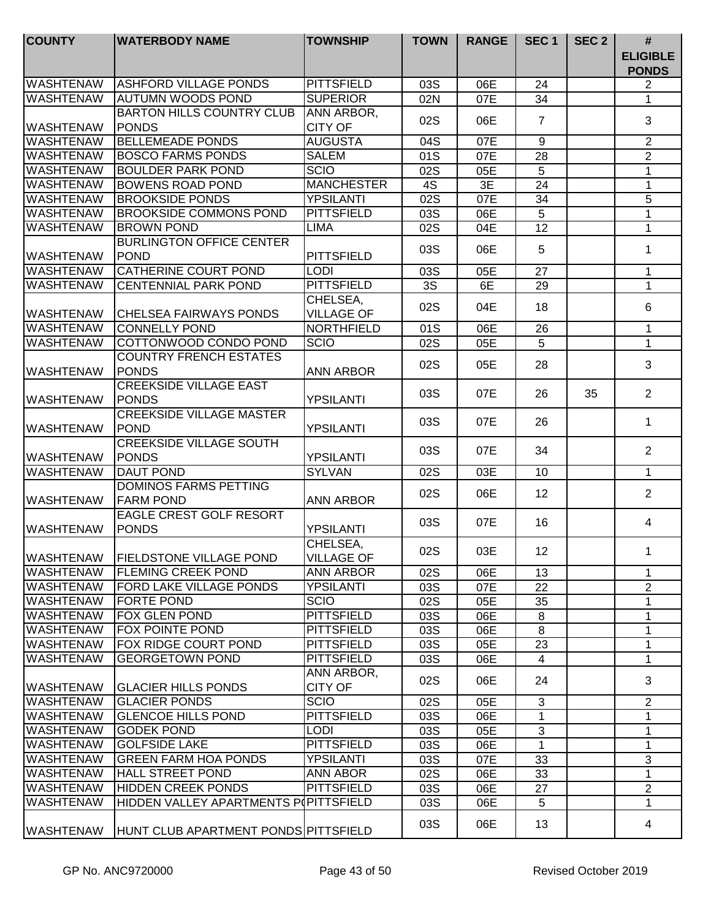| <b>COUNTY</b>    | <b>WATERBODY NAME</b>                 | <b>TOWNSHIP</b>   | <b>TOWN</b> | <b>RANGE</b> | SEC <sub>1</sub> | SEC <sub>2</sub> | #<br><b>ELIGIBLE</b> |
|------------------|---------------------------------------|-------------------|-------------|--------------|------------------|------------------|----------------------|
|                  |                                       |                   |             |              |                  |                  | <b>PONDS</b>         |
| <b>WASHTENAW</b> | <b>ASHFORD VILLAGE PONDS</b>          | <b>PITTSFIELD</b> | 03S         | 06E          | 24               |                  | $\overline{2}$       |
| <b>WASHTENAW</b> | <b>AUTUMN WOODS POND</b>              | <b>SUPERIOR</b>   | 02N         | 07E          | 34               |                  | $\mathbf 1$          |
|                  | <b>BARTON HILLS COUNTRY CLUB</b>      | <b>ANN ARBOR,</b> | 02S         | 06E          | $\overline{7}$   |                  | 3                    |
| <b>WASHTENAW</b> | <b>PONDS</b>                          | <b>CITY OF</b>    |             |              |                  |                  |                      |
| <b>WASHTENAW</b> | <b>BELLEMEADE PONDS</b>               | <b>AUGUSTA</b>    | 04S         | 07E          | 9                |                  | $\overline{2}$       |
| <b>WASHTENAW</b> | <b>BOSCO FARMS PONDS</b>              | <b>SALEM</b>      | 01S         | 07E          | 28               |                  | $\overline{2}$       |
| <b>WASHTENAW</b> | <b>BOULDER PARK POND</b>              | <b>SCIO</b>       | 02S         | 05E          | 5                |                  | $\mathbf{1}$         |
| <b>WASHTENAW</b> | <b>BOWENS ROAD POND</b>               | <b>MANCHESTER</b> | 4S          | 3E           | 24               |                  | $\mathbf{1}$         |
| <b>WASHTENAW</b> | <b>BROOKSIDE PONDS</b>                | <b>YPSILANTI</b>  | 02S         | 07E          | 34               |                  | 5                    |
| <b>WASHTENAW</b> | <b>BROOKSIDE COMMONS POND</b>         | <b>PITTSFIELD</b> | 03S         | 06E          | 5                |                  | 1                    |
| <b>WASHTENAW</b> | <b>BROWN POND</b>                     | <b>LIMA</b>       | 02S         | 04E          | 12               |                  | $\mathbf{1}$         |
|                  | <b>BURLINGTON OFFICE CENTER</b>       |                   | 03S         | 06E          | 5                |                  | 1                    |
| <b>WASHTENAW</b> | <b>POND</b>                           | <b>PITTSFIELD</b> |             |              |                  |                  |                      |
| <b>WASHTENAW</b> | <b>CATHERINE COURT POND</b>           | <b>LODI</b>       | 03S         | 05E          | 27               |                  | $\mathbf{1}$         |
| <b>WASHTENAW</b> | <b>CENTENNIAL PARK POND</b>           | <b>PITTSFIELD</b> | 3S          | 6E           | 29               |                  | $\mathbf{1}$         |
|                  |                                       | CHELSEA,          |             |              |                  |                  |                      |
| <b>WASHTENAW</b> | <b>CHELSEA FAIRWAYS PONDS</b>         | <b>VILLAGE OF</b> | 02S         | 04E          | 18               |                  | 6                    |
| <b>WASHTENAW</b> | <b>CONNELLY POND</b>                  | <b>NORTHFIELD</b> | 01S         | 06E          | 26               |                  | $\mathbf 1$          |
| <b>WASHTENAW</b> | COTTONWOOD CONDO POND                 | <b>SCIO</b>       | 02S         | 05E          | 5                |                  | $\mathbf{1}$         |
|                  | <b>COUNTRY FRENCH ESTATES</b>         |                   |             |              |                  |                  |                      |
| <b>WASHTENAW</b> | <b>PONDS</b>                          | <b>ANN ARBOR</b>  | 02S         | 05E          | 28               |                  | 3                    |
|                  | <b>CREEKSIDE VILLAGE EAST</b>         |                   |             |              |                  |                  |                      |
| <b>WASHTENAW</b> | PONDS                                 | <b>YPSILANTI</b>  | 03S         | 07E          | 26               | 35               | $\overline{2}$       |
|                  | <b>CREEKSIDE VILLAGE MASTER</b>       |                   |             |              |                  |                  |                      |
| <b>WASHTENAW</b> | POND                                  | <b>YPSILANTI</b>  | 03S         | 07E          | 26               |                  | $\mathbf 1$          |
|                  | <b>CREEKSIDE VILLAGE SOUTH</b>        |                   |             |              |                  |                  |                      |
| <b>WASHTENAW</b> | <b>PONDS</b>                          | <b>YPSILANTI</b>  | 03S         | 07E          | 34               |                  | $\overline{2}$       |
| <b>WASHTENAW</b> | <b>DAUT POND</b>                      | <b>SYLVAN</b>     | 02S         | 03E          | 10               |                  | $\mathbf{1}$         |
|                  | <b>DOMINOS FARMS PETTING</b>          |                   |             |              |                  |                  |                      |
| <b>WASHTENAW</b> | <b>FARM POND</b>                      | <b>ANN ARBOR</b>  | 02S         | 06E          | 12               |                  | $\overline{2}$       |
|                  | EAGLE CREST GOLF RESORT               |                   |             |              |                  |                  |                      |
| <b>WASHTENAW</b> | <b>PONDS</b>                          | <b>YPSILANTI</b>  | 03S         | 07E          | 16               |                  | 4                    |
|                  |                                       | CHELSEA,          |             |              |                  |                  |                      |
| WASHTENAW        | <b>FIELDSTONE VILLAGE POND</b>        | VILLAGE OF        | 02S         | 03E          | 12               |                  | 1.                   |
| <b>WASHTENAW</b> | <b>FLEMING CREEK POND</b>             | <b>ANN ARBOR</b>  | 02S         | 06E          | 13               |                  | 1                    |
| <b>WASHTENAW</b> | <b>FORD LAKE VILLAGE PONDS</b>        | <b>YPSILANTI</b>  | 03S         | 07E          | 22               |                  | $\overline{2}$       |
| <b>WASHTENAW</b> | <b>FORTE POND</b>                     | <b>SCIO</b>       | 02S         | 05E          | 35               |                  | 1                    |
| <b>WASHTENAW</b> | <b>FOX GLEN POND</b>                  | <b>PITTSFIELD</b> | 03S         | 06E          | 8                |                  | 1                    |
| <b>WASHTENAW</b> | <b>FOX POINTE POND</b>                | <b>PITTSFIELD</b> | 03S         | 06E          | 8                |                  | 1                    |
| <b>WASHTENAW</b> | <b>FOX RIDGE COURT POND</b>           | <b>PITTSFIELD</b> | 03S         | 05E          | 23               |                  | $\mathbf 1$          |
| <b>WASHTENAW</b> | <b>GEORGETOWN POND</b>                | <b>PITTSFIELD</b> | 03S         | 06E          | 4                |                  | $\mathbf{1}$         |
|                  |                                       | ANN ARBOR,        |             |              |                  |                  |                      |
| <b>WASHTENAW</b> | <b>GLACIER HILLS PONDS</b>            | <b>CITY OF</b>    | 02S         | 06E          | 24               |                  | 3                    |
| <b>WASHTENAW</b> | <b>GLACIER PONDS</b>                  | <b>SCIO</b>       | 02S         | 05E          | 3                |                  | 2                    |
| <b>WASHTENAW</b> | <b>GLENCOE HILLS POND</b>             | <b>PITTSFIELD</b> | 03S         | 06E          | 1                |                  | 1                    |
| <b>WASHTENAW</b> | <b>GODEK POND</b>                     | <b>LODI</b>       | 03S         | 05E          | 3                |                  | 1                    |
| <b>WASHTENAW</b> | <b>GOLFSIDE LAKE</b>                  | <b>PITTSFIELD</b> | 03S         | 06E          | 1                |                  | 1                    |
| <b>WASHTENAW</b> | <b>GREEN FARM HOA PONDS</b>           | <b>YPSILANTI</b>  | 03S         | 07E          | 33               |                  | 3                    |
| <b>WASHTENAW</b> | <b>HALL STREET POND</b>               | ANN ABOR          | 02S         | 06E          | 33               |                  | 1                    |
| <b>WASHTENAW</b> | <b>HIDDEN CREEK PONDS</b>             | <b>PITTSFIELD</b> | 03S         | 06E          | 27               |                  | $\overline{2}$       |
| <b>WASHTENAW</b> | HIDDEN VALLEY APARTMENTS POPITTSFIELD |                   | 03S         | 06E          | 5                |                  | 1                    |
|                  |                                       |                   |             |              |                  |                  |                      |
| <b>WASHTENAW</b> | HUNT CLUB APARTMENT PONDS PITTSFIELD  |                   | 03S         | 06E          | 13               |                  | 4                    |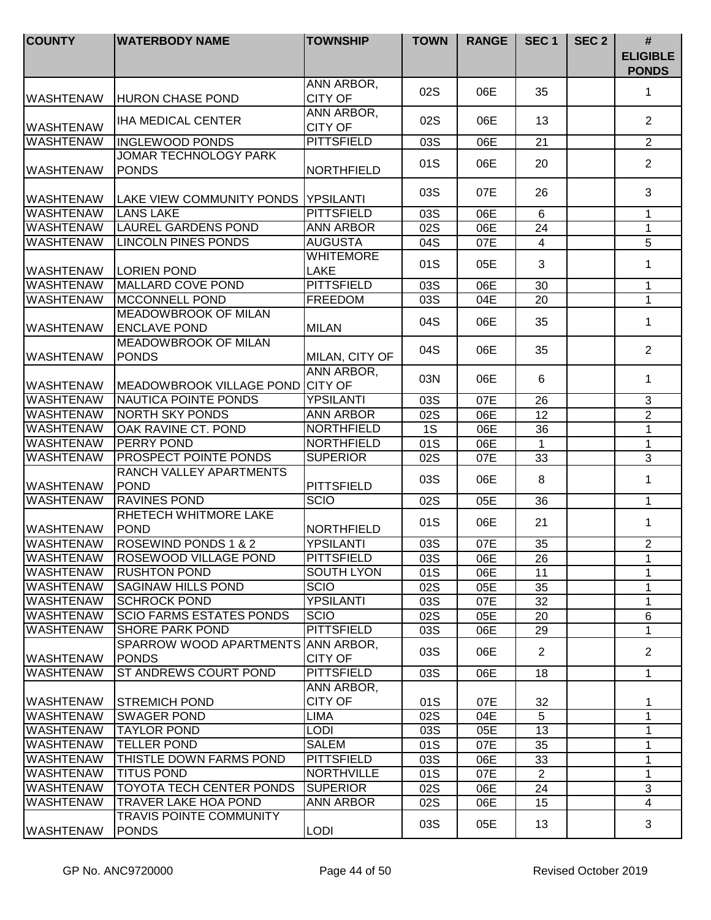| <b>COUNTY</b>    | <b>WATERBODY NAME</b>                  | <b>TOWNSHIP</b>   | <b>TOWN</b> | <b>RANGE</b> | SEC <sub>1</sub> | SEC <sub>2</sub> | #<br><b>ELIGIBLE</b><br><b>PONDS</b> |
|------------------|----------------------------------------|-------------------|-------------|--------------|------------------|------------------|--------------------------------------|
|                  |                                        | ANN ARBOR,        |             |              |                  |                  |                                      |
| <b>WASHTENAW</b> | <b>HURON CHASE POND</b>                | <b>CITY OF</b>    | 02S         | 06E          | 35               |                  | 1                                    |
|                  |                                        | ANN ARBOR,        |             |              |                  |                  |                                      |
| <b>WASHTENAW</b> | <b>IHA MEDICAL CENTER</b>              | <b>CITY OF</b>    | 02S         | 06E          | 13               |                  | 2                                    |
| <b>WASHTENAW</b> | <b>INGLEWOOD PONDS</b>                 | <b>PITTSFIELD</b> | 03S         | 06E          | 21               |                  | $\overline{2}$                       |
|                  | JOMAR TECHNOLOGY PARK                  |                   |             |              |                  |                  |                                      |
| <b>WASHTENAW</b> | <b>PONDS</b>                           | <b>NORTHFIELD</b> | 01S         | 06E          | 20               |                  | $\overline{2}$                       |
|                  |                                        |                   | 03S         | 07E          | 26               |                  | 3                                    |
| <b>WASHTENAW</b> | ILAKE VIEW COMMUNITY PONDS IYPSILANTI  |                   |             |              |                  |                  |                                      |
| <b>WASHTENAW</b> | <b>LANS LAKE</b>                       | <b>PITTSFIELD</b> | 03S         | 06E          | 6                |                  | 1                                    |
| <b>WASHTENAW</b> | <b>LAUREL GARDENS POND</b>             | <b>ANN ARBOR</b>  | 02S         | 06E          | 24               |                  | $\mathbf{1}$                         |
| <b>WASHTENAW</b> | <b>LINCOLN PINES PONDS</b>             | <b>AUGUSTA</b>    | 04S         | 07E          | $\overline{4}$   |                  | 5                                    |
|                  |                                        | <b>WHITEMORE</b>  | 01S         | 05E          | 3                |                  | 1                                    |
| <b>WASHTENAW</b> | <b>LORIEN POND</b>                     | LAKE              |             |              |                  |                  |                                      |
| <b>WASHTENAW</b> | <b>MALLARD COVE POND</b>               | <b>PITTSFIELD</b> | 03S         | 06E          | 30               |                  | $\mathbf 1$                          |
| <b>WASHTENAW</b> | <b>MCCONNELL POND</b>                  | <b>FREEDOM</b>    | 03S         | 04E          | 20               |                  | 1                                    |
|                  | <b>MEADOWBROOK OF MILAN</b>            |                   | 04S         | 06E          | 35               |                  | 1                                    |
| <b>WASHTENAW</b> | <b>ENCLAVE POND</b>                    | <b>MILAN</b>      |             |              |                  |                  |                                      |
|                  | <b>MEADOWBROOK OF MILAN</b>            |                   | 04S         | 06E          | 35               |                  | 2                                    |
| <b>WASHTENAW</b> | <b>PONDS</b>                           | MILAN, CITY OF    |             |              |                  |                  |                                      |
|                  |                                        | ANN ARBOR,        | 03N         | 06E          | 6                |                  | 1                                    |
| <b>WASHTENAW</b> | MEADOWBROOK VILLAGE POND CITY OF       |                   |             |              |                  |                  |                                      |
| <b>WASHTENAW</b> | NAUTICA POINTE PONDS                   | <b>YPSILANTI</b>  | 03S         | 07E          | 26               |                  | 3                                    |
| <b>WASHTENAW</b> | <b>NORTH SKY PONDS</b>                 | <b>ANN ARBOR</b>  | 02S         | 06E          | $\overline{12}$  |                  | $\overline{2}$                       |
| <b>WASHTENAW</b> | OAK RAVINE CT. POND                    | <b>NORTHFIELD</b> | 1S          | 06E          | 36               |                  | $\mathbf{1}$                         |
| <b>WASHTENAW</b> | <b>PERRY POND</b>                      | <b>NORTHFIELD</b> | 01S         | 06E          | 1                |                  | $\mathbf 1$                          |
| <b>WASHTENAW</b> | <b>PROSPECT POINTE PONDS</b>           | <b>SUPERIOR</b>   | 02S         | 07E          | 33               |                  | $\overline{3}$                       |
| <b>WASHTENAW</b> | RANCH VALLEY APARTMENTS<br><b>POND</b> | <b>PITTSFIELD</b> | 03S         | 06E          | 8                |                  | $\mathbf{1}$                         |
| <b>WASHTENAW</b> | <b>RAVINES POND</b>                    | <b>SCIO</b>       | 02S         | 05E          | 36               |                  | $\mathbf 1$                          |
|                  | RHETECH WHITMORE LAKE                  |                   | 01S         |              |                  |                  | $\mathbf{1}$                         |
| <b>WASHTENAW</b> | <b>POND</b>                            | <b>NORTHFIELD</b> |             | 06E          | 21               |                  |                                      |
| <b>WASHTENAW</b> | <b>ROSEWIND PONDS 1 &amp; 2</b>        | <b>YPSILANTI</b>  | 03S         | 07E          | 35               |                  | $\overline{2}$                       |
| IWASHTENAW       | IROSEWOOD VILLAGE POND                 | PITTSFIELD        | 03S         | 06E          | 26               |                  | 1                                    |
| <b>WASHTENAW</b> | <b>RUSHTON POND</b>                    | <b>SOUTH LYON</b> | 01S         | 06E          | 11               |                  | 1                                    |
| <b>WASHTENAW</b> | <b>SAGINAW HILLS POND</b>              | <b>SCIO</b>       | 02S         | 05E          | 35               |                  | 1                                    |
| <b>WASHTENAW</b> | <b>SCHROCK POND</b>                    | <b>YPSILANTI</b>  | 03S         | 07E          | 32               |                  | 1                                    |
| <b>WASHTENAW</b> | <b>SCIO FARMS ESTATES PONDS</b>        | <b>SCIO</b>       | 02S         | 05E          | 20               |                  | 6                                    |
| <b>WASHTENAW</b> | <b>SHORE PARK POND</b>                 | <b>PITTSFIELD</b> | 03S         | 06E          | 29               |                  | $\mathbf{1}$                         |
|                  | SPARROW WOOD APARTMENTS ANN ARBOR,     |                   | 03S         | 06E          | $\overline{2}$   |                  | $\overline{2}$                       |
| <b>WASHTENAW</b> | <b>PONDS</b>                           | <b>CITY OF</b>    |             |              |                  |                  |                                      |
| <b>WASHTENAW</b> | ST ANDREWS COURT POND                  | <b>PITTSFIELD</b> | 03S         | 06E          | 18               |                  | $\mathbf{1}$                         |
|                  |                                        | ANN ARBOR,        |             |              |                  |                  |                                      |
| <b>WASHTENAW</b> | STREMICH POND                          | <b>CITY OF</b>    | 01S         | 07E          | 32               |                  | 1                                    |
| <b>WASHTENAW</b> | <b>SWAGER POND</b>                     | <b>LIMA</b>       | 02S         | 04E          | 5                |                  | $\mathbf 1$                          |
| <b>WASHTENAW</b> | <b>TAYLOR POND</b>                     | <b>LODI</b>       | 03S         | 05E          | 13               |                  | 1                                    |
| <b>WASHTENAW</b> | <b>TELLER POND</b>                     | <b>SALEM</b>      | 01S         | 07E          | 35               |                  | 1                                    |
| <b>WASHTENAW</b> | THISTLE DOWN FARMS POND                | <b>PITTSFIELD</b> | 03S         | 06E          | 33               |                  | 1                                    |
| <b>WASHTENAW</b> | <b>TITUS POND</b>                      | <b>NORTHVILLE</b> | 01S         | 07E          | $\overline{2}$   |                  | 1                                    |
| <b>WASHTENAW</b> | <b>TOYOTA TECH CENTER PONDS</b>        | <b>SUPERIOR</b>   | 02S         | 06E          | 24               |                  | 3                                    |
| <b>WASHTENAW</b> | <b>TRAVER LAKE HOA POND</b>            | <b>ANN ARBOR</b>  | 02S         | 06E          | 15               |                  | $\overline{4}$                       |
|                  | <b>TRAVIS POINTE COMMUNITY</b>         |                   | 03S         | 05E          | 13               |                  | 3                                    |
| <b>WASHTENAW</b> | <b>PONDS</b>                           | <b>LODI</b>       |             |              |                  |                  |                                      |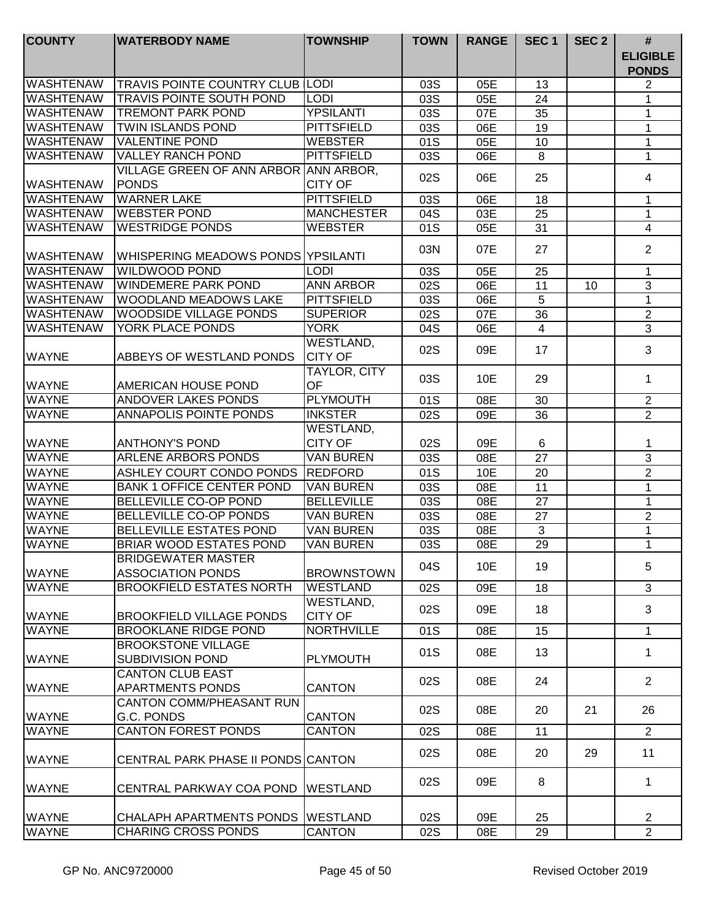| <b>COUNTY</b>                | <b>WATERBODY NAME</b>                                           | <b>TOWNSHIP</b>             | <b>TOWN</b> | <b>RANGE</b> | SEC <sub>1</sub> | SEC <sub>2</sub> | $\#$<br><b>ELIGIBLE</b><br><b>PONDS</b> |
|------------------------------|-----------------------------------------------------------------|-----------------------------|-------------|--------------|------------------|------------------|-----------------------------------------|
| <b>WASHTENAW</b>             | <b>TRAVIS POINTE COUNTRY CLUB LODI</b>                          |                             | 03S         | 05E          | 13               |                  | 2                                       |
| <b>WASHTENAW</b>             | <b>TRAVIS POINTE SOUTH POND</b>                                 | <b>LODI</b>                 | 03S         | 05E          | 24               |                  | 1                                       |
| <b>WASHTENAW</b>             | <b>TREMONT PARK POND</b>                                        | <b>YPSILANTI</b>            | 03S         | 07E          | 35               |                  | 1                                       |
| <b>WASHTENAW</b>             | <b>TWIN ISLANDS POND</b>                                        | <b>PITTSFIELD</b>           | 03S         | 06E          | 19               |                  | 1                                       |
| <b>WASHTENAW</b>             | <b>VALENTINE POND</b>                                           | <b>WEBSTER</b>              | 01S         | 05E          | 10               |                  | $\mathbf 1$                             |
| <b>WASHTENAW</b>             | <b>VALLEY RANCH POND</b>                                        | <b>PITTSFIELD</b>           | 03S         | 06E          | 8                |                  | 1                                       |
| <b>WASHTENAW</b>             | VILLAGE GREEN OF ANN ARBOR ANN ARBOR,<br><b>PONDS</b>           | <b>CITY OF</b>              | 02S         | 06E          | 25               |                  | 4                                       |
| <b>WASHTENAW</b>             | <b>WARNER LAKE</b>                                              | <b>PITTSFIELD</b>           | 03S         | 06E          | 18               |                  | 1                                       |
| <b>WASHTENAW</b>             | <b>WEBSTER POND</b>                                             | <b>MANCHESTER</b>           | 04S         | 03E          | 25               |                  | $\mathbf 1$                             |
| <b>WASHTENAW</b>             | <b>WESTRIDGE PONDS</b>                                          | <b>WEBSTER</b>              | 01S         | 05E          | 31               |                  | $\overline{4}$                          |
| <b>WASHTENAW</b>             | <b>WHISPERING MEADOWS PONDS YPSILANTI</b>                       |                             | 03N         | 07E          | 27               |                  | $\overline{2}$                          |
| <b>WASHTENAW</b>             | <b>WILDWOOD POND</b>                                            | <b>LODI</b>                 | 03S         | 05E          | 25               |                  | 1                                       |
| <b>WASHTENAW</b>             | <b>WINDEMERE PARK POND</b>                                      | <b>ANN ARBOR</b>            | 02S         | 06E          | 11               | 10               | 3                                       |
| <b>WASHTENAW</b>             | WOODLAND MEADOWS LAKE                                           | <b>PITTSFIELD</b>           | 03S         | 06E          | 5                |                  | $\mathbf{1}$                            |
| <b>WASHTENAW</b>             | WOODSIDE VILLAGE PONDS                                          | <b>SUPERIOR</b>             | 02S         | 07E          | 36               |                  | $\overline{c}$                          |
| <b>WASHTENAW</b>             | <b>YORK PLACE PONDS</b>                                         | <b>YORK</b>                 | 04S         | 06E          | 4                |                  | 3                                       |
| <b>WAYNE</b>                 | ABBEYS OF WESTLAND PONDS                                        | WESTLAND,<br><b>CITY OF</b> | 02S         | 09E          | 17               |                  | 3                                       |
| <b>WAYNE</b>                 | AMERICAN HOUSE POND                                             | TAYLOR, CITY<br>OF          | 03S         | 10E          | 29               |                  | 1                                       |
| <b>WAYNE</b>                 | ANDOVER LAKES PONDS                                             | <b>PLYMOUTH</b>             | 01S         | 08E          | 30               |                  | $\overline{2}$                          |
| <b>WAYNE</b>                 | <b>ANNAPOLIS POINTE PONDS</b>                                   | <b>INKSTER</b>              | 02S         | 09E          | 36               |                  | $\overline{2}$                          |
| <b>WAYNE</b>                 | <b>ANTHONY'S POND</b>                                           | WESTLAND,<br><b>CITY OF</b> | 02S         | 09E          | 6                |                  | 1                                       |
| <b>WAYNE</b>                 | ARLENE ARBORS PONDS                                             | <b>VAN BUREN</b>            | 03S         | 08E          | 27               |                  | $\mathbf{3}$                            |
| <b>WAYNE</b>                 | ASHLEY COURT CONDO PONDS                                        | REDFORD                     | 01S         | 10E          | 20               |                  | $\sqrt{2}$                              |
| <b>WAYNE</b>                 | <b>BANK 1 OFFICE CENTER POND</b>                                | <b>VAN BUREN</b>            | 03S         | 08E          | 11               |                  | 1                                       |
| <b>WAYNE</b>                 | BELLEVILLE CO-OP POND                                           | <b>BELLEVILLE</b>           | 03S         | 08E          | 27               |                  | 1                                       |
| <b>WAYNE</b>                 | BELLEVILLE CO-OP PONDS                                          | <b>VAN BUREN</b>            | 03S         | 08E          | 27               |                  | $\mathbf{2}$                            |
| <b>WAYNE</b>                 | <b>BELLEVILLE ESTATES POND</b>                                  | <b>VAN BUREN</b>            | 03S         | 08E          | 3                |                  | 1                                       |
| <b>WAYNE</b>                 | BRIAR WOOD ESTATES POND                                         | <b>VAN BUREN</b>            | 03S         | 08E          | 29               |                  | 1                                       |
| <b>WAYNE</b>                 | <b>BRIDGEWATER MASTER</b><br><b>ASSOCIATION PONDS</b>           | <b>BROWNSTOWN</b>           | 04S         | 10E          | 19               |                  | 5                                       |
| <b>WAYNE</b>                 | <b>BROOKFIELD ESTATES NORTH</b>                                 | <b>WESTLAND</b>             | 02S         | 09E          | 18               |                  | 3                                       |
| <b>WAYNE</b>                 | <b>BROOKFIELD VILLAGE PONDS</b>                                 | WESTLAND,<br><b>CITY OF</b> | 02S         | 09E          | 18               |                  | 3                                       |
| <b>WAYNE</b>                 | <b>BROOKLANE RIDGE POND</b>                                     | <b>NORTHVILLE</b>           | 01S         | 08E          | 15               |                  | $\mathbf{1}$                            |
| <b>WAYNE</b>                 | <b>BROOKSTONE VILLAGE</b><br>SUBDIVISION POND                   | <b>PLYMOUTH</b>             | 01S         | 08E          | 13               |                  | $\mathbf{1}$                            |
| <b>WAYNE</b>                 | <b>CANTON CLUB EAST</b><br><b>APARTMENTS PONDS</b>              | <b>CANTON</b>               | 02S         | 08E          | 24               |                  | 2                                       |
| <b>WAYNE</b>                 | <b>CANTON COMM/PHEASANT RUN</b><br>G.C. PONDS                   | <b>CANTON</b>               | 02S         | 08E          | 20               | 21               | 26                                      |
| <b>WAYNE</b>                 | <b>CANTON FOREST PONDS</b>                                      | <b>CANTON</b>               | 02S         | 08E          | 11               |                  | $\overline{2}$                          |
| <b>WAYNE</b>                 | CENTRAL PARK PHASE II PONDS CANTON                              |                             | 02S         | 08E          | 20               | 29               | 11                                      |
| <b>WAYNE</b>                 | CENTRAL PARKWAY COA POND                                        | <b>WESTLAND</b>             | 02S         | 09E          | 8                |                  | 1                                       |
| <b>WAYNE</b><br><b>WAYNE</b> | CHALAPH APARTMENTS PONDS WESTLAND<br><b>CHARING CROSS PONDS</b> | <b>CANTON</b>               | 02S<br>02S  | 09E<br>08E   | 25<br>29         |                  | $\overline{2}$<br>$\overline{2}$        |
|                              |                                                                 |                             |             |              |                  |                  |                                         |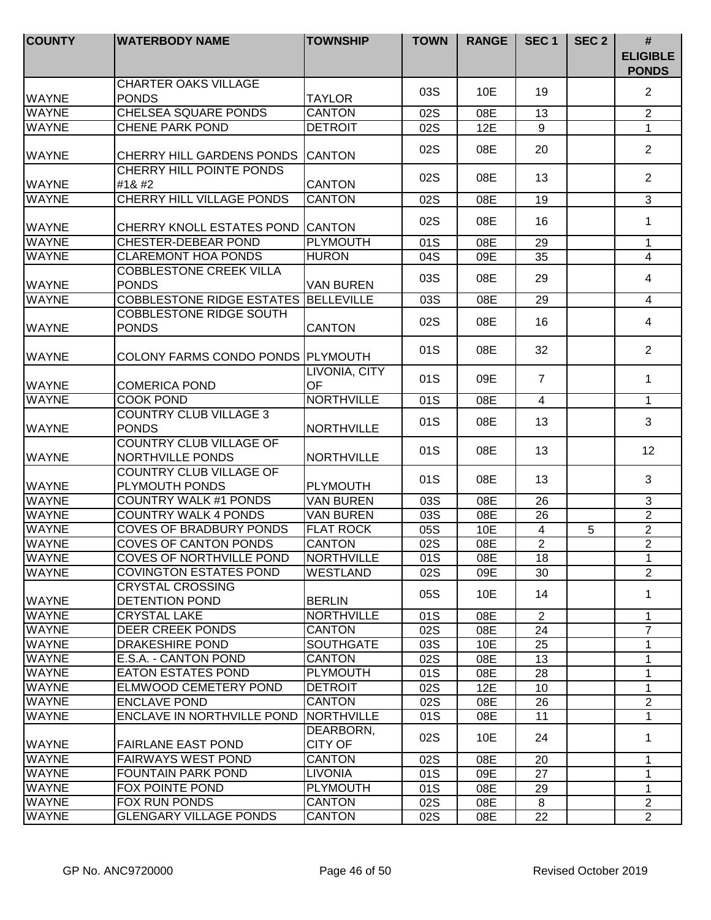| <b>COUNTY</b>                | <b>WATERBODY NAME</b>                                     | <b>TOWNSHIP</b>                    | <b>TOWN</b> | <b>RANGE</b> | SEC <sub>1</sub> | SEC <sub>2</sub> | #<br><b>ELIGIBLE</b><br><b>PONDS</b> |
|------------------------------|-----------------------------------------------------------|------------------------------------|-------------|--------------|------------------|------------------|--------------------------------------|
| <b>WAYNE</b>                 | <b>CHARTER OAKS VILLAGE</b><br><b>PONDS</b>               | <b>TAYLOR</b>                      | 03S         | 10E          | 19               |                  | $\overline{2}$                       |
| <b>WAYNE</b>                 | <b>CHELSEA SQUARE PONDS</b>                               | <b>CANTON</b>                      | 02S         | 08E          | 13               |                  | $\overline{2}$                       |
| <b>WAYNE</b>                 | <b>CHENE PARK POND</b>                                    | <b>DETROIT</b>                     | 02S         | 12E          | 9                |                  | $\mathbf{1}$                         |
| <b>WAYNE</b>                 | CHERRY HILL GARDENS PONDS CANTON                          |                                    | 02S         | 08E          | 20               |                  | $\overline{2}$                       |
| <b>WAYNE</b>                 | CHERRY HILL POINTE PONDS<br>#1                           | <b>CANTON</b>                      | 02S         | 08E          | 13               |                  | $\overline{2}$                       |
| <b>WAYNE</b>                 | <b>CHERRY HILL VILLAGE PONDS</b>                          | <b>CANTON</b>                      | 02S         | 08E          | 19               |                  | 3                                    |
| <b>WAYNE</b>                 | CHERRY KNOLL ESTATES POND                                 | <b>CANTON</b>                      | 02S         | 08E          | 16               |                  | $\mathbf 1$                          |
| <b>WAYNE</b>                 | <b>CHESTER-DEBEAR POND</b>                                | <b>PLYMOUTH</b>                    | 01S         | 08E          | 29               |                  | 1                                    |
| <b>WAYNE</b>                 | <b>CLAREMONT HOA PONDS</b>                                | <b>HURON</b>                       | 04S         | 09E          | 35               |                  | $\overline{4}$                       |
| <b>WAYNE</b>                 | <b>COBBLESTONE CREEK VILLA</b><br><b>PONDS</b>            | <b>VAN BUREN</b>                   | 03S         | 08E          | 29               |                  | 4                                    |
| <b>WAYNE</b>                 | <b>COBBLESTONE RIDGE ESTATES</b>                          | <b>BELLEVILLE</b>                  | 03S         | 08E          | 29               |                  | $\overline{4}$                       |
| <b>WAYNE</b>                 | COBBLESTONE RIDGE SOUTH<br><b>PONDS</b>                   | <b>CANTON</b>                      | 02S         | 08E          | 16               |                  | 4                                    |
| <b>WAYNE</b>                 | COLONY FARMS CONDO PONDS PLYMOUTH                         |                                    | 01S         | 08E          | 32               |                  | $\overline{2}$                       |
| <b>WAYNE</b>                 | <b>COMERICA POND</b>                                      | LIVONIA, CITY<br><b>OF</b>         | 01S         | 09E          | $\overline{7}$   |                  | 1                                    |
| <b>WAYNE</b>                 | <b>COOK POND</b>                                          | <b>NORTHVILLE</b>                  | 01S         | 08E          | $\overline{4}$   |                  | $\mathbf{1}$                         |
| <b>WAYNE</b>                 | <b>COUNTRY CLUB VILLAGE 3</b><br><b>PONDS</b>             | <b>NORTHVILLE</b>                  | 01S         | 08E          | 13               |                  | 3                                    |
| <b>WAYNE</b>                 | <b>COUNTRY CLUB VILLAGE OF</b><br><b>NORTHVILLE PONDS</b> | <b>NORTHVILLE</b>                  | 01S         | 08E          | 13               |                  | 12                                   |
| <b>WAYNE</b>                 | COUNTRY CLUB VILLAGE OF<br>PLYMOUTH PONDS                 | <b>PLYMOUTH</b>                    | 01S         | 08E          | 13               |                  | 3                                    |
| <b>WAYNE</b>                 | <b>COUNTRY WALK #1 PONDS</b>                              | <b>VAN BUREN</b>                   | 03S         | 08E          | 26               |                  | $\mathbf{3}$                         |
| <b>WAYNE</b>                 | <b>COUNTRY WALK 4 PONDS</b>                               | <b>VAN BUREN</b>                   | 03S         | 08E          | 26               |                  | $\overline{2}$                       |
| <b>WAYNE</b>                 | COVES OF BRADBURY PONDS                                   | <b>FLAT ROCK</b>                   | 05S         | 10E          | 4                | 5                | $\overline{2}$                       |
| <b>WAYNE</b>                 | <b>COVES OF CANTON PONDS</b>                              | <b>CANTON</b>                      | 02S         | 08E          | $\overline{2}$   |                  | $\overline{2}$                       |
| <b>WAYNE</b>                 | COVES OF NORTHVILLE POND                                  | <b>INORTHVILLE</b>                 | 01S         | 08E          | 18               |                  | 1                                    |
| <b>WAYNE</b>                 | <b>COVINGTON ESTATES POND</b>                             | WESTLAND                           | 02S         | 09E          | 30               |                  | $\overline{2}$                       |
| <b>WAYNE</b>                 | <b>CRYSTAL CROSSING</b><br>DETENTION POND                 | <b>BERLIN</b>                      | 05S         | 10E          | 14               |                  | 1                                    |
| <b>WAYNE</b>                 | <b>CRYSTAL LAKE</b>                                       | <b>NORTHVILLE</b>                  | 01S         | 08E          | 2                |                  | $\mathbf 1$                          |
| <b>WAYNE</b>                 | DEER CREEK PONDS                                          | <b>CANTON</b>                      | 02S         | 08E          | 24               |                  | $\overline{7}$                       |
| <b>WAYNE</b>                 | DRAKESHIRE POND                                           | <b>SOUTHGATE</b>                   | 03S         | 10E          | 25               |                  | 1                                    |
| <b>WAYNE</b>                 | E.S.A. - CANTON POND                                      | <b>CANTON</b>                      | 02S         | 08E          | 13               |                  | 1                                    |
| <b>WAYNE</b>                 | <b>EATON ESTATES POND</b>                                 | <b>PLYMOUTH</b>                    | 01S         | 08E          | 28               |                  | 1                                    |
| <b>WAYNE</b>                 | ELMWOOD CEMETERY POND<br><b>ENCLAVE POND</b>              | <b>DETROIT</b>                     | 02S         | 12E          | 10               |                  | 1                                    |
| <b>WAYNE</b><br><b>WAYNE</b> | <b>ENCLAVE IN NORTHVILLE POND</b>                         | <b>CANTON</b><br><b>NORTHVILLE</b> | 02S<br>01S  | 08E          | 26<br>11         |                  | $\overline{2}$<br>$\mathbf{1}$       |
|                              |                                                           | DEARBORN,                          | 02S         | 08E<br>10E   | 24               |                  | 1                                    |
| <b>WAYNE</b>                 | <b>FAIRLANE EAST POND</b>                                 | CITY OF                            |             |              |                  |                  |                                      |
| <b>WAYNE</b>                 | <b>FAIRWAYS WEST POND</b>                                 | <b>CANTON</b>                      | 02S         | 08E          | 20               |                  | 1                                    |
| <b>WAYNE</b>                 | <b>FOUNTAIN PARK POND</b>                                 | <b>LIVONIA</b>                     | 01S         | 09E          | 27               |                  | 1                                    |
| <b>WAYNE</b><br><b>WAYNE</b> | FOX POINTE POND<br>FOX RUN PONDS                          | <b>PLYMOUTH</b><br><b>CANTON</b>   | 01S         | 08E          | 29               |                  | 1                                    |
| <b>WAYNE</b>                 | <b>GLENGARY VILLAGE PONDS</b>                             | <b>CANTON</b>                      | 02S<br>02S  | 08E<br>08E   | 8<br>22          |                  | $\overline{2}$<br>$2^{\circ}$        |
|                              |                                                           |                                    |             |              |                  |                  |                                      |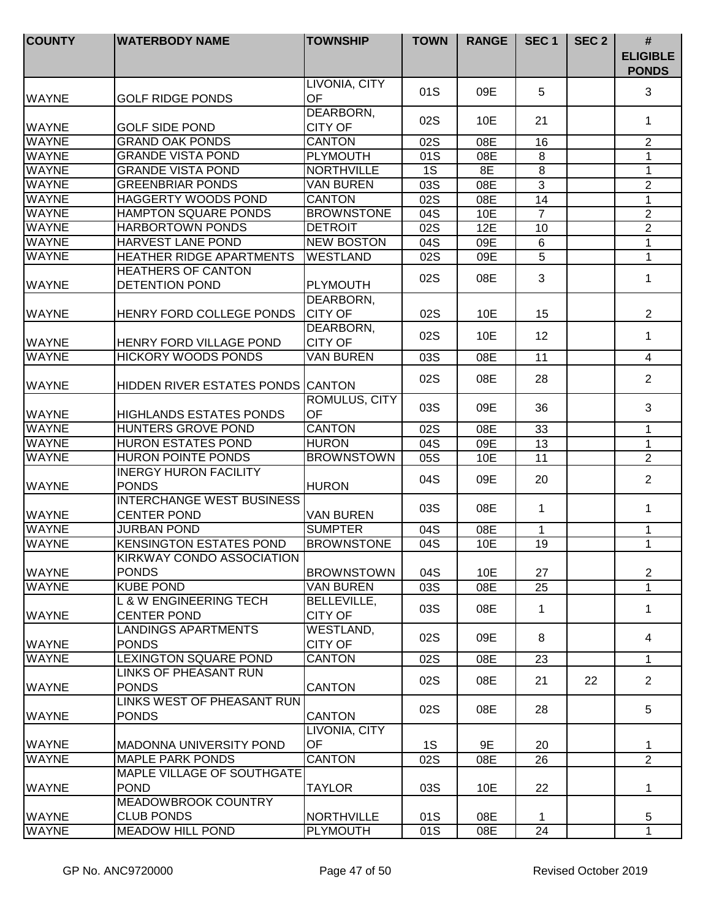| <b>COUNTY</b> | <b>WATERBODY NAME</b>                                   | <b>TOWNSHIP</b>                      | <b>TOWN</b> | <b>RANGE</b> | SEC <sub>1</sub> | SEC <sub>2</sub> | #<br><b>ELIGIBLE</b><br><b>PONDS</b> |
|---------------|---------------------------------------------------------|--------------------------------------|-------------|--------------|------------------|------------------|--------------------------------------|
| <b>WAYNE</b>  | <b>GOLF RIDGE PONDS</b>                                 | LIVONIA, CITY<br>OF                  | 01S         | 09E          | 5                |                  | 3                                    |
| <b>WAYNE</b>  | <b>GOLF SIDE POND</b>                                   | DEARBORN,<br><b>CITY OF</b>          | 02S         | 10E          | 21               |                  | 1                                    |
| <b>WAYNE</b>  | <b>GRAND OAK PONDS</b>                                  | <b>CANTON</b>                        | 02S         | 08E          | 16               |                  | $\overline{2}$                       |
| <b>WAYNE</b>  | <b>GRANDE VISTA POND</b>                                | <b>PLYMOUTH</b>                      | 01S         | 08E          | 8                |                  | 1                                    |
| <b>WAYNE</b>  | <b>GRANDE VISTA POND</b>                                | <b>NORTHVILLE</b>                    | 1S          | 8E           | $\,8\,$          |                  | $\mathbf 1$                          |
| <b>WAYNE</b>  | <b>GREENBRIAR PONDS</b>                                 | <b>VAN BUREN</b>                     | 03S         | 08E          | $\mathbf{3}$     |                  | $\overline{2}$                       |
| <b>WAYNE</b>  | <b>HAGGERTY WOODS POND</b>                              | <b>CANTON</b>                        | 02S         | 08E          | 14               |                  | 1                                    |
| <b>WAYNE</b>  | <b>HAMPTON SQUARE PONDS</b>                             | <b>BROWNSTONE</b>                    | 04S         | 10E          | $\overline{7}$   |                  | $\overline{2}$                       |
| <b>WAYNE</b>  | <b>HARBORTOWN PONDS</b>                                 | <b>DETROIT</b>                       | 02S         | 12E          | 10               |                  | $\overline{2}$                       |
| <b>WAYNE</b>  | HARVEST LANE POND                                       | <b>NEW BOSTON</b>                    | 04S         | 09E          | $\,6$            |                  | 1                                    |
| <b>WAYNE</b>  | <b>HEATHER RIDGE APARTMENTS</b>                         | <b>WESTLAND</b>                      | 02S         | 09E          | 5                |                  | 1                                    |
|               | <b>HEATHERS OF CANTON</b>                               |                                      | 02S         | 08E          | 3                |                  | $\mathbf 1$                          |
| <b>WAYNE</b>  | <b>DETENTION POND</b>                                   | <b>PLYMOUTH</b>                      |             |              |                  |                  |                                      |
| <b>WAYNE</b>  | HENRY FORD COLLEGE PONDS                                | DEARBORN,<br><b>CITY OF</b>          | 02S         | 10E          | 15               |                  | $\overline{2}$                       |
| <b>WAYNE</b>  | <b>HENRY FORD VILLAGE POND</b>                          | DEARBORN,<br><b>CITY OF</b>          | 02S         | 10E          | 12               |                  | 1                                    |
| <b>WAYNE</b>  | <b>HICKORY WOODS PONDS</b>                              | <b>VAN BUREN</b>                     | 03S         | 08E          | 11               |                  | $\overline{4}$                       |
| <b>WAYNE</b>  | HIDDEN RIVER ESTATES PONDS CANTON                       |                                      | 02S         | 08E          | 28               |                  | $\overline{2}$                       |
| <b>WAYNE</b>  | <b>HIGHLANDS ESTATES PONDS</b>                          | ROMULUS, CITY<br>OF                  | 03S         | 09E          | 36               |                  | 3                                    |
| <b>WAYNE</b>  | <b>HUNTERS GROVE POND</b>                               | <b>CANTON</b>                        | 02S         | 08E          | 33               |                  | 1                                    |
| <b>WAYNE</b>  | <b>HURON ESTATES POND</b>                               | <b>HURON</b>                         | 04S         | 09E          | 13               |                  | 1                                    |
| <b>WAYNE</b>  | <b>HURON POINTE PONDS</b>                               | <b>BROWNSTOWN</b>                    | 05S         | 10E          | 11               |                  | $\overline{2}$                       |
| <b>WAYNE</b>  | <b>INERGY HURON FACILITY</b><br><b>PONDS</b>            | <b>HURON</b>                         | 04S         | 09E          | 20               |                  | $\overline{2}$                       |
| <b>WAYNE</b>  | <b>INTERCHANGE WEST BUSINESS</b><br><b>CENTER POND</b>  | <b>VAN BUREN</b>                     | 03S         | 08E          | 1                |                  | $\mathbf 1$                          |
| <b>WAYNE</b>  | <b>JURBAN POND</b>                                      | <b>SUMPTER</b>                       | 04S         | 08E          | 1                |                  | 1                                    |
| <b>WAYNE</b>  | <b>KENSINGTON ESTATES POND</b>                          | <b>BROWNSTONE</b>                    | 04S         | 10E          | 19               |                  | 1                                    |
| <b>WAYNE</b>  | KIRKWAY CONDO ASSOCIATION<br><b>PONDS</b>               | <b>BROWNSTOWN</b>                    | 04S         | 10E          | 27               |                  | $\overline{2}$                       |
| <b>WAYNE</b>  | <b>KUBE POND</b>                                        | <b>VAN BUREN</b>                     | 03S         | 08E          | 25               |                  | $\mathbf{1}$                         |
| <b>WAYNE</b>  | <b>L &amp; W ENGINEERING TECH</b><br><b>CENTER POND</b> | <b>BELLEVILLE,</b><br><b>CITY OF</b> | 03S         | 08E          | 1                |                  | 1                                    |
| <b>WAYNE</b>  | <b>LANDINGS APARTMENTS</b><br><b>PONDS</b>              | WESTLAND,<br><b>CITY OF</b>          | 02S         | 09E          | 8                |                  | 4                                    |
| <b>WAYNE</b>  | <b>LEXINGTON SQUARE POND</b>                            | <b>CANTON</b>                        | 02S         | 08E          | 23               |                  | $\mathbf{1}$                         |
| <b>WAYNE</b>  | <b>LINKS OF PHEASANT RUN</b><br><b>PONDS</b>            | <b>CANTON</b>                        | 02S         | 08E          | 21               | 22               | $\overline{2}$                       |
| <b>WAYNE</b>  | LINKS WEST OF PHEASANT RUN<br><b>PONDS</b>              | <b>CANTON</b>                        | 02S         | 08E          | 28               |                  | 5                                    |
| <b>WAYNE</b>  | <b>MADONNA UNIVERSITY POND</b>                          | LIVONIA, CITY<br>OF                  | 1S          | 9E           | 20               |                  | 1                                    |
| <b>WAYNE</b>  | <b>MAPLE PARK PONDS</b>                                 | <b>CANTON</b>                        | 02S         | 08E          | 26               |                  | $\overline{2}$                       |
| <b>WAYNE</b>  | MAPLE VILLAGE OF SOUTHGATE<br><b>POND</b>               | <b>TAYLOR</b>                        | 03S         | 10E          | 22               |                  | 1                                    |
| <b>WAYNE</b>  | MEADOWBROOK COUNTRY<br><b>CLUB PONDS</b>                | <b>NORTHVILLE</b>                    | 01S         | 08E          | 1                |                  | 5                                    |
| <b>WAYNE</b>  | <b>MEADOW HILL POND</b>                                 | <b>PLYMOUTH</b>                      | 01S         | 08E          | 24               |                  | $\mathbf{1}$                         |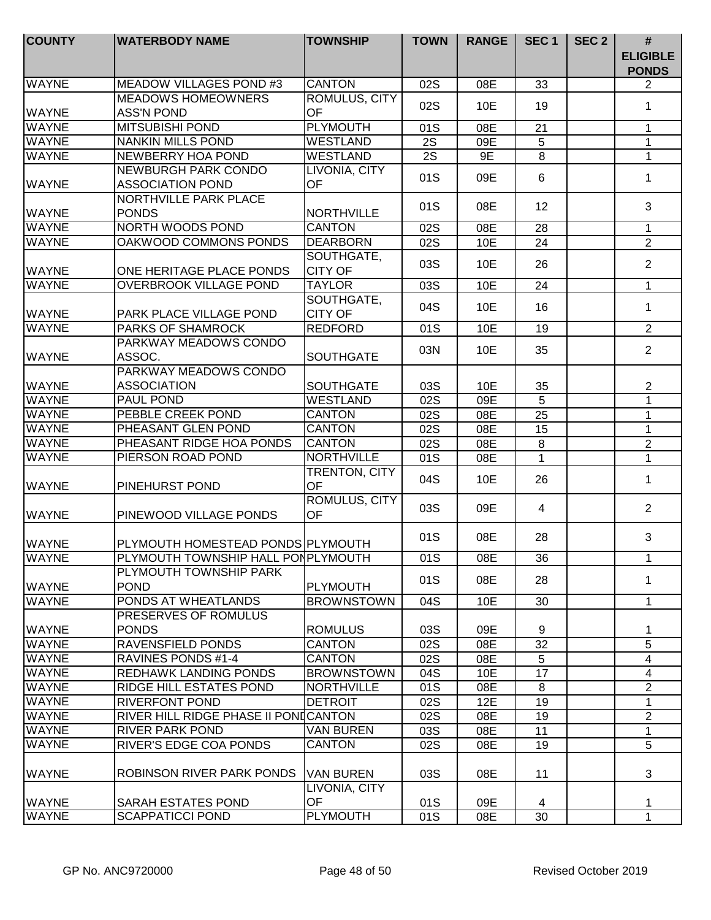| <b>COUNTY</b> | <b>WATERBODY NAME</b>                                 | <b>TOWNSHIP</b>                   | <b>TOWN</b>      | <b>RANGE</b> | SEC <sub>1</sub> | SEC <sub>2</sub> | #<br><b>ELIGIBLE</b><br><b>PONDS</b> |
|---------------|-------------------------------------------------------|-----------------------------------|------------------|--------------|------------------|------------------|--------------------------------------|
| <b>WAYNE</b>  | <b>MEADOW VILLAGES POND #3</b>                        | <b>CANTON</b>                     | 02S              | 08E          | 33               |                  | $\overline{2}$                       |
| <b>WAYNE</b>  | <b>MEADOWS HOMEOWNERS</b><br><b>ASS'N POND</b>        | ROMULUS, CITY<br>OF               | 02S              | 10E          | 19               |                  | 1                                    |
| <b>WAYNE</b>  | <b>MITSUBISHI POND</b>                                | <b>PLYMOUTH</b>                   | 01S              | 08E          | 21               |                  | $\mathbf{1}$                         |
| <b>WAYNE</b>  | <b>NANKIN MILLS POND</b>                              | WESTLAND                          | 2S               | 09E          | 5                |                  | $\mathbf 1$                          |
| <b>WAYNE</b>  | NEWBERRY HOA POND                                     | WESTLAND                          | $\overline{2S}$  | 9E           | $\overline{8}$   |                  | $\mathbf{1}$                         |
| <b>WAYNE</b>  | <b>NEWBURGH PARK CONDO</b><br><b>ASSOCIATION POND</b> | LIVONIA, CITY<br>OF               | 01S              | 09E          | 6                |                  | 1                                    |
| <b>WAYNE</b>  | <b>NORTHVILLE PARK PLACE</b><br><b>PONDS</b>          | <b>NORTHVILLE</b>                 | 01S              | 08E          | 12               |                  | 3                                    |
| <b>WAYNE</b>  | NORTH WOODS POND                                      | <b>CANTON</b>                     | 02S              | 08E          | 28               |                  | $\mathbf 1$                          |
| <b>WAYNE</b>  | OAKWOOD COMMONS PONDS                                 | <b>DEARBORN</b>                   | 02S              | 10E          | 24               |                  | $\overline{2}$                       |
| <b>WAYNE</b>  | ONE HERITAGE PLACE PONDS                              | SOUTHGATE,<br><b>CITY OF</b>      | 03S              | 10E          | 26               |                  | $\overline{2}$                       |
| <b>WAYNE</b>  | <b>OVERBROOK VILLAGE POND</b>                         | <b>TAYLOR</b>                     | 03S              | 10E          | 24               |                  | $\mathbf{1}$                         |
| <b>WAYNE</b>  | PARK PLACE VILLAGE POND                               | SOUTHGATE,<br><b>CITY OF</b>      | 04S              | 10E          | 16               |                  | $\mathbf 1$                          |
| <b>WAYNE</b>  | <b>PARKS OF SHAMROCK</b>                              | <b>REDFORD</b>                    | 01S              | 10E          | 19               |                  | $\overline{2}$                       |
| <b>WAYNE</b>  | PARKWAY MEADOWS CONDO<br>ASSOC.                       | <b>SOUTHGATE</b>                  | 03N              | 10E          | 35               |                  | $\overline{2}$                       |
| <b>WAYNE</b>  | PARKWAY MEADOWS CONDO<br><b>ASSOCIATION</b>           | <b>SOUTHGATE</b>                  | 03S              | 10E          | 35               |                  | $\overline{2}$                       |
| <b>WAYNE</b>  | <b>PAUL POND</b>                                      | <b>WESTLAND</b>                   | $\overline{02S}$ | 09E          | $\overline{5}$   |                  | $\overline{1}$                       |
| <b>WAYNE</b>  | PEBBLE CREEK POND                                     | <b>CANTON</b>                     | 02S              | 08E          | 25               |                  | $\mathbf{1}$                         |
| <b>WAYNE</b>  | PHEASANT GLEN POND                                    | <b>CANTON</b>                     | 02S              | 08E          | 15               |                  | $\mathbf 1$                          |
| <b>WAYNE</b>  | PHEASANT RIDGE HOA PONDS                              | <b>CANTON</b>                     | 02S              | 08E          | $\,8\,$          |                  | $\overline{2}$                       |
| <b>WAYNE</b>  | PIERSON ROAD POND                                     | <b>NORTHVILLE</b>                 | 01S              | 08E          | 1                |                  | $\mathbf{1}$                         |
| <b>WAYNE</b>  | PINEHURST POND                                        | TRENTON, CITY<br>OF               | 04S              | 10E          | 26               |                  | 1                                    |
| <b>WAYNE</b>  | PINEWOOD VILLAGE PONDS                                | ROMULUS, CITY<br><b>OF</b>        | 03S              | 09E          | 4                |                  | $\overline{2}$                       |
| <b>WAYNE</b>  | PLYMOUTH HOMESTEAD PONDS PLYMOUTH                     |                                   | 01S              | 08E          | 28               |                  | 3                                    |
| <b>WAYNE</b>  | PLYMOUTH TOWNSHIP HALL PONPLYMOUTH                    |                                   | 01S              | 08E          | 36               |                  | 1                                    |
| <b>WAYNE</b>  | PLYMOUTH TOWNSHIP PARK<br><b>POND</b>                 | PLYMOUTH                          | 01S              | 08E          | 28               |                  | 1                                    |
| <b>WAYNE</b>  | PONDS AT WHEATLANDS                                   | <b>BROWNSTOWN</b>                 | 04S              | 10E          | 30               |                  | 1                                    |
| <b>WAYNE</b>  | PRESERVES OF ROMULUS<br><b>PONDS</b>                  | <b>ROMULUS</b>                    | 03S              | 09E          | 9                |                  | 1                                    |
| <b>WAYNE</b>  | <b>RAVENSFIELD PONDS</b>                              | <b>CANTON</b>                     | 02S              | 08E          | 32               |                  | 5                                    |
| <b>WAYNE</b>  | <b>RAVINES PONDS #1-4</b>                             | <b>CANTON</b>                     | 02S              | 08E          | 5                |                  | $\overline{4}$                       |
| <b>WAYNE</b>  | <b>REDHAWK LANDING PONDS</b>                          | <b>BROWNSTOWN</b>                 | 04S              | 10E          | 17               |                  | 4                                    |
| <b>WAYNE</b>  | <b>RIDGE HILL ESTATES POND</b>                        | <b>NORTHVILLE</b>                 | 01S              | 08E          | 8                |                  | $\overline{2}$                       |
| <b>WAYNE</b>  | <b>RIVERFONT POND</b>                                 | <b>DETROIT</b>                    | 02S              | 12E          | 19               |                  | 1                                    |
| <b>WAYNE</b>  | RIVER HILL RIDGE PHASE II PONICANTON                  |                                   | 02S              | 08E          | 19               |                  | $\overline{2}$                       |
| <b>WAYNE</b>  | <b>RIVER PARK POND</b>                                | <b>VAN BUREN</b>                  | 03S              | 08E          | 11               |                  | 1                                    |
| <b>WAYNE</b>  | RIVER'S EDGE COA PONDS                                | <b>CANTON</b>                     | 02S              | 08E          | 19               |                  | 5                                    |
| <b>WAYNE</b>  | <b>ROBINSON RIVER PARK PONDS</b>                      | <b>VAN BUREN</b><br>LIVONIA, CITY | 03S              | 08E          | 11               |                  | 3                                    |
| <b>WAYNE</b>  | <b>SARAH ESTATES POND</b>                             | OF                                | 01S              | 09E          | 4                |                  | 1                                    |
| <b>WAYNE</b>  | <b>SCAPPATICCI POND</b>                               | <b>PLYMOUTH</b>                   | 01S              | 08E          | 30               |                  | $\mathbf{1}$                         |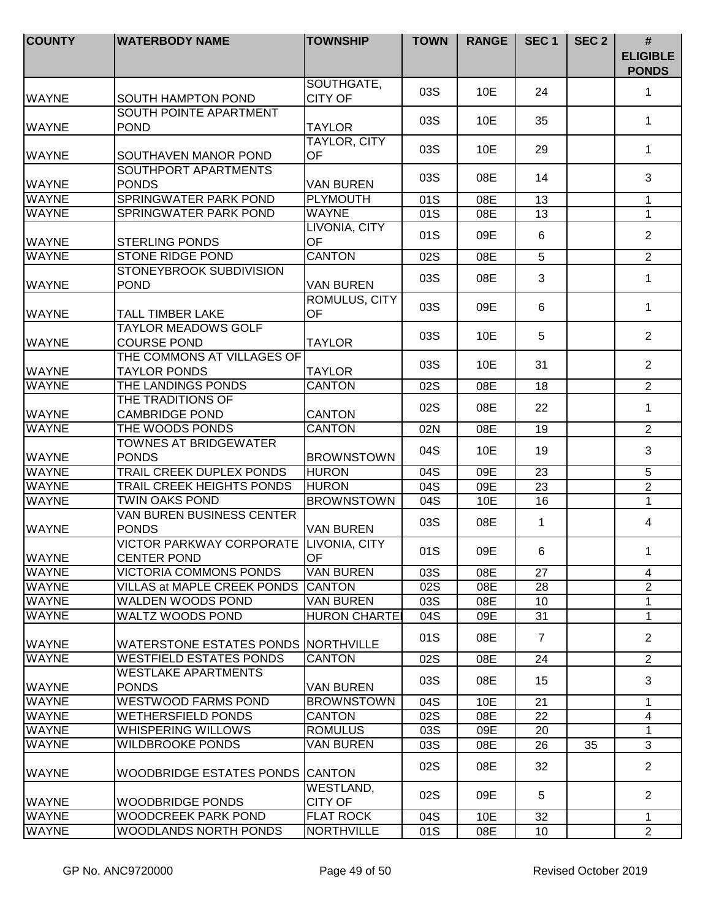| <b>COUNTY</b> | <b>WATERBODY NAME</b>                                 | <b>TOWNSHIP</b>                  | <b>TOWN</b> | <b>RANGE</b> | SEC <sub>1</sub> | SEC <sub>2</sub> | $\#$<br><b>ELIGIBLE</b><br><b>PONDS</b> |
|---------------|-------------------------------------------------------|----------------------------------|-------------|--------------|------------------|------------------|-----------------------------------------|
| <b>WAYNE</b>  | <b>SOUTH HAMPTON POND</b>                             | SOUTHGATE,<br><b>CITY OF</b>     | 03S         | 10E          | 24               |                  | 1                                       |
| <b>WAYNE</b>  | SOUTH POINTE APARTMENT<br><b>POND</b>                 | <b>TAYLOR</b>                    | 03S         | 10E          | 35               |                  | 1                                       |
| <b>WAYNE</b>  | SOUTHAVEN MANOR POND                                  | <b>TAYLOR, CITY</b><br><b>OF</b> | 03S         | 10E          | 29               |                  | 1                                       |
| <b>WAYNE</b>  | SOUTHPORT APARTMENTS<br><b>PONDS</b>                  | <b>VAN BUREN</b>                 | 03S         | 08E          | 14               |                  | 3                                       |
| <b>WAYNE</b>  | <b>SPRINGWATER PARK POND</b>                          | <b>PLYMOUTH</b>                  | 01S         | 08E          | 13               |                  | $\mathbf{1}$                            |
| <b>WAYNE</b>  | <b>SPRINGWATER PARK POND</b>                          | <b>WAYNE</b>                     | 01S         | 08E          | 13               |                  | $\mathbf{1}$                            |
| <b>WAYNE</b>  | <b>STERLING PONDS</b>                                 | LIVONIA, CITY<br>OF              | 01S         | 09E          | 6                |                  | $\overline{2}$                          |
| <b>WAYNE</b>  | <b>STONE RIDGE POND</b>                               | <b>CANTON</b>                    | 02S         | 08E          | $\overline{5}$   |                  | $\overline{2}$                          |
| <b>WAYNE</b>  | STONEYBROOK SUBDIVISION<br><b>POND</b>                | <b>VAN BUREN</b>                 | 03S         | 08E          | 3                |                  | $\mathbf{1}$                            |
| <b>WAYNE</b>  | <b>TALL TIMBER LAKE</b>                               | ROMULUS, CITY<br>OF              | 03S         | 09E          | 6                |                  | $\mathbf{1}$                            |
| <b>WAYNE</b>  | <b>TAYLOR MEADOWS GOLF</b><br><b>COURSE POND</b>      | <b>TAYLOR</b>                    | 03S         | 10E          | 5                |                  | $\overline{2}$                          |
| <b>WAYNE</b>  | THE COMMONS AT VILLAGES OF<br><b>TAYLOR PONDS</b>     | <b>TAYLOR</b>                    | 03S         | 10E          | 31               |                  | $\overline{2}$                          |
| <b>WAYNE</b>  | THE LANDINGS PONDS                                    | <b>CANTON</b>                    | 02S         | 08E          | 18               |                  | $\overline{2}$                          |
| <b>WAYNE</b>  | THE TRADITIONS OF<br><b>CAMBRIDGE POND</b>            | <b>CANTON</b>                    | 02S         | 08E          | 22               |                  | $\mathbf{1}$                            |
| <b>WAYNE</b>  | THE WOODS PONDS                                       | <b>CANTON</b>                    | 02N         | 08E          | 19               |                  | $\overline{2}$                          |
| <b>WAYNE</b>  | <b>TOWNES AT BRIDGEWATER</b><br><b>PONDS</b>          | <b>BROWNSTOWN</b>                | 04S         | 10E          | 19               |                  | 3                                       |
| <b>WAYNE</b>  | TRAIL CREEK DUPLEX PONDS                              | <b>HURON</b>                     | 04S         | 09E          | 23               |                  | 5                                       |
| <b>WAYNE</b>  | <b>TRAIL CREEK HEIGHTS PONDS</b>                      | <b>HURON</b>                     | 04S         | 09E          | 23               |                  | $\overline{2}$                          |
| <b>WAYNE</b>  | <b>TWIN OAKS POND</b>                                 | <b>BROWNSTOWN</b>                | 04S         | 10E          | $\overline{16}$  |                  | $\mathbf{1}$                            |
| <b>WAYNE</b>  | <b>VAN BUREN BUSINESS CENTER</b><br><b>PONDS</b>      | <b>VAN BUREN</b>                 | 03S         | 08E          | 1                |                  | 4                                       |
| <b>WAYNE</b>  | <b>VICTOR PARKWAY CORPORATE</b><br><b>CENTER POND</b> | <b>LIVONIA, CITY</b><br>OF       | 01S         | 09E          | 6                |                  | 1.                                      |
| <b>WAYNE</b>  | <b>VICTORIA COMMONS PONDS</b>                         | VAN BUREN                        | 03S         | 08E          | 27               |                  | 4                                       |
| <b>WAYNE</b>  | <b>VILLAS at MAPLE CREEK PONDS</b>                    | <b>ICANTON</b>                   | 02S         | 08E          | 28               |                  | 2                                       |
| <b>WAYNE</b>  | WALDEN WOODS POND                                     | <b>VAN BUREN</b>                 | 03S         | 08E          | 10               |                  | 1                                       |
| <b>WAYNE</b>  | WALTZ WOODS POND                                      | <b>HURON CHARTEI</b>             | 04S         | 09E          | 31               |                  | 1                                       |
| <b>WAYNE</b>  | WATERSTONE ESTATES PONDS NORTHVILLE                   |                                  | 01S         | 08E          | $\overline{7}$   |                  | $\overline{2}$                          |
| <b>WAYNE</b>  | <b>WESTFIELD ESTATES PONDS</b>                        | <b>CANTON</b>                    | 02S         | 08E          | 24               |                  | $\overline{2}$                          |
| <b>WAYNE</b>  | <b>WESTLAKE APARTMENTS</b><br><b>PONDS</b>            | VAN BUREN                        | 03S         | 08E          | 15               |                  | 3                                       |
| <b>WAYNE</b>  | <b>WESTWOOD FARMS POND</b>                            | <b>BROWNSTOWN</b>                | 04S         | 10E          | 21               |                  | 1                                       |
| <b>WAYNE</b>  | <b>WETHERSFIELD PONDS</b>                             | <b>CANTON</b>                    | 02S         | 08E          | 22               |                  | $\overline{4}$                          |
| <b>WAYNE</b>  | WHISPERING WILLOWS                                    | <b>ROMULUS</b>                   | 03S         | 09E          | 20               |                  | 1                                       |
| <b>WAYNE</b>  | <b>WILDBROOKE PONDS</b>                               | VAN BUREN                        | 03S         | 08E          | 26               | 35               | 3                                       |
| <b>WAYNE</b>  | WOODBRIDGE ESTATES PONDS CANTON                       |                                  | 02S         | 08E          | 32               |                  | $\overline{2}$                          |
| <b>WAYNE</b>  | WOODBRIDGE PONDS                                      | WESTLAND,<br><b>CITY OF</b>      | 02S         | 09E          | 5                |                  | $\overline{2}$                          |
| <b>WAYNE</b>  | <b>WOODCREEK PARK POND</b>                            | <b>FLAT ROCK</b>                 | 04S         | 10E          | 32               |                  | 1                                       |
| <b>WAYNE</b>  | WOODLANDS NORTH PONDS                                 | <b>NORTHVILLE</b>                | 01S         | 08E          | 10               |                  | $\overline{2}$                          |